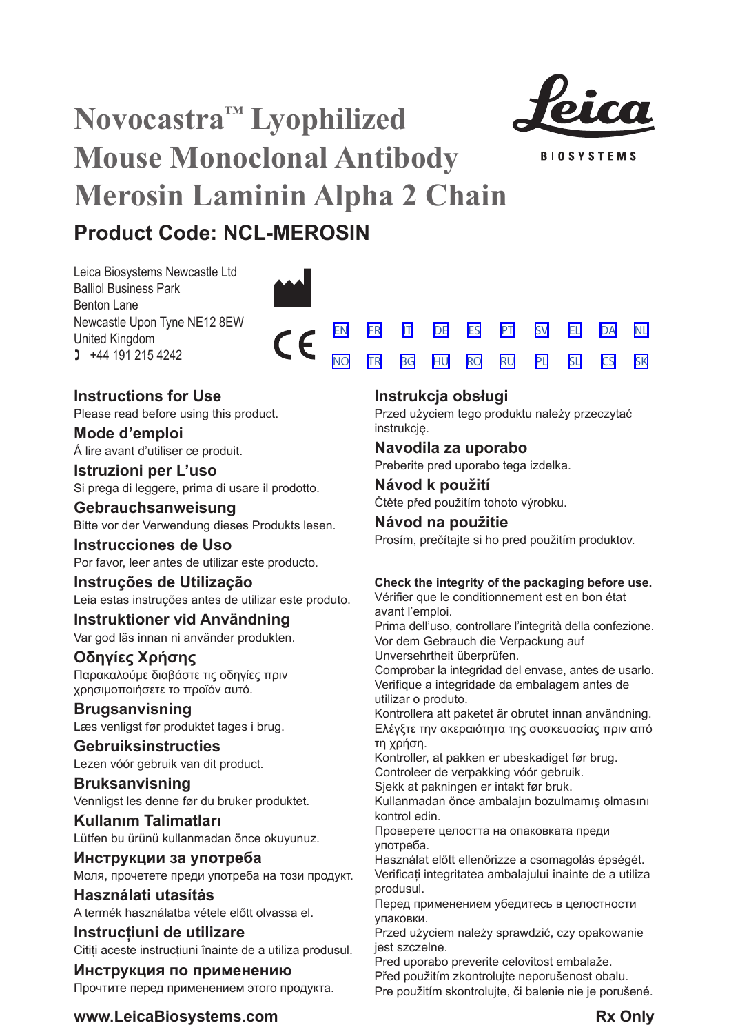

**Novocastra™ Lyophilized Mouse Monoclonal Antibody Merosin Laminin Alpha 2 Chain**

**BIOSYSTEMS** 

[SV](#page-26-0) [EL](#page-30-0) [DA](#page-34-0) [PL](#page-66-0) [SL](#page-70-0) [CS](#page-74-0) [NL](#page-38-0)

[SK](#page-78-0)

# **Product Code: NCL-MEROSIN**

Leica Biosystems Newcastle Ltd Balliol Business Park Benton Lane Newcastle Upon Tyne NE12 8EW United Kingdom  $1 +44 191 215 4242$ 



# **Instructions for Use**

Please read before using this product.

**Mode d'emploi** Á lire avant d'utiliser ce produit.

**Istruzioni per L'uso** Si prega di leggere, prima di usare il prodotto.

**Gebrauchsanweisung** Bitte vor der Verwendung dieses Produkts lesen.

**Instrucciones de Uso** Por favor, leer antes de utilizar este producto.

**Instruções de Utilização**

Leia estas instruções antes de utilizar este produto.

**Instruktioner vid Användning** Var god läs innan ni använder produkten.

# **Οδηγίες Χρήσης**

Παρακαλούμε διαβάστε τις οδηγίες πριν χρησιμοποιήσετε το προϊόν αυτό.

**Brugsanvisning** Læs venligst før produktet tages i brug.

**Gebruiksinstructies** Lezen vóór gebruik van dit product.

**Bruksanvisning** Vennligst les denne før du bruker produktet.

**Kullanım Talimatları** Lütfen bu ürünü kullanmadan önce okuyunuz.

**Инструкции за употреба** Моля, прочетете преди употреба на този продукт.

**Használati utasítás** A termék használatba vétele előtt olvassa el.

**Instrucțiuni de utilizare** Cititi aceste instructiuni înainte de a utiliza produsul.

**Инструкция по применению** Прочтите перед применением этого продукта.

# **Instrukcja obsługi**

<u>[NO](#page-42-0) [TR](#page-46-0) [BG](#page-50-0) [HU](#page-54-0) [RO](#page-58-0) [RU](#page-62-0)</u>

Przed użyciem tego produktu należy przeczytać instrukcję.

# **Navodila za uporabo**

Preberite pred uporabo tega izdelka.

**Návod k použití** Čtěte před použitím tohoto výrobku.

# **Návod na použitie**

Prosím, prečítajte si ho pred použitím produktov.

# **Check the integrity of the packaging before use.**

Vérifier que le conditionnement est en bon état avant l'emploi.

Prima dell'uso, controllare l'integrità della confezione. Vor dem Gebrauch die Verpackung auf

Unversehrtheit überprüfen.

Comprobar la integridad del envase, antes de usarlo. Verifique a integridade da embalagem antes de utilizar o produto.

Kontrollera att paketet är obrutet innan användning. Ελέγξτε την ακεραιότητα της συσκευασίας πριν από τη χρήση.

Kontroller, at pakken er ubeskadiget før brug. Controleer de verpakking vóór gebruik.

Sjekk at pakningen er intakt før bruk.

Kullanmadan önce ambalajın bozulmamış olmasını kontrol edin.

Проверете целостта на опаковката преди употреба.

Használat előtt ellenőrizze a csomagolás épségét. Verificați integritatea ambalajului înainte de a utiliza produsul.

Перед применением убедитесь в целостности упаковки.

Przed użyciem należy sprawdzić, czy opakowanie jest szczelne.

Pred uporabo preverite celovitost embalaže.

Před použitím zkontrolujte neporušenost obalu. Pre použitím skontrolujte, či balenie nie je porušené.

# **www.LeicaBiosystems.com Rx** Only **Rx** Only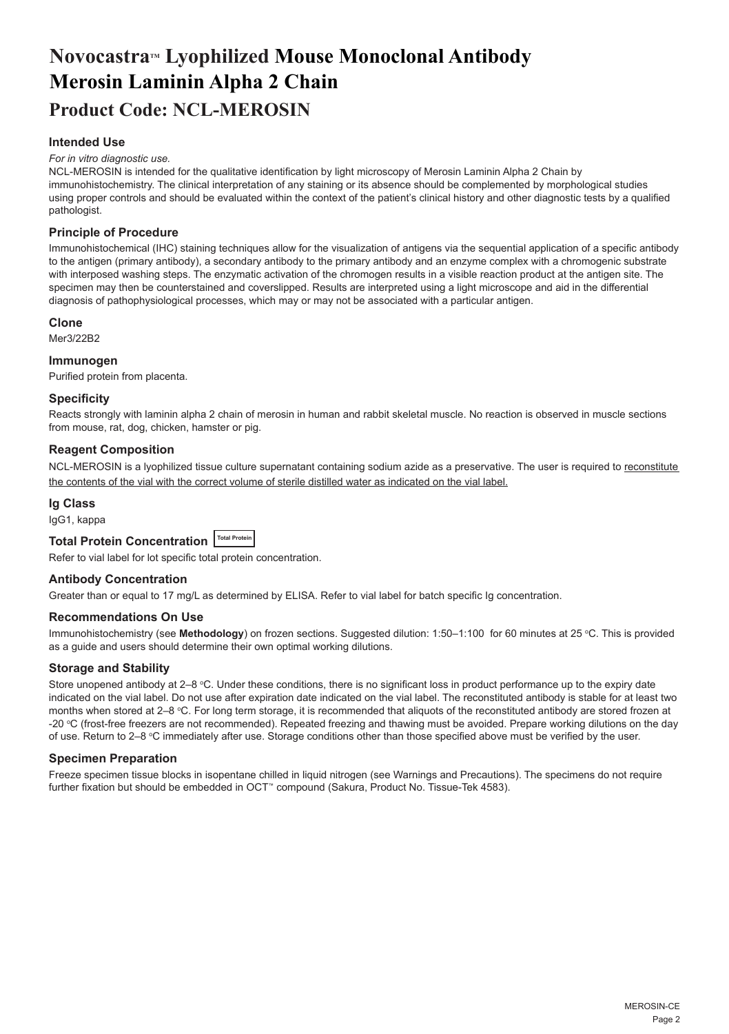# <span id="page-2-0"></span>**NovocastraM Lyophilized Mouse Monoclonal Antibody Merosin Laminin Alpha 2 Chain Product Code: NCL-MEROSIN**

# **Intended Use**

#### *For in vitro diagnostic use.*

NCL-MEROSIN is intended for the qualitative identification by light microscopy of Merosin Laminin Alpha 2 Chain by immunohistochemistry. The clinical interpretation of any staining or its absence should be complemented by morphological studies using proper controls and should be evaluated within the context of the patient's clinical history and other diagnostic tests by a qualified pathologist.

# **Principle of Procedure**

Immunohistochemical (IHC) staining techniques allow for the visualization of antigens via the sequential application of a specific antibody to the antigen (primary antibody), a secondary antibody to the primary antibody and an enzyme complex with a chromogenic substrate with interposed washing steps. The enzymatic activation of the chromogen results in a visible reaction product at the antigen site. The specimen may then be counterstained and coverslipped. Results are interpreted using a light microscope and aid in the differential diagnosis of pathophysiological processes, which may or may not be associated with a particular antigen.

#### **Clone**

Mer3/22B2

#### **Immunogen**

Purified protein from placenta.

# **Specificity**

Reacts strongly with laminin alpha 2 chain of merosin in human and rabbit skeletal muscle. No reaction is observed in muscle sections from mouse, rat, dog, chicken, hamster or pig.

# **Reagent Composition**

NCL-MEROSIN is a lyophilized tissue culture supernatant containing sodium azide as a preservative. The user is required to reconstitute the contents of the vial with the correct volume of sterile distilled water as indicated on the vial label.

#### **Ig Class**

IgG1, kappa

# **Total Protein Concentration Total Protein**

Refer to vial label for lot specific total protein concentration.

# **Antibody Concentration**

Greater than or equal to 17 mg/L as determined by ELISA. Refer to vial label for batch specific Ig concentration.

# **Recommendations On Use**

lmmunohistochemistry (see **Methodology**) on frozen sections. Suggested dilution: 1:50–1:100 for 60 minutes at 25 °C. This is provided as a guide and users should determine their own optimal working dilutions.

#### **Storage and Stability**

Store unopened antibody at 2–8 °C. Under these conditions, there is no significant loss in product performance up to the expiry date indicated on the vial label. Do not use after expiration date indicated on the vial label. The reconstituted antibody is stable for at least two months when stored at 2–8 °C. For long term storage, it is recommended that aliquots of the reconstituted antibody are stored frozen at -20 °C (frost-free freezers are not recommended). Repeated freezing and thawing must be avoided. Prepare working dilutions on the day of use. Return to 2–8 °C immediately after use. Storage conditions other than those specified above must be verified by the user.

### **Specimen Preparation**

Freeze specimen tissue blocks in isopentane chilled in liquid nitrogen (see Warnings and Precautions). The specimens do not require further fixation but should be embedded in OCT™ compound (Sakura, Product No. Tissue-Tek 4583).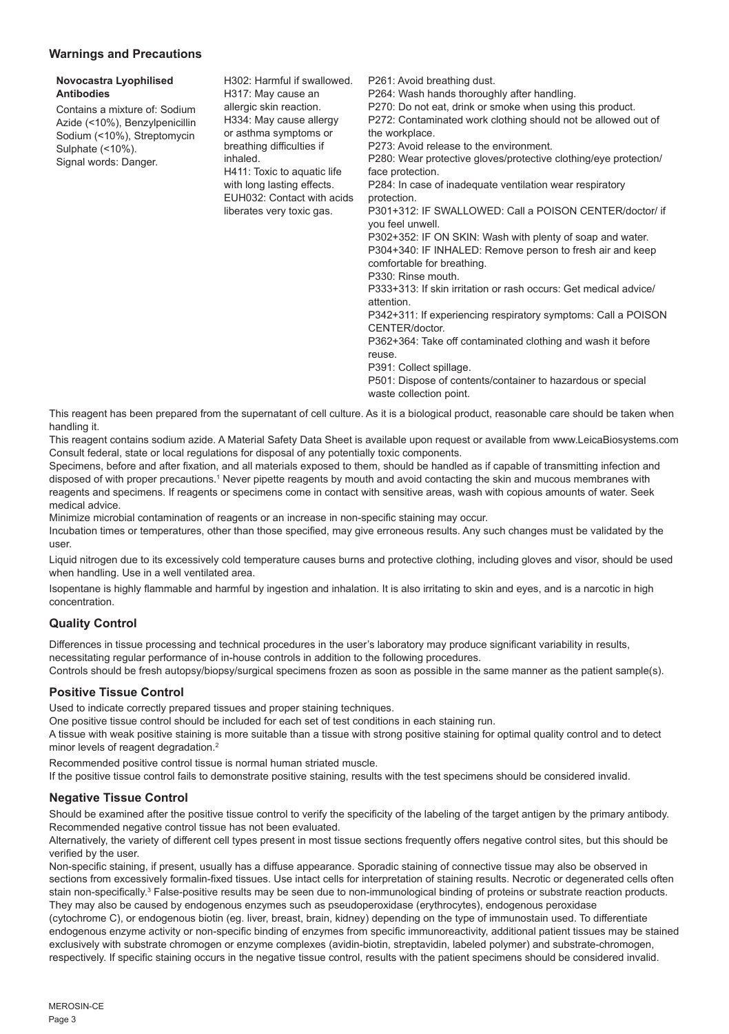# **Warnings and Precautions**

### **Novocastra Lyophilised Antibodies**

Contains a mixture of: Sodium Azide (<10%), Benzylpenicillin Sodium (<10%), Streptomycin Sulphate (<10%). Signal words: Danger.

H302: Harmful if swallowed. H317: May cause an allergic skin reaction. H334: May cause allergy or asthma symptoms or breathing difficulties if inhaled. H411: Toxic to aquatic life with long lasting effects. EUH032: Contact with acids liberates very toxic gas.

P264: Wash hands thoroughly after handling. P270: Do not eat, drink or smoke when using this product. P272: Contaminated work clothing should not be allowed out of the workplace. P273: Avoid release to the environment. P280: Wear protective gloves/protective clothing/eye protection/ face protection. P284: In case of inadequate ventilation wear respiratory protection. P301+312: IF SWALLOWED: Call a POISON CENTER/doctor/ if you feel unwell. P302+352: IF ON SKIN: Wash with plenty of soap and water. P304+340: IF INHALED: Remove person to fresh air and keep comfortable for breathing. P330: Rinse mouth. P333+313: If skin irritation or rash occurs: Get medical advice/ attention. P342+311: If experiencing respiratory symptoms: Call a POISON CENTER/doctor. P362+364: Take off contaminated clothing and wash it before reuse. P391: Collect spillage. P501: Dispose of contents/container to hazardous or special waste collection point.

P261: Avoid breathing dust.

This reagent has been prepared from the supernatant of cell culture. As it is a biological product, reasonable care should be taken when handling it.

This reagent contains sodium azide. A Material Safety Data Sheet is available upon request or available from www.LeicaBiosystems.com Consult federal, state or local regulations for disposal of any potentially toxic components.

Specimens, before and after fixation, and all materials exposed to them, should be handled as if capable of transmitting infection and disposed of with proper precautions.1 Never pipette reagents by mouth and avoid contacting the skin and mucous membranes with reagents and specimens. If reagents or specimens come in contact with sensitive areas, wash with copious amounts of water. Seek medical advice.

Minimize microbial contamination of reagents or an increase in non-specific staining may occur.

Incubation times or temperatures, other than those specified, may give erroneous results. Any such changes must be validated by the user.

Liquid nitrogen due to its excessively cold temperature causes burns and protective clothing, including gloves and visor, should be used when handling. Use in a well ventilated area.

Isopentane is highly flammable and harmful by ingestion and inhalation. It is also irritating to skin and eyes, and is a narcotic in high concentration.

# **Quality Control**

Differences in tissue processing and technical procedures in the user's laboratory may produce significant variability in results, necessitating regular performance of in-house controls in addition to the following procedures.

Controls should be fresh autopsy/biopsy/surgical specimens frozen as soon as possible in the same manner as the patient sample(s).

#### **Positive Tissue Control**

Used to indicate correctly prepared tissues and proper staining techniques.

One positive tissue control should be included for each set of test conditions in each staining run.

A tissue with weak positive staining is more suitable than a tissue with strong positive staining for optimal quality control and to detect minor levels of reagent degradation.<sup>2</sup>

Recommended positive control tissue is normal human striated muscle.

If the positive tissue control fails to demonstrate positive staining, results with the test specimens should be considered invalid.

#### **Negative Tissue Control**

Should be examined after the positive tissue control to verify the specificity of the labeling of the target antigen by the primary antibody. Recommended negative control tissue has not been evaluated.

Alternatively, the variety of different cell types present in most tissue sections frequently offers negative control sites, but this should be verified by the user.

Non-specific staining, if present, usually has a diffuse appearance. Sporadic staining of connective tissue may also be observed in sections from excessively formalin-fixed tissues. Use intact cells for interpretation of staining results. Necrotic or degenerated cells often stain non-specifically.<sup>3</sup> False-positive results may be seen due to non-immunological binding of proteins or substrate reaction products. They may also be caused by endogenous enzymes such as pseudoperoxidase (erythrocytes), endogenous peroxidase

(cytochrome C), or endogenous biotin (eg. liver, breast, brain, kidney) depending on the type of immunostain used. To differentiate endogenous enzyme activity or non-specific binding of enzymes from specific immunoreactivity, additional patient tissues may be stained exclusively with substrate chromogen or enzyme complexes (avidin-biotin, streptavidin, labeled polymer) and substrate-chromogen, respectively. If specific staining occurs in the negative tissue control, results with the patient specimens should be considered invalid.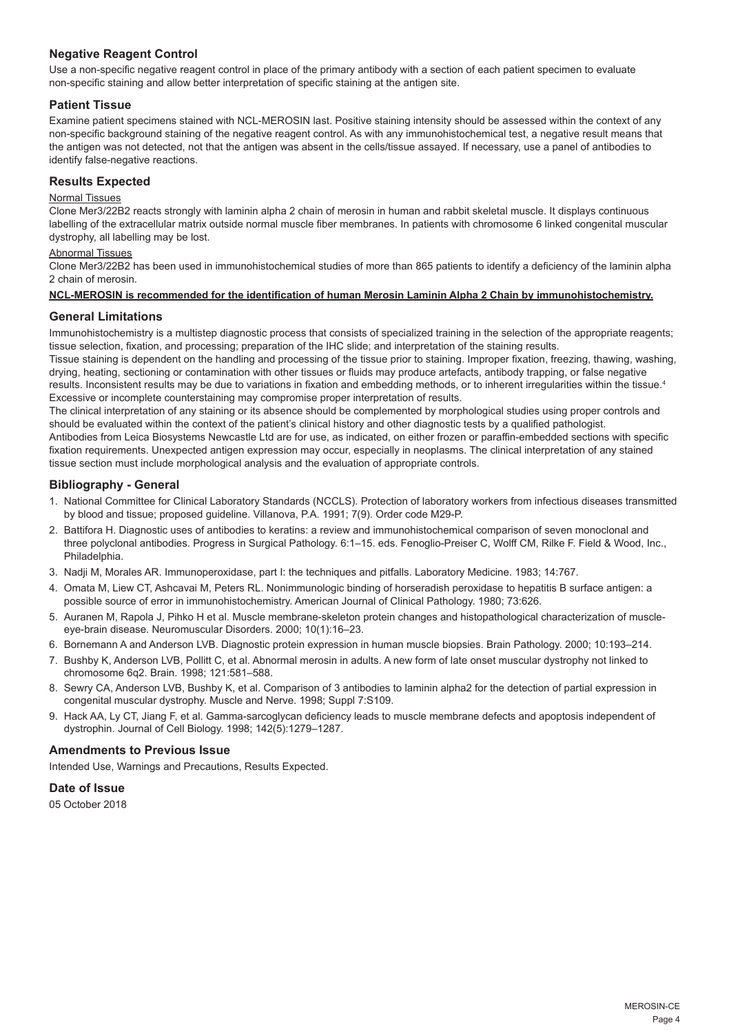# **Negative Reagent Control**

Use a non-specific negative reagent control in place of the primary antibody with a section of each patient specimen to evaluate non-specific staining and allow better interpretation of specific staining at the antigen site.

### **Patient Tissue**

Examine patient specimens stained with NCL-MEROSIN last. Positive staining intensity should be assessed within the context of any non-specific background staining of the negative reagent control. As with any immunohistochemical test, a negative result means that the antigen was not detected, not that the antigen was absent in the cells/tissue assayed. If necessary, use a panel of antibodies to identify false-negative reactions.

# **Results Expected**

#### Normal Tissues

Clone Mer3/22B2 reacts strongly with laminin alpha 2 chain of merosin in human and rabbit skeletal muscle. It displays continuous labelling of the extracellular matrix outside normal muscle fiber membranes. In patients with chromosome 6 linked congenital muscular dystrophy, all labelling may be lost.

#### Abnormal Tissues

Clone Mer3/22B2 has been used in immunohistochemical studies of more than 865 patients to identify a deficiency of the laminin alpha 2 chain of merosin.

#### **NCL-MEROSIN is recommended for the identification of human Merosin Laminin Alpha 2 Chain by immunohistochemistry.**

### **General Limitations**

Immunohistochemistry is a multistep diagnostic process that consists of specialized training in the selection of the appropriate reagents; tissue selection, fixation, and processing; preparation of the IHC slide; and interpretation of the staining results.

Tissue staining is dependent on the handling and processing of the tissue prior to staining. Improper fixation, freezing, thawing, washing, drying, heating, sectioning or contamination with other tissues or fluids may produce artefacts, antibody trapping, or false negative results. Inconsistent results may be due to variations in fixation and embedding methods, or to inherent irregularities within the tissue.<sup>4</sup> Excessive or incomplete counterstaining may compromise proper interpretation of results.

The clinical interpretation of any staining or its absence should be complemented by morphological studies using proper controls and should be evaluated within the context of the patient's clinical history and other diagnostic tests by a qualified pathologist. Antibodies from Leica Biosystems Newcastle Ltd are for use, as indicated, on either frozen or paraffin-embedded sections with specific fixation requirements. Unexpected antigen expression may occur, especially in neoplasms. The clinical interpretation of any stained tissue section must include morphological analysis and the evaluation of appropriate controls.

#### **Bibliography - General**

- 1. National Committee for Clinical Laboratory Standards (NCCLS). Protection of laboratory workers from infectious diseases transmitted by blood and tissue; proposed guideline. Villanova, P.A. 1991; 7(9). Order code M29-P.
- 2. Battifora H. Diagnostic uses of antibodies to keratins: a review and immunohistochemical comparison of seven monoclonal and three polyclonal antibodies. Progress in Surgical Pathology. 6:1–15. eds. Fenoglio-Preiser C, Wolff CM, Rilke F. Field & Wood, Inc., Philadelphia.
- 3. Nadji M, Morales AR. Immunoperoxidase, part I: the techniques and pitfalls. Laboratory Medicine. 1983; 14:767.
- 4. Omata M, Liew CT, Ashcavai M, Peters RL. Nonimmunologic binding of horseradish peroxidase to hepatitis B surface antigen: a possible source of error in immunohistochemistry. American Journal of Clinical Pathology. 1980; 73:626.
- 5. Auranen M, Rapola J, Pihko H et al. Muscle membrane-skeleton protein changes and histopathological characterization of muscleeye-brain disease. Neuromuscular Disorders. 2000; 10(1):16–23.
- 6. Bornemann A and Anderson LVB. Diagnostic protein expression in human muscle biopsies. Brain Pathology. 2000; 10:193–214.
- 7. Bushby K, Anderson LVB, Pollitt C, et al. Abnormal merosin in adults. A new form of late onset muscular dystrophy not linked to chromosome 6q2. Brain. 1998; 121:581–588.
- 8. Sewry CA, Anderson LVB, Bushby K, et al. Comparison of 3 antibodies to laminin alpha2 for the detection of partial expression in congenital muscular dystrophy. Muscle and Nerve. 1998; Suppl 7:S109.
- 9. Hack AA, Ly CT, Jiang F, et al. Gamma-sarcoglycan deficiency leads to muscle membrane defects and apoptosis independent of dystrophin. Journal of Cell Biology. 1998; 142(5):1279–1287.

#### **Amendments to Previous Issue**

Intended Use, Warnings and Precautions, Results Expected.

**Date of Issue**

05 October 2018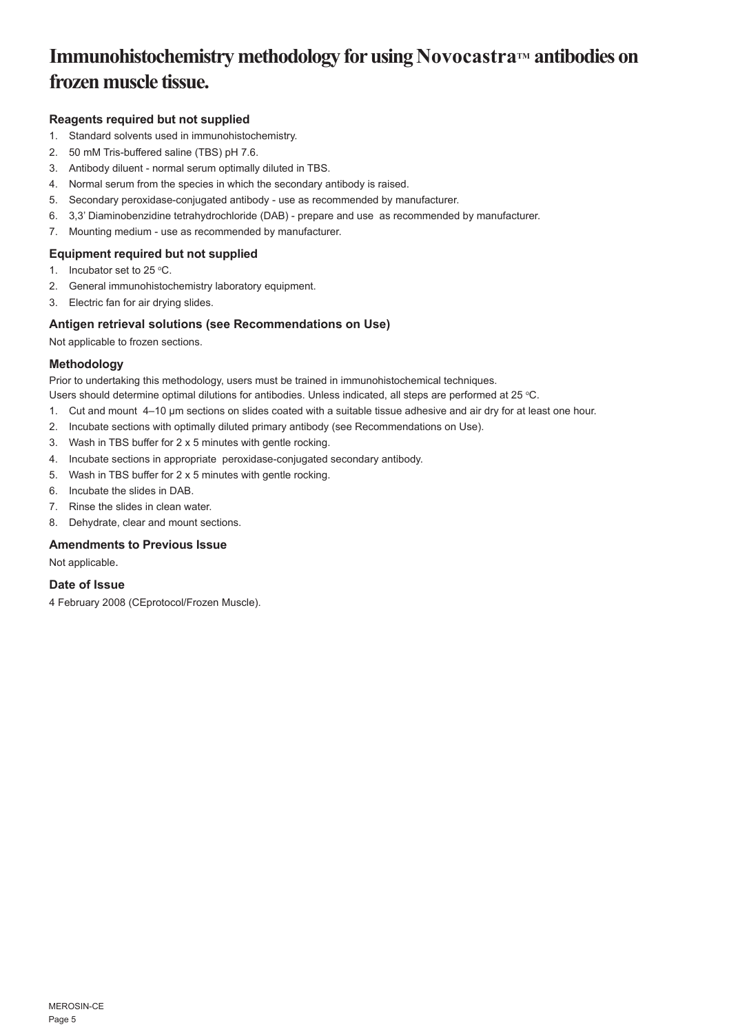# **Immunohistochemistry methodology for using Novocastra™ antibodies on frozen muscle tissue.**

# **Reagents required but not supplied**

- 1. Standard solvents used in immunohistochemistry.
- 2. 50 mM Tris-buffered saline (TBS) pH 7.6.
- 3. Antibody diluent normal serum optimally diluted in TBS.
- 4. Normal serum from the species in which the secondary antibody is raised.
- 5. Secondary peroxidase-conjugated antibody use as recommended by manufacturer.
- 6. 3,3' Diaminobenzidine tetrahydrochloride (DAB) prepare and use as recommended by manufacturer.
- 7. Mounting medium use as recommended by manufacturer.

# **Equipment required but not supplied**

- 1. Incubator set to  $25^{\circ}$ C.
- 2. General immunohistochemistry laboratory equipment.
- 3. Electric fan for air drying slides.

# **Antigen retrieval solutions (see Recommendations on Use)**

Not applicable to frozen sections.

# **Methodology**

Prior to undertaking this methodology, users must be trained in immunohistochemical techniques.

Users should determine optimal dilutions for antibodies. Unless indicated, all steps are performed at 25 °C.

- 1. Cut and mount 4–10 µm sections on slides coated with a suitable tissue adhesive and air dry for at least one hour.
- 2. Incubate sections with optimally diluted primary antibody (see Recommendations on Use).
- 3. Wash in TBS buffer for 2 x 5 minutes with gentle rocking.
- 4. Incubate sections in appropriate peroxidase-conjugated secondary antibody.
- 5. Wash in TBS buffer for 2 x 5 minutes with gentle rocking.
- 6. Incubate the slides in DAB.
- 7. Rinse the slides in clean water.
- 8. Dehydrate, clear and mount sections.

# **Amendments to Previous Issue**

Not applicable.

# **Date of Issue**

4 February 2008 (CEprotocol/Frozen Muscle).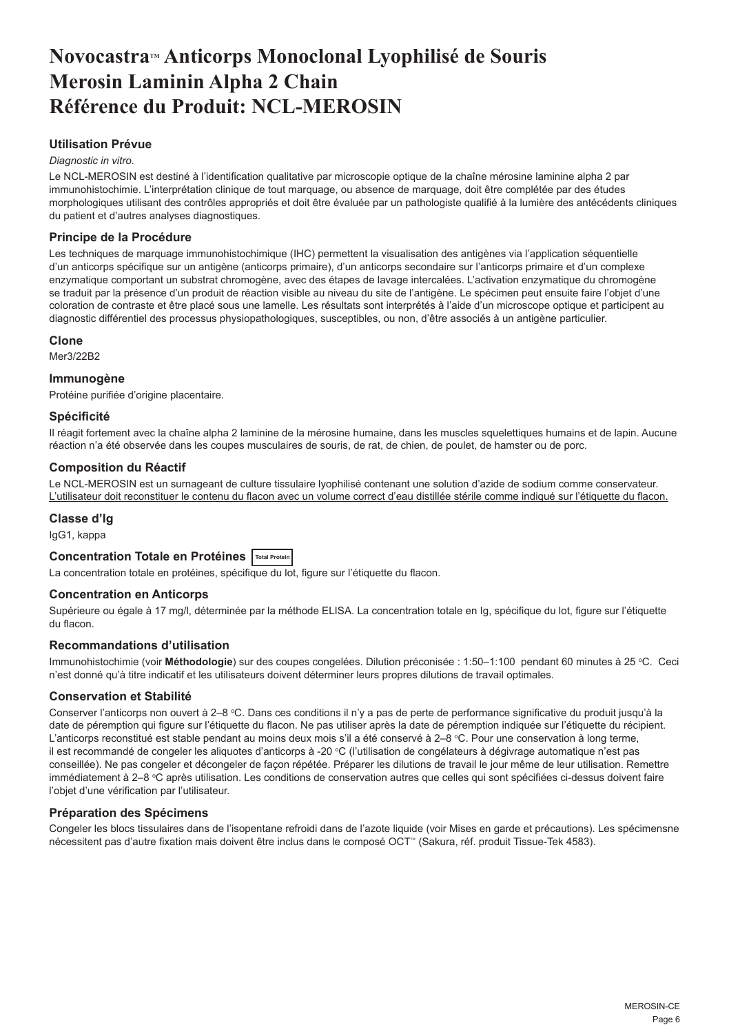# <span id="page-6-0"></span>**NovocastraTM Anticorps Monoclonal Lyophilisé de Souris Merosin Laminin Alpha 2 Chain Référence du Produit: NCL-MEROSIN**

# **Utilisation Prévue**

#### *Diagnostic in vitro*.

Le NCL-MEROSIN est destiné à l'identification qualitative par microscopie optique de la chaîne mérosine laminine alpha 2 par immunohistochimie. L'interprétation clinique de tout marquage, ou absence de marquage, doit être complétée par des études morphologiques utilisant des contrôles appropriés et doit être évaluée par un pathologiste qualifié à la lumière des antécédents cliniques du patient et d'autres analyses diagnostiques.

# **Principe de la Procédure**

Les techniques de marquage immunohistochimique (IHC) permettent la visualisation des antigènes via l'application séquentielle d'un anticorps spécifique sur un antigène (anticorps primaire), d'un anticorps secondaire sur l'anticorps primaire et d'un complexe enzymatique comportant un substrat chromogène, avec des étapes de lavage intercalées. L'activation enzymatique du chromogène se traduit par la présence d'un produit de réaction visible au niveau du site de l'antigène. Le spécimen peut ensuite faire l'objet d'une coloration de contraste et être placé sous une lamelle. Les résultats sont interprétés à l'aide d'un microscope optique et participent au diagnostic différentiel des processus physiopathologiques, susceptibles, ou non, d'être associés à un antigène particulier.

#### **Clone**

Mer3/22B2

# **Immunogène**

Protéine purifiée d'origine placentaire.

#### **Spécificité**

Il réagit fortement avec la chaîne alpha 2 laminine de la mérosine humaine, dans les muscles squelettiques humains et de lapin. Aucune réaction n'a été observée dans les coupes musculaires de souris, de rat, de chien, de poulet, de hamster ou de porc.

#### **Composition du Réactif**

Le NCL-MEROSIN est un surnageant de culture tissulaire lyophilisé contenant une solution d'azide de sodium comme conservateur. L'utilisateur doit reconstituer le contenu du flacon avec un volume correct d'eau distillée stérile comme indiqué sur l'étiquette du flacon.

**Classe d'Ig** IgG1, kappa

# **Concentration Totale en Protéines Total Protein**

La concentration totale en protéines, spécifique du lot, figure sur l'étiquette du flacon.

#### **Concentration en Anticorps**

Supérieure ou égale à 17 mg/l, déterminée par la méthode ELISA. La concentration totale en Ig, spécifique du lot, figure sur l'étiquette du flacon.

# **Recommandations d'utilisation**

Immunohistochimie (voir **Méthodologie**) sur des coupes congelées. Dilution préconisée : 1:50–1:100 pendant 60 minutes à 25 °C. Ceci n'est donné qu'à titre indicatif et les utilisateurs doivent déterminer leurs propres dilutions de travail optimales.

#### **Conservation et Stabilité**

Conserver l'anticorps non ouvert à 2–8 °C. Dans ces conditions il n'y a pas de perte de performance significative du produit jusqu'à la date de péremption qui figure sur l'étiquette du flacon. Ne pas utiliser après la date de péremption indiquée sur l'étiquette du récipient. L'anticorps reconstitué est stable pendant au moins deux mois s'il a été conservé à 2–8 °C. Pour une conservation à long terme, il est recommandé de congeler les aliquotes d'anticorps à -20 °C (l'utilisation de congélateurs à dégivrage automatique n'est pas conseillée). Ne pas congeler et décongeler de façon répétée. Préparer les dilutions de travail le jour même de leur utilisation. Remettre immédiatement à 2–8 °C après utilisation. Les conditions de conservation autres que celles qui sont spécifiées ci-dessus doivent faire l'objet d'une vérification par l'utilisateur.

#### **Préparation des Spécimens**

Congeler les blocs tissulaires dans de l'isopentane refroidi dans de l'azote liquide (voir Mises en garde et précautions). Les spécimensne nécessitent pas d'autre fixation mais doivent être inclus dans le composé OCT™ (Sakura, réf. produit Tissue-Tek 4583).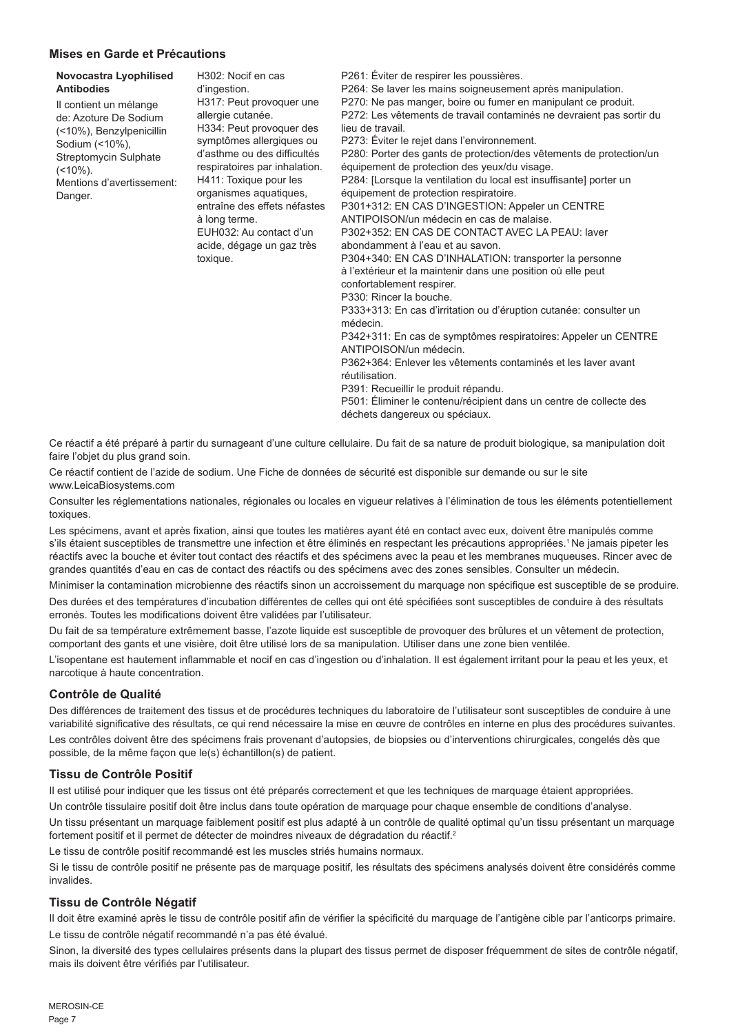### **Mises en Garde et Précautions**

| Novocastra Lyophilised |  |
|------------------------|--|
| <b>Antibodies</b>      |  |

Il contient un mélange de: Azoture De Sodium (<10%), Benzylpenicillin Sodium (<10%), Streptomycin Sulphate  $(10\%)$ Mentions d'avertissement: Danger.

H302: Nocif en cas d'ingestion. H317: Peut provoquer une allergie cutanée. H334: Peut provoquer des symptômes allergiques ou d'asthme ou des difficultés respiratoires par inhalation. H411: Toxique pour les organismes aquatiques, entraîne des effets néfastes à long terme. EUH032: Au contact d'un acide, dégage un gaz très toxique.

P261: Éviter de respirer les poussières. P264: Se laver les mains soigneusement après manipulation. P270: Ne pas manger, boire ou fumer en manipulant ce produit. P272: Les vêtements de travail contaminés ne devraient pas sortir du lieu de travail. P273: Éviter le rejet dans l'environnement. P280: Porter des gants de protection/des vêtements de protection/un équipement de protection des yeux/du visage. P284: [Lorsque la ventilation du local est insuffisante] porter un équipement de protection respiratoire. P301+312: EN CAS D'INGESTION: Appeler un CENTRE ANTIPOISON/un médecin en cas de malaise. P302+352: EN CAS DE CONTACT AVEC LA PEAU: laver abondamment à l'eau et au savon. P304+340: EN CAS D'INHALATION: transporter la personne à l'extérieur et la maintenir dans une position où elle peut confortablement respirer. P330: Rincer la bouche. P333+313: En cas d'irritation ou d'éruption cutanée: consulter un médecin. P342+311: En cas de symptômes respiratoires: Appeler un CENTRE ANTIPOISON/un médecin. P362+364: Enlever les vêtements contaminés et les laver avant réutilisation. P391: Recueillir le produit répandu. P501: Éliminer le contenu/récipient dans un centre de collecte des déchets dangereux ou spéciaux.

Ce réactif a été préparé à partir du surnageant d'une culture cellulaire. Du fait de sa nature de produit biologique, sa manipulation doit faire l'objet du plus grand soin.

Ce réactif contient de l'azide de sodium. Une Fiche de données de sécurité est disponible sur demande ou sur le site www.LeicaBiosystems.com

Consulter les réglementations nationales, régionales ou locales en vigueur relatives à l'élimination de tous les éléments potentiellement toxiques.

Les spécimens, avant et après fixation, ainsi que toutes les matières ayant été en contact avec eux, doivent être manipulés comme s'ils étaient susceptibles de transmettre une infection et être éliminés en respectant les précautions appropriées.<sup>1</sup>Ne jamais pipeter les réactifs avec la bouche et éviter tout contact des réactifs et des spécimens avec la peau et les membranes muqueuses. Rincer avec de grandes quantités d'eau en cas de contact des réactifs ou des spécimens avec des zones sensibles. Consulter un médecin.

Minimiser la contamination microbienne des réactifs sinon un accroissement du marquage non spécifique est susceptible de se produire. Des durées et des températures d'incubation différentes de celles qui ont été spécifiées sont susceptibles de conduire à des résultats erronés. Toutes les modifications doivent être validées par l'utilisateur.

Du fait de sa température extrêmement basse, l'azote liquide est susceptible de provoquer des brûlures et un vêtement de protection, comportant des gants et une visière, doit être utilisé lors de sa manipulation. Utiliser dans une zone bien ventilée.

L'isopentane est hautement inflammable et nocif en cas d'ingestion ou d'inhalation. Il est également irritant pour la peau et les yeux, et narcotique à haute concentration.

# **Contrôle de Qualité**

Des différences de traitement des tissus et de procédures techniques du laboratoire de l'utilisateur sont susceptibles de conduire à une variabilité significative des résultats, ce qui rend nécessaire la mise en œuvre de contrôles en interne en plus des procédures suivantes. Les contrôles doivent être des spécimens frais provenant d'autopsies, de biopsies ou d'interventions chirurgicales, congelés dès que possible, de la même façon que le(s) échantillon(s) de patient.

#### **Tissu de Contrôle Positif**

Il est utilisé pour indiquer que les tissus ont été préparés correctement et que les techniques de marquage étaient appropriées.

Un contrôle tissulaire positif doit être inclus dans toute opération de marquage pour chaque ensemble de conditions d'analyse.

Un tissu présentant un marquage faiblement positif est plus adapté à un contrôle de qualité optimal qu'un tissu présentant un marquage fortement positif et il permet de détecter de moindres niveaux de dégradation du réactif.<sup>2</sup>

Le tissu de contrôle positif recommandé est les muscles striés humains normaux.

Si le tissu de contrôle positif ne présente pas de marquage positif, les résultats des spécimens analysés doivent être considérés comme invalides.

#### **Tissu de Contrôle Négatif**

Il doit être examiné après le tissu de contrôle positif afin de vérifier la spécificité du marquage de l'antigène cible par l'anticorps primaire. Le tissu de contrôle négatif recommandé n'a pas été évalué.

Sinon, la diversité des types cellulaires présents dans la plupart des tissus permet de disposer fréquemment de sites de contrôle négatif, mais ils doivent être vérifiés par l'utilisateur.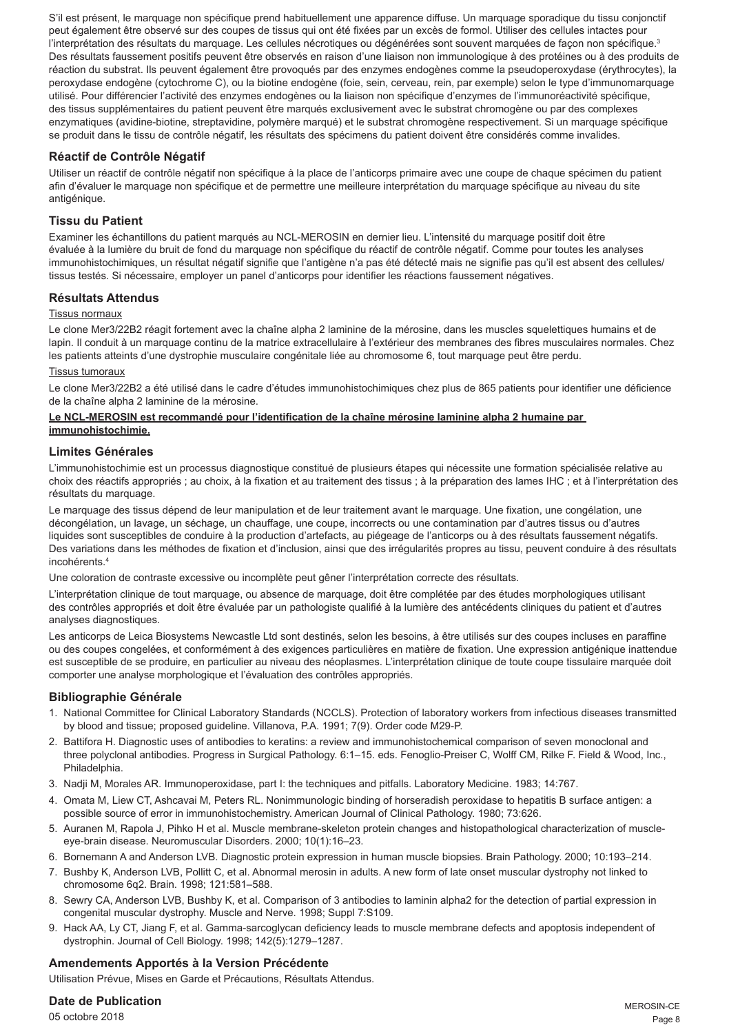S'il est présent, le marquage non spécifique prend habituellement une apparence diffuse. Un marquage sporadique du tissu conjonctif peut également être observé sur des coupes de tissus qui ont été fixées par un excès de formol. Utiliser des cellules intactes pour l'interprétation des résultats du marquage. Les cellules nécrotiques ou dégénérées sont souvent marquées de façon non spécifique.3 Des résultats faussement positifs peuvent être observés en raison d'une liaison non immunologique à des protéines ou à des produits de réaction du substrat. Ils peuvent également être provoqués par des enzymes endogènes comme la pseudoperoxydase (érythrocytes), la peroxydase endogène (cytochrome C), ou la biotine endogène (foie, sein, cerveau, rein, par exemple) selon le type d'immunomarquage utilisé. Pour différencier l'activité des enzymes endogènes ou la liaison non spécifique d'enzymes de l'immunoréactivité spécifique, des tissus supplémentaires du patient peuvent être marqués exclusivement avec le substrat chromogène ou par des complexes enzymatiques (avidine-biotine, streptavidine, polymère marqué) et le substrat chromogène respectivement. Si un marquage spécifique se produit dans le tissu de contrôle négatif, les résultats des spécimens du patient doivent être considérés comme invalides.

# **Réactif de Contrôle Négatif**

Utiliser un réactif de contrôle négatif non spécifique à la place de l'anticorps primaire avec une coupe de chaque spécimen du patient afin d'évaluer le marquage non spécifique et de permettre une meilleure interprétation du marquage spécifique au niveau du site antigénique.

# **Tissu du Patient**

Examiner les échantillons du patient marqués au NCL-MEROSIN en dernier lieu. L'intensité du marquage positif doit être évaluée à la lumière du bruit de fond du marquage non spécifique du réactif de contrôle négatif. Comme pour toutes les analyses immunohistochimiques, un résultat négatif signifie que l'antigène n'a pas été détecté mais ne signifie pas qu'il est absent des cellules/ tissus testés. Si nécessaire, employer un panel d'anticorps pour identifier les réactions faussement négatives.

#### **Résultats Attendus**

#### Tissus normaux

Le clone Mer3/22B2 réagit fortement avec la chaîne alpha 2 laminine de la mérosine, dans les muscles squelettiques humains et de lapin. Il conduit à un marquage continu de la matrice extracellulaire à l'extérieur des membranes des fibres musculaires normales. Chez les patients atteints d'une dystrophie musculaire congénitale liée au chromosome 6, tout marquage peut être perdu.

# Tissus tumoraux

Le clone Mer3/22B2 a été utilisé dans le cadre d'études immunohistochimiques chez plus de 865 patients pour identifier une déficience de la chaîne alpha 2 laminine de la mérosine.

#### **Le NCL-MEROSIN est recommandé pour l'identification de la chaîne mérosine laminine alpha 2 humaine par immunohistochimie.**

# **Limites Générales**

L'immunohistochimie est un processus diagnostique constitué de plusieurs étapes qui nécessite une formation spécialisée relative au choix des réactifs appropriés ; au choix, à la fixation et au traitement des tissus ; à la préparation des lames IHC ; et à l'interprétation des résultats du marquage.

Le marquage des tissus dépend de leur manipulation et de leur traitement avant le marquage. Une fixation, une congélation, une décongélation, un lavage, un séchage, un chauffage, une coupe, incorrects ou une contamination par d'autres tissus ou d'autres liquides sont susceptibles de conduire à la production d'artefacts, au piégeage de l'anticorps ou à des résultats faussement négatifs. Des variations dans les méthodes de fixation et d'inclusion, ainsi que des irrégularités propres au tissu, peuvent conduire à des résultats incohérents.4

Une coloration de contraste excessive ou incomplète peut gêner l'interprétation correcte des résultats.

L'interprétation clinique de tout marquage, ou absence de marquage, doit être complétée par des études morphologiques utilisant des contrôles appropriés et doit être évaluée par un pathologiste qualifié à la lumière des antécédents cliniques du patient et d'autres analyses diagnostiques.

Les anticorps de Leica Biosystems Newcastle Ltd sont destinés, selon les besoins, à être utilisés sur des coupes incluses en paraffine ou des coupes congelées, et conformément à des exigences particulières en matière de fixation. Une expression antigénique inattendue est susceptible de se produire, en particulier au niveau des néoplasmes. L'interprétation clinique de toute coupe tissulaire marquée doit comporter une analyse morphologique et l'évaluation des contrôles appropriés.

# **Bibliographie Générale**

- 1. National Committee for Clinical Laboratory Standards (NCCLS). Protection of laboratory workers from infectious diseases transmitted by blood and tissue; proposed guideline. Villanova, P.A. 1991; 7(9). Order code M29-P.
- 2. Battifora H. Diagnostic uses of antibodies to keratins: a review and immunohistochemical comparison of seven monoclonal and three polyclonal antibodies. Progress in Surgical Pathology. 6:1–15. eds. Fenoglio-Preiser C, Wolff CM, Rilke F. Field & Wood, Inc., Philadelphia.
- 3. Nadji M, Morales AR. Immunoperoxidase, part I: the techniques and pitfalls. Laboratory Medicine. 1983; 14:767.
- 4. Omata M, Liew CT, Ashcavai M, Peters RL. Nonimmunologic binding of horseradish peroxidase to hepatitis B surface antigen: a possible source of error in immunohistochemistry. American Journal of Clinical Pathology. 1980; 73:626.
- 5. Auranen M, Rapola J, Pihko H et al. Muscle membrane-skeleton protein changes and histopathological characterization of muscleeye-brain disease. Neuromuscular Disorders. 2000; 10(1):16–23.
- 6. Bornemann A and Anderson LVB. Diagnostic protein expression in human muscle biopsies. Brain Pathology. 2000; 10:193–214.
- 7. Bushby K, Anderson LVB, Pollitt C, et al. Abnormal merosin in adults. A new form of late onset muscular dystrophy not linked to chromosome 6q2. Brain. 1998; 121:581–588.
- 8. Sewry CA, Anderson LVB, Bushby K, et al. Comparison of 3 antibodies to laminin alpha2 for the detection of partial expression in congenital muscular dystrophy. Muscle and Nerve. 1998; Suppl 7:S109.
- 9. Hack AA, Ly CT, Jiang F, et al. Gamma-sarcoglycan deficiency leads to muscle membrane defects and apoptosis independent of dystrophin. Journal of Cell Biology. 1998; 142(5):1279–1287.

# **Amendements Apportés à la Version Précédente**

Utilisation Prévue, Mises en Garde et Précautions, Résultats Attendus.

# **Date de Publication**

05 octobre 2018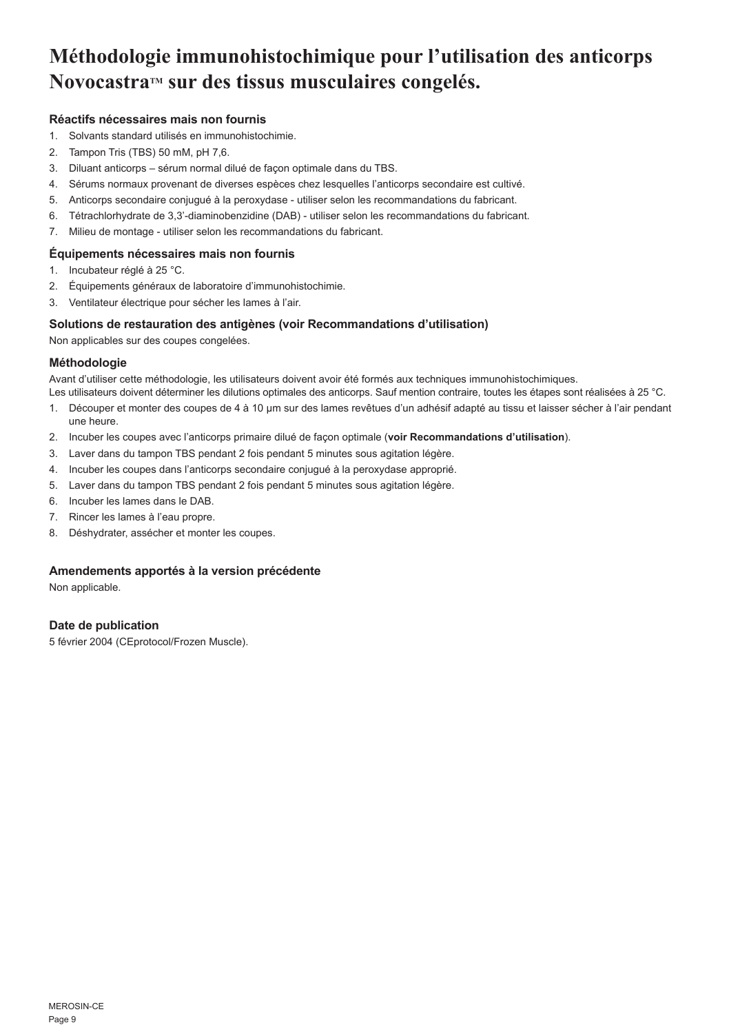# **Méthodologie immunohistochimique pour l'utilisation des anticorps**  Novocastra™ sur des tissus musculaires congelés.

# **Réactifs nécessaires mais non fournis**

- 1. Solvants standard utilisés en immunohistochimie.
- 2. Tampon Tris (TBS) 50 mM, pH 7,6.
- 3. Diluant anticorps sérum normal dilué de façon optimale dans du TBS.
- 4. Sérums normaux provenant de diverses espèces chez lesquelles l'anticorps secondaire est cultivé.
- 5. Anticorps secondaire conjugué à la peroxydase utiliser selon les recommandations du fabricant.
- 6. Tétrachlorhydrate de 3,3'-diaminobenzidine (DAB) utiliser selon les recommandations du fabricant.
- 7. Milieu de montage utiliser selon les recommandations du fabricant.

# **Équipements nécessaires mais non fournis**

- 1. Incubateur réglé à 25 °C.
- 2. Équipements généraux de laboratoire d'immunohistochimie.
- 3. Ventilateur électrique pour sécher les lames à l'air.

# **Solutions de restauration des antigènes (voir Recommandations d'utilisation)**

Non applicables sur des coupes congelées.

# **Méthodologie**

Avant d'utiliser cette méthodologie, les utilisateurs doivent avoir été formés aux techniques immunohistochimiques.

- Les utilisateurs doivent déterminer les dilutions optimales des anticorps. Sauf mention contraire, toutes les étapes sont réalisées à 25 °C. 1. Découper et monter des coupes de 4 à 10 µm sur des lames revêtues d'un adhésif adapté au tissu et laisser sécher à l'air pendant
- une heure.
- 2. Incuber les coupes avec l'anticorps primaire dilué de façon optimale (**voir Recommandations d'utilisation**).
- 3. Laver dans du tampon TBS pendant 2 fois pendant 5 minutes sous agitation légère.
- 4. Incuber les coupes dans l'anticorps secondaire conjugué à la peroxydase approprié.
- 5. Laver dans du tampon TBS pendant 2 fois pendant 5 minutes sous agitation légère.
- 6. Incuber les lames dans le DAB.
- 7. Rincer les lames à l'eau propre.
- 8. Déshydrater, assécher et monter les coupes.

# **Amendements apportés à la version précédente**

Non applicable.

# **Date de publication**

5 février 2004 (CEprotocol/Frozen Muscle).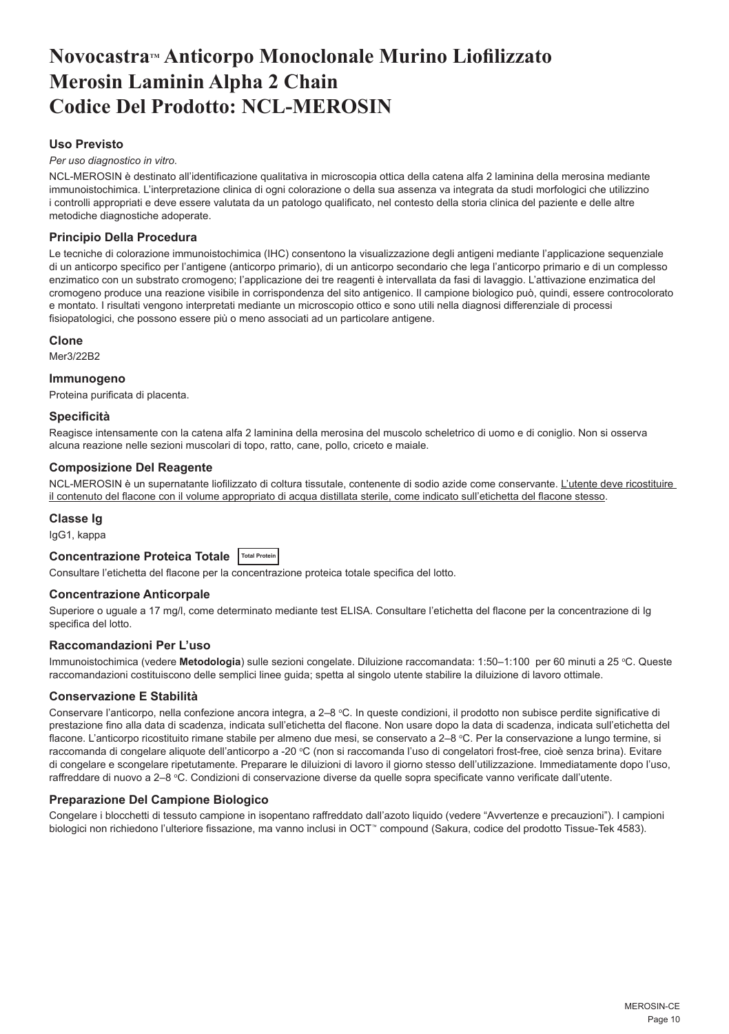# <span id="page-10-0"></span>**NovocastraTM Anticorpo Monoclonale Murino Liofilizzato Merosin Laminin Alpha 2 Chain Codice Del Prodotto: NCL-MEROSIN**

# **Uso Previsto**

#### *Per uso diagnostico in vitro*.

NCL-MEROSIN è destinato all'identificazione qualitativa in microscopia ottica della catena alfa 2 laminina della merosina mediante immunoistochimica. L'interpretazione clinica di ogni colorazione o della sua assenza va integrata da studi morfologici che utilizzino i controlli appropriati e deve essere valutata da un patologo qualificato, nel contesto della storia clinica del paziente e delle altre metodiche diagnostiche adoperate.

# **Principio Della Procedura**

Le tecniche di colorazione immunoistochimica (IHC) consentono la visualizzazione degli antigeni mediante l'applicazione sequenziale di un anticorpo specifico per l'antigene (anticorpo primario), di un anticorpo secondario che lega l'anticorpo primario e di un complesso enzimatico con un substrato cromogeno; l'applicazione dei tre reagenti è intervallata da fasi di lavaggio. L'attivazione enzimatica del cromogeno produce una reazione visibile in corrispondenza del sito antigenico. Il campione biologico può, quindi, essere controcolorato e montato. I risultati vengono interpretati mediante un microscopio ottico e sono utili nella diagnosi differenziale di processi fisiopatologici, che possono essere più o meno associati ad un particolare antigene.

#### **Clone**

Mer3/22B2

### **Immunogeno**

Proteina purificata di placenta.

#### **Specificità**

Reagisce intensamente con la catena alfa 2 laminina della merosina del muscolo scheletrico di uomo e di coniglio. Non si osserva alcuna reazione nelle sezioni muscolari di topo, ratto, cane, pollo, criceto e maiale.

#### **Composizione Del Reagente**

NCL-MEROSIN è un supernatante liofilizzato di coltura tissutale, contenente di sodio azide come conservante. L'utente deve ricostituire il contenuto del flacone con il volume appropriato di acqua distillata sterile, come indicato sull'etichetta del flacone stesso.

**Classe Ig**

### IgG1, kappa

# **Concentrazione Proteica Totale Total Protein**

Consultare l'etichetta del flacone per la concentrazione proteica totale specifica del lotto.

#### **Concentrazione Anticorpale**

Superiore o uguale a 17 mg/l, come determinato mediante test ELISA. Consultare l'etichetta del flacone per la concentrazione di Ig specifica del lotto.

# **Raccomandazioni Per L'uso**

Immunoistochimica (vedere **Metodologia**) sulle sezioni congelate. Diluizione raccomandata: 1:50–1:100 per 60 minuti a 25 °C. Queste raccomandazioni costituiscono delle semplici linee guida; spetta al singolo utente stabilire la diluizione di lavoro ottimale.

# **Conservazione E Stabilità**

Conservare l'anticorpo, nella confezione ancora integra, a 2–8 °C. In queste condizioni, il prodotto non subisce perdite significative di prestazione fino alla data di scadenza, indicata sull'etichetta del flacone. Non usare dopo la data di scadenza, indicata sull'etichetta del flacone. L'anticorpo ricostituito rimane stabile per almeno due mesi, se conservato a 2–8 °C. Per la conservazione a lungo termine, si raccomanda di congelare aliquote dell'anticorpo a -20 °C (non si raccomanda l'uso di congelatori frost-free, cioè senza brina). Evitare di congelare e scongelare ripetutamente. Preparare le diluizioni di lavoro il giorno stesso dell'utilizzazione. Immediatamente dopo l'uso, raffreddare di nuovo a 2–8 °C. Condizioni di conservazione diverse da quelle sopra specificate vanno verificate dall'utente.

# **Preparazione Del Campione Biologico**

Congelare i blocchetti di tessuto campione in isopentano raffreddato dall'azoto liquido (vedere "Avvertenze e precauzioni"). I campioni biologici non richiedono l'ulteriore fissazione, ma vanno inclusi in OCT™ compound (Sakura, codice del prodotto Tissue-Tek 4583).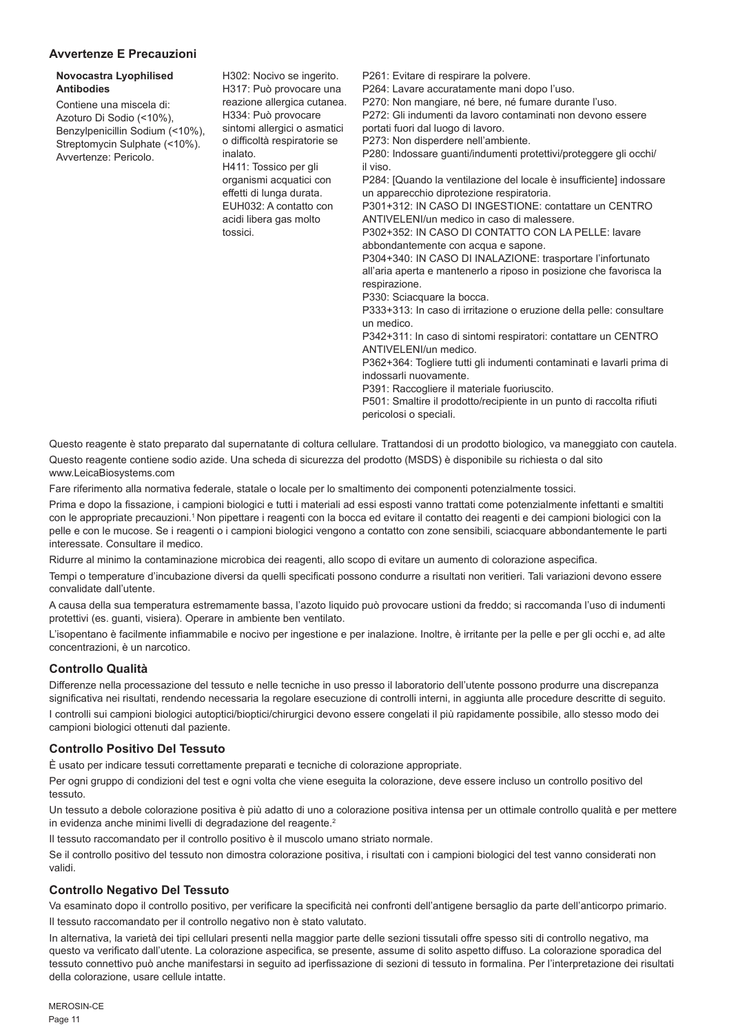### **Avvertenze E Precauzioni**

#### **Novocastra Lyophilised Antibodies**

Contiene una miscela di: Azoturo Di Sodio (<10%), Benzylpenicillin Sodium (<10%), Streptomycin Sulphate (<10%). Avvertenze: Pericolo.

H302: Nocivo se ingerito. H317: Può provocare una H334: Può provocare inalato. H411: Tossico per gli organismi acquatici con effetti di lunga durata. EUH032: A contatto con acidi libera gas molto

tossici.

P261: Evitare di respirare la polvere.

P264: Lavare accuratamente mani dopo l'uso.

reazione allergica cutanea. P270: Non mangiare, né bere, né fumare durante l'uso.

P272: Gli indumenti da lavoro contaminati non devono essere

sintomi allergici o asmatici portati fuori dal luogo di lavoro.

o difficoltà respiratorie se P273: Non disperdere nell'ambiente.

P280: Indossare guanti/indumenti protettivi/proteggere gli occhi/ il viso.

P284: [Quando la ventilazione del locale è insufficiente] indossare un apparecchio diprotezione respiratoria.

P301+312: IN CASO DI INGESTIONE: contattare un CENTRO ANTIVELENI/un medico in caso di malessere.

P302+352: IN CASO DI CONTATTO CON LA PELLE: lavare abbondantemente con acqua e sapone.

P304+340: IN CASO DI INALAZIONE: trasportare l'infortunato all'aria aperta e mantenerlo a riposo in posizione che favorisca la respirazione.

P330: Sciacquare la bocca.

P333+313: In caso di irritazione o eruzione della pelle: consultare un medico.

P342+311: In caso di sintomi respiratori: contattare un CENTRO ANTIVELENI/un medico.

P362+364: Togliere tutti gli indumenti contaminati e lavarli prima di indossarli nuovamente.

P391: Raccogliere il materiale fuoriuscito.

P501: Smaltire il prodotto/recipiente in un punto di raccolta rifiuti pericolosi o speciali.

Questo reagente è stato preparato dal supernatante di coltura cellulare. Trattandosi di un prodotto biologico, va maneggiato con cautela. Questo reagente contiene sodio azide. Una scheda di sicurezza del prodotto (MSDS) è disponibile su richiesta o dal sito www.LeicaBiosystems.com

Fare riferimento alla normativa federale, statale o locale per lo smaltimento dei componenti potenzialmente tossici.

Prima e dopo la fissazione, i campioni biologici e tutti i materiali ad essi esposti vanno trattati come potenzialmente infettanti e smaltiti con le appropriate precauzioni.<sup>1</sup> Non pipettare i reagenti con la bocca ed evitare il contatto dei reagenti e dei campioni biologici con la pelle e con le mucose. Se i reagenti o i campioni biologici vengono a contatto con zone sensibili, sciacquare abbondantemente le parti interessate. Consultare il medico.

Ridurre al minimo la contaminazione microbica dei reagenti, allo scopo di evitare un aumento di colorazione aspecifica.

Tempi o temperature d'incubazione diversi da quelli specificati possono condurre a risultati non veritieri. Tali variazioni devono essere convalidate dall'utente.

A causa della sua temperatura estremamente bassa, l'azoto liquido può provocare ustioni da freddo; si raccomanda l'uso di indumenti protettivi (es. guanti, visiera). Operare in ambiente ben ventilato.

L'isopentano è facilmente infiammabile e nocivo per ingestione e per inalazione. Inoltre, è irritante per la pelle e per gli occhi e, ad alte concentrazioni, è un narcotico.

# **Controllo Qualità**

Differenze nella processazione del tessuto e nelle tecniche in uso presso il laboratorio dell'utente possono produrre una discrepanza significativa nei risultati, rendendo necessaria la regolare esecuzione di controlli interni, in aggiunta alle procedure descritte di seguito. I controlli sui campioni biologici autoptici/bioptici/chirurgici devono essere congelati il più rapidamente possibile, allo stesso modo dei campioni biologici ottenuti dal paziente.

# **Controllo Positivo Del Tessuto**

È usato per indicare tessuti correttamente preparati e tecniche di colorazione appropriate.

Per ogni gruppo di condizioni del test e ogni volta che viene eseguita la colorazione, deve essere incluso un controllo positivo del tessuto.

Un tessuto a debole colorazione positiva è più adatto di uno a colorazione positiva intensa per un ottimale controllo qualità e per mettere in evidenza anche minimi livelli di degradazione del reagente.<sup>2</sup>

Il tessuto raccomandato per il controllo positivo è il muscolo umano striato normale.

Se il controllo positivo del tessuto non dimostra colorazione positiva, i risultati con i campioni biologici del test vanno considerati non validi.

# **Controllo Negativo Del Tessuto**

Va esaminato dopo il controllo positivo, per verificare la specificità nei confronti dell'antigene bersaglio da parte dell'anticorpo primario. Il tessuto raccomandato per il controllo negativo non è stato valutato.

In alternativa, la varietà dei tipi cellulari presenti nella maggior parte delle sezioni tissutali offre spesso siti di controllo negativo, ma questo va verificato dall'utente. La colorazione aspecifica, se presente, assume di solito aspetto diffuso. La colorazione sporadica del tessuto connettivo può anche manifestarsi in seguito ad iperfissazione di sezioni di tessuto in formalina. Per l'interpretazione dei risultati della colorazione, usare cellule intatte.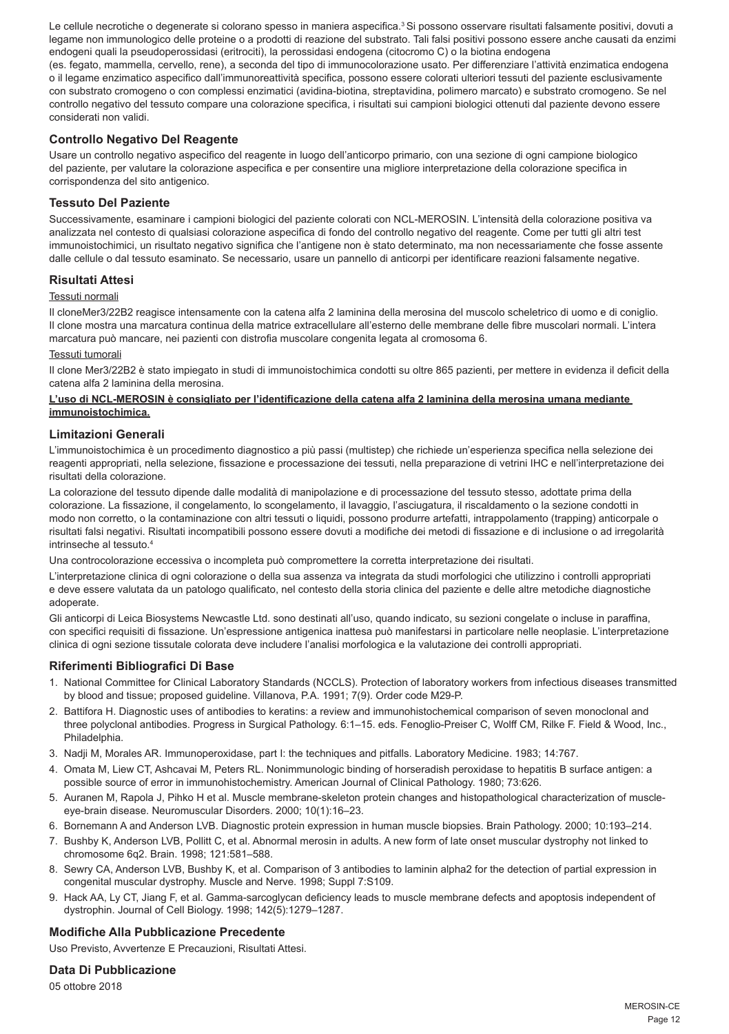Le cellule necrotiche o degenerate si colorano spesso in maniera aspecifica.<sup>3</sup> Si possono osservare risultati falsamente positivi, dovuti a legame non immunologico delle proteine o a prodotti di reazione del substrato. Tali falsi positivi possono essere anche causati da enzimi endogeni quali la pseudoperossidasi (eritrociti), la perossidasi endogena (citocromo C) o la biotina endogena

(es. fegato, mammella, cervello, rene), a seconda del tipo di immunocolorazione usato. Per differenziare l'attività enzimatica endogena o il legame enzimatico aspecifico dall'immunoreattività specifica, possono essere colorati ulteriori tessuti del paziente esclusivamente con substrato cromogeno o con complessi enzimatici (avidina-biotina, streptavidina, polimero marcato) e substrato cromogeno. Se nel controllo negativo del tessuto compare una colorazione specifica, i risultati sui campioni biologici ottenuti dal paziente devono essere considerati non validi.

# **Controllo Negativo Del Reagente**

Usare un controllo negativo aspecifico del reagente in luogo dell'anticorpo primario, con una sezione di ogni campione biologico del paziente, per valutare la colorazione aspecifica e per consentire una migliore interpretazione della colorazione specifica in corrispondenza del sito antigenico.

# **Tessuto Del Paziente**

Successivamente, esaminare i campioni biologici del paziente colorati con NCL-MEROSIN. L'intensità della colorazione positiva va analizzata nel contesto di qualsiasi colorazione aspecifica di fondo del controllo negativo del reagente. Come per tutti gli altri test immunoistochimici, un risultato negativo significa che l'antigene non è stato determinato, ma non necessariamente che fosse assente dalle cellule o dal tessuto esaminato. Se necessario, usare un pannello di anticorpi per identificare reazioni falsamente negative.

#### **Risultati Attesi**

# Tessuti normali

Il cloneMer3/22B2 reagisce intensamente con la catena alfa 2 laminina della merosina del muscolo scheletrico di uomo e di coniglio. Il clone mostra una marcatura continua della matrice extracellulare all'esterno delle membrane delle fibre muscolari normali. L'intera marcatura può mancare, nei pazienti con distrofia muscolare congenita legata al cromosoma 6.

#### Tessuti tumorali

Il clone Mer3/22B2 è stato impiegato in studi di immunoistochimica condotti su oltre 865 pazienti, per mettere in evidenza il deficit della catena alfa 2 laminina della merosina.

#### **L'uso di NCL-MEROSIN è consigliato per l'identificazione della catena alfa 2 laminina della merosina umana mediante immunoistochimica.**

#### **Limitazioni Generali**

L'immunoistochimica è un procedimento diagnostico a più passi (multistep) che richiede un'esperienza specifica nella selezione dei reagenti appropriati, nella selezione, fissazione e processazione dei tessuti, nella preparazione di vetrini IHC e nell'interpretazione dei risultati della colorazione.

La colorazione del tessuto dipende dalle modalità di manipolazione e di processazione del tessuto stesso, adottate prima della colorazione. La fissazione, il congelamento, lo scongelamento, il lavaggio, l'asciugatura, il riscaldamento o la sezione condotti in modo non corretto, o la contaminazione con altri tessuti o liquidi, possono produrre artefatti, intrappolamento (trapping) anticorpale o risultati falsi negativi. Risultati incompatibili possono essere dovuti a modifiche dei metodi di fissazione e di inclusione o ad irregolarità intrinseche al tessuto.4

Una controcolorazione eccessiva o incompleta può compromettere la corretta interpretazione dei risultati.

L'interpretazione clinica di ogni colorazione o della sua assenza va integrata da studi morfologici che utilizzino i controlli appropriati e deve essere valutata da un patologo qualificato, nel contesto della storia clinica del paziente e delle altre metodiche diagnostiche adoperate.

Gli anticorpi di Leica Biosystems Newcastle Ltd. sono destinati all'uso, quando indicato, su sezioni congelate o incluse in paraffina, con specifici requisiti di fissazione. Un'espressione antigenica inattesa può manifestarsi in particolare nelle neoplasie. L'interpretazione clinica di ogni sezione tissutale colorata deve includere l'analisi morfologica e la valutazione dei controlli appropriati.

#### **Riferimenti Bibliografici Di Base**

- 1. National Committee for Clinical Laboratory Standards (NCCLS). Protection of laboratory workers from infectious diseases transmitted by blood and tissue; proposed guideline. Villanova, P.A. 1991; 7(9). Order code M29-P.
- 2. Battifora H. Diagnostic uses of antibodies to keratins: a review and immunohistochemical comparison of seven monoclonal and three polyclonal antibodies. Progress in Surgical Pathology. 6:1–15. eds. Fenoglio-Preiser C, Wolff CM, Rilke F. Field & Wood, Inc., Philadelphia.
- 3. Nadji M, Morales AR. Immunoperoxidase, part I: the techniques and pitfalls. Laboratory Medicine. 1983; 14:767.
- 4. Omata M, Liew CT, Ashcavai M, Peters RL. Nonimmunologic binding of horseradish peroxidase to hepatitis B surface antigen: a possible source of error in immunohistochemistry. American Journal of Clinical Pathology. 1980; 73:626.
- 5. Auranen M, Rapola J, Pihko H et al. Muscle membrane-skeleton protein changes and histopathological characterization of muscleeye-brain disease. Neuromuscular Disorders. 2000; 10(1):16–23.
- 6. Bornemann A and Anderson LVB. Diagnostic protein expression in human muscle biopsies. Brain Pathology. 2000; 10:193–214.
- 7. Bushby K, Anderson LVB, Pollitt C, et al. Abnormal merosin in adults. A new form of late onset muscular dystrophy not linked to chromosome 6q2. Brain. 1998; 121:581–588.
- 8. Sewry CA, Anderson LVB, Bushby K, et al. Comparison of 3 antibodies to laminin alpha2 for the detection of partial expression in congenital muscular dystrophy. Muscle and Nerve. 1998; Suppl 7:S109.
- 9. Hack AA, Ly CT, Jiang F, et al. Gamma-sarcoglycan deficiency leads to muscle membrane defects and apoptosis independent of dystrophin. Journal of Cell Biology. 1998; 142(5):1279–1287.

# **Modifiche Alla Pubblicazione Precedente**

Uso Previsto, Avvertenze E Precauzioni, Risultati Attesi.

**Data Di Pubblicazione**

05 ottobre 2018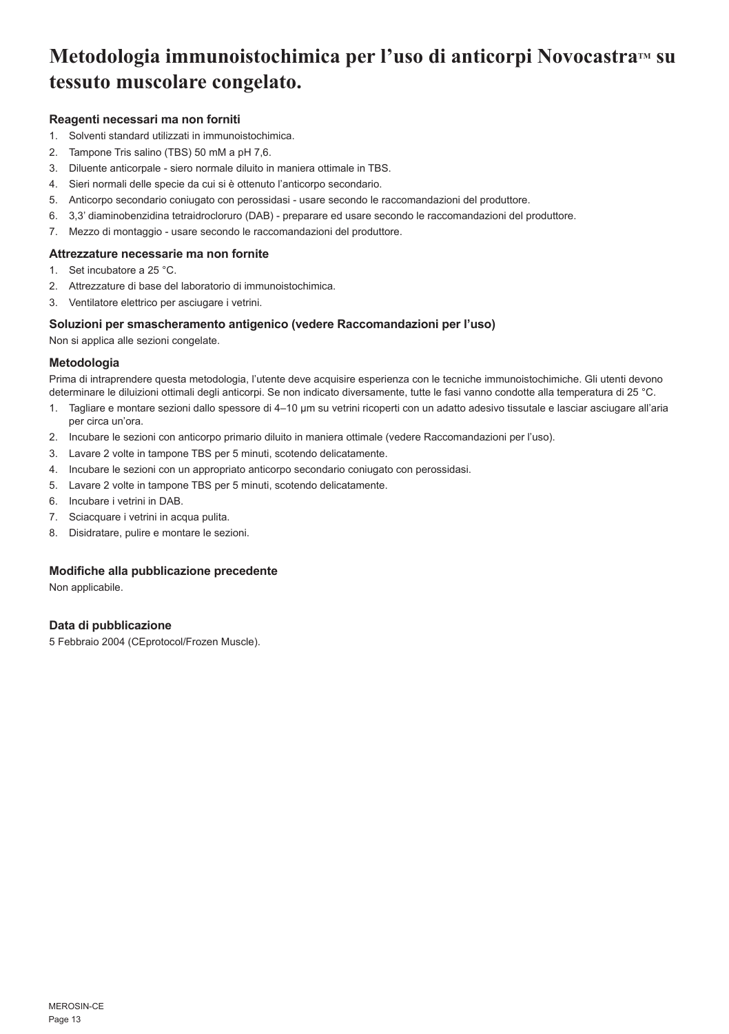# Metodologia immunoistochimica per l'uso di anticorpi Novocastra™ su **tessuto muscolare congelato.**

# **Reagenti necessari ma non forniti**

- 1. Solventi standard utilizzati in immunoistochimica.
- 2. Tampone Tris salino (TBS) 50 mM a pH 7,6.
- 3. Diluente anticorpale siero normale diluito in maniera ottimale in TBS.
- 4. Sieri normali delle specie da cui si è ottenuto l'anticorpo secondario.
- 5. Anticorpo secondario coniugato con perossidasi usare secondo le raccomandazioni del produttore.
- 6. 3,3' diaminobenzidina tetraidrocloruro (DAB) preparare ed usare secondo le raccomandazioni del produttore.
- 7. Mezzo di montaggio usare secondo le raccomandazioni del produttore.

# **Attrezzature necessarie ma non fornite**

- 1. Set incubatore a 25 °C.
- 2. Attrezzature di base del laboratorio di immunoistochimica.
- 3. Ventilatore elettrico per asciugare i vetrini.

# **Soluzioni per smascheramento antigenico (vedere Raccomandazioni per l'uso)**

Non si applica alle sezioni congelate.

# **Metodologia**

Prima di intraprendere questa metodologia, l'utente deve acquisire esperienza con le tecniche immunoistochimiche. Gli utenti devono determinare le diluizioni ottimali degli anticorpi. Se non indicato diversamente, tutte le fasi vanno condotte alla temperatura di 25 °C.

- 1. Tagliare e montare sezioni dallo spessore di 4–10 μm su vetrini ricoperti con un adatto adesivo tissutale e lasciar asciugare all'aria per circa un'ora.
- 2. Incubare le sezioni con anticorpo primario diluito in maniera ottimale (vedere Raccomandazioni per l'uso).
- 3. Lavare 2 volte in tampone TBS per 5 minuti, scotendo delicatamente.
- 4. Incubare le sezioni con un appropriato anticorpo secondario coniugato con perossidasi.
- 5. Lavare 2 volte in tampone TBS per 5 minuti, scotendo delicatamente.
- 6. Incubare i vetrini in DAB.
- 7. Sciacquare i vetrini in acqua pulita.
- 8. Disidratare, pulire e montare le sezioni.

# **Modifiche alla pubblicazione precedente**

Non applicabile.

# **Data di pubblicazione**

5 Febbraio 2004 (CEprotocol/Frozen Muscle).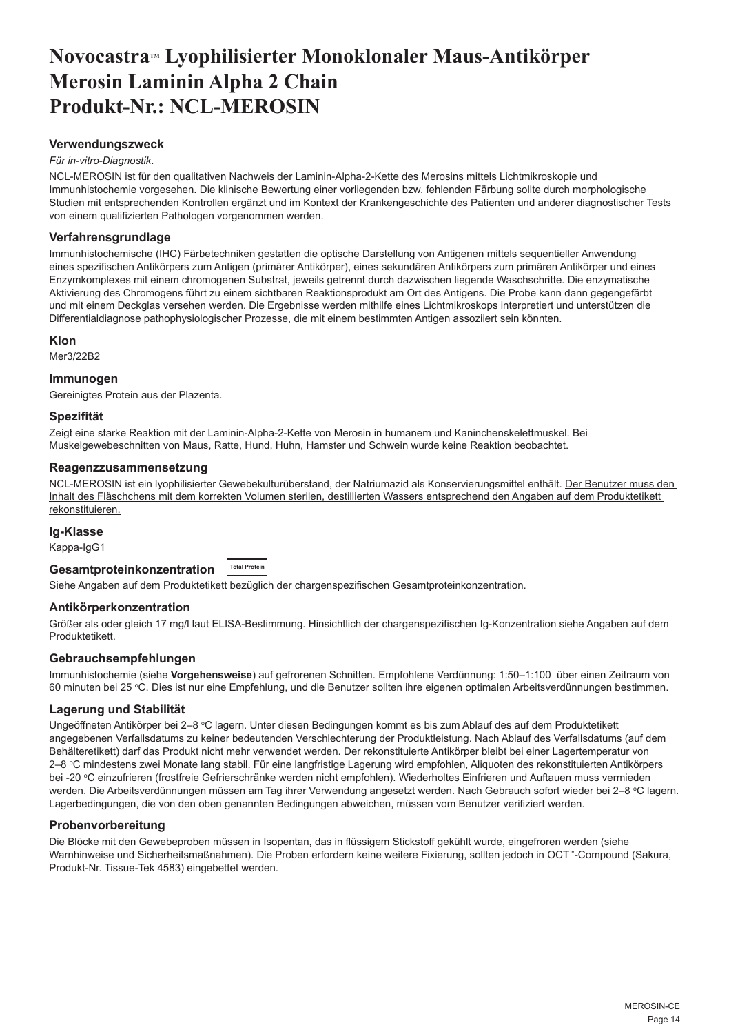# <span id="page-14-0"></span>**NovocastraTM Lyophilisierter Monoklonaler Maus-Antikörper Merosin Laminin Alpha 2 Chain Produkt-Nr.: NCL-MEROSIN**

# **Verwendungszweck**

#### *Für in-vitro-Diagnostik*.

NCL-MEROSIN ist für den qualitativen Nachweis der Laminin-Alpha-2-Kette des Merosins mittels Lichtmikroskopie und Immunhistochemie vorgesehen. Die klinische Bewertung einer vorliegenden bzw. fehlenden Färbung sollte durch morphologische Studien mit entsprechenden Kontrollen ergänzt und im Kontext der Krankengeschichte des Patienten und anderer diagnostischer Tests von einem qualifizierten Pathologen vorgenommen werden.

# **Verfahrensgrundlage**

Immunhistochemische (IHC) Färbetechniken gestatten die optische Darstellung von Antigenen mittels sequentieller Anwendung eines spezifischen Antikörpers zum Antigen (primärer Antikörper), eines sekundären Antikörpers zum primären Antikörper und eines Enzymkomplexes mit einem chromogenen Substrat, jeweils getrennt durch dazwischen liegende Waschschritte. Die enzymatische Aktivierung des Chromogens führt zu einem sichtbaren Reaktionsprodukt am Ort des Antigens. Die Probe kann dann gegengefärbt und mit einem Deckglas versehen werden. Die Ergebnisse werden mithilfe eines Lichtmikroskops interpretiert und unterstützen die Differentialdiagnose pathophysiologischer Prozesse, die mit einem bestimmten Antigen assoziiert sein könnten.

#### **Klon**

Mer3/22B2

#### **Immunogen**

Gereinigtes Protein aus der Plazenta.

# **Spezifität**

Zeigt eine starke Reaktion mit der Laminin-Alpha-2-Kette von Merosin in humanem und Kaninchenskelettmuskel. Bei Muskelgewebeschnitten von Maus, Ratte, Hund, Huhn, Hamster und Schwein wurde keine Reaktion beobachtet.

#### **Reagenzzusammensetzung**

NCL-MEROSIN ist ein Ivophilisierter Gewebekulturüberstand, der Natriumazid als Konservierungsmittel enthält. Der Benutzer muss den Inhalt des Fläschchens mit dem korrekten Volumen sterilen, destillierten Wassers entsprechend den Angaben auf dem Produktetikett rekonstituieren.

### **Ig-Klasse**

Kappa-IgG1

#### **Gesamtproteinkonzentration Total Protein**

Siehe Angaben auf dem Produktetikett bezüglich der chargenspezifischen Gesamtproteinkonzentration.

# **Antikörperkonzentration**

Größer als oder gleich 17 mg/l laut ELISA-Bestimmung. Hinsichtlich der chargenspezifischen Ig-Konzentration siehe Angaben auf dem Produktetikett.

# **Gebrauchsempfehlungen**

Immunhistochemie (siehe **Vorgehensweise**) auf gefrorenen Schnitten. Empfohlene Verdünnung: 1:50–1:100 über einen Zeitraum von 60 minuten bei 25 °C. Dies ist nur eine Empfehlung, und die Benutzer sollten ihre eigenen optimalen Arbeitsverdünnungen bestimmen.

# **Lagerung und Stabilität**

Ungeöffneten Antikörper bei 2–8 °C lagern. Unter diesen Bedingungen kommt es bis zum Ablauf des auf dem Produktetikett angegebenen Verfallsdatums zu keiner bedeutenden Verschlechterung der Produktleistung. Nach Ablauf des Verfallsdatums (auf dem Behälteretikett) darf das Produkt nicht mehr verwendet werden. Der rekonstituierte Antikörper bleibt bei einer Lagertemperatur von 2–8 ℃ mindestens zwei Monate lang stabil. Für eine langfristige Lagerung wird empfohlen, Aliquoten des rekonstituierten Antikörpers bei -20 °C einzufrieren (frostfreie Gefrierschränke werden nicht empfohlen). Wiederholtes Einfrieren und Auftauen muss vermieden werden. Die Arbeitsverdünnungen müssen am Tag ihrer Verwendung angesetzt werden. Nach Gebrauch sofort wieder bei 2–8 °C lagern. Lagerbedingungen, die von den oben genannten Bedingungen abweichen, müssen vom Benutzer verifiziert werden.

#### **Probenvorbereitung**

Die Blöcke mit den Gewebeproben müssen in Isopentan, das in flüssigem Stickstoff gekühlt wurde, eingefroren werden (siehe Warnhinweise und Sicherheitsmaßnahmen). Die Proben erfordern keine weitere Fixierung, sollten jedoch in OCT™-Compound (Sakura, Produkt-Nr. Tissue-Tek 4583) eingebettet werden.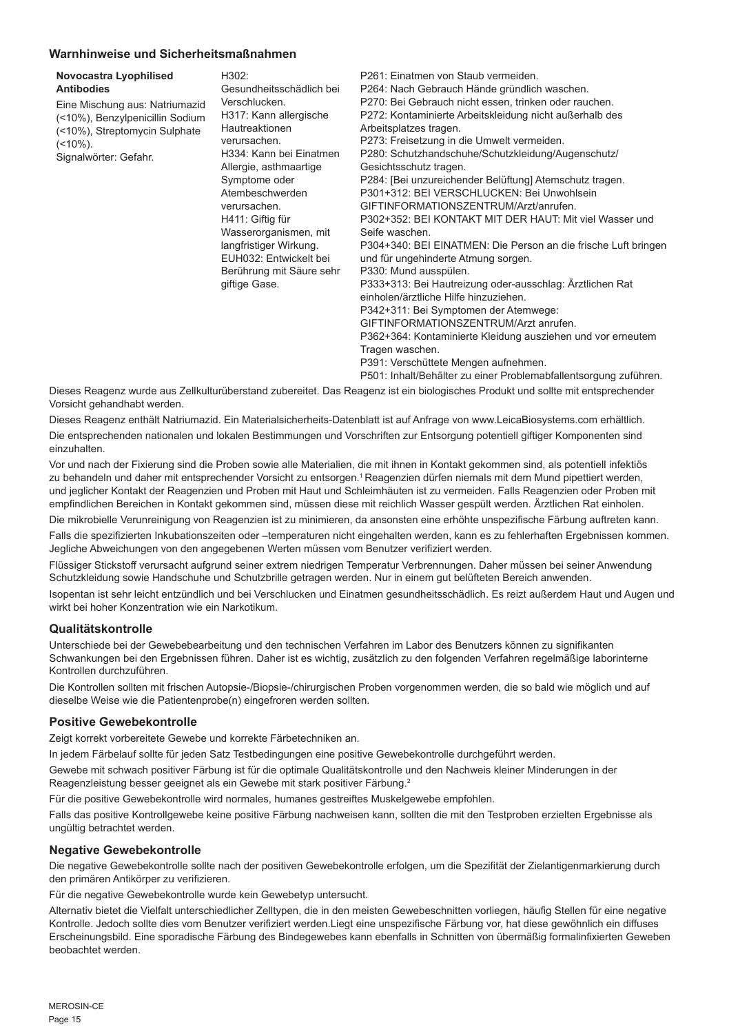### **Warnhinweise und Sicherheitsmaßnahmen**

| Novocastra Lyophilised<br><b>Antibodies</b><br>Eine Mischung aus: Natriumazid<br>(<10%), Benzylpenicillin Sodium<br>(<10%), Streptomycin Sulphate<br>$($ < 10%).<br>Signalwörter: Gefahr. | H302:<br>Gesundheitsschädlich bei<br>Verschlucken.<br>H317: Kann allergische<br>Hautreaktionen<br>verursachen.<br>H334: Kann bei Einatmen<br>Allergie, asthmaartige<br>Symptome oder<br>Atembeschwerden<br>verursachen.<br>H411: Giftig für<br>Wasserorganismen, mit<br>langfristiger Wirkung.<br>EUH032: Entwickelt bei | P261: Finatmen von Staub vermeiden<br>P264: Nach Gebrauch Hände gründlich waschen.<br>P270: Bei Gebrauch nicht essen, trinken oder rauchen.<br>P272: Kontaminierte Arbeitskleidung nicht außerhalb des<br>Arbeitsplatzes tragen.<br>P273: Freisetzung in die Umwelt vermeiden.<br>P280: Schutzhandschuhe/Schutzkleidung/Augenschutz/<br>Gesichtsschutz tragen.<br>P284: [Bei unzureichender Belüftung] Atemschutz tragen.<br>P301+312: BEI VERSCHLUCKEN: Bei Unwohlsein<br>GIFTINFORMATIONSZENTRUM/Arzt/anrufen.<br>P302+352: BEI KONTAKT MIT DER HAUT: Mit viel Wasser und<br>Seife waschen.<br>und für ungehinderte Atmung sorgen. |
|-------------------------------------------------------------------------------------------------------------------------------------------------------------------------------------------|--------------------------------------------------------------------------------------------------------------------------------------------------------------------------------------------------------------------------------------------------------------------------------------------------------------------------|--------------------------------------------------------------------------------------------------------------------------------------------------------------------------------------------------------------------------------------------------------------------------------------------------------------------------------------------------------------------------------------------------------------------------------------------------------------------------------------------------------------------------------------------------------------------------------------------------------------------------------------|
|                                                                                                                                                                                           |                                                                                                                                                                                                                                                                                                                          |                                                                                                                                                                                                                                                                                                                                                                                                                                                                                                                                                                                                                                      |
|                                                                                                                                                                                           |                                                                                                                                                                                                                                                                                                                          | P304+340: BEI EINATMEN: Die Person an die frische Luft bringen                                                                                                                                                                                                                                                                                                                                                                                                                                                                                                                                                                       |
|                                                                                                                                                                                           | Berührung mit Säure sehr                                                                                                                                                                                                                                                                                                 | P330: Mund ausspülen.                                                                                                                                                                                                                                                                                                                                                                                                                                                                                                                                                                                                                |
|                                                                                                                                                                                           | giftige Gase.                                                                                                                                                                                                                                                                                                            | P333+313: Bei Hautreizung oder-ausschlag: Ärztlichen Rat<br>einholen/ärztliche Hilfe hinzuziehen.                                                                                                                                                                                                                                                                                                                                                                                                                                                                                                                                    |
|                                                                                                                                                                                           |                                                                                                                                                                                                                                                                                                                          | P342+311: Bei Symptomen der Atemwege:                                                                                                                                                                                                                                                                                                                                                                                                                                                                                                                                                                                                |
|                                                                                                                                                                                           |                                                                                                                                                                                                                                                                                                                          | GIFTINFORMATIONSZENTRUM/Arzt anrufen.<br>P362+364: Kontaminierte Kleidung ausziehen und vor erneutem                                                                                                                                                                                                                                                                                                                                                                                                                                                                                                                                 |
|                                                                                                                                                                                           |                                                                                                                                                                                                                                                                                                                          | Tragen waschen.                                                                                                                                                                                                                                                                                                                                                                                                                                                                                                                                                                                                                      |
|                                                                                                                                                                                           |                                                                                                                                                                                                                                                                                                                          | P391: Verschüttete Mengen aufnehmen.                                                                                                                                                                                                                                                                                                                                                                                                                                                                                                                                                                                                 |
|                                                                                                                                                                                           |                                                                                                                                                                                                                                                                                                                          | P501: Inhalt/Behälter zu einer Problemabfallentsorgung zuführen.                                                                                                                                                                                                                                                                                                                                                                                                                                                                                                                                                                     |

Dieses Reagenz wurde aus Zellkulturüberstand zubereitet. Das Reagenz ist ein biologisches Produkt und sollte mit entsprechender Vorsicht gehandhabt werden.

Dieses Reagenz enthält Natriumazid. Ein Materialsicherheits-Datenblatt ist auf Anfrage von www.LeicaBiosystems.com erhältlich.

Die entsprechenden nationalen und lokalen Bestimmungen und Vorschriften zur Entsorgung potentiell giftiger Komponenten sind einzuhalten.

Vor und nach der Fixierung sind die Proben sowie alle Materialien, die mit ihnen in Kontakt gekommen sind, als potentiell infektiös zu behandeln und daher mit entsprechender Vorsicht zu entsorgen.<sup>1</sup> Reagenzien dürfen niemals mit dem Mund pipettiert werden, und jeglicher Kontakt der Reagenzien und Proben mit Haut und Schleimhäuten ist zu vermeiden. Falls Reagenzien oder Proben mit empfindlichen Bereichen in Kontakt gekommen sind, müssen diese mit reichlich Wasser gespült werden. Ärztlichen Rat einholen.

Die mikrobielle Verunreinigung von Reagenzien ist zu minimieren, da ansonsten eine erhöhte unspezifische Färbung auftreten kann. Falls die spezifizierten Inkubationszeiten oder –temperaturen nicht eingehalten werden, kann es zu fehlerhaften Ergebnissen kommen. Jegliche Abweichungen von den angegebenen Werten müssen vom Benutzer verifiziert werden.

Flüssiger Stickstoff verursacht aufgrund seiner extrem niedrigen Temperatur Verbrennungen. Daher müssen bei seiner Anwendung Schutzkleidung sowie Handschuhe und Schutzbrille getragen werden. Nur in einem gut belüfteten Bereich anwenden.

Isopentan ist sehr leicht entzündlich und bei Verschlucken und Einatmen gesundheitsschädlich. Es reizt außerdem Haut und Augen und wirkt bei hoher Konzentration wie ein Narkotikum.

# **Qualitätskontrolle**

Unterschiede bei der Gewebebearbeitung und den technischen Verfahren im Labor des Benutzers können zu signifikanten Schwankungen bei den Ergebnissen führen. Daher ist es wichtig, zusätzlich zu den folgenden Verfahren regelmäßige laborinterne Kontrollen durchzuführen.

Die Kontrollen sollten mit frischen Autopsie-/Biopsie-/chirurgischen Proben vorgenommen werden, die so bald wie möglich und auf dieselbe Weise wie die Patientenprobe(n) eingefroren werden sollten.

# **Positive Gewebekontrolle**

Zeigt korrekt vorbereitete Gewebe und korrekte Färbetechniken an.

In jedem Färbelauf sollte für jeden Satz Testbedingungen eine positive Gewebekontrolle durchgeführt werden.

Gewebe mit schwach positiver Färbung ist für die optimale Qualitätskontrolle und den Nachweis kleiner Minderungen in der Reagenzleistung besser geeignet als ein Gewebe mit stark positiver Färbung.<sup>2</sup>

Für die positive Gewebekontrolle wird normales, humanes gestreiftes Muskelgewebe empfohlen.

Falls das positive Kontrollgewebe keine positive Färbung nachweisen kann, sollten die mit den Testproben erzielten Ergebnisse als ungültig betrachtet werden.

# **Negative Gewebekontrolle**

Die negative Gewebekontrolle sollte nach der positiven Gewebekontrolle erfolgen, um die Spezifität der Zielantigenmarkierung durch den primären Antikörper zu verifizieren.

Für die negative Gewebekontrolle wurde kein Gewebetyp untersucht.

Alternativ bietet die Vielfalt unterschiedlicher Zelltypen, die in den meisten Gewebeschnitten vorliegen, häufig Stellen für eine negative Kontrolle. Jedoch sollte dies vom Benutzer verifiziert werden.Liegt eine unspezifische Färbung vor, hat diese gewöhnlich ein diffuses Erscheinungsbild. Eine sporadische Färbung des Bindegewebes kann ebenfalls in Schnitten von übermäßig formalinfixierten Geweben beobachtet werden.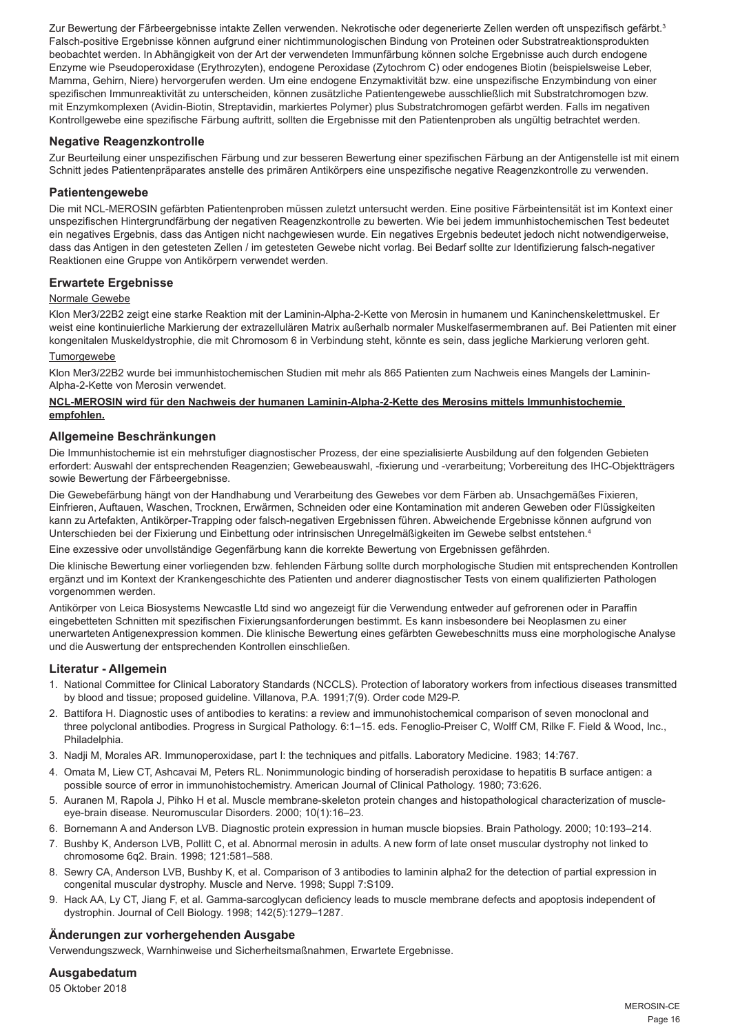Zur Bewertung der Färbeergebnisse intakte Zellen verwenden. Nekrotische oder degenerierte Zellen werden oft unspezifisch gefärbt.<sup>3</sup> Falsch-positive Ergebnisse können aufgrund einer nichtimmunologischen Bindung von Proteinen oder Substratreaktionsprodukten beobachtet werden. In Abhängigkeit von der Art der verwendeten Immunfärbung können solche Ergebnisse auch durch endogene Enzyme wie Pseudoperoxidase (Erythrozyten), endogene Peroxidase (Zytochrom C) oder endogenes Biotin (beispielsweise Leber, Mamma, Gehirn, Niere) hervorgerufen werden. Um eine endogene Enzymaktivität bzw. eine unspezifische Enzymbindung von einer spezifischen Immunreaktivität zu unterscheiden, können zusätzliche Patientengewebe ausschließlich mit Substratchromogen bzw. mit Enzymkomplexen (Avidin-Biotin, Streptavidin, markiertes Polymer) plus Substratchromogen gefärbt werden. Falls im negativen Kontrollgewebe eine spezifische Färbung auftritt, sollten die Ergebnisse mit den Patientenproben als ungültig betrachtet werden.

# **Negative Reagenzkontrolle**

Zur Beurteilung einer unspezifischen Färbung und zur besseren Bewertung einer spezifischen Färbung an der Antigenstelle ist mit einem Schnitt jedes Patientenpräparates anstelle des primären Antikörpers eine unspezifische negative Reagenzkontrolle zu verwenden.

# **Patientengewebe**

Die mit NCL-MEROSIN gefärbten Patientenproben müssen zuletzt untersucht werden. Eine positive Färbeintensität ist im Kontext einer unspezifischen Hintergrundfärbung der negativen Reagenzkontrolle zu bewerten. Wie bei jedem immunhistochemischen Test bedeutet ein negatives Ergebnis, dass das Antigen nicht nachgewiesen wurde. Ein negatives Ergebnis bedeutet jedoch nicht notwendigerweise, dass das Antigen in den getesteten Zellen / im getesteten Gewebe nicht vorlag. Bei Bedarf sollte zur Identifizierung falsch-negativer Reaktionen eine Gruppe von Antikörpern verwendet werden.

# **Erwartete Ergebnisse**

#### Normale Gewebe

Klon Mer3/22B2 zeigt eine starke Reaktion mit der Laminin-Alpha-2-Kette von Merosin in humanem und Kaninchenskelettmuskel. Er weist eine kontinuierliche Markierung der extrazellulären Matrix außerhalb normaler Muskelfasermembranen auf. Bei Patienten mit einer kongenitalen Muskeldystrophie, die mit Chromosom 6 in Verbindung steht, könnte es sein, dass jegliche Markierung verloren geht.

# **Tumorgewebe**

Klon Mer3/22B2 wurde bei immunhistochemischen Studien mit mehr als 865 Patienten zum Nachweis eines Mangels der Laminin-Alpha-2-Kette von Merosin verwendet.

### **NCL-MEROSIN wird für den Nachweis der humanen Laminin-Alpha-2-Kette des Merosins mittels Immunhistochemie empfohlen.**

# **Allgemeine Beschränkungen**

Die Immunhistochemie ist ein mehrstufiger diagnostischer Prozess, der eine spezialisierte Ausbildung auf den folgenden Gebieten erfordert: Auswahl der entsprechenden Reagenzien; Gewebeauswahl, -fixierung und -verarbeitung; Vorbereitung des IHC-Objektträgers sowie Bewertung der Färbeergebnisse.

Die Gewebefärbung hängt von der Handhabung und Verarbeitung des Gewebes vor dem Färben ab. Unsachgemäßes Fixieren, Einfrieren, Auftauen, Waschen, Trocknen, Erwärmen, Schneiden oder eine Kontamination mit anderen Geweben oder Flüssigkeiten kann zu Artefakten, Antikörper-Trapping oder falsch-negativen Ergebnissen führen. Abweichende Ergebnisse können aufgrund von Unterschieden bei der Fixierung und Einbettung oder intrinsischen Unregelmäßigkeiten im Gewebe selbst entstehen.4

Eine exzessive oder unvollständige Gegenfärbung kann die korrekte Bewertung von Ergebnissen gefährden.

Die klinische Bewertung einer vorliegenden bzw. fehlenden Färbung sollte durch morphologische Studien mit entsprechenden Kontrollen ergänzt und im Kontext der Krankengeschichte des Patienten und anderer diagnostischer Tests von einem qualifizierten Pathologen vorgenommen werden.

Antikörper von Leica Biosystems Newcastle Ltd sind wo angezeigt für die Verwendung entweder auf gefrorenen oder in Paraffin eingebetteten Schnitten mit spezifischen Fixierungsanforderungen bestimmt. Es kann insbesondere bei Neoplasmen zu einer unerwarteten Antigenexpression kommen. Die klinische Bewertung eines gefärbten Gewebeschnitts muss eine morphologische Analyse und die Auswertung der entsprechenden Kontrollen einschließen.

#### **Literatur - Allgemein**

- 1. National Committee for Clinical Laboratory Standards (NCCLS). Protection of laboratory workers from infectious diseases transmitted by blood and tissue; proposed guideline. Villanova, P.A. 1991;7(9). Order code M29-P.
- 2. Battifora H. Diagnostic uses of antibodies to keratins: a review and immunohistochemical comparison of seven monoclonal and three polyclonal antibodies. Progress in Surgical Pathology. 6:1–15. eds. Fenoglio-Preiser C, Wolff CM, Rilke F. Field & Wood, Inc., Philadelphia.
- 3. Nadji M, Morales AR. Immunoperoxidase, part I: the techniques and pitfalls. Laboratory Medicine. 1983; 14:767.
- 4. Omata M, Liew CT, Ashcavai M, Peters RL. Nonimmunologic binding of horseradish peroxidase to hepatitis B surface antigen: a possible source of error in immunohistochemistry. American Journal of Clinical Pathology. 1980; 73:626.
- 5. Auranen M, Rapola J, Pihko H et al. Muscle membrane-skeleton protein changes and histopathological characterization of muscleeye-brain disease. Neuromuscular Disorders. 2000; 10(1):16–23.
- 6. Bornemann A and Anderson LVB. Diagnostic protein expression in human muscle biopsies. Brain Pathology. 2000; 10:193–214.
- 7. Bushby K, Anderson LVB, Pollitt C, et al. Abnormal merosin in adults. A new form of late onset muscular dystrophy not linked to chromosome 6q2. Brain. 1998; 121:581–588.
- 8. Sewry CA, Anderson LVB, Bushby K, et al. Comparison of 3 antibodies to laminin alpha2 for the detection of partial expression in congenital muscular dystrophy. Muscle and Nerve. 1998; Suppl 7:S109.
- 9. Hack AA, Ly CT, Jiang F, et al. Gamma-sarcoglycan deficiency leads to muscle membrane defects and apoptosis independent of dystrophin. Journal of Cell Biology. 1998; 142(5):1279–1287.

# **Änderungen zur vorhergehenden Ausgabe**

Verwendungszweck, Warnhinweise und Sicherheitsmaßnahmen, Erwartete Ergebnisse.

# **Ausgabedatum**

05 Oktober 2018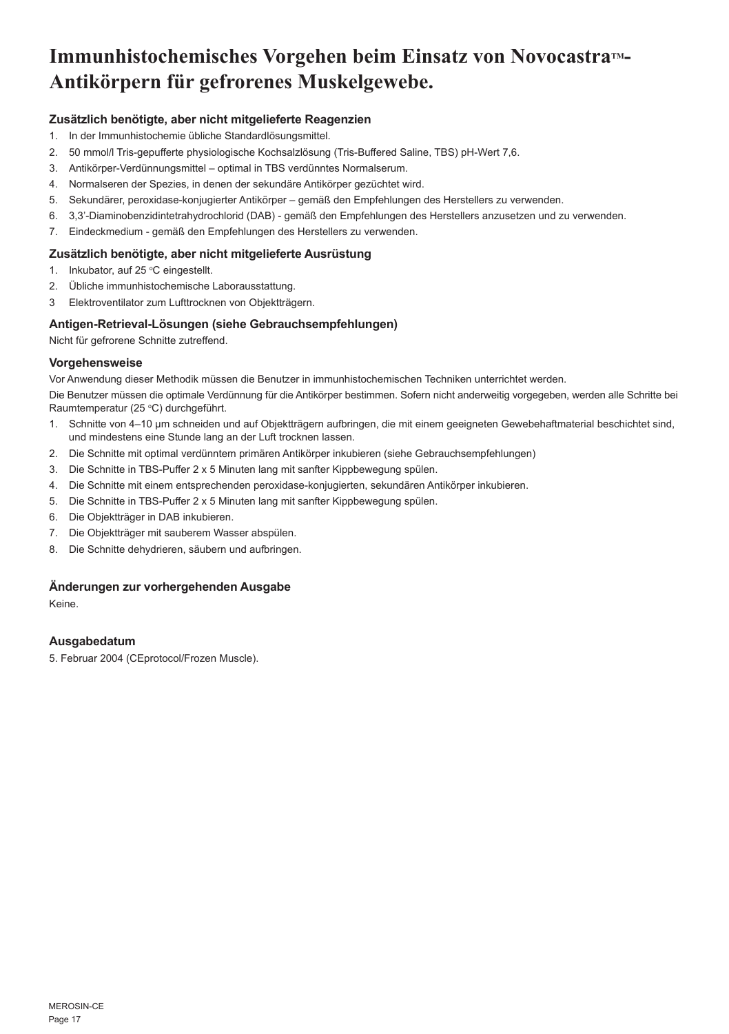# **Immunhistochemisches Vorgehen beim Einsatz von Novocastra™-Antikörpern für gefrorenes Muskelgewebe.**

# **Zusätzlich benötigte, aber nicht mitgelieferte Reagenzien**

- 1. In der Immunhistochemie übliche Standardlösungsmittel.
- 2. 50 mmol/l Tris-gepufferte physiologische Kochsalzlösung (Tris-Buffered Saline, TBS) pH-Wert 7,6.
- 3. Antikörper-Verdünnungsmittel optimal in TBS verdünntes Normalserum.
- 4. Normalseren der Spezies, in denen der sekundäre Antikörper gezüchtet wird.
- 5. Sekundärer, peroxidase-konjugierter Antikörper gemäß den Empfehlungen des Herstellers zu verwenden.
- 6. 3,3'-Diaminobenzidintetrahydrochlorid (DAB) gemäß den Empfehlungen des Herstellers anzusetzen und zu verwenden.
- 7. Eindeckmedium gemäß den Empfehlungen des Herstellers zu verwenden.

# **Zusätzlich benötigte, aber nicht mitgelieferte Ausrüstung**

- 1. Inkubator, auf 25 °C eingestellt.
- 2. Übliche immunhistochemische Laborausstattung.
- 3 Elektroventilator zum Lufttrocknen von Objektträgern.

# **Antigen-Retrieval-Lösungen (siehe Gebrauchsempfehlungen)**

Nicht für gefrorene Schnitte zutreffend.

# **Vorgehensweise**

Vor Anwendung dieser Methodik müssen die Benutzer in immunhistochemischen Techniken unterrichtet werden.

Die Benutzer müssen die optimale Verdünnung für die Antikörper bestimmen. Sofern nicht anderweitig vorgegeben, werden alle Schritte bei Raumtemperatur (25 ℃) durchgeführt.

- 1. Schnitte von 4–10 μm schneiden und auf Objektträgern aufbringen, die mit einem geeigneten Gewebehaftmaterial beschichtet sind, und mindestens eine Stunde lang an der Luft trocknen lassen.
- 2. Die Schnitte mit optimal verdünntem primären Antikörper inkubieren (siehe Gebrauchsempfehlungen)
- 3. Die Schnitte in TBS-Puffer 2 x 5 Minuten lang mit sanfter Kippbewegung spülen.
- 4. Die Schnitte mit einem entsprechenden peroxidase-konjugierten, sekundären Antikörper inkubieren.
- 5. Die Schnitte in TBS-Puffer 2 x 5 Minuten lang mit sanfter Kippbewegung spülen.
- 6. Die Objektträger in DAB inkubieren.
- 7. Die Objektträger mit sauberem Wasser abspülen.
- 8. Die Schnitte dehydrieren, säubern und aufbringen.

# **Änderungen zur vorhergehenden Ausgabe**

Keine.

# **Ausgabedatum**

5. Februar 2004 (CEprotocol/Frozen Muscle).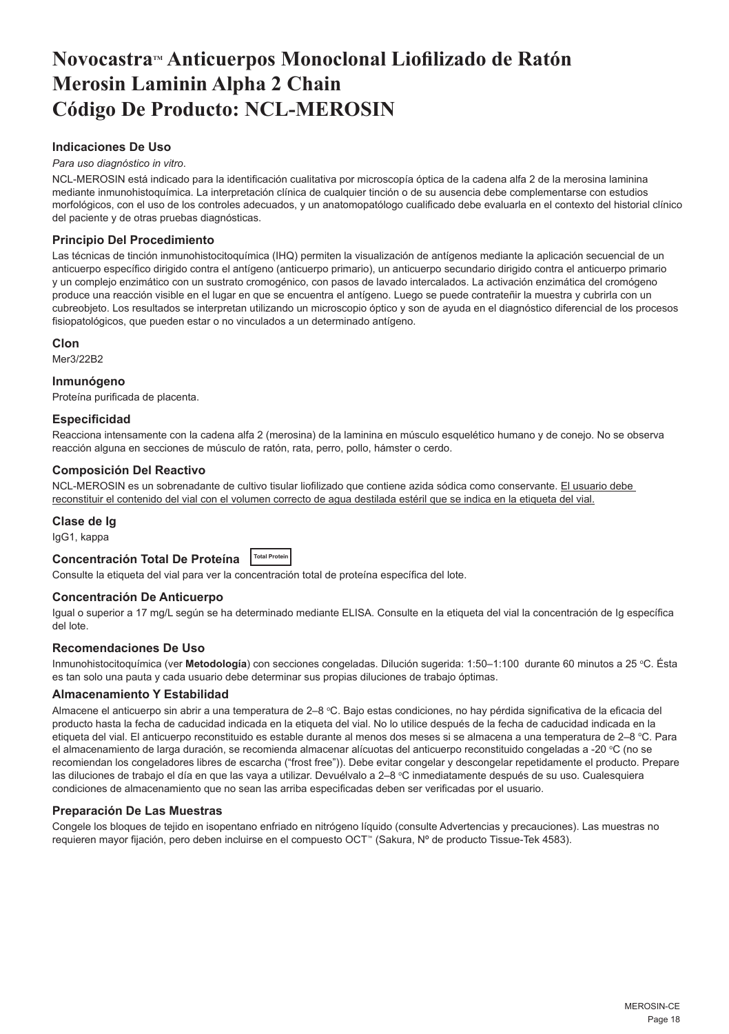# <span id="page-18-0"></span>**NovocastraTM Anticuerpos Monoclonal Liofilizado de Ratón Merosin Laminin Alpha 2 Chain Código De Producto: NCL-MEROSIN**

# **Indicaciones De Uso**

#### *Para uso diagnóstico in vitro*.

NCL-MEROSIN está indicado para la identificación cualitativa por microscopía óptica de la cadena alfa 2 de la merosina laminina mediante inmunohistoquímica. La interpretación clínica de cualquier tinción o de su ausencia debe complementarse con estudios morfológicos, con el uso de los controles adecuados, y un anatomopatólogo cualificado debe evaluarla en el contexto del historial clínico del paciente y de otras pruebas diagnósticas.

# **Principio Del Procedimiento**

Las técnicas de tinción inmunohistocitoquímica (IHQ) permiten la visualización de antígenos mediante la aplicación secuencial de un anticuerpo específico dirigido contra el antígeno (anticuerpo primario), un anticuerpo secundario dirigido contra el anticuerpo primario y un complejo enzimático con un sustrato cromogénico, con pasos de lavado intercalados. La activación enzimática del cromógeno produce una reacción visible en el lugar en que se encuentra el antígeno. Luego se puede contrateñir la muestra y cubrirla con un cubreobjeto. Los resultados se interpretan utilizando un microscopio óptico y son de ayuda en el diagnóstico diferencial de los procesos fisiopatológicos, que pueden estar o no vinculados a un determinado antígeno.

#### **Clon**

Mer3/22B2

### **Inmunógeno**

Proteína purificada de placenta.

# **Especificidad**

Reacciona intensamente con la cadena alfa 2 (merosina) de la laminina en músculo esquelético humano y de conejo. No se observa reacción alguna en secciones de músculo de ratón, rata, perro, pollo, hámster o cerdo.

# **Composición Del Reactivo**

NCL-MEROSIN es un sobrenadante de cultivo tisular liofilizado que contiene azida sódica como conservante. El usuario debe reconstituir el contenido del vial con el volumen correcto de agua destilada estéril que se indica en la etiqueta del vial.

#### **Clase de Ig**

IgG1, kappa

**Concentración Total De Proteína Total Protein**

Consulte la etiqueta del vial para ver la concentración total de proteína específica del lote.

# **Concentración De Anticuerpo**

Igual o superior a 17 mg/L según se ha determinado mediante ELISA. Consulte en la etiqueta del vial la concentración de Ig específica del lote.

# **Recomendaciones De Uso**

Inmunohistocitoquímica (ver **Metodología**) con secciones congeladas. Dilución sugerida: 1:50–1:100 durante 60 minutos a 25 °C. Ésta es tan solo una pauta y cada usuario debe determinar sus propias diluciones de trabajo óptimas.

# **Almacenamiento Y Estabilidad**

Almacene el anticuerpo sin abrir a una temperatura de 2–8 °C. Bajo estas condiciones, no hay pérdida significativa de la eficacia del producto hasta la fecha de caducidad indicada en la etiqueta del vial. No lo utilice después de la fecha de caducidad indicada en la etiqueta del vial. El anticuerpo reconstituido es estable durante al menos dos meses si se almacena a una temperatura de 2–8 °C. Para el almacenamiento de larga duración, se recomienda almacenar alícuotas del anticuerpo reconstituido congeladas a -20 °C (no se recomiendan los congeladores libres de escarcha ("frost free")). Debe evitar congelar y descongelar repetidamente el producto. Prepare las diluciones de trabajo el día en que las vaya a utilizar. Devuélvalo a 2–8 °C inmediatamente después de su uso. Cualesquiera condiciones de almacenamiento que no sean las arriba especificadas deben ser verificadas por el usuario.

# **Preparación De Las Muestras**

Congele los bloques de tejido en isopentano enfriado en nitrógeno líquido (consulte Advertencias y precauciones). Las muestras no requieren mayor fijación, pero deben incluirse en el compuesto OCT™ (Sakura, Nº de producto Tissue-Tek 4583).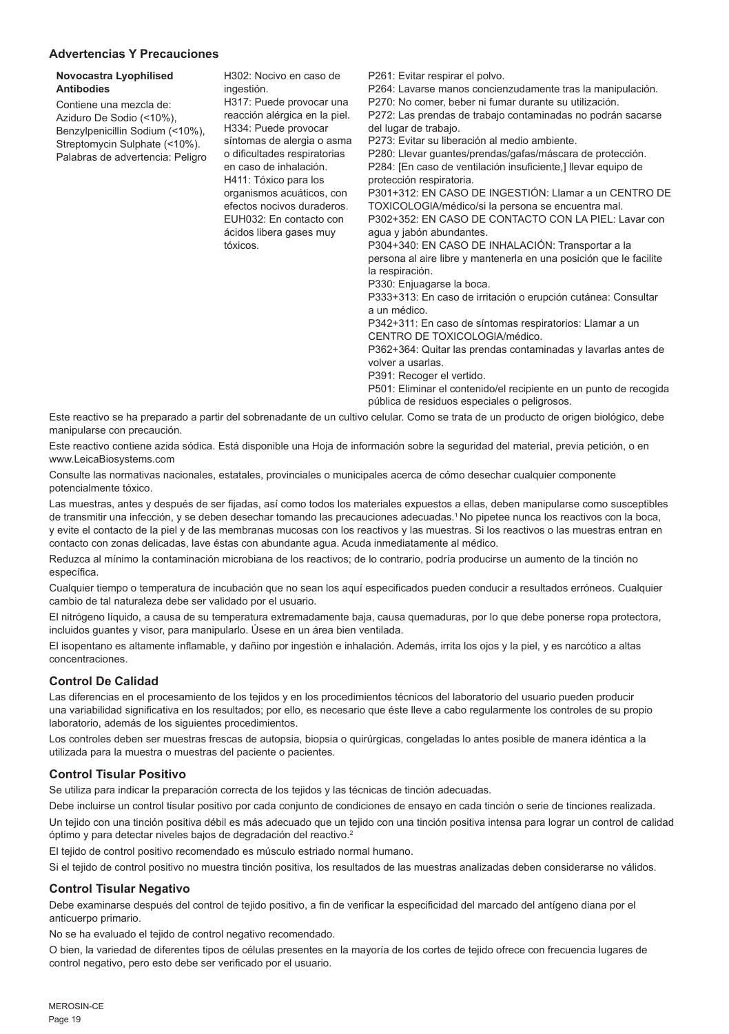# **Advertencias Y Precauciones**

#### **Novocastra Lyophilised Antibodies**

Contiene una mezcla de: Aziduro De Sodio (<10%), Benzylpenicillin Sodium (<10%), Streptomycin Sulphate (<10%). Palabras de advertencia: Peligro

H302: Nocivo en caso de ingestión. H317: Puede provocar una reacción alérgica en la piel. H334: Puede provocar síntomas de alergia o asma o dificultades respiratorias en caso de inhalación. H411: Tóxico para los organismos acuáticos, con efectos nocivos duraderos. EUH032: En contacto con ácidos libera gases muy tóxicos.

P261: Evitar respirar el polvo. P264: Lavarse manos concienzudamente tras la manipulación. P270: No comer, beber ni fumar durante su utilización. P272: Las prendas de trabajo contaminadas no podrán sacarse del lugar de trabajo. P273: Evitar su liberación al medio ambiente. P280: Llevar guantes/prendas/gafas/máscara de protección. P284: [En caso de ventilación insuficiente,] llevar equipo de protección respiratoria. P301+312: EN CASO DE INGESTIÓN: Llamar a un CENTRO DE TOXICOLOGlA/médico/si la persona se encuentra mal. P302+352: EN CASO DE CONTACTO CON LA PIEL: Lavar con agua y jabón abundantes. P304+340: EN CASO DE INHALACIÓN: Transportar a la persona al aire libre y mantenerla en una posición que le facilite la respiración. P330: Enjuagarse la boca. P333+313: En caso de irritación o erupción cutánea: Consultar a un médico. P342+311: En caso de síntomas respiratorios: Llamar a un CENTRO DE TOXICOLOGlA/médico. P362+364: Quitar las prendas contaminadas y lavarlas antes de

volver a usarlas.

P391: Recoger el vertido.

P501: Eliminar el contenido/el recipiente en un punto de recogida pública de residuos especiales o peligrosos.

Este reactivo se ha preparado a partir del sobrenadante de un cultivo celular. Como se trata de un producto de origen biológico, debe manipularse con precaución.

Este reactivo contiene azida sódica. Está disponible una Hoja de información sobre la seguridad del material, previa petición, o en www.LeicaBiosystems.com

Consulte las normativas nacionales, estatales, provinciales o municipales acerca de cómo desechar cualquier componente potencialmente tóxico.

Las muestras, antes y después de ser fijadas, así como todos los materiales expuestos a ellas, deben manipularse como susceptibles de transmitir una infección, y se deben desechar tomando las precauciones adecuadas.<sup>1</sup>No pipetee nunca los reactivos con la boca, y evite el contacto de la piel y de las membranas mucosas con los reactivos y las muestras. Si los reactivos o las muestras entran en contacto con zonas delicadas, lave éstas con abundante agua. Acuda inmediatamente al médico.

Reduzca al mínimo la contaminación microbiana de los reactivos; de lo contrario, podría producirse un aumento de la tinción no específica.

Cualquier tiempo o temperatura de incubación que no sean los aquí especificados pueden conducir a resultados erróneos. Cualquier cambio de tal naturaleza debe ser validado por el usuario.

El nitrógeno líquido, a causa de su temperatura extremadamente baja, causa quemaduras, por lo que debe ponerse ropa protectora, incluidos guantes y visor, para manipularlo. Úsese en un área bien ventilada.

El isopentano es altamente inflamable, y dañino por ingestión e inhalación. Además, irrita los ojos y la piel, y es narcótico a altas concentraciones.

# **Control De Calidad**

Las diferencias en el procesamiento de los tejidos y en los procedimientos técnicos del laboratorio del usuario pueden producir una variabilidad significativa en los resultados; por ello, es necesario que éste lleve a cabo regularmente los controles de su propio laboratorio, además de los siguientes procedimientos.

Los controles deben ser muestras frescas de autopsia, biopsia o quirúrgicas, congeladas lo antes posible de manera idéntica a la utilizada para la muestra o muestras del paciente o pacientes.

# **Control Tisular Positivo**

Se utiliza para indicar la preparación correcta de los tejidos y las técnicas de tinción adecuadas.

Debe incluirse un control tisular positivo por cada conjunto de condiciones de ensayo en cada tinción o serie de tinciones realizada.

Un tejido con una tinción positiva débil es más adecuado que un tejido con una tinción positiva intensa para lograr un control de calidad óptimo y para detectar niveles bajos de degradación del reactivo.<sup>2</sup>

El tejido de control positivo recomendado es músculo estriado normal humano.

Si el tejido de control positivo no muestra tinción positiva, los resultados de las muestras analizadas deben considerarse no válidos.

# **Control Tisular Negativo**

Debe examinarse después del control de tejido positivo, a fin de verificar la especificidad del marcado del antígeno diana por el anticuerpo primario.

No se ha evaluado el tejido de control negativo recomendado.

O bien, la variedad de diferentes tipos de células presentes en la mayoría de los cortes de tejido ofrece con frecuencia lugares de control negativo, pero esto debe ser verificado por el usuario.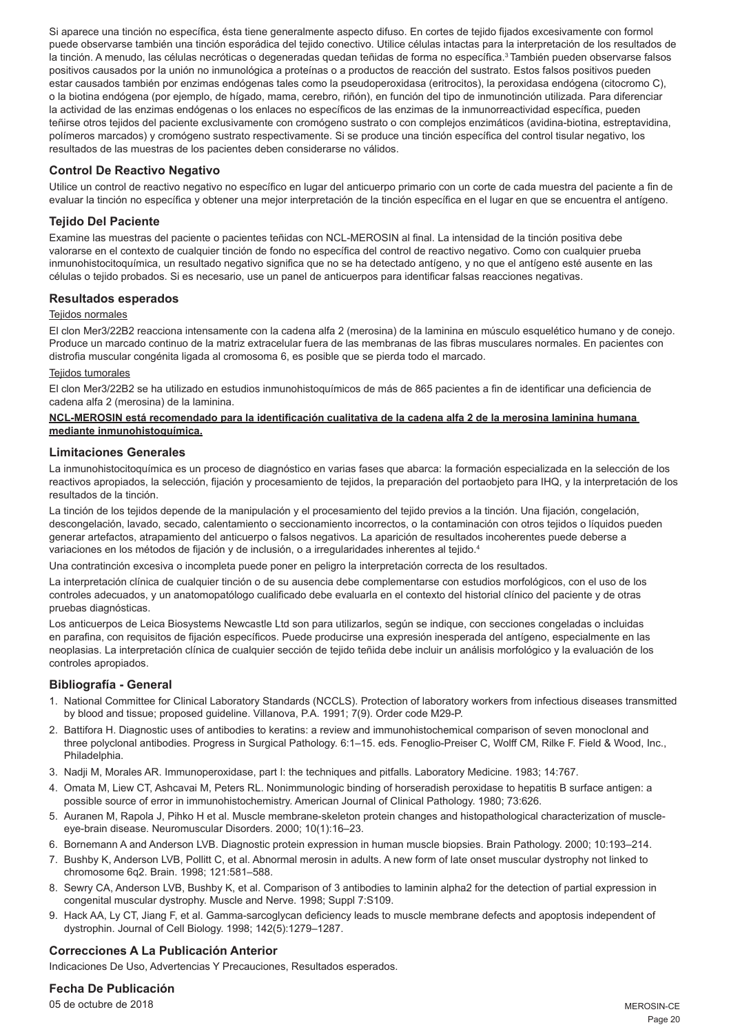Si aparece una tinción no específica, ésta tiene generalmente aspecto difuso. En cortes de tejido fijados excesivamente con formol puede observarse también una tinción esporádica del tejido conectivo. Utilice células intactas para la interpretación de los resultados de la tinción. A menudo, las células necróticas o degeneradas quedan teñidas de forma no específica.<sup>3</sup> También pueden observarse falsos positivos causados por la unión no inmunológica a proteínas o a productos de reacción del sustrato. Estos falsos positivos pueden estar causados también por enzimas endógenas tales como la pseudoperoxidasa (eritrocitos), la peroxidasa endógena (citocromo C), o la biotina endógena (por ejemplo, de hígado, mama, cerebro, riñón), en función del tipo de inmunotinción utilizada. Para diferenciar la actividad de las enzimas endógenas o los enlaces no específicos de las enzimas de la inmunorreactividad específica, pueden teñirse otros tejidos del paciente exclusivamente con cromógeno sustrato o con complejos enzimáticos (avidina-biotina, estreptavidina, polímeros marcados) y cromógeno sustrato respectivamente. Si se produce una tinción específica del control tisular negativo, los resultados de las muestras de los pacientes deben considerarse no válidos.

#### **Control De Reactivo Negativo**

Utilice un control de reactivo negativo no específico en lugar del anticuerpo primario con un corte de cada muestra del paciente a fin de evaluar la tinción no específica y obtener una mejor interpretación de la tinción específica en el lugar en que se encuentra el antígeno.

### **Tejido Del Paciente**

Examine las muestras del paciente o pacientes teñidas con NCL-MEROSIN al final. La intensidad de la tinción positiva debe valorarse en el contexto de cualquier tinción de fondo no específica del control de reactivo negativo. Como con cualquier prueba inmunohistocitoquímica, un resultado negativo significa que no se ha detectado antígeno, y no que el antígeno esté ausente en las células o tejido probados. Si es necesario, use un panel de anticuerpos para identificar falsas reacciones negativas.

#### **Resultados esperados**

### Tejidos normales

El clon Mer3/22B2 reacciona intensamente con la cadena alfa 2 (merosina) de la laminina en músculo esquelético humano y de conejo. Produce un marcado continuo de la matriz extracelular fuera de las membranas de las fibras musculares normales. En pacientes con distrofia muscular congénita ligada al cromosoma 6, es posible que se pierda todo el marcado.

### Teiidos tumorales

El clon Mer3/22B2 se ha utilizado en estudios inmunohistoquímicos de más de 865 pacientes a fin de identificar una deficiencia de cadena alfa 2 (merosina) de la laminina.

### **NCL-MEROSIN está recomendado para la identificación cualitativa de la cadena alfa 2 de la merosina laminina humana mediante inmunohistoquímica.**

# **Limitaciones Generales**

La inmunohistocitoquímica es un proceso de diagnóstico en varias fases que abarca: la formación especializada en la selección de los reactivos apropiados, la selección, fijación y procesamiento de tejidos, la preparación del portaobjeto para IHQ, y la interpretación de los resultados de la tinción.

La tinción de los tejidos depende de la manipulación y el procesamiento del tejido previos a la tinción. Una fijación, congelación, descongelación, lavado, secado, calentamiento o seccionamiento incorrectos, o la contaminación con otros tejidos o líquidos pueden generar artefactos, atrapamiento del anticuerpo o falsos negativos. La aparición de resultados incoherentes puede deberse a variaciones en los métodos de fijación y de inclusión, o a irregularidades inherentes al tejido.4

Una contratinción excesiva o incompleta puede poner en peligro la interpretación correcta de los resultados.

La interpretación clínica de cualquier tinción o de su ausencia debe complementarse con estudios morfológicos, con el uso de los controles adecuados, y un anatomopatólogo cualificado debe evaluarla en el contexto del historial clínico del paciente y de otras pruebas diagnósticas.

Los anticuerpos de Leica Biosystems Newcastle Ltd son para utilizarlos, según se indique, con secciones congeladas o incluidas en parafina, con requisitos de fijación específicos. Puede producirse una expresión inesperada del antígeno, especialmente en las neoplasias. La interpretación clínica de cualquier sección de tejido teñida debe incluir un análisis morfológico y la evaluación de los controles apropiados.

# **Bibliografía - General**

- 1. National Committee for Clinical Laboratory Standards (NCCLS). Protection of laboratory workers from infectious diseases transmitted by blood and tissue; proposed guideline. Villanova, P.A. 1991; 7(9). Order code M29-P.
- 2. Battifora H. Diagnostic uses of antibodies to keratins: a review and immunohistochemical comparison of seven monoclonal and three polyclonal antibodies. Progress in Surgical Pathology. 6:1–15. eds. Fenoglio-Preiser C, Wolff CM, Rilke F. Field & Wood, Inc., Philadelphia.
- 3. Nadji M, Morales AR. Immunoperoxidase, part I: the techniques and pitfalls. Laboratory Medicine. 1983; 14:767.
- 4. Omata M, Liew CT, Ashcavai M, Peters RL. Nonimmunologic binding of horseradish peroxidase to hepatitis B surface antigen: a possible source of error in immunohistochemistry. American Journal of Clinical Pathology. 1980; 73:626.
- 5. Auranen M, Rapola J, Pihko H et al. Muscle membrane-skeleton protein changes and histopathological characterization of muscleeye-brain disease. Neuromuscular Disorders. 2000; 10(1):16–23.
- 6. Bornemann A and Anderson LVB. Diagnostic protein expression in human muscle biopsies. Brain Pathology. 2000; 10:193–214.
- 7. Bushby K, Anderson LVB, Pollitt C, et al. Abnormal merosin in adults. A new form of late onset muscular dystrophy not linked to chromosome 6q2. Brain. 1998; 121:581–588.
- 8. Sewry CA, Anderson LVB, Bushby K, et al. Comparison of 3 antibodies to laminin alpha2 for the detection of partial expression in congenital muscular dystrophy. Muscle and Nerve. 1998; Suppl 7:S109.
- 9. Hack AA, Ly CT, Jiang F, et al. Gamma-sarcoglycan deficiency leads to muscle membrane defects and apoptosis independent of dystrophin. Journal of Cell Biology. 1998; 142(5):1279–1287.

# **Correcciones A La Publicación Anterior**

Indicaciones De Uso, Advertencias Y Precauciones, Resultados esperados.

**Fecha De Publicación**

05 de octubre de 2018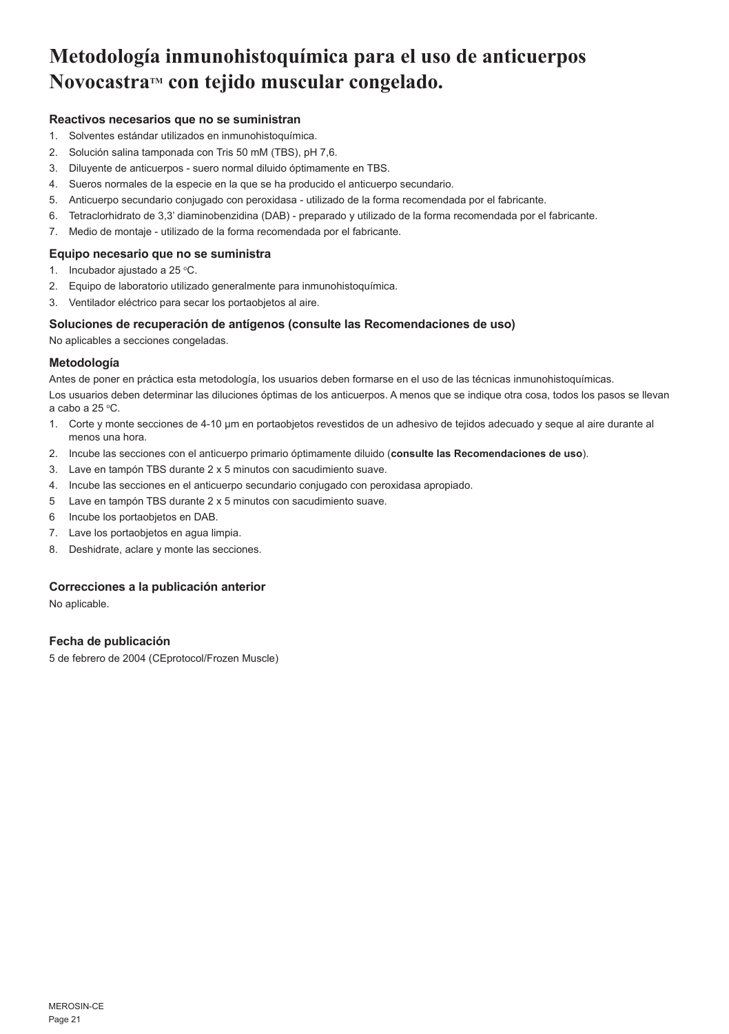# **Metodología inmunohistoquímica para el uso de anticuerpos NovocastraTM con tejido muscular congelado.**

# **Reactivos necesarios que no se suministran**

- 1. Solventes estándar utilizados en inmunohistoquímica.
- 2. Solución salina tamponada con Tris 50 mM (TBS), pH 7,6.
- 3. Diluyente de anticuerpos suero normal diluido óptimamente en TBS.
- 4. Sueros normales de la especie en la que se ha producido el anticuerpo secundario.
- 5. Anticuerpo secundario conjugado con peroxidasa utilizado de la forma recomendada por el fabricante.
- 6. Tetraclorhidrato de 3,3' diaminobenzidina (DAB) preparado y utilizado de la forma recomendada por el fabricante.
- 7. Medio de montaje utilizado de la forma recomendada por el fabricante.

# **Equipo necesario que no se suministra**

- 1. Incubador ajustado a 25 °C.
- 2. Equipo de laboratorio utilizado generalmente para inmunohistoquímica.
- 3. Ventilador eléctrico para secar los portaobjetos al aire.

# **Soluciones de recuperación de antígenos (consulte las Recomendaciones de uso)**

No aplicables a secciones congeladas.

#### **Metodología**

Antes de poner en práctica esta metodología, los usuarios deben formarse en el uso de las técnicas inmunohistoquímicas.

Los usuarios deben determinar las diluciones óptimas de los anticuerpos. A menos que se indique otra cosa, todos los pasos se llevan a cabo a 25 °C.

- 1. Corte y monte secciones de 4-10 μm en portaobjetos revestidos de un adhesivo de tejidos adecuado y seque al aire durante al menos una hora.
- 2. Incube las secciones con el anticuerpo primario óptimamente diluido (**consulte las Recomendaciones de uso**).
- 3. Lave en tampón TBS durante 2 x 5 minutos con sacudimiento suave.
- 4. Incube las secciones en el anticuerpo secundario conjugado con peroxidasa apropiado.
- 5 Lave en tampón TBS durante 2 x 5 minutos con sacudimiento suave.
- 6 Incube los portaobjetos en DAB.
- 7. Lave los portaobjetos en agua limpia.
- 8. Deshidrate, aclare y monte las secciones.

# **Correcciones a la publicación anterior**

No aplicable.

# **Fecha de publicación**

5 de febrero de 2004 (CEprotocol/Frozen Muscle)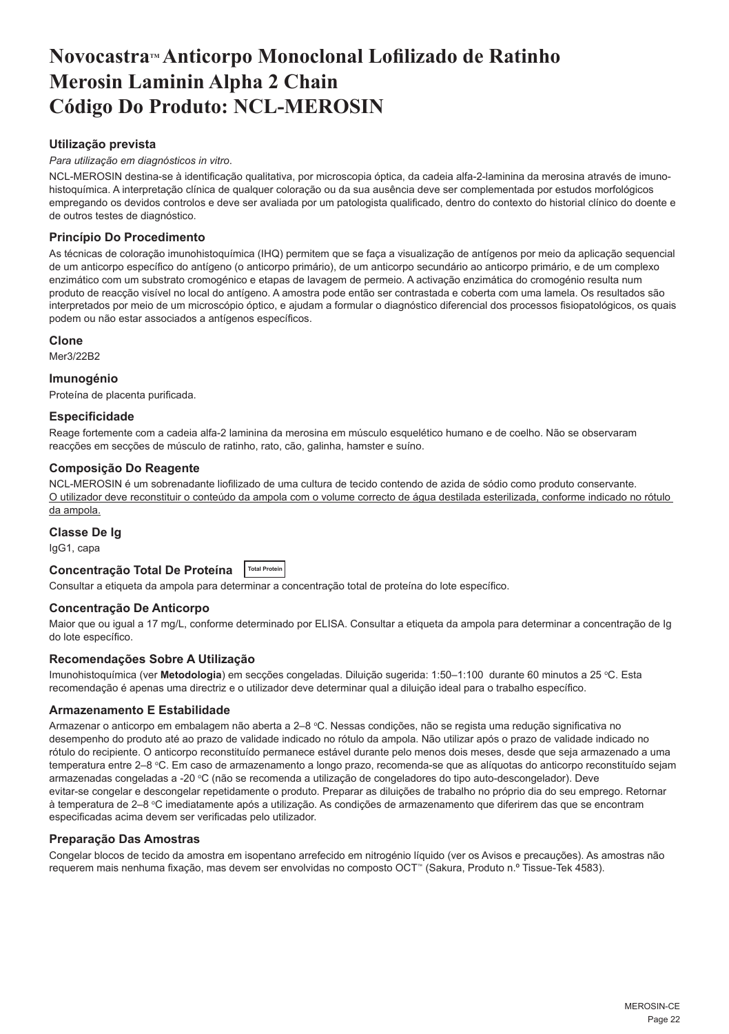# <span id="page-22-0"></span>**NovocastraTM Anticorpo Monoclonal Lofilizado de Ratinho Merosin Laminin Alpha 2 Chain Código Do Produto: NCL-MEROSIN**

# **Utilização prevista**

#### *Para utilização em diagnósticos in vitro*.

NCL-MEROSIN destina-se à identificação qualitativa, por microscopia óptica, da cadeia alfa-2-laminina da merosina através de imunohistoquímica. A interpretação clínica de qualquer coloração ou da sua ausência deve ser complementada por estudos morfológicos empregando os devidos controlos e deve ser avaliada por um patologista qualificado, dentro do contexto do historial clínico do doente e de outros testes de diagnóstico.

# **Princípio Do Procedimento**

As técnicas de coloração imunohistoquímica (IHQ) permitem que se faça a visualização de antígenos por meio da aplicação sequencial de um anticorpo específico do antígeno (o anticorpo primário), de um anticorpo secundário ao anticorpo primário, e de um complexo enzimático com um substrato cromogénico e etapas de lavagem de permeio. A activação enzimática do cromogénio resulta num produto de reacção visível no local do antígeno. A amostra pode então ser contrastada e coberta com uma lamela. Os resultados são interpretados por meio de um microscópio óptico, e ajudam a formular o diagnóstico diferencial dos processos fisiopatológicos, os quais podem ou não estar associados a antígenos específicos.

#### **Clone**

Mer3/22B2

#### **Imunogénio**

Proteína de placenta purificada.

# **Especificidade**

Reage fortemente com a cadeia alfa-2 laminina da merosina em músculo esquelético humano e de coelho. Não se observaram reacções em secções de músculo de ratinho, rato, cão, galinha, hamster e suíno.

# **Composição Do Reagente**

NCL-MEROSIN é um sobrenadante liofilizado de uma cultura de tecido contendo de azida de sódio como produto conservante. O utilizador deve reconstituir o conteúdo da ampola com o volume correcto de água destilada esterilizada, conforme indicado no rótulo da ampola.

# **Classe De Ig**

IgG1, capa

# **Concentração Total De Proteína Total Protein**

Consultar a etiqueta da ampola para determinar a concentração total de proteína do lote específico.

# **Concentração De Anticorpo**

Maior que ou igual a 17 mg/L, conforme determinado por ELISA. Consultar a etiqueta da ampola para determinar a concentração de Ig do lote específico.

# **Recomendações Sobre A Utilização**

Imunohistoquímica (ver **Metodologia**) em secções congeladas. Diluição sugerida: 1:50–1:100 durante 60 minutos a 25 °C. Esta recomendação é apenas uma directriz e o utilizador deve determinar qual a diluição ideal para o trabalho específico.

# **Armazenamento E Estabilidade**

Armazenar o anticorpo em embalagem não aberta a 2–8 °C. Nessas condições, não se regista uma redução significativa no desempenho do produto até ao prazo de validade indicado no rótulo da ampola. Não utilizar após o prazo de validade indicado no rótulo do recipiente. O anticorpo reconstituído permanece estável durante pelo menos dois meses, desde que seja armazenado a uma temperatura entre 2–8 °C. Em caso de armazenamento a longo prazo, recomenda-se que as alíquotas do anticorpo reconstituído sejam armazenadas congeladas a -20 °C (não se recomenda a utilização de congeladores do tipo auto-descongelador). Deve evitar-se congelar e descongelar repetidamente o produto. Preparar as diluições de trabalho no próprio dia do seu emprego. Retornar à temperatura de 2–8 °C imediatamente após a utilização. As condições de armazenamento que diferirem das que se encontram especificadas acima devem ser verificadas pelo utilizador.

#### **Preparação Das Amostras**

Congelar blocos de tecido da amostra em isopentano arrefecido em nitrogénio líquido (ver os Avisos e precauções). As amostras não requerem mais nenhuma fixação, mas devem ser envolvidas no composto OCT™ (Sakura, Produto n.º Tissue-Tek 4583).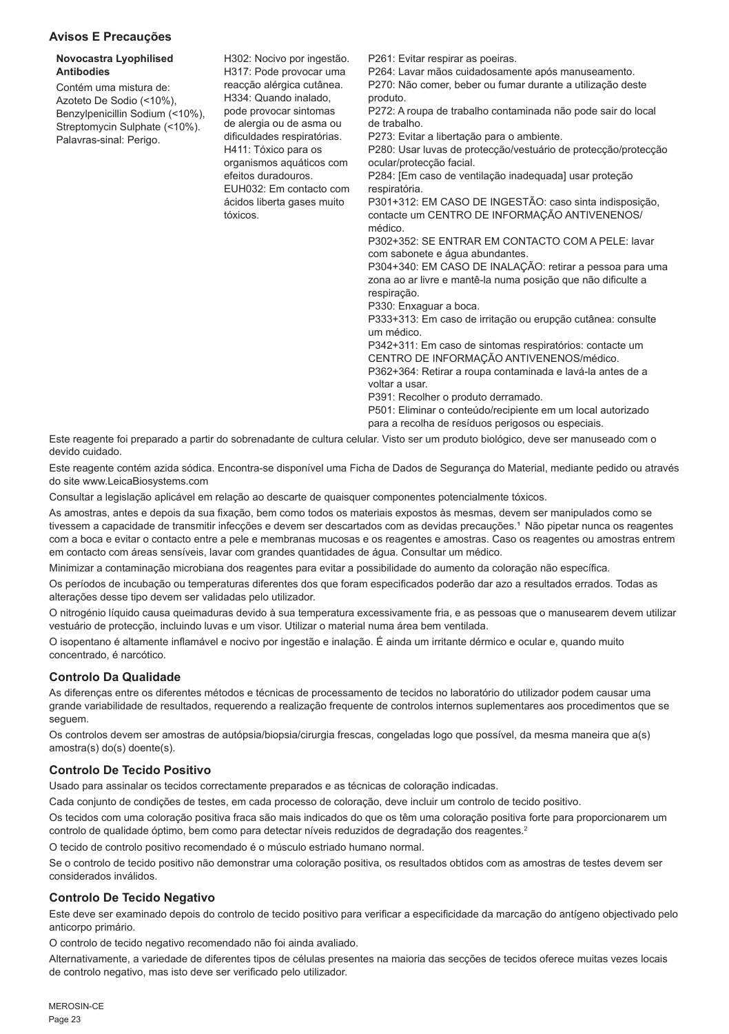# **Avisos E Precauções**

#### **Novocastra Lyophilised Antibodies**

Contém uma mistura de: Azoteto De Sodio (<10%), Benzylpenicillin Sodium (<10%), Streptomycin Sulphate (<10%). Palavras-sinal: Perigo.

H302: Nocivo por ingestão. H317: Pode provocar uma reacção alérgica cutânea. H334: Quando inalado, pode provocar sintomas de alergia ou de asma ou dificuldades respiratórias. H411: Tóxico para os organismos aquáticos com efeitos duradouros. EUH032: Em contacto com ácidos liberta gases muito tóxicos.

P261: Evitar respirar as poeiras.

P264: Lavar mãos cuidadosamente após manuseamento.

P270: Não comer, beber ou fumar durante a utilização deste produto.

P272: A roupa de trabalho contaminada não pode sair do local de trabalho.

P273: Evitar a libertação para o ambiente.

P280: Usar luvas de protecção/vestuário de protecção/protecção ocular/protecção facial.

P284: [Em caso de ventilação inadequada] usar proteção respiratória.

P301+312: EM CASO DE INGESTÃO: caso sinta indisposição, contacte um CENTRO DE INFORMAÇÃO ANTIVENENOS/ médico.

P302+352: SE ENTRAR EM CONTACTO COM A PELE: lavar com sabonete e água abundantes.

P304+340: EM CASO DE INALAÇÃO: retirar a pessoa para uma zona ao ar livre e mantê-la numa posição que não dificulte a respiração.

P330: Enxaguar a boca.

P333+313: Em caso de irritação ou erupção cutânea: consulte um médico.

P342+311: Em caso de sintomas respiratórios: contacte um CENTRO DE INFORMAÇÃO ANTIVENENOS/médico. P362+364: Retirar a roupa contaminada e lavá-la antes de a voltar a usar.

P391: Recolher o produto derramado.

P501: Eliminar o conteúdo/recipiente em um local autorizado para a recolha de resíduos perigosos ou especiais.

Este reagente foi preparado a partir do sobrenadante de cultura celular. Visto ser um produto biológico, deve ser manuseado com o devido cuidado.

Este reagente contém azida sódica. Encontra-se disponível uma Ficha de Dados de Segurança do Material, mediante pedido ou através do site www.LeicaBiosystems.com

Consultar a legislação aplicável em relação ao descarte de quaisquer componentes potencialmente tóxicos.

As amostras, antes e depois da sua fixação, bem como todos os materiais expostos às mesmas, devem ser manipulados como se tivessem a capacidade de transmitir infecções e devem ser descartados com as devidas precauções.<sup>1</sup> Não pipetar nunca os reagentes com a boca e evitar o contacto entre a pele e membranas mucosas e os reagentes e amostras. Caso os reagentes ou amostras entrem em contacto com áreas sensíveis, lavar com grandes quantidades de água. Consultar um médico.

Minimizar a contaminação microbiana dos reagentes para evitar a possibilidade do aumento da coloração não específica.

Os períodos de incubação ou temperaturas diferentes dos que foram especificados poderão dar azo a resultados errados. Todas as alterações desse tipo devem ser validadas pelo utilizador.

O nitrogénio líquido causa queimaduras devido à sua temperatura excessivamente fria, e as pessoas que o manusearem devem utilizar vestuário de protecção, incluindo luvas e um visor. Utilizar o material numa área bem ventilada.

O isopentano é altamente inflamável e nocivo por ingestão e inalação. É ainda um irritante dérmico e ocular e, quando muito concentrado, é narcótico.

# **Controlo Da Qualidade**

As diferenças entre os diferentes métodos e técnicas de processamento de tecidos no laboratório do utilizador podem causar uma grande variabilidade de resultados, requerendo a realização frequente de controlos internos suplementares aos procedimentos que se seguem.

Os controlos devem ser amostras de autópsia/biopsia/cirurgia frescas, congeladas logo que possível, da mesma maneira que a(s) amostra(s) do(s) doente(s).

# **Controlo De Tecido Positivo**

Usado para assinalar os tecidos correctamente preparados e as técnicas de coloração indicadas.

Cada conjunto de condições de testes, em cada processo de coloração, deve incluir um controlo de tecido positivo.

Os tecidos com uma coloração positiva fraca são mais indicados do que os têm uma coloração positiva forte para proporcionarem um controlo de qualidade óptimo, bem como para detectar níveis reduzidos de degradação dos reagentes.<sup>2</sup>

O tecido de controlo positivo recomendado é o músculo estriado humano normal.

Se o controlo de tecido positivo não demonstrar uma coloração positiva, os resultados obtidos com as amostras de testes devem ser considerados inválidos.

# **Controlo De Tecido Negativo**

Este deve ser examinado depois do controlo de tecido positivo para verificar a especificidade da marcação do antígeno objectivado pelo anticorpo primário.

O controlo de tecido negativo recomendado não foi ainda avaliado.

Alternativamente, a variedade de diferentes tipos de células presentes na maioria das secções de tecidos oferece muitas vezes locais de controlo negativo, mas isto deve ser verificado pelo utilizador.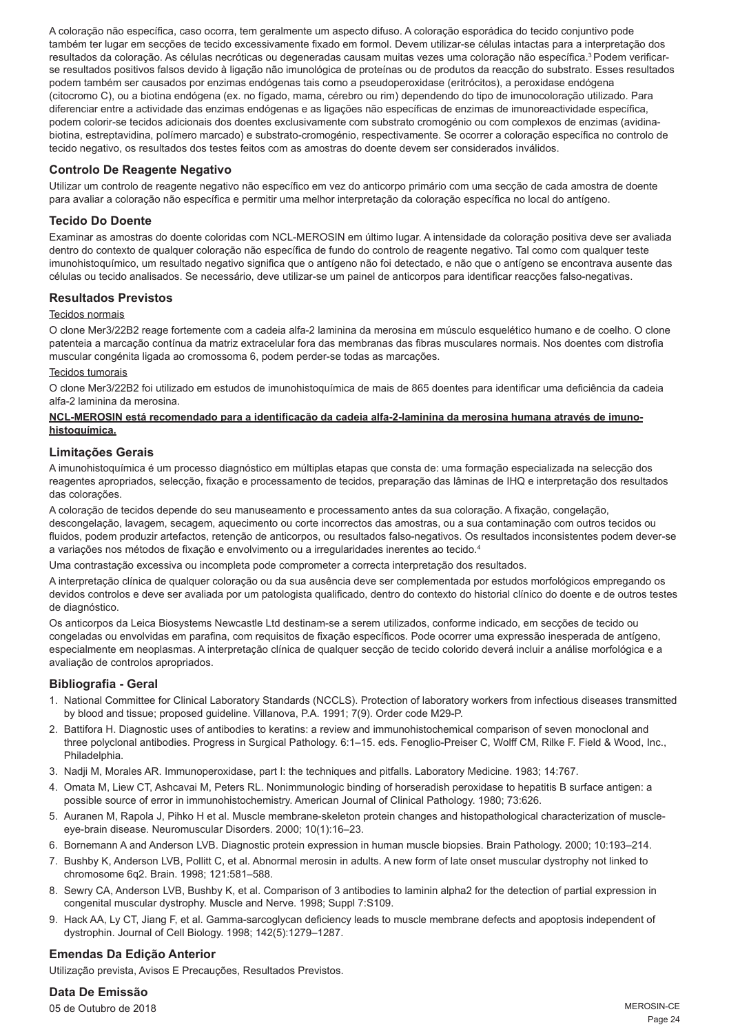A coloração não específica, caso ocorra, tem geralmente um aspecto difuso. A coloração esporádica do tecido conjuntivo pode também ter lugar em secções de tecido excessivamente fixado em formol. Devem utilizar-se células intactas para a interpretação dos resultados da coloração. As células necróticas ou degeneradas causam muitas vezes uma coloração não específica.3 Podem verificarse resultados positivos falsos devido à ligação não imunológica de proteínas ou de produtos da reacção do substrato. Esses resultados podem também ser causados por enzimas endógenas tais como a pseudoperoxidase (eritrócitos), a peroxidase endógena (citocromo C), ou a biotina endógena (ex. no fígado, mama, cérebro ou rim) dependendo do tipo de imunocoloração utilizado. Para diferenciar entre a actividade das enzimas endógenas e as ligações não específicas de enzimas de imunoreactividade específica, podem colorir-se tecidos adicionais dos doentes exclusivamente com substrato cromogénio ou com complexos de enzimas (avidinabiotina, estreptavidina, polímero marcado) e substrato-cromogénio, respectivamente. Se ocorrer a coloração específica no controlo de tecido negativo, os resultados dos testes feitos com as amostras do doente devem ser considerados inválidos.

#### **Controlo De Reagente Negativo**

Utilizar um controlo de reagente negativo não específico em vez do anticorpo primário com uma secção de cada amostra de doente para avaliar a coloração não específica e permitir uma melhor interpretação da coloração específica no local do antígeno.

#### **Tecido Do Doente**

Examinar as amostras do doente coloridas com NCL-MEROSIN em último lugar. A intensidade da coloração positiva deve ser avaliada dentro do contexto de qualquer coloração não específica de fundo do controlo de reagente negativo. Tal como com qualquer teste imunohistoquímico, um resultado negativo significa que o antígeno não foi detectado, e não que o antígeno se encontrava ausente das células ou tecido analisados. Se necessário, deve utilizar-se um painel de anticorpos para identificar reacções falso-negativas.

#### **Resultados Previstos**

#### Tecidos normais

O clone Mer3/22B2 reage fortemente com a cadeia alfa-2 laminina da merosina em músculo esquelético humano e de coelho. O clone patenteia a marcação contínua da matriz extracelular fora das membranas das fibras musculares normais. Nos doentes com distrofia muscular congénita ligada ao cromossoma 6, podem perder-se todas as marcações.

#### Tecidos tumorais

O clone Mer3/22B2 foi utilizado em estudos de imunohistoquímica de mais de 865 doentes para identificar uma deficiência da cadeia alfa-2 laminina da merosina.

#### **NCL-MEROSIN está recomendado para a identificação da cadeia alfa-2-laminina da merosina humana através de imunohistoquímica.**

#### **Limitações Gerais**

A imunohistoquímica é um processo diagnóstico em múltiplas etapas que consta de: uma formação especializada na selecção dos reagentes apropriados, selecção, fixação e processamento de tecidos, preparação das lâminas de IHQ e interpretação dos resultados das colorações.

A coloração de tecidos depende do seu manuseamento e processamento antes da sua coloração. A fixação, congelação, descongelação, lavagem, secagem, aquecimento ou corte incorrectos das amostras, ou a sua contaminação com outros tecidos ou fluidos, podem produzir artefactos, retenção de anticorpos, ou resultados falso-negativos. Os resultados inconsistentes podem dever-se a variações nos métodos de fixação e envolvimento ou a irregularidades inerentes ao tecido.4

Uma contrastação excessiva ou incompleta pode comprometer a correcta interpretação dos resultados.

A interpretação clínica de qualquer coloração ou da sua ausência deve ser complementada por estudos morfológicos empregando os devidos controlos e deve ser avaliada por um patologista qualificado, dentro do contexto do historial clínico do doente e de outros testes de diagnóstico.

Os anticorpos da Leica Biosystems Newcastle Ltd destinam-se a serem utilizados, conforme indicado, em secções de tecido ou congeladas ou envolvidas em parafina, com requisitos de fixação específicos. Pode ocorrer uma expressão inesperada de antígeno, especialmente em neoplasmas. A interpretação clínica de qualquer secção de tecido colorido deverá incluir a análise morfológica e a avaliação de controlos apropriados.

#### **Bibliografia - Geral**

- 1. National Committee for Clinical Laboratory Standards (NCCLS). Protection of laboratory workers from infectious diseases transmitted by blood and tissue; proposed guideline. Villanova, P.A. 1991; 7(9). Order code M29-P.
- 2. Battifora H. Diagnostic uses of antibodies to keratins: a review and immunohistochemical comparison of seven monoclonal and three polyclonal antibodies. Progress in Surgical Pathology. 6:1–15. eds. Fenoglio-Preiser C, Wolff CM, Rilke F. Field & Wood, Inc., Philadelphia.
- 3. Nadji M, Morales AR. Immunoperoxidase, part I: the techniques and pitfalls. Laboratory Medicine. 1983; 14:767.
- 4. Omata M, Liew CT, Ashcavai M, Peters RL. Nonimmunologic binding of horseradish peroxidase to hepatitis B surface antigen: a possible source of error in immunohistochemistry. American Journal of Clinical Pathology. 1980; 73:626.
- 5. Auranen M, Rapola J, Pihko H et al. Muscle membrane-skeleton protein changes and histopathological characterization of muscleeye-brain disease. Neuromuscular Disorders. 2000; 10(1):16–23.
- 6. Bornemann A and Anderson LVB. Diagnostic protein expression in human muscle biopsies. Brain Pathology. 2000; 10:193–214.
- 7. Bushby K, Anderson LVB, Pollitt C, et al. Abnormal merosin in adults. A new form of late onset muscular dystrophy not linked to chromosome 6q2. Brain. 1998; 121:581–588.
- 8. Sewry CA, Anderson LVB, Bushby K, et al. Comparison of 3 antibodies to laminin alpha2 for the detection of partial expression in congenital muscular dystrophy. Muscle and Nerve. 1998; Suppl 7:S109.
- 9. Hack AA, Ly CT, Jiang F, et al. Gamma-sarcoglycan deficiency leads to muscle membrane defects and apoptosis independent of dystrophin. Journal of Cell Biology. 1998; 142(5):1279–1287.

#### **Emendas Da Edição Anterior**

Utilização prevista, Avisos E Precauções, Resultados Previstos.

#### **Data De Emissão**

05 de Outubro de 2018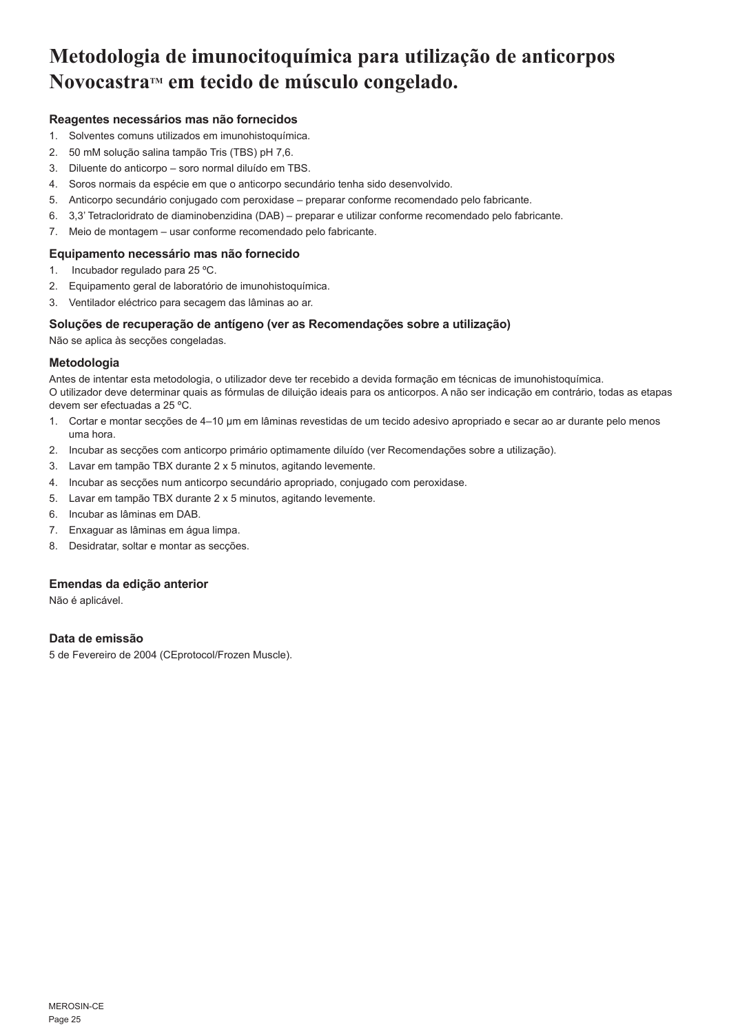# **Metodologia de imunocitoquímica para utilização de anticorpos NovocastraTM em tecido de músculo congelado.**

# **Reagentes necessários mas não fornecidos**

- 1. Solventes comuns utilizados em imunohistoquímica.
- 2. 50 mM solução salina tampão Tris (TBS) pH 7,6.
- 3. Diluente do anticorpo soro normal diluído em TBS.
- 4. Soros normais da espécie em que o anticorpo secundário tenha sido desenvolvido.
- 5. Anticorpo secundário conjugado com peroxidase preparar conforme recomendado pelo fabricante.
- 6. 3,3' Tetracloridrato de diaminobenzidina (DAB) preparar e utilizar conforme recomendado pelo fabricante.
- 7. Meio de montagem usar conforme recomendado pelo fabricante.

# **Equipamento necessário mas não fornecido**

- 1. Incubador regulado para 25 ºC.
- 2. Equipamento geral de laboratório de imunohistoquímica.
- 3. Ventilador eléctrico para secagem das lâminas ao ar.

# **Soluções de recuperação de antígeno (ver as Recomendações sobre a utilização)**

Não se aplica às secções congeladas.

# **Metodologia**

Antes de intentar esta metodologia, o utilizador deve ter recebido a devida formação em técnicas de imunohistoquímica.

O utilizador deve determinar quais as fórmulas de diluição ideais para os anticorpos. A não ser indicação em contrário, todas as etapas devem ser efectuadas a 25 ºC.

- 1. Cortar e montar secções de 4–10 μm em lâminas revestidas de um tecido adesivo apropriado e secar ao ar durante pelo menos uma hora.
- 2. Incubar as secções com anticorpo primário optimamente diluído (ver Recomendações sobre a utilização).
- 3. Lavar em tampão TBX durante 2 x 5 minutos, agitando levemente.
- 4. Incubar as secções num anticorpo secundário apropriado, conjugado com peroxidase.
- 5. Lavar em tampão TBX durante 2 x 5 minutos, agitando levemente.
- 6. Incubar as lâminas em DAB.
- 7. Enxaguar as lâminas em água limpa.
- 8. Desidratar, soltar e montar as secções.

# **Emendas da edição anterior**

Não é aplicável.

# **Data de emissão**

5 de Fevereiro de 2004 (CEprotocol/Frozen Muscle).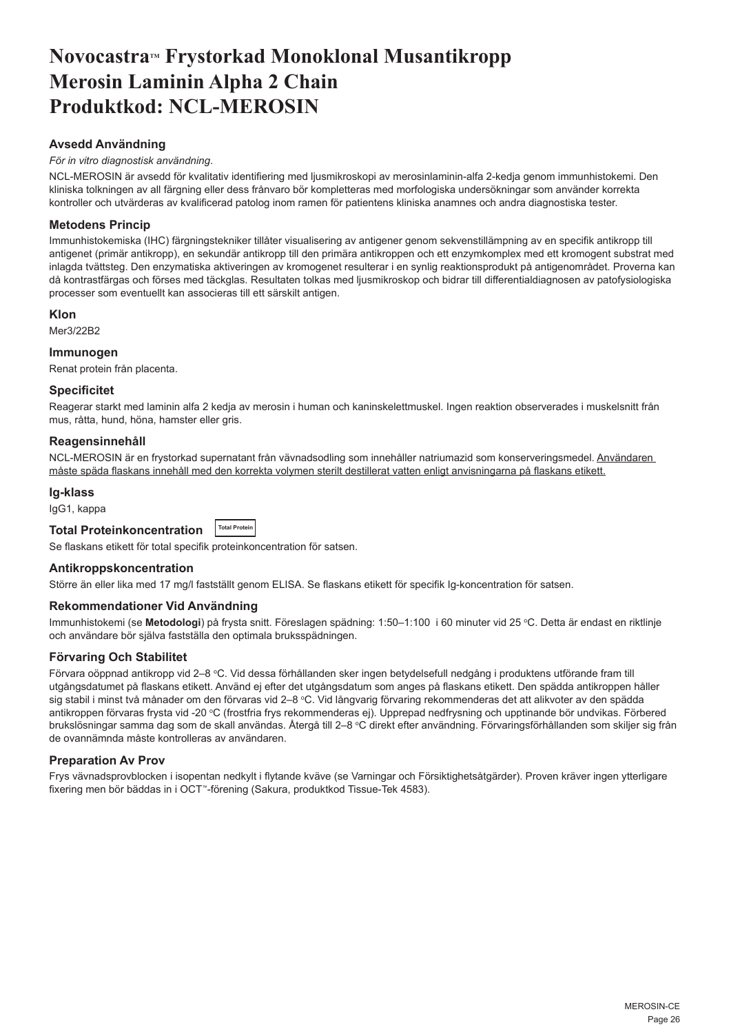# <span id="page-26-0"></span>**NovocastraTM Frystorkad Monoklonal Musantikropp Merosin Laminin Alpha 2 Chain Produktkod: NCL-MEROSIN**

# **Avsedd Användning**

#### *För in vitro diagnostisk användning*.

NCL-MEROSIN är avsedd för kvalitativ identifiering med ljusmikroskopi av merosinlaminin-alfa 2-kedja genom immunhistokemi. Den kliniska tolkningen av all färgning eller dess frånvaro bör kompletteras med morfologiska undersökningar som använder korrekta kontroller och utvärderas av kvalificerad patolog inom ramen för patientens kliniska anamnes och andra diagnostiska tester.

# **Metodens Princip**

Immunhistokemiska (IHC) färgningstekniker tillåter visualisering av antigener genom sekvenstillämpning av en specifik antikropp till antigenet (primär antikropp), en sekundär antikropp till den primära antikroppen och ett enzymkomplex med ett kromogent substrat med inlagda tvättsteg. Den enzymatiska aktiveringen av kromogenet resulterar i en synlig reaktionsprodukt på antigenområdet. Proverna kan då kontrastfärgas och förses med täckglas. Resultaten tolkas med ljusmikroskop och bidrar till differentialdiagnosen av patofysiologiska processer som eventuellt kan associeras till ett särskilt antigen.

### **Klon**

Mer3/22B2

# **Immunogen**

Renat protein från placenta.

# **Specificitet**

Reagerar starkt med laminin alfa 2 kedja av merosin i human och kaninskelettmuskel. Ingen reaktion observerades i muskelsnitt från mus, råtta, hund, höna, hamster eller gris.

# **Reagensinnehåll**

NCL-MEROSIN är en frystorkad supernatant från vävnadsodling som innehåller natriumazid som konserveringsmedel. Användaren måste späda flaskans innehåll med den korrekta volymen sterilt destillerat vatten enligt anvisningarna på flaskans etikett.

#### **Ig-klass**

IgG1, kappa

#### **Total Proteinkoncentration Total Protei**

Se flaskans etikett för total specifik proteinkoncentration för satsen.

# **Antikroppskoncentration**

Större än eller lika med 17 mg/l fastställt genom ELISA. Se flaskans etikett för specifik Ig-koncentration för satsen.

# **Rekommendationer Vid Användning**

Immunhistokemi (se **Metodologi**) på frysta snitt. Föreslagen spädning: 1:50–1:100 i 60 minuter vid 25 °C. Detta är endast en riktlinje och användare bör själva fastställa den optimala bruksspädningen.

# **Förvaring Och Stabilitet**

Förvara oöppnad antikropp vid 2–8 °C. Vid dessa förhållanden sker ingen betydelsefull nedgång i produktens utförande fram till utgångsdatumet på flaskans etikett. Använd ej efter det utgångsdatum som anges på flaskans etikett. Den spädda antikroppen håller sig stabil i minst två månader om den förvaras vid 2–8 °C. Vid långvarig förvaring rekommenderas det att alikvoter av den spädda antikroppen förvaras frysta vid -20 °C (frostfria frys rekommenderas ej). Upprepad nedfrysning och upptinande bör undvikas. Förbered brukslösningar samma dag som de skall användas. Atergå till 2–8 °C direkt efter användning. Förvaringsförhållanden som skiljer sig från de ovannämnda måste kontrolleras av användaren.

# **Preparation Av Prov**

Frys vävnadsprovblocken i isopentan nedkylt i flytande kväve (se Varningar och Försiktighetsåtgärder). Proven kräver ingen ytterligare fixering men bör bäddas in i OCT™-förening (Sakura, produktkod Tissue-Tek 4583).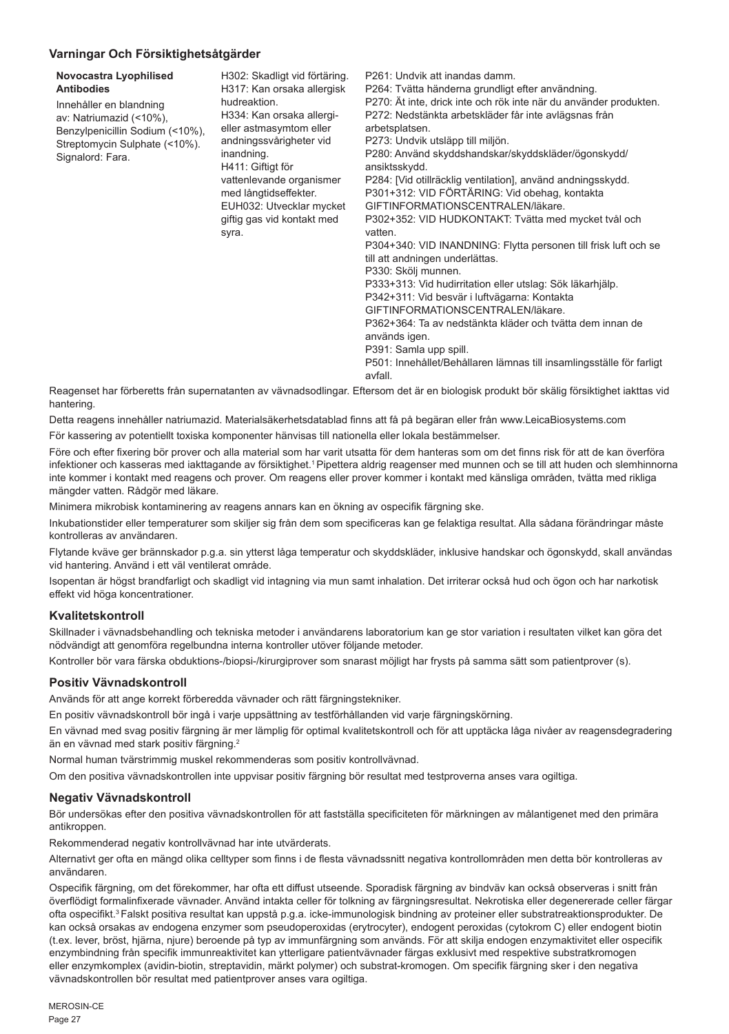# **Varningar Och Försiktighetsåtgärder**

| Novocastra Lyophilised<br><b>Antibodies</b><br>Innehåller en blandning<br>av: Natriumazid (<10%),<br>Benzylpenicillin Sodium (<10%),<br>Streptomycin Sulphate (<10%).<br>Signalord: Fara. | H302: Skadligt vid förtäring.<br>H317: Kan orsaka allergisk<br>hudreaktion.<br>H334: Kan orsaka allergi-<br>eller astmasymtom eller<br>andningssvårigheter vid<br>inandning.<br>H411: Giftigt för<br>vattenlevande organismer<br>med långtidseffekter.<br>EUH032: Utvecklar mycket<br>giftig gas vid kontakt med<br>syra. | P261: Undvik att inandas damm.<br>P264: Tvätta händerna grundligt efter användning.<br>P270: Ät inte, drick inte och rök inte när du använder produkten.<br>P272: Nedstänkta arbetskläder får inte avlägsnas från<br>arbetsplatsen.<br>P273: Undvik utsläpp till miljön.<br>P280: Använd skyddshandskar/skyddskläder/ögonskydd/<br>ansiktsskydd.<br>P284: [Vid otillräcklig ventilation], använd andningsskydd.<br>P301+312: VID FÖRTÄRING: Vid obehag, kontakta<br>GIFTINFORMATIONSCENTRALEN/läkare.<br>P302+352: VID HUDKONTAKT: Tvätta med mycket tvål och<br>vatten.<br>P304+340: VID INANDNING: Flytta personen till frisk luft och se<br>till att andningen underlättas.<br>P330: Skölj munnen.<br>P333+313: Vid hudirritation eller utslag: Sök läkarhjälp.<br>P342+311: Vid besvär i luftvägarna: Kontakta<br>GIFTINFORMATIONSCENTRALEN/läkare.<br>P362+364: Ta av nedstänkta kläder och tvätta dem innan de<br>används igen.<br>P391: Samla upp spill. |
|-------------------------------------------------------------------------------------------------------------------------------------------------------------------------------------------|---------------------------------------------------------------------------------------------------------------------------------------------------------------------------------------------------------------------------------------------------------------------------------------------------------------------------|-----------------------------------------------------------------------------------------------------------------------------------------------------------------------------------------------------------------------------------------------------------------------------------------------------------------------------------------------------------------------------------------------------------------------------------------------------------------------------------------------------------------------------------------------------------------------------------------------------------------------------------------------------------------------------------------------------------------------------------------------------------------------------------------------------------------------------------------------------------------------------------------------------------------------------------------------------------------|
|                                                                                                                                                                                           |                                                                                                                                                                                                                                                                                                                           | P501: Innehållet/Behållaren lämnas till insamlingsställe för farligt<br>avfall.                                                                                                                                                                                                                                                                                                                                                                                                                                                                                                                                                                                                                                                                                                                                                                                                                                                                                 |

Reagenset har förberetts från supernatanten av vävnadsodlingar. Eftersom det är en biologisk produkt bör skälig försiktighet iakttas vid hantering.

Detta reagens innehåller natriumazid. Materialsäkerhetsdatablad finns att få på begäran eller från www.LeicaBiosystems.com

För kassering av potentiellt toxiska komponenter hänvisas till nationella eller lokala bestämmelser.

Före och efter fixering bör prover och alla material som har varit utsatta för dem hanteras som om det finns risk för att de kan överföra infektioner och kasseras med iakttagande av försiktighet.<sup>1</sup> Pipettera aldrig reagenser med munnen och se till att huden och slemhinnorna inte kommer i kontakt med reagens och prover. Om reagens eller prover kommer i kontakt med känsliga områden, tvätta med rikliga mängder vatten. Rådgör med läkare.

Minimera mikrobisk kontaminering av reagens annars kan en ökning av ospecifik färgning ske.

Inkubationstider eller temperaturer som skiljer sig från dem som specificeras kan ge felaktiga resultat. Alla sådana förändringar måste kontrolleras av användaren.

Flytande kväve ger brännskador p.g.a. sin ytterst låga temperatur och skyddskläder, inklusive handskar och ögonskydd, skall användas vid hantering. Använd i ett väl ventilerat område.

Isopentan är högst brandfarligt och skadligt vid intagning via mun samt inhalation. Det irriterar också hud och ögon och har narkotisk effekt vid höga koncentrationer.

# **Kvalitetskontroll**

Skillnader i vävnadsbehandling och tekniska metoder i användarens laboratorium kan ge stor variation i resultaten vilket kan göra det nödvändigt att genomföra regelbundna interna kontroller utöver följande metoder.

Kontroller bör vara färska obduktions-/biopsi-/kirurgiprover som snarast möjligt har frysts på samma sätt som patientprover (s).

# **Positiv Vävnadskontroll**

Används för att ange korrekt förberedda vävnader och rätt färgningstekniker.

En positiv vävnadskontroll bör ingå i varje uppsättning av testförhållanden vid varje färgningskörning.

En vävnad med svag positiv färgning är mer lämplig för optimal kvalitetskontroll och för att upptäcka låga nivåer av reagensdegradering än en vävnad med stark positiv färgning.<sup>2</sup>

Normal human tvärstrimmig muskel rekommenderas som positiv kontrollvävnad.

Om den positiva vävnadskontrollen inte uppvisar positiv färgning bör resultat med testproverna anses vara ogiltiga.

#### **Negativ Vävnadskontroll**

Bör undersökas efter den positiva vävnadskontrollen för att fastställa specificiteten för märkningen av målantigenet med den primära antikroppen.

Rekommenderad negativ kontrollvävnad har inte utvärderats.

Alternativt ger ofta en mängd olika celltyper som finns i de flesta vävnadssnitt negativa kontrollområden men detta bör kontrolleras av användaren.

Ospecifik färgning, om det förekommer, har ofta ett diffust utseende. Sporadisk färgning av bindväv kan också observeras i snitt från överflödigt formalinfixerade vävnader. Använd intakta celler för tolkning av färgningsresultat. Nekrotiska eller degenererade celler färgar ofta ospecifikt.<sup>3</sup>Falskt positiva resultat kan uppstå p.g.a. icke-immunologisk bindning av proteiner eller substratreaktionsprodukter. De kan också orsakas av endogena enzymer som pseudoperoxidas (erytrocyter), endogent peroxidas (cytokrom C) eller endogent biotin (t.ex. lever, bröst, hjärna, njure) beroende på typ av immunfärgning som används. För att skilja endogen enzymaktivitet eller ospecifik enzymbindning från specifik immunreaktivitet kan ytterligare patientvävnader färgas exklusivt med respektive substratkromogen eller enzymkomplex (avidin-biotin, streptavidin, märkt polymer) och substrat-kromogen. Om specifik färgning sker i den negativa vävnadskontrollen bör resultat med patientprover anses vara ogiltiga.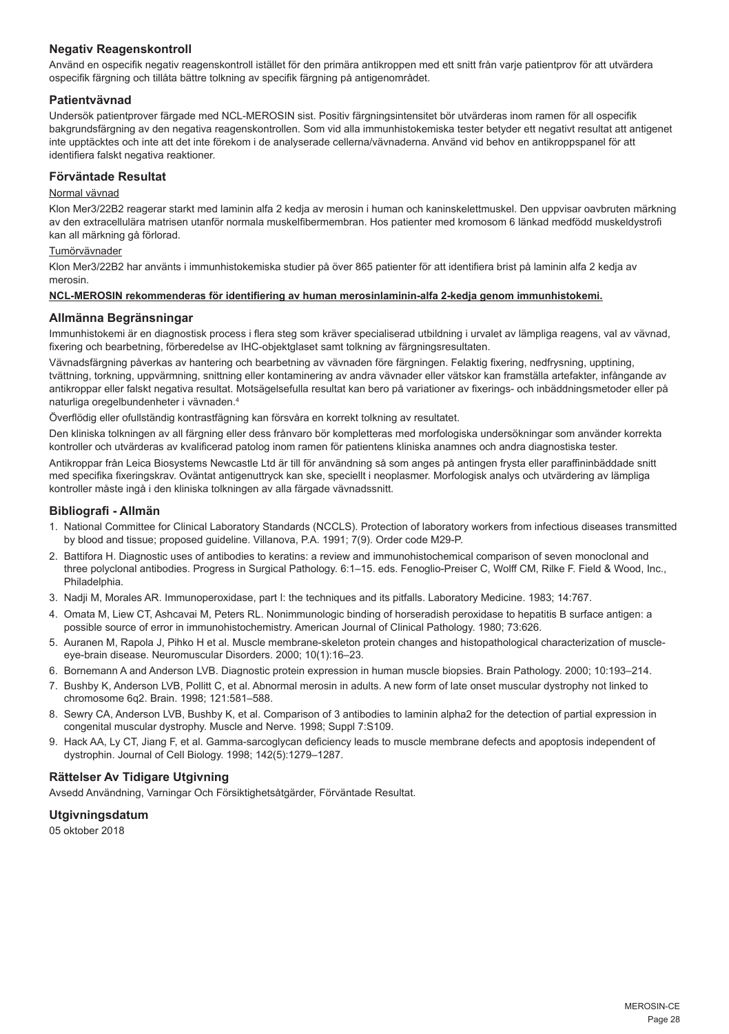# **Negativ Reagenskontroll**

Använd en ospecifik negativ reagenskontroll istället för den primära antikroppen med ett snitt från varje patientprov för att utvärdera ospecifik färgning och tillåta bättre tolkning av specifik färgning på antigenområdet.

# **Patientvävnad**

Undersök patientprover färgade med NCL-MEROSIN sist. Positiv färgningsintensitet bör utvärderas inom ramen för all ospecifik bakgrundsfärgning av den negativa reagenskontrollen. Som vid alla immunhistokemiska tester betyder ett negativt resultat att antigenet inte upptäcktes och inte att det inte förekom i de analyserade cellerna/vävnaderna. Använd vid behov en antikroppspanel för att identifiera falskt negativa reaktioner.

# **Förväntade Resultat**

# Normal vävnad

Klon Mer3/22B2 reagerar starkt med laminin alfa 2 kedja av merosin i human och kaninskelettmuskel. Den uppvisar oavbruten märkning av den extracellulära matrisen utanför normala muskelfibermembran. Hos patienter med kromosom 6 länkad medfödd muskeldystrofi kan all märkning gå förlorad.

# Tumörvävnader

Klon Mer3/22B2 har använts i immunhistokemiska studier på över 865 patienter för att identifiera brist på laminin alfa 2 kedja av merosin.

#### **NCL-MEROSIN rekommenderas för identifiering av human merosinlaminin-alfa 2-kedja genom immunhistokemi.**

#### **Allmänna Begränsningar**

Immunhistokemi är en diagnostisk process i flera steg som kräver specialiserad utbildning i urvalet av lämpliga reagens, val av vävnad, fixering och bearbetning, förberedelse av IHC-objektglaset samt tolkning av färgningsresultaten.

Vävnadsfärgning påverkas av hantering och bearbetning av vävnaden före färgningen. Felaktig fixering, nedfrysning, upptining, tvättning, torkning, uppvärmning, snittning eller kontaminering av andra vävnader eller vätskor kan framställa artefakter, infångande av antikroppar eller falskt negativa resultat. Motsägelsefulla resultat kan bero på variationer av fixerings- och inbäddningsmetoder eller på naturliga oregelbundenheter i vävnaden.4

Överflödig eller ofullständig kontrastfägning kan försvåra en korrekt tolkning av resultatet.

Den kliniska tolkningen av all färgning eller dess frånvaro bör kompletteras med morfologiska undersökningar som använder korrekta kontroller och utvärderas av kvalificerad patolog inom ramen för patientens kliniska anamnes och andra diagnostiska tester.

Antikroppar från Leica Biosystems Newcastle Ltd är till för användning så som anges på antingen frysta eller paraffininbäddade snitt med specifika fixeringskrav. Oväntat antigenuttryck kan ske, speciellt i neoplasmer. Morfologisk analys och utvärdering av lämpliga kontroller måste ingå i den kliniska tolkningen av alla färgade vävnadssnitt.

# **Bibliografi - Allmän**

- 1. National Committee for Clinical Laboratory Standards (NCCLS). Protection of laboratory workers from infectious diseases transmitted by blood and tissue; proposed guideline. Villanova, P.A. 1991; 7(9). Order code M29-P.
- 2. Battifora H. Diagnostic uses of antibodies to keratins: a review and immunohistochemical comparison of seven monoclonal and three polyclonal antibodies. Progress in Surgical Pathology. 6:1–15. eds. Fenoglio-Preiser C, Wolff CM, Rilke F. Field & Wood, Inc., **Philadelphia**
- 3. Nadji M, Morales AR. Immunoperoxidase, part I: the techniques and its pitfalls. Laboratory Medicine. 1983; 14:767.
- 4. Omata M, Liew CT, Ashcavai M, Peters RL. Nonimmunologic binding of horseradish peroxidase to hepatitis B surface antigen: a possible source of error in immunohistochemistry. American Journal of Clinical Pathology. 1980; 73:626.
- 5. Auranen M, Rapola J, Pihko H et al. Muscle membrane-skeleton protein changes and histopathological characterization of muscleeye-brain disease. Neuromuscular Disorders. 2000; 10(1):16–23.
- 6. Bornemann A and Anderson LVB. Diagnostic protein expression in human muscle biopsies. Brain Pathology. 2000; 10:193–214.
- 7. Bushby K, Anderson LVB, Pollitt C, et al. Abnormal merosin in adults. A new form of late onset muscular dystrophy not linked to chromosome 6q2. Brain. 1998; 121:581–588.
- 8. Sewry CA, Anderson LVB, Bushby K, et al. Comparison of 3 antibodies to laminin alpha2 for the detection of partial expression in congenital muscular dystrophy. Muscle and Nerve. 1998; Suppl 7:S109.
- 9. Hack AA, Ly CT, Jiang F, et al. Gamma-sarcoglycan deficiency leads to muscle membrane defects and apoptosis independent of dystrophin. Journal of Cell Biology. 1998; 142(5):1279–1287.

# **Rättelser Av Tidigare Utgivning**

Avsedd Användning, Varningar Och Försiktighetsåtgärder, Förväntade Resultat.

# **Utgivningsdatum**

05 oktober 2018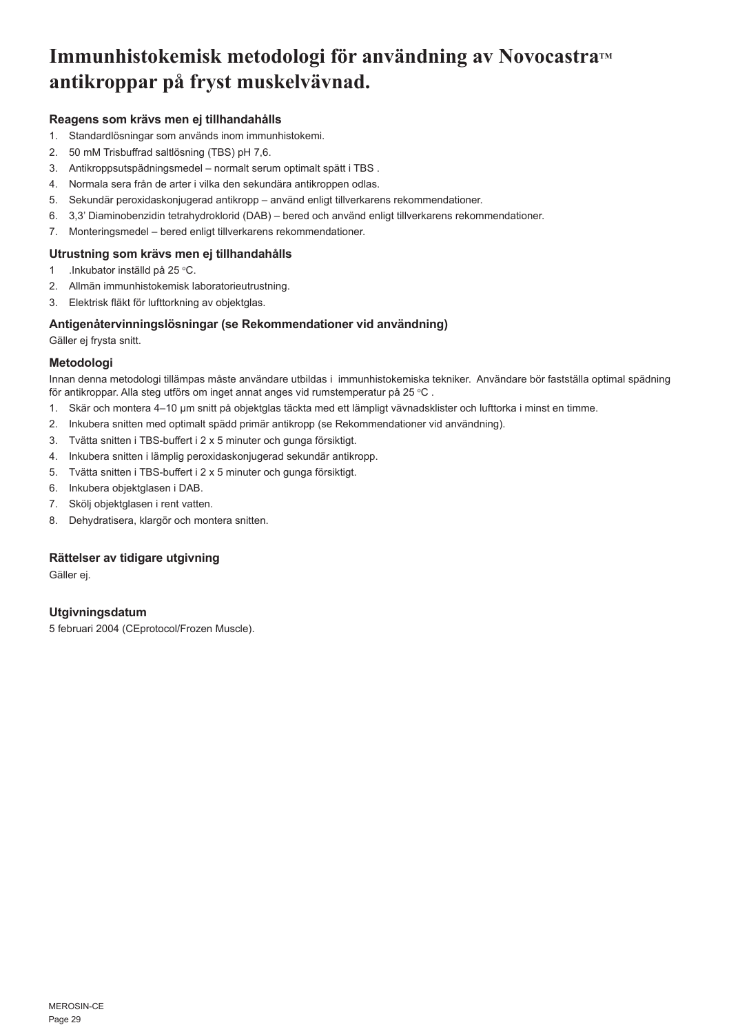# **Immunhistokemisk metodologi för användning av Novocastra™ antikroppar på fryst muskelvävnad.**

# **Reagens som krävs men ej tillhandahålls**

- 1. Standardlösningar som används inom immunhistokemi.
- 2. 50 mM Trisbuffrad saltlösning (TBS) pH 7,6.
- 3. Antikroppsutspädningsmedel normalt serum optimalt spätt i TBS .
- 4. Normala sera från de arter i vilka den sekundära antikroppen odlas.
- 5. Sekundär peroxidaskonjugerad antikropp använd enligt tillverkarens rekommendationer.
- 6. 3,3' Diaminobenzidin tetrahydroklorid (DAB) bered och använd enligt tillverkarens rekommendationer.
- 7. Monteringsmedel bered enligt tillverkarens rekommendationer.

# **Utrustning som krävs men ej tillhandahålls**

- 1 .Inkubator inställd på 25 °C.
- 2. Allmän immunhistokemisk laboratorieutrustning.
- 3. Elektrisk fläkt för lufttorkning av objektglas.

# **Antigenåtervinningslösningar (se Rekommendationer vid användning)**

Gäller ej frysta snitt.

# **Metodologi**

Innan denna metodologi tillämpas måste användare utbildas i immunhistokemiska tekniker. Användare bör fastställa optimal spädning för antikroppar. Alla steg utförs om inget annat anges vid rumstemperatur på 25 °C .

- 1. Skär och montera 4–10 μm snitt på objektglas täckta med ett lämpligt vävnadsklister och lufttorka i minst en timme.
- 2. Inkubera snitten med optimalt spädd primär antikropp (se Rekommendationer vid användning).
- 3. Tvätta snitten i TBS-buffert i 2 x 5 minuter och gunga försiktigt.
- 4. Inkubera snitten i lämplig peroxidaskonjugerad sekundär antikropp.
- 5. Tvätta snitten i TBS-buffert i 2 x 5 minuter och gunga försiktigt.
- 6. Inkubera objektglasen i DAB.
- 7. Skölj objektglasen i rent vatten.
- 8. Dehydratisera, klargör och montera snitten.

# **Rättelser av tidigare utgivning**

Gäller ej.

# **Utgivningsdatum**

5 februari 2004 (CEprotocol/Frozen Muscle).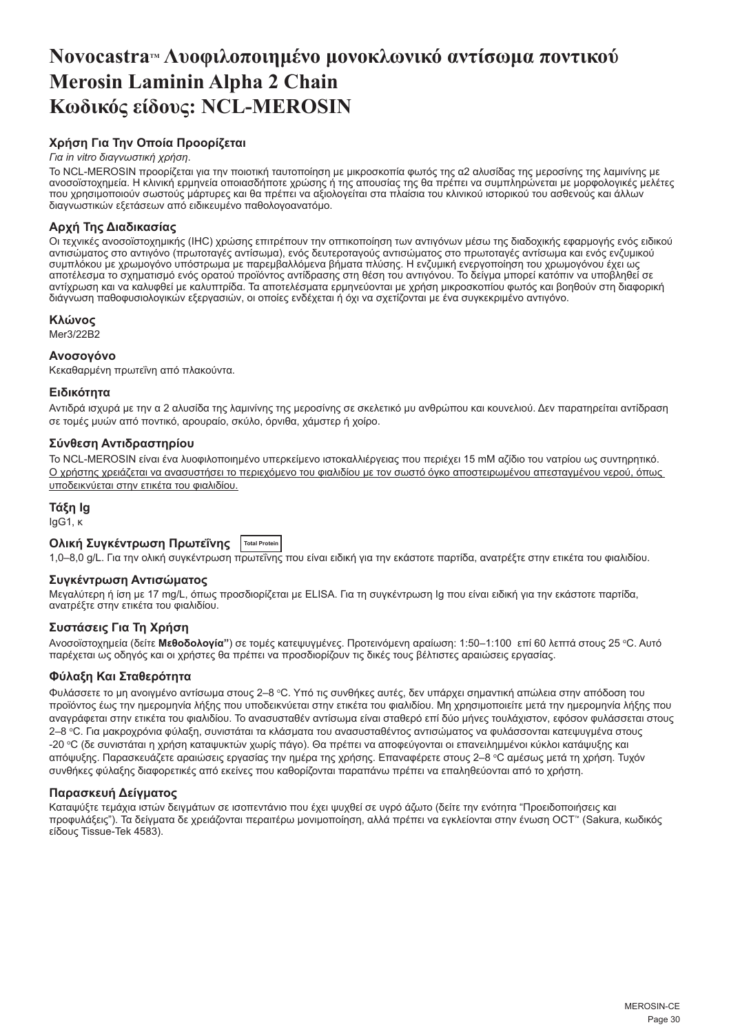# <span id="page-30-0"></span>**NovocastraTM Λυοφιλοποιημένο μονοκλωνικό αντίσωμα ποντικού Merosin Laminin Alpha 2 Chain Κωδικός είδους: NCL-MEROSIN**

# **Χρήση Για Την Οποία Προορίζεται**

### *Για in vitro διαγνωστική χρήση*.

Το NCL-MEROSIN προορίζεται για την ποιοτική ταυτοποίηση με μικροσκοπία φωτός της α2 αλυσίδας της μεροσίνης της λαμινίνης με ανοσοϊστοχημεία. Η κλινική ερμηνεία οποιασδήποτε χρώσης ή της απουσίας της θα πρέπει να συμπληρώνεται με μορφολογικές μελέτες που χρησιμοποιούν σωστούς μάρτυρες και θα πρέπει να αξιολογείται στα πλαίσια του κλινικού ιστορικού του ασθενούς και άλλων<br>διαγνωστικών εξετάσεων από ειδικευμένο παθολογοανατόμο.

# **Αρχή Της Διαδικασίας**

Οι τεχνικές ανοσοϊστοχημικής (IHC) χρώσης επιτρέπουν την οπτικοποίηση των αντιγόνων μέσω της διαδοχικής εφαρμογής ενός ειδικού αντισώματος στο αντιγόνο (πρωτοταγές αντίσωμα), ενός δευτεροταγούς αντισώματος στο πρωτοταγές αντίσωμα και ενός ενζυμικού συμπλόκου με χρωμογόνο υπόστρωμα με παρεμβαλλόμενα βήματα πλύσης. Η ενζυμική ενεργοποίηση του χρωμογόνου έχει ως αποτέλεσμα το σχηματισμό ενός ορατού προϊόντος αντίδρασης στη θέση του αντιγόνου. Το δείγμα μπορεί κατόπιν να υποβληθεί σε αντίχρωση και να καλυφθεί με καλυπτρίδα. Τα αποτελέσματα ερμηνεύονται με χρήση μικροσκοπίου φωτός και βοηθούν στη διαφορική διάγνωση παθοφυσιολογικών εξεργασιών, οι οποίες ενδέχεται ή όχι να σχετίζονται με ένα συγκεκριμένο αντιγόνο.

# **Κλώνος**

Mer3/22B2

# **Ανοσογόνο**

Κεκαθαρμένη πρωτεΐνη από πλακούντα.

#### **Ειδικότητα**

Αντιδρά ισχυρά με την α 2 αλυσίδα της λαμινίνης της μεροσίνης σε σκελετικό μυ ανθρώπου και κουνελιού. Δεν παρατηρείται αντίδραση σε τομές μυών από ποντικό, αρουραίο, σκύλο, όρνιθα, χάμστερ ή χοίρο.

# **Σύνθεση Αντιδραστηρίου**

Το NCL-MEROSIN είναι ένα λυοφιλοποιημένο υπερκείμενο ιστοκαλλιέργειας που περιέχει 15 mM αζίδιο του νατρίου ως συντηρητικό. Ο χρήστης χρειάζεται να ανασυστήσει το περιεχόμενο του φιαλιδίου με τον σωστό όγκο αποστειρωμένου απεσταγμένου νερού, όπως υποδεικνύεται στην ετικέτα του φιαλιδίου.

# **Τάξη Ig**

IgG1, κ

# **Ολική Συγκέντρωση Πρωτεΐνης Total Protein**

1,0–8,0 g/L. Για την ολική συγκέντρωση πρωτεΐνης που είναι ειδική για την εκάστοτε παρτίδα, ανατρέξτε στην ετικέτα του φιαλιδίου.

#### **Συγκέντρωση Αντισώματος**

Μεγαλύτερη ή ίση με 17 mg/L, όπως προσδιορίζεται με ELISA. Για τη συγκέντρωση Ig που είναι ειδική για την εκάστοτε παρτίδα, ανατρέξτε στην ετικέτα του φιαλιδίου.

# **Συστάσεις Για Τη Χρήση**

Ανοσοϊστοχημεία (δείτε **Μεθοδολογία**'') σε τομές κατεψυγμένες. Προτεινόμενη αραίωση: 1:50–1:100 επί 60 λεπτά στους 25 °C. Αυτό παρέχεται ως οδηγός και οι χρήστες θα πρέπει να προσδιορίζουν τις δικές τους βέλτιστες αραιώσεις εργασίας.

# **Φύλαξη Και Σταθερότητα**

Φυλάσσετε το μη ανοιγμένο αντίσωμα στους 2–8 ℃. Υπό τις συνθήκες αυτές, δεν υπάρχει σημαντική απώλεια στην απόδοση του προϊόντος έως την ημερομηνία λήξης που υποδεικνύεται στην ετικέτα του φιαλιδίου. Μη χρησιμοποιείτε μετά την ημερομηνία λήξης που αναγράφεται στην ετικέτα του φιαλιδίου. Το ανασυσταθέν αντίσωμα είναι σταθερό επί δύο μήνες τουλάχιστον, εφόσον φυλάσσεται στους 2–8 °C. Για μακροχρόνια φύλαξη, συνιστάται τα κλάσματα του ανασυσταθέντος αντισώματος να φυλάσσονται κατεψυγμένα στους -20 °C (δε συνιστάται η χρήση καταψυκτών χωρίς πάγο). Θα πρέπει να αποφεύγονται οι επανειλημμένοι κύκλοι κατάψυξης και απόψυξης. Παρασκευάζετε αραιώσεις εργασίας την ημέρα της χρήσης. Επαναφέρετε στους 2–8 °C αμέσως μετά τη χρήση. Τυχόν συνθήκες φύλαξης διαφορετικές από εκείνες που καθορίζονται παραπάνω πρέπει να επαληθεύονται από το χρήστη.

#### **Παρασκευή Δείγματος**

Καταψύξτε τεμάχια ιστών δειγμάτων σε ισοπεντάνιο που έχει ψυχθεί σε υγρό άζωτο (δείτε την ενότητα "Προειδοποιήσεις και προφυλάξεις"). Τα δείγματα δε χρειάζονται περαιτέρω μονιμοποίηση, αλλά πρέπει να εγκλείονται στην ένωση OCT™ (Sakura, κωδικός είδους Tissue-Tek 4583).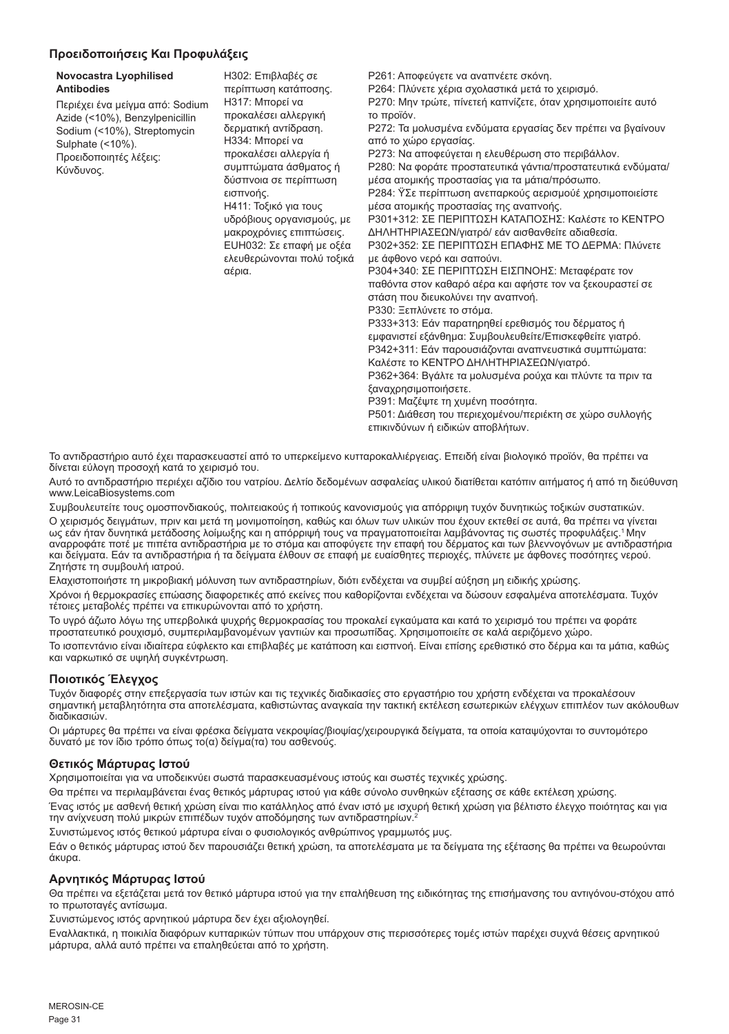# **Προειδοποιήσεις Και Προφυλάξεις**

# **Novocastra Lyophilised Antibodies**

Περιέχει ένα μείγμα από: Sodium Azide (<10%), Benzylpenicillin Sodium (<10%), Streptomycin Sulphate (<10%). Προειδοποιητές λέξεις: Κύνδυνος.

H302: Επιβλαβές σε περίπτωση κατάποσης. H317: Μπορεί να προκαλέσει αλλεργική δερματική αντίδραση. H334: Μπορεί να προκαλέσει αλλεργία ή συμπτώματα άσθματος ή δύσπνοια σε περίπτωση εισπνοής. H411: Τοξικό για τους υδρόβιους οργανισμούς, με μακροχρόνιες επιπτώσεις. EUH032: Σε επαφή με οξέα ελευθερώνονται πολύ τοξικά αέρια.

P261: Αποφεύγετε να αναπνέετε σκόνη. P264: Πλύνετε χέρια σχολαστικά μετά το χειρισμό.

P270: Μην τρώτε, πίνετεή καπνίζετε, όταν χρησιμοποιείτε αυτό το προϊόν.

P272: Τα μολυσμένα ενδύματα εργασίας δεν πρέπει να βγαίνουν από το χώρο εργασίας.

P273: Να αποφεύγεται η ελευθέρωση στο περιβάλλον. P280: Να φοράτε προστατευτικά γάντια/προστατευτικά ενδύματα/ μέσα ατομικής προστασίας για τα μάτια/πρόσωπο.

P284: ΫΣε περίπτωση ανεπαρκούς αερισμούέ χρησιμοποιείστε μέσα ατομικής προστασίας της αναπνοής.

P301+312: ΣΕ ΠΕΡΙΠΤΩΣΗ ΚΑΤΑΠΟΣΗΣ: Καλέστε το ΚΕΝΤΡΟ ΔΗΛΗΤΗΡΙΑΣΕΩΝ/γιατρό/ εάν αισθανθείτε αδιαθεσία. P302+352: ΣΕ ΠΕΡΙΠΤΩΣΗ ΕΠΑΦΗΣ ΜΕ ΤΟ ΔΕΡΜΑ: Πλύνετε

με άφθονο νερό και σαπούνι.

P304+340: ΣΕ ΠΕΡΙΠΤΩΣΗ ΕΙΣΠΝΟΗΣ: Μεταφέρατε τον παθόντα στον καθαρό αέρα και αφήστε τον να ξεκουραστεί σε στάση που διευκολύνει την αναπνοή.

P330: Ξεπλύνετε το στόμα.

P333+313: Εάν παρατηρηθεί ερεθισμός του δέρματος ή εμφανιστεί εξάνθημα: Συμβουλευθείτε/Επισκεφθείτε γιατρό. P342+311: Εάν παρουσιάζονται αναπνευστικά συμπτώματα: Καλέστε το ΚΕΝΤΡΟ ΔΗΛΗΤΗΡΙΑΣΕΩΝ/γιατρό. P362+364: Βγάλτε τα μολυσμένα ρούχα και πλύντε τα πριν τα

ξαναχρησιμοποιήσετε. P391: Μαζέψτε τη χυμένη ποσότητα.

P501: Διάθεση του περιεχομένου/περιέκτη σε χώρο συλλογής επικινδύνων ή ειδικών αποβλήτων.

Το αντιδραστήριο αυτό έχει παρασκευαστεί από το υπερκείμενο κυτταροκαλλιέργειας. Επειδή είναι βιολογικό προϊόν, θα πρέπει να δίνεται εύλογη προσοχή κατά το χειρισμό του.

Αυτό το αντιδραστήριο περιέχει αζίδιο του νατρίου. Δελτίο δεδομένων ασφαλείας υλικού διατίθεται κατόπιν αιτήματος ή από τη διεύθυνση www.LeicaBiosystems.com

Συμβουλευτείτε τους ομοσπονδιακούς, πολιτειακούς ή τοπικούς κανονισμούς για απόρριψη τυχόν δυνητικώς τοξικών συστατικών. Ο χειρισμός δειγμάτων, πριν και μετά τη μονιμοποίηση, καθώς και όλων των υλικών που έχουν εκτεθεί σε αυτά, θα πρέπει να γίνεται ως εάν ήταν δυνητικά μετάδοσης λοίμωξης και η απόρριψή τους να πραγματοποιείται λαμβάνοντας τις σωστές προφυλάξεις.<sup>1</sup>Μην αναρροφάτε ποτέ με πιπέτα αντιδραστήρια με το στόμα και αποφύγετε την επαφή του δέρματος και των βλεννογόνων με αντιδραστήρια και δείγματα. Εάν τα αντιδραστήρια ή τα δείγματα έλθουν σε επαφή με ευαίσθητες περιοχές, πλύνετε με άφθονες ποσότητες νερού. Ζητήστε τη συμβουλή ιατρού.

Ελαχιστοποιήστε τη μικροβιακή μόλυνση των αντιδραστηρίων, διότι ενδέχεται να συμβεί αύξηση μη ειδικής χρώσης.

Χρόνοι ή θερμοκρασίες επώασης διαφορετικές από εκείνες που καθορίζονται ενδέχεται να δώσουν εσφαλμένα αποτελέσματα. Τυχόν τέτοιες μεταβολές πρέπει να επικυρώνονται από το χρήστη.

Το υγρό άζωτο λόγω της υπερβολικά ψυχρής θερμοκρασίας του προκαλεί εγκαύματα και κατά το χειρισμό του πρέπει να φοράτε προστατευτικό ρουχισμό, συμπεριλαμβανομένων γαντιών και προσωπίδας. Χρησιμοποιείτε σε καλά αεριζόμενο χώρο.

Το ισοπεντάνιο είναι ιδιαίτερα εύφλεκτο και επιβλαβές με κατάποση και εισπνοή. Είναι επίσης ερεθιστικό στο δέρμα και τα μάτια, καθώς και ναρκωτικό σε υψηλή συγκέντρωση.

# **Ποιοτικός Έλεγχος**

Τυχόν διαφορές στην επεξεργασία των ιστών και τις τεχνικές διαδικασίες στο εργαστήριο του χρήστη ενδέχεται να προκαλέσουν σημαντική μεταβλητότητα στα αποτελέσματα, καθιστώντας αναγκαία την τακτική εκτέλεση εσωτερικών ελέγχων επιπλέον των ακόλουθων διαδικασιών.

Οι μάρτυρες θα πρέπει να είναι φρέσκα δείγματα νεκροψίας/βιοψίας/χειρουργικά δείγματα, τα οποία καταψύχονται το συντομότερο δυνατό με τον ίδιο τρόπο όπως το(α) δείγμα(τα) του ασθενούς.

# **Θετικός Μάρτυρας Ιστού**

Χρησιμοποιείται για να υποδεικνύει σωστά παρασκευασμένους ιστούς και σωστές τεχνικές χρώσης.

Θα πρέπει να περιλαμβάνεται ένας θετικός μάρτυρας ιστού για κάθε σύνολο συνθηκών εξέτασης σε κάθε εκτέλεση χρώσης.

Ένας ιστός με ασθενή θετική χρώση είναι πιο κατάλληλος από έναν ιστό με ισχυρή θετική χρώση για βέλτιστο έλεγχο ποιότητας και για την ανίχνευση πολύ μικρών επιπέδων τυχόν αποδόμησης των αντιδραστηρίων.<sup>2</sup>

Συνιστώμενος ιστός θετικού μάρτυρα είναι ο φυσιολογικός ανθρώπινος γραμμωτός μυς.

Εάν ο θετικός μάρτυρας ιστού δεν παρουσιάζει θετική χρώση, τα αποτελέσματα με τα δείγματα της εξέτασης θα πρέπει να θεωρούνται άκυρα.

# **Αρνητικός Μάρτυρας Ιστού**

Θα πρέπει να εξετάζεται μετά τον θετικό μάρτυρα ιστού για την επαλήθευση της ειδικότητας της επισήμανσης του αντιγόνου-στόχου από το πρωτοταγές αντίσωμα.

Συνιστώμενος ιστός αρνητικού μάρτυρα δεν έχει αξιολογηθεί.

Εναλλακτικά, η ποικιλία διαφόρων κυτταρικών τύπων που υπάρχουν στις περισσότερες τομές ιστών παρέχει συχνά θέσεις αρνητικού μάρτυρα, αλλά αυτό πρέπει να επαληθεύεται από το χρήστη.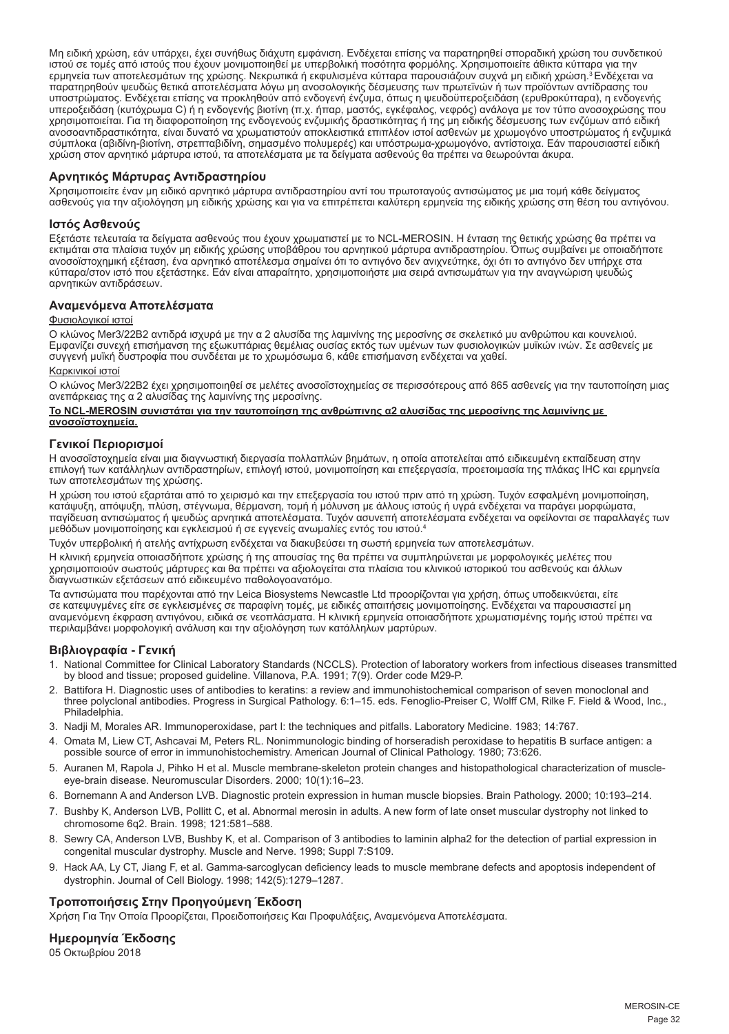Μη ειδική χρώση, εάν υπάρχει, έχει συνήθως διάχυτη εμφάνιση. Ενδέχεται επίσης να παρατηρηθεί σποραδική χρώση του συνδετικού ιστού σε τομές από ιστούς που έχουν μονιμοποιηθεί με υπερβολική ποσότητα φορμόλης. Χρησιμοποιείτε άθικτα κύτταρα για την ερμηνεία των αποτελεσμάτων της χρώσης. Νεκρωτικά ή εκφυλισμένα κύτταρα παρουσιάζουν συχνά μη ειδική χρώση.<sup>3</sup>Ενδέχεται να παρατηρηθούν ψευδώς θετικά αποτελέσματα λόγω μη ανοσολογικής δέσμευσης των πρωτεϊνών ή των προϊόντων αντίδρασης του<br>υποστρώματος. Ενδέχεται επίσης να προκληθούν από ενδογενή ένζυμα, όπως η ψευδοϋπεροξειδάση (ερυθροκύτταρα υπεροξειδάση (κυτόχρωμα C) ή η ενδογενής βιοτίνη (π.χ. ήπαρ, μαστός, εγκέφαλος, νεφρός) ανάλογα με τον τύπο ανοσοχρώσης που χρησιμοποιείται. Για τη διαφοροποίηση της ενδογενούς ενζυμικής δραστικότητας ή της μη ειδικής δέσμευσης των ενζύμων από ειδική ανοσοαντιδραστικότητα, είναι δυνατό να χρωματιστούν αποκλειστικά επιπλέον ιστοί ασθενών με χρωμογόνο υποστρώματος ή ενζυμικά σύμπλοκα (αβιδίνη-βιοτίνη, στρεπταβιδίνη, σημασμένο πολυμερές) και υπόστρωμα-χρωμογόνο, αντίστοιχα. Εάν παρουσιαστεί ειδική χρώση στον αρνητικό μάρτυρα ιστού, τα αποτελέσματα με τα δείγματα ασθενούς θα πρέπει να θεωρούνται άκυρα.

# **Αρνητικός Μάρτυρας Αντιδραστηρίου**

Χρησιμοποιείτε έναν μη ειδικό αρνητικό μάρτυρα αντιδραστηρίου αντί του πρωτοταγούς αντισώματος με μια τομή κάθε δείγματος ασθενούς για την αξιολόγηση μη ειδικής χρώσης και για να επιτρέπεται καλύτερη ερμηνεία της ειδικής χρώσης στη θέση του αντιγόνου.

# **Ιστός Ασθενούς**

Εξετάστε τελευταία τα δείγματα ασθενούς που έχουν χρωματιστεί με το NCL-MEROSIN. Η ένταση της θετικής χρώσης θα πρέπει να εκτιμάται στα πλαίσια τυχόν μη ειδικής χρώσης υποβάθρου του αρνητικού μάρτυρα αντιδραστηρίου. Όπως συμβαίνει με οποιαδήποτε<br>ανοσοϊστοχημική εξέταση, ένα αρνητικό αποτέλεσμα σημαίνει ότι το αντιγόνο δεν ανιχνεύτηκε, όχι ότ κύτταρα/στον ιστό που εξετάστηκε. Εάν είναι απαραίτητο, χρησιμοποιήστε μια σειρά αντισωμάτων για την αναγνώριση ψευδώς αρνητικών αντιδράσεων.

#### **Αναμενόμενα Αποτελέσματα**

#### Φυσιολογικοί ιστοί

Ο κλώνος Mer3/22B2 αντιδρά ισχυρά με την α 2 αλυσίδα της λαμινίνης της μεροσίνης σε σκελετικό μυ ανθρώπου και κουνελιού. Εμφανίζει συνεχή επισήμανση της εξωκυττάριας θεμέλιας ουσίας εκτός των υμένων των φυσιολογικών μυϊκών ινών. Σε ασθενείς με συγγενή μυϊκή δυστροφία που συνδέεται με το χρωμόσωμα 6, κάθε επισήμανση ενδέχεται να χαθεί.

# Καρκινικοί ιστοί

Ο κλώνος Mer3/22B2 έχει χρησιμοποιηθεί σε μελέτες ανοσοϊστοχημείας σε περισσότερους από 865 ασθενείς για την ταυτοποίηση μιας ανεπάρκειας της α 2 αλυσίδας της λαμινίνης της μεροσίνης.

#### **Το NCL-MEROSIN συνιστάται για την ταυτοποίηση της ανθρώπινης α2 αλυσίδας της μεροσίνης της λαμινίνης με ανοσοϊστοχημεία.**

#### **Γενικοί Περιορισμοί**

Η ανοσοϊστοχημεία είναι μια διαγνωστική διεργασία πολλαπλών βημάτων, η οποία αποτελείται από ειδικευμένη εκπαίδευση στην επιλογή των κατάλληλων αντιδραστηρίων, επιλογή ιστού, μονιμοποίηση και επεξεργασία, προετοιμασία της πλάκας IHC και ερμηνεία των αποτελεσμάτων της χρώσης.

Η χρώση του ιστού εξαρτάται από το χειρισμό και την επεξεργασία του ιστού πριν από τη χρώση. Τυχόν εσφαλμένη μονιμοποίηση, κατάψυξη, απόψυξη, πλύση, στέγνωμα, θέρμανση, τομή ή μόλυνση με άλλους ιστούς ή υγρά ενδέχεται να παράγει μορφώματα,<br>παγίδευση αντισώματος ή ψευδώς αρνητικά αποτελέσματα. Τυχόν ασυνεπή αποτελέσματα ενδέχεται να οφείλονται μεθόδων μονιμοποίησης και εγκλεισμού ή σε εγγενείς ανωμαλίες εντός του ιστού.4

Τυχόν υπερβολική ή ατελής αντίχρωση ενδέχεται να διακυβεύσει τη σωστή ερμηνεία των αποτελεσμάτων.

Η κλινική ερμηνεία οποιασδήποτε χρώσης ή της απουσίας της θα πρέπει να συμπληρώνεται με μορφολογικές μελέτες που χρησιμοποιούν σωστούς μάρτυρες και θα πρέπει να αξιολογείται στα πλαίσια του κλινικού ιστορικού του ασθενούς και άλλων διαγνωστικών εξετάσεων από ειδικευμένο παθολογοανατόμο.

Τα αντισώματα που παρέχονται από την Leica Biosystems Newcastle Ltd προορίζονται για χρήση, όπως υποδεικνύεται, είτε σε κατεψυγμένες είτε σε εγκλεισμένες σε παραφίνη τομές, με ειδικές απαιτήσεις μονιμοποίησης. Ενδέχεται να παρουσιαστεί μη<br>αναμενόμενη έκφραση αντιγόνου, ειδικά σε νεοπλάσματα. Η κλινική ερμηνεία οποιασδήποτε χρωματισμένης περιλαμβάνει μορφολογική ανάλυση και την αξιολόγηση των κατάλληλων μαρτύρων.

#### **Βιβλιογραφία - Γενική**

- 1. National Committee for Clinical Laboratory Standards (NCCLS). Protection of laboratory workers from infectious diseases transmitted by blood and tissue; proposed guideline. Villanova, P.A. 1991; 7(9). Order code M29-P.
- 2. Battifora H. Diagnostic uses of antibodies to keratins: a review and immunohistochemical comparison of seven monoclonal and three polyclonal antibodies. Progress in Surgical Pathology. 6:1–15. eds. Fenoglio-Preiser C, Wolff CM, Rilke F. Field & Wood, Inc., Philadelphia.
- 3. Nadji M, Morales AR. Immunoperoxidase, part I: the techniques and pitfalls. Laboratory Medicine. 1983; 14:767.
- 4. Omata M, Liew CT, Ashcavai M, Peters RL. Nonimmunologic binding of horseradish peroxidase to hepatitis B surface antigen: a possible source of error in immunohistochemistry. American Journal of Clinical Pathology. 1980; 73:626.
- 5. Auranen M, Rapola J, Pihko H et al. Muscle membrane-skeleton protein changes and histopathological characterization of muscleeye-brain disease. Neuromuscular Disorders. 2000; 10(1):16–23.
- 6. Bornemann A and Anderson LVB. Diagnostic protein expression in human muscle biopsies. Brain Pathology. 2000; 10:193–214.
- 7. Bushby K, Anderson LVB, Pollitt C, et al. Abnormal merosin in adults. A new form of late onset muscular dystrophy not linked to chromosome 6q2. Brain. 1998; 121:581–588.
- 8. Sewry CA, Anderson LVB, Bushby K, et al. Comparison of 3 antibodies to laminin alpha2 for the detection of partial expression in congenital muscular dystrophy. Muscle and Nerve. 1998; Suppl 7:S109.
- 9. Hack AA, Ly CT, Jiang F, et al. Gamma-sarcoglycan deficiency leads to muscle membrane defects and apoptosis independent of dystrophin. Journal of Cell Biology. 1998; 142(5):1279–1287.

# **Τροποποιήσεις Στην Προηγούμενη Έκδοση**

Χρήση Για Την Οποία Προορίζεται, Προειδοποιήσεις Και Προφυλάξεις, Αναμενόμενα Αποτελέσματα.

# **Ημερομηνία Έκδοσης**

05 Οκτωβρίου 2018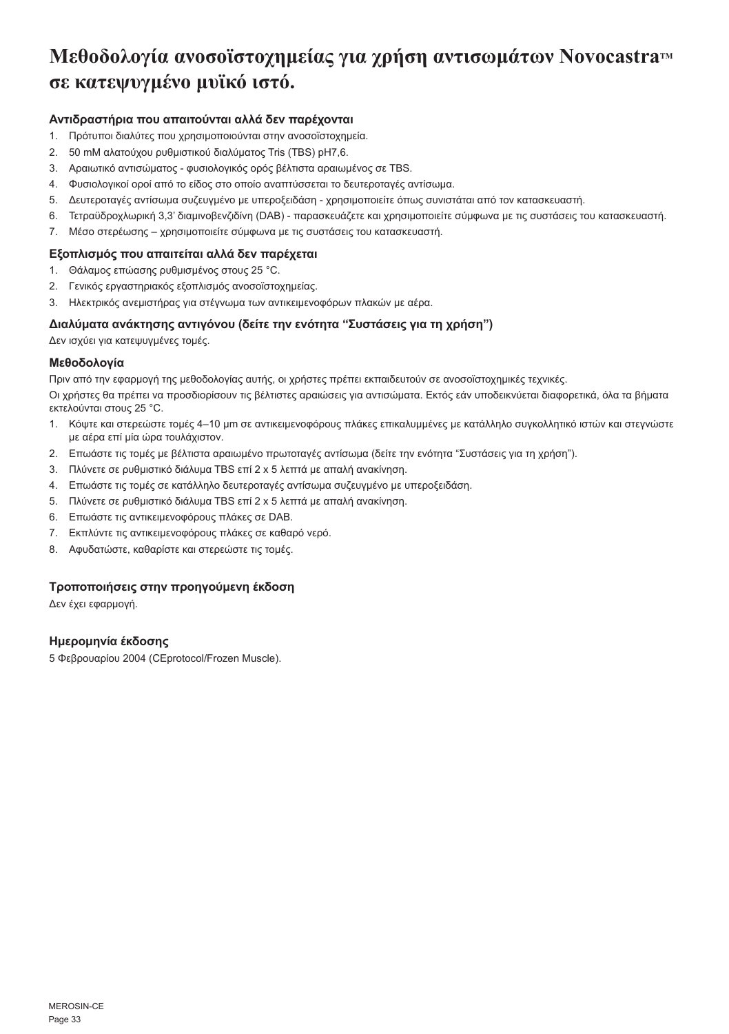# **Μεθοδολογία ανοσοϊστοχημείας για χρήση αντισωμάτων Novocastra™ σε κατεψυγμένο μυϊκό ιστό.**

# **Αντιδραστήρια που απαιτούνται αλλά δεν παρέχονται**

- 1. Πρότυποι διαλύτες που χρησιμοποιούνται στην ανοσοϊστοχημεία.
- 2. 50 mM αλατούχου ρυθμιστικού διαλύματος Tris (TBS) pH7,6.
- 3. Αραιωτικό αντισώματος φυσιολογικός ορός βέλτιστα αραιωμένος σε TBS.
- 4. Φυσιολογικοί οροί από το είδος στο οποίο αναπτύσσεται το δευτεροταγές αντίσωμα.
- 5. Δευτεροταγές αντίσωμα συζευγμένο με υπεροξειδάση χρησιμοποιείτε όπως συνιστάται από τον κατασκευαστή.
- 6. Τετραϋδροχλωρική 3,3' διαμινοβενζιδίνη (DAB) παρασκευάζετε και χρησιμοποιείτε σύμφωνα με τις συστάσεις του κατασκευαστή.
- 7. Μέσο στερέωσης χρησιμοποιείτε σύμφωνα με τις συστάσεις του κατασκευαστή.

# **Εξοπλισμός που απαιτείται αλλά δεν παρέχεται**

- 1. Θάλαμος επώασης ρυθμισμένος στους 25 °C.
- 2. Γενικός εργαστηριακός εξοπλισμός ανοσοϊστοχημείας.
- 3. Ηλεκτρικός ανεμιστήρας για στέγνωμα των αντικειμενοφόρων πλακών με αέρα.

# **Διαλύματα ανάκτησης αντιγόνου (δείτε την ενότητα "Συστάσεις για τη χρήση")**

Δεν ισχύει για κατεψυγμένες τομές.

# **Μεθοδολογία**

Πριν από την εφαρμογή της μεθοδολογίας αυτής, οι χρήστες πρέπει εκπαιδευτούν σε ανοσοϊστοχημικές τεχνικές.

Οι χρήστες θα πρέπει να προσδιορίσουν τις βέλτιστες αραιώσεις για αντισώματα. Εκτός εάν υποδεικνύεται διαφορετικά, όλα τα βήματα εκτελούνται στους 25 °C.

- 1. Κόψτε και στερεώστε τομές 4–10 μm σε αντικειμενοφόρους πλάκες επικαλυμμένες με κατάλληλο συγκολλητικό ιστών και στεγνώστε με αέρα επί μία ώρα τουλάχιστον.
- 2. Επωάστε τις τομές με βέλτιστα αραιωμένο πρωτοταγές αντίσωμα (δείτε την ενότητα "Συστάσεις για τη χρήση").
- 3. Πλύνετε σε ρυθμιστικό διάλυμα TBS επί 2 x 5 λεπτά με απαλή ανακίνηση.
- 4. Επωάστε τις τομές σε κατάλληλο δευτεροταγές αντίσωμα συζευγμένο με υπεροξειδάση.
- 5. Πλύνετε σε ρυθμιστικό διάλυμα TBS επί 2 x 5 λεπτά με απαλή ανακίνηση.
- 6. Επωάστε τις αντικειμενοφόρους πλάκες σε DAB.
- 7. Εκπλύντε τις αντικειμενοφόρους πλάκες σε καθαρό νερό.
- 8. Αφυδατώστε, καθαρίστε και στερεώστε τις τομές.

# **Τροποποιήσεις στην προηγούμενη έκδοση**

Δεν έχει εφαρμογή.

# **Ημερομηνία έκδοσης**

5 Φεβρουαρίου 2004 (CEprotocol/Frozen Muscle).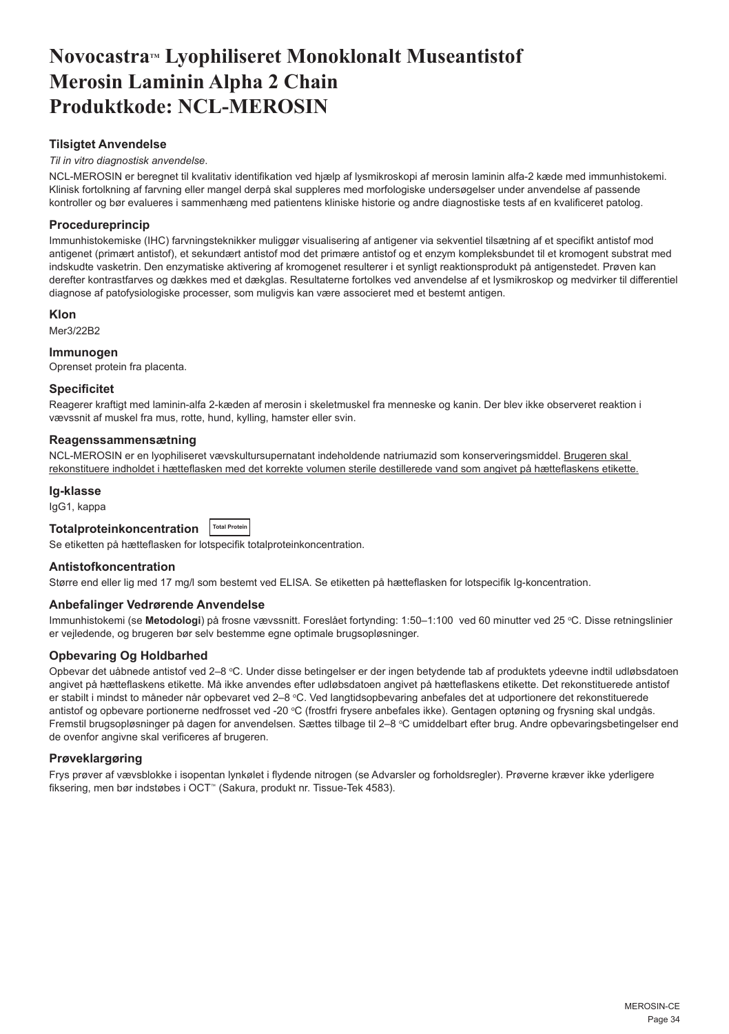# <span id="page-34-0"></span>Novocastra™ Lyophiliseret Monoklonalt Museantistof **Merosin Laminin Alpha 2 Chain Produktkode: NCL-MEROSIN**

# **Tilsigtet Anvendelse**

#### *Til in vitro diagnostisk anvendelse*.

NCL-MEROSIN er beregnet til kvalitativ identifikation ved hjælp af lysmikroskopi af merosin laminin alfa-2 kæde med immunhistokemi. Klinisk fortolkning af farvning eller mangel derpå skal suppleres med morfologiske undersøgelser under anvendelse af passende kontroller og bør evalueres i sammenhæng med patientens kliniske historie og andre diagnostiske tests af en kvalificeret patolog.

# **Procedureprincip**

Immunhistokemiske (IHC) farvningsteknikker muliggør visualisering af antigener via sekventiel tilsætning af et specifikt antistof mod antigenet (primært antistof), et sekundært antistof mod det primære antistof og et enzym kompleksbundet til et kromogent substrat med indskudte vasketrin. Den enzymatiske aktivering af kromogenet resulterer i et synligt reaktionsprodukt på antigenstedet. Prøven kan derefter kontrastfarves og dækkes med et dækglas. Resultaterne fortolkes ved anvendelse af et lysmikroskop og medvirker til differentiel diagnose af patofysiologiske processer, som muligvis kan være associeret med et bestemt antigen.

# **Klon**

Mer3/22B2

# **Immunogen**

Oprenset protein fra placenta.

# **Specificitet**

Reagerer kraftigt med laminin-alfa 2-kæden af merosin i skeletmuskel fra menneske og kanin. Der blev ikke observeret reaktion i vævssnit af muskel fra mus, rotte, hund, kylling, hamster eller svin.

# **Reagenssammensætning**

NCL-MEROSIN er en lyophiliseret vævskultursupernatant indeholdende natriumazid som konserveringsmiddel. Brugeren skal rekonstituere indholdet i hætteflasken med det korrekte volumen sterile destillerede vand som angivet på hætteflaskens etikette.

# **Ig-klasse**

IgG1, kappa

| Totalproteinkoncentration | <b>Total Protein</b> |
|---------------------------|----------------------|
|---------------------------|----------------------|

Se etiketten på hætteflasken for lotspecifik totalproteinkoncentration.

# **Antistofkoncentration**

Større end eller lig med 17 mg/l som bestemt ved ELISA. Se etiketten på hætteflasken for lotspecifik Ig-koncentration.

# **Anbefalinger Vedrørende Anvendelse**

Immunhistokemi (se **Metodologi**) på frosne vævssnitt. Foreslået fortynding: 1:50–1:100 ved 60 minutter ved 25 °C. Disse retningslinier er vejledende, og brugeren bør selv bestemme egne optimale brugsopløsninger.

# **Opbevaring Og Holdbarhed**

Opbevar det uåbnede antistof ved 2–8 °C. Under disse betingelser er der ingen betydende tab af produktets ydeevne indtil udløbsdatoen angivet på hætteflaskens etikette. Må ikke anvendes efter udløbsdatoen angivet på hætteflaskens etikette. Det rekonstituerede antistof er stabilt i mindst to måneder når opbevaret ved 2–8 °C. Ved langtidsopbevaring anbefales det at udportionere det rekonstituerede antistof og opbevare portionerne nedfrosset ved -20 °C (frostfri frysere anbefales ikke). Gentagen optøning og frysning skal undgås. Fremstil brugsopløsninger på dagen for anvendelsen. Sættes tilbage til 2–8 °C umiddelbart efter brug. Andre opbevaringsbetingelser end de ovenfor angivne skal verificeres af brugeren.

# **Prøveklargøring**

Frys prøver af vævsblokke i isopentan lynkølet i flydende nitrogen (se Advarsler og forholdsregler). Prøverne kræver ikke yderligere fiksering, men bør indstøbes i OCT™ (Sakura, produkt nr. Tissue-Tek 4583).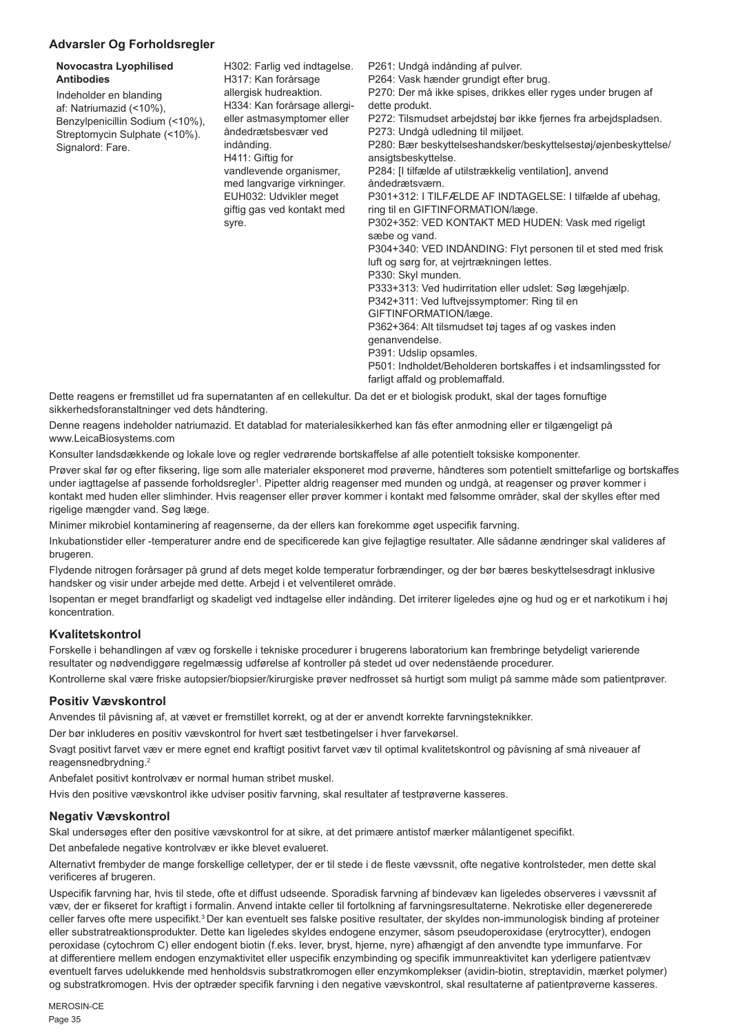# **Advarsler Og Forholdsregler**

### **Novocastra Lyophilised Antibodies**

Indeholder en blanding af: Natriumazid (<10%), Benzylpenicillin Sodium (<10%), Streptomycin Sulphate (<10%). Signalord: Fare.

H317: Kan forårsage allergisk hudreaktion. H334: Kan forårsage allergieller astmasymptomer eller åndedrætsbesvær ved indånding. H411: Giftig for vandlevende organismer, med langvarige virkninger. EUH032: Udvikler meget giftig gas ved kontakt med syre.

H302: Farlig ved indtagelse. P261: Undgå indånding af pulver. P264: Vask hænder grundigt efter brug. P270: Der må ikke spises, drikkes eller ryges under brugen af dette produkt. P272: Tilsmudset arbejdstøj bør ikke fjernes fra arbejdspladsen. P273: Undgå udledning til miljøet. P280: Bær beskyttelseshandsker/beskyttelsestøj/øjenbeskyttelse/ ansigtsbeskyttelse.

P284: [I tilfælde af utilstrækkelig ventilation], anvend åndedrætsværn.

P301+312: I TILFÆLDE AF INDTAGELSE: I tilfælde af ubehag, ring til en GIFTINFORMATION/læge. P302+352: VED KONTAKT MED HUDEN: Vask med rigeligt

sæbe og vand. P304+340: VED INDÅNDING: Flyt personen til et sted med frisk

luft og sørg for, at vejrtrækningen lettes.

P330: Skyl munden.

P333+313: Ved hudirritation eller udslet: Søg lægehjælp. P342+311: Ved luftvejssymptomer: Ring til en

GIFTINFORMATION/læge.

P362+364: Alt tilsmudset tøj tages af og vaskes inden genanvendelse.

P391: Udslip opsamles.

P501: Indholdet/Beholderen bortskaffes i et indsamlingssted for farligt affald og problemaffald.

Dette reagens er fremstillet ud fra supernatanten af en cellekultur. Da det er et biologisk produkt, skal der tages fornuftige sikkerhedsforanstaltninger ved dets håndtering.

Denne reagens indeholder natriumazid. Et datablad for materialesikkerhed kan fås efter anmodning eller er tilgængeligt på www.LeicaBiosystems.com

Konsulter landsdækkende og lokale love og regler vedrørende bortskaffelse af alle potentielt toksiske komponenter.

Prøver skal før og efter fiksering, lige som alle materialer eksponeret mod prøverne, håndteres som potentielt smittefarlige og bortskaffes under iagttagelse af passende forholdsregler<sup>ı</sup>. Pipetter aldrig reagenser med munden og undgå, at reagenser og prøver kommer i kontakt med huden eller slimhinder. Hvis reagenser eller prøver kommer i kontakt med følsomme områder, skal der skylles efter med rigelige mængder vand. Søg læge.

Minimer mikrobiel kontaminering af reagenserne, da der ellers kan forekomme øget uspecifik farvning.

Inkubationstider eller -temperaturer andre end de specificerede kan give fejlagtige resultater. Alle sådanne ændringer skal valideres af brugeren.

Flydende nitrogen forårsager på grund af dets meget kolde temperatur forbrændinger, og der bør bæres beskyttelsesdragt inklusive handsker og visir under arbejde med dette. Arbejd i et velventileret område.

Isopentan er meget brandfarligt og skadeligt ved indtagelse eller indånding. Det irriterer ligeledes øjne og hud og er et narkotikum i høj koncentration.

# **Kvalitetskontrol**

Forskelle i behandlingen af væv og forskelle i tekniske procedurer i brugerens laboratorium kan frembringe betydeligt varierende resultater og nødvendiggøre regelmæssig udførelse af kontroller på stedet ud over nedenstående procedurer.

Kontrollerne skal være friske autopsier/biopsier/kirurgiske prøver nedfrosset så hurtigt som muligt på samme måde som patientprøver.

# **Positiv Vævskontrol**

Anvendes til påvisning af, at vævet er fremstillet korrekt, og at der er anvendt korrekte farvningsteknikker.

Der bør inkluderes en positiv vævskontrol for hvert sæt testbetingelser i hver farvekørsel.

Svagt positivt farvet væv er mere egnet end kraftigt positivt farvet væv til optimal kvalitetskontrol og påvisning af små niveauer af reagensnedbrydning.<sup>2</sup>

Anbefalet positivt kontrolvæv er normal human stribet muskel.

Hvis den positive vævskontrol ikke udviser positiv farvning, skal resultater af testprøverne kasseres.

#### **Negativ Vævskontrol**

Skal undersøges efter den positive vævskontrol for at sikre, at det primære antistof mærker målantigenet specifikt.

Det anbefalede negative kontrolvæv er ikke blevet evalueret.

Alternativt frembyder de mange forskellige celletyper, der er til stede i de fleste vævssnit, ofte negative kontrolsteder, men dette skal verificeres af brugeren.

Uspecifik farvning har, hvis til stede, ofte et diffust udseende. Sporadisk farvning af bindevæv kan ligeledes observeres i vævssnit af væv, der er fikseret for kraftigt i formalin. Anvend intakte celler til fortolkning af farvningsresultaterne. Nekrotiske eller degenererede celler farves ofte mere uspecifikt.<sup>3</sup> Der kan eventuelt ses falske positive resultater, der skyldes non-immunologisk binding af proteiner eller substratreaktionsprodukter. Dette kan ligeledes skyldes endogene enzymer, såsom pseudoperoxidase (erytrocytter), endogen peroxidase (cytochrom C) eller endogent biotin (f.eks. lever, bryst, hjerne, nyre) afhængigt af den anvendte type immunfarve. For at differentiere mellem endogen enzymaktivitet eller uspecifik enzymbinding og specifik immunreaktivitet kan yderligere patientvæv eventuelt farves udelukkende med henholdsvis substratkromogen eller enzymkomplekser (avidin-biotin, streptavidin, mærket polymer) og substratkromogen. Hvis der optræder specifik farvning i den negative vævskontrol, skal resultaterne af patientprøverne kasseres.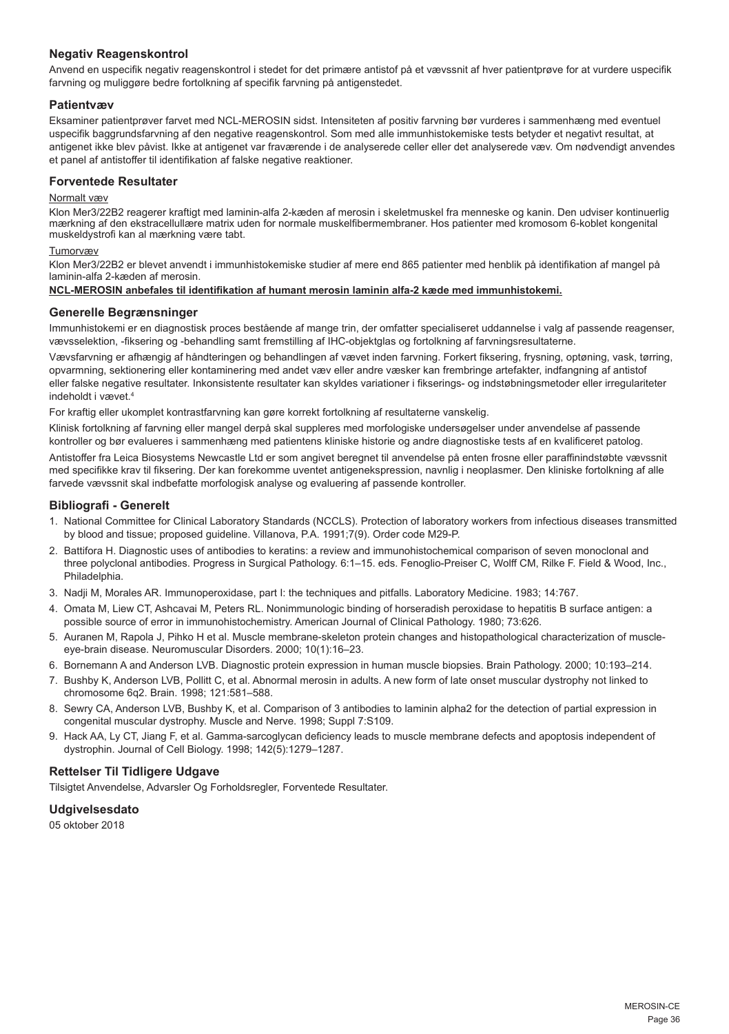# **Negativ Reagenskontrol**

Anvend en uspecifik negativ reagenskontrol i stedet for det primære antistof på et vævssnit af hver patientprøve for at vurdere uspecifik farvning og muliggøre bedre fortolkning af specifik farvning på antigenstedet.

## **Patientvæv**

Eksaminer patientprøver farvet med NCL-MEROSIN sidst. Intensiteten af positiv farvning bør vurderes i sammenhæng med eventuel uspecifik baggrundsfarvning af den negative reagenskontrol. Som med alle immunhistokemiske tests betyder et negativt resultat, at antigenet ikke blev påvist. Ikke at antigenet var fraværende i de analyserede celler eller det analyserede væv. Om nødvendigt anvendes et panel af antistoffer til identifikation af falske negative reaktioner.

## **Forventede Resultater**

## Normalt væv

Klon Mer3/22B2 reagerer kraftigt med laminin-alfa 2-kæden af merosin i skeletmuskel fra menneske og kanin. Den udviser kontinuerlig mærkning af den ekstracellullære matrix uden for normale muskelfibermembraner. Hos patienter med kromosom 6-koblet kongenital muskeldystrofi kan al mærkning være tabt.

#### Tumorvæv

Klon Mer3/22B2 er blevet anvendt i immunhistokemiske studier af mere end 865 patienter med henblik på identifikation af mangel på laminin-alfa 2-kæden af merosin.

# **NCL-MEROSIN anbefales til identifikation af humant merosin laminin alfa-2 kæde med immunhistokemi.**

#### **Generelle Begrænsninger**

Immunhistokemi er en diagnostisk proces bestående af mange trin, der omfatter specialiseret uddannelse i valg af passende reagenser, vævsselektion, -fiksering og -behandling samt fremstilling af IHC-objektglas og fortolkning af farvningsresultaterne.

Vævsfarvning er afhængig af håndteringen og behandlingen af vævet inden farvning. Forkert fiksering, frysning, optøning, vask, tørring, opvarmning, sektionering eller kontaminering med andet væv eller andre væsker kan frembringe artefakter, indfangning af antistof eller falske negative resultater. Inkonsistente resultater kan skyldes variationer i fikserings- og indstøbningsmetoder eller irregulariteter indeholdt i vævet<sup>4</sup>

For kraftig eller ukomplet kontrastfarvning kan gøre korrekt fortolkning af resultaterne vanskelig.

Klinisk fortolkning af farvning eller mangel derpå skal suppleres med morfologiske undersøgelser under anvendelse af passende kontroller og bør evalueres i sammenhæng med patientens kliniske historie og andre diagnostiske tests af en kvalificeret patolog.

Antistoffer fra Leica Biosystems Newcastle Ltd er som angivet beregnet til anvendelse på enten frosne eller paraffinindstøbte vævssnit med specifikke krav til fiksering. Der kan forekomme uventet antigenekspression, navnlig i neoplasmer. Den kliniske fortolkning af alle farvede vævssnit skal indbefatte morfologisk analyse og evaluering af passende kontroller.

## **Bibliografi - Generelt**

- 1. National Committee for Clinical Laboratory Standards (NCCLS). Protection of laboratory workers from infectious diseases transmitted by blood and tissue; proposed guideline. Villanova, P.A. 1991;7(9). Order code M29-P.
- 2. Battifora H. Diagnostic uses of antibodies to keratins: a review and immunohistochemical comparison of seven monoclonal and three polyclonal antibodies. Progress in Surgical Pathology. 6:1–15. eds. Fenoglio-Preiser C, Wolff CM, Rilke F. Field & Wood, Inc., Philadelphia.
- 3. Nadji M, Morales AR. Immunoperoxidase, part I: the techniques and pitfalls. Laboratory Medicine. 1983; 14:767.
- 4. Omata M, Liew CT, Ashcavai M, Peters RL. Nonimmunologic binding of horseradish peroxidase to hepatitis B surface antigen: a possible source of error in immunohistochemistry. American Journal of Clinical Pathology. 1980; 73:626.
- 5. Auranen M, Rapola J, Pihko H et al. Muscle membrane-skeleton protein changes and histopathological characterization of muscleeye-brain disease. Neuromuscular Disorders. 2000; 10(1):16–23.
- 6. Bornemann A and Anderson LVB. Diagnostic protein expression in human muscle biopsies. Brain Pathology. 2000; 10:193–214.
- 7. Bushby K, Anderson LVB, Pollitt C, et al. Abnormal merosin in adults. A new form of late onset muscular dystrophy not linked to chromosome 6q2. Brain. 1998; 121:581–588.
- 8. Sewry CA, Anderson LVB, Bushby K, et al. Comparison of 3 antibodies to laminin alpha2 for the detection of partial expression in congenital muscular dystrophy. Muscle and Nerve. 1998; Suppl 7:S109.
- 9. Hack AA, Ly CT, Jiang F, et al. Gamma-sarcoglycan deficiency leads to muscle membrane defects and apoptosis independent of dystrophin. Journal of Cell Biology. 1998; 142(5):1279–1287.

# **Rettelser Til Tidligere Udgave**

Tilsigtet Anvendelse, Advarsler Og Forholdsregler, Forventede Resultater.

# **Udgivelsesdato**

05 oktober 2018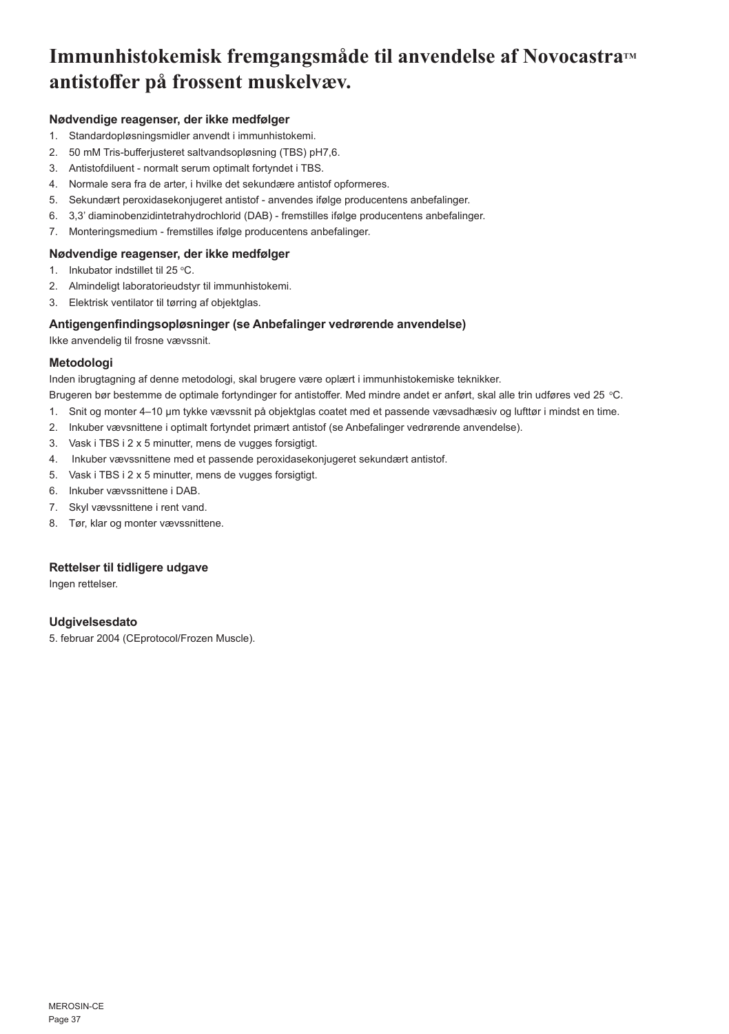# **Immunhistokemisk fremgangsmåde til anvendelse af Novocastram antistoffer på frossent muskelvæv.**

# **Nødvendige reagenser, der ikke medfølger**

- 1. Standardopløsningsmidler anvendt i immunhistokemi.
- 2. 50 mM Tris-bufferjusteret saltvandsopløsning (TBS) pH7,6.
- 3. Antistofdiluent normalt serum optimalt fortyndet i TBS.
- 4. Normale sera fra de arter, i hvilke det sekundære antistof opformeres.
- 5. Sekundært peroxidasekonjugeret antistof anvendes ifølge producentens anbefalinger.
- 6. 3,3' diaminobenzidintetrahydrochlorid (DAB) fremstilles ifølge producentens anbefalinger.
- 7. Monteringsmedium fremstilles ifølge producentens anbefalinger.

# **Nødvendige reagenser, der ikke medfølger**

- 1. Inkubator indstillet til 25 °C.
- 2. Almindeligt laboratorieudstyr til immunhistokemi.
- 3. Elektrisk ventilator til tørring af objektglas.

# **Antigengenfindingsopløsninger (se Anbefalinger vedrørende anvendelse)**

Ikke anvendelig til frosne vævssnit.

# **Metodologi**

Inden ibrugtagning af denne metodologi, skal brugere være oplært i immunhistokemiske teknikker.

Brugeren bør bestemme de optimale fortyndinger for antistoffer. Med mindre andet er anført, skal alle trin udføres ved 25 °C.

- 1. Snit og monter 4–10 µm tykke vævssnit på objektglas coatet med et passende vævsadhæsiv og lufttør i mindst en time.
- 2. Inkuber vævsnittene i optimalt fortyndet primært antistof (se Anbefalinger vedrørende anvendelse).
- 3. Vask i TBS i 2 x 5 minutter, mens de vugges forsigtigt.
- 4. Inkuber vævssnittene med et passende peroxidasekonjugeret sekundært antistof.
- 5. Vask i TBS i 2 x 5 minutter, mens de vugges forsigtigt.
- 6. Inkuber vævssnittene i DAB.
- 7. Skyl vævssnittene i rent vand.
- 8. Tør, klar og monter vævssnittene.

# **Rettelser til tidligere udgave**

Ingen rettelser.

# **Udgivelsesdato**

5. februar 2004 (CEprotocol/Frozen Muscle).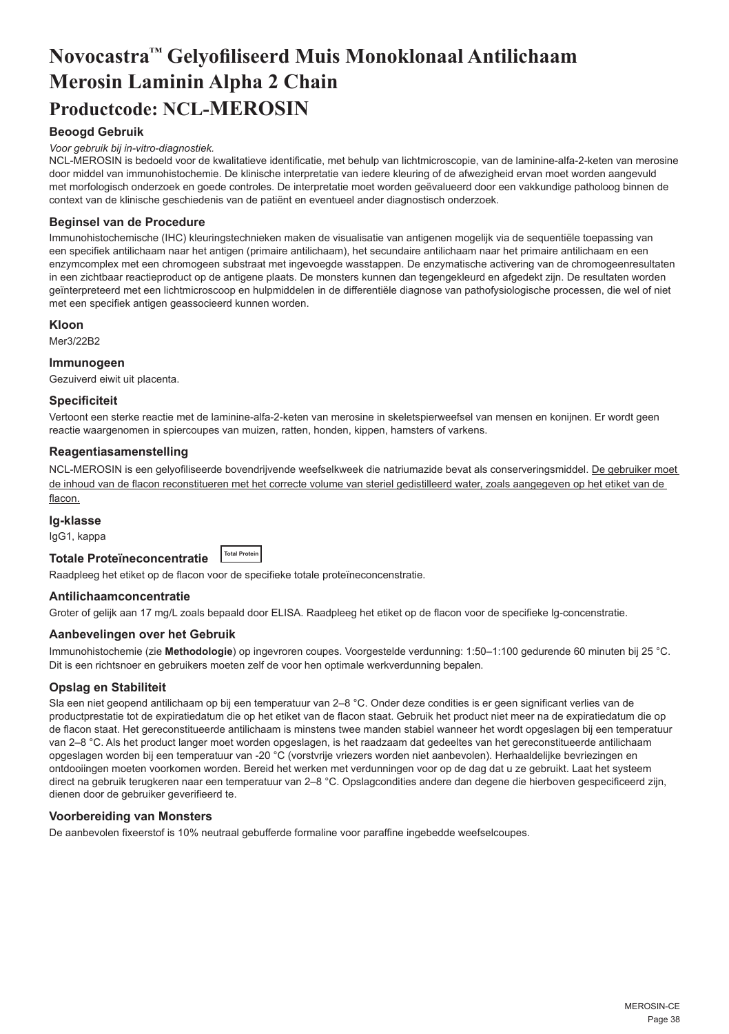# **Productcode: NCL-MEROSIN Novocastra™ Gelyofiliseerd Muis Monoklonaal Antilichaam Merosin Laminin Alpha 2 Chain**

# **Beoogd Gebruik**

#### *Voor gebruik bij in-vitro-diagnostiek.*

NCL-MEROSIN is bedoeld voor de kwalitatieve identificatie, met behulp van lichtmicroscopie, van de laminine-alfa-2-keten van merosine door middel van immunohistochemie. De klinische interpretatie van iedere kleuring of de afwezigheid ervan moet worden aangevuld met morfologisch onderzoek en goede controles. De interpretatie moet worden geëvalueerd door een vakkundige patholoog binnen de context van de klinische geschiedenis van de patiënt en eventueel ander diagnostisch onderzoek.

## **Beginsel van de Procedure**

Immunohistochemische (IHC) kleuringstechnieken maken de visualisatie van antigenen mogelijk via de sequentiële toepassing van een specifiek antilichaam naar het antigen (primaire antilichaam), het secundaire antilichaam naar het primaire antilichaam en een enzymcomplex met een chromogeen substraat met ingevoegde wasstappen. De enzymatische activering van de chromogeenresultaten in een zichtbaar reactieproduct op de antigene plaats. De monsters kunnen dan tegengekleurd en afgedekt zijn. De resultaten worden geïnterpreteerd met een lichtmicroscoop en hulpmiddelen in de differentiële diagnose van pathofysiologische processen, die wel of niet met een specifiek antigen geassocieerd kunnen worden.

## **Kloon**

Mer3/22B2

#### **Immunogeen**

Gezuiverd eiwit uit placenta.

# **Specificiteit**

Vertoont een sterke reactie met de laminine-alfa-2-keten van merosine in skeletspierweefsel van mensen en konijnen. Er wordt geen reactie waargenomen in spiercoupes van muizen, ratten, honden, kippen, hamsters of varkens.

# **Reagentiasamenstelling**

NCL-MEROSIN is een gelyofiliseerde bovendrijvende weefselkweek die natriumazide bevat als conserveringsmiddel. De gebruiker moet de inhoud van de flacon reconstitueren met het correcte volume van steriel gedistilleerd water, zoals aangegeven op het etiket van de flacon.

#### **Ig-klasse**

IgG1, kappa

**Totale Proteïneconcentratie Total Protein**

Raadpleeg het etiket op de flacon voor de specifieke totale proteïneconcenstratie.

# **Antilichaamconcentratie**

Groter of gelijk aan 17 mg/L zoals bepaald door ELISA. Raadpleeg het etiket op de flacon voor de specifieke lg-concenstratie.

# **Aanbevelingen over het Gebruik**

Immunohistochemie (zie **Methodologie**) op ingevroren coupes. Voorgestelde verdunning: 1:50–1:100 gedurende 60 minuten bij 25 °C. Dit is een richtsnoer en gebruikers moeten zelf de voor hen optimale werkverdunning bepalen.

# **Opslag en Stabiliteit**

Sla een niet geopend antilichaam op bij een temperatuur van 2–8 °C. Onder deze condities is er geen significant verlies van de productprestatie tot de expiratiedatum die op het etiket van de flacon staat. Gebruik het product niet meer na de expiratiedatum die op de flacon staat. Het gereconstitueerde antilichaam is minstens twee manden stabiel wanneer het wordt opgeslagen bij een temperatuur van 2–8 °C. Als het product langer moet worden opgeslagen, is het raadzaam dat gedeeltes van het gereconstitueerde antilichaam opgeslagen worden bij een temperatuur van -20 °C (vorstvrije vriezers worden niet aanbevolen). Herhaaldelijke bevriezingen en ontdooiingen moeten voorkomen worden. Bereid het werken met verdunningen voor op de dag dat u ze gebruikt. Laat het systeem direct na gebruik terugkeren naar een temperatuur van 2–8 °C. Opslagcondities andere dan degene die hierboven gespecificeerd zijn, dienen door de gebruiker geverifieerd te.

#### **Voorbereiding van Monsters**

De aanbevolen fixeerstof is 10% neutraal gebufferde formaline voor paraffine ingebedde weefselcoupes.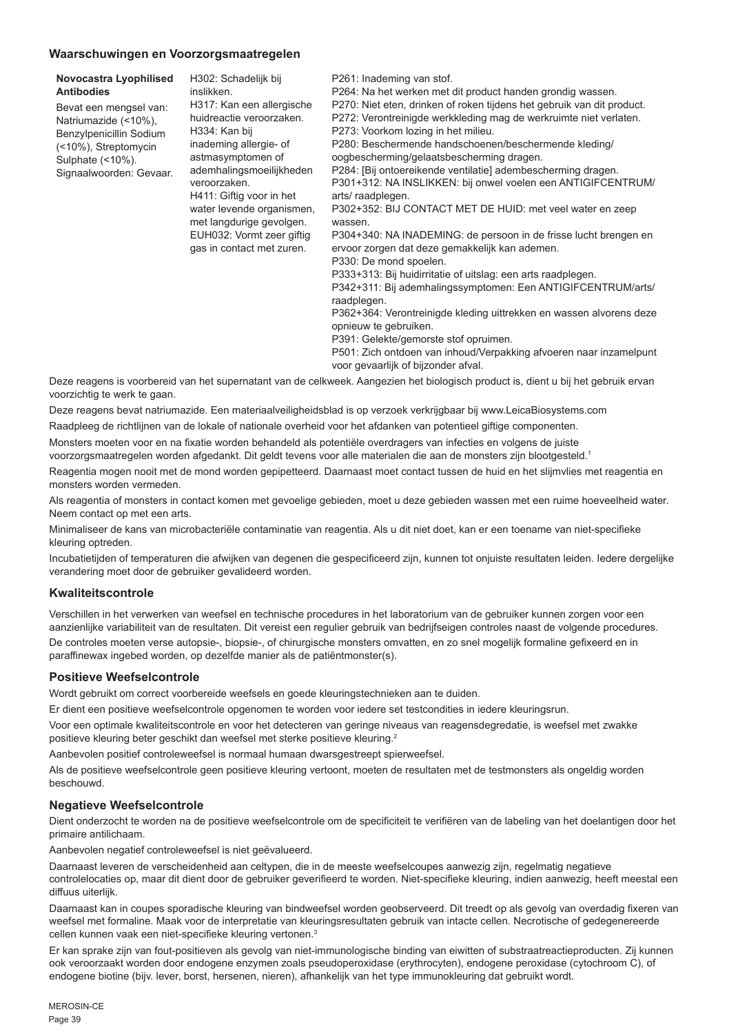#### **Waarschuwingen en Voorzorgsmaatregelen**

Deze reagens is voorbereid van het supernatant van de celkweek. Aangezien het biologisch product is, dient u bij het gebruik ervan voorzichtig te werk te gaan.

Deze reagens bevat natriumazide. Een materiaalveiligheidsblad is op verzoek verkrijgbaar bij www.LeicaBiosystems.com

Raadpleeg de richtlijnen van de lokale of nationale overheid voor het afdanken van potentieel giftige componenten.

Monsters moeten voor en na fixatie worden behandeld als potentiële overdragers van infecties en volgens de juiste voorzorgsmaatregelen worden afgedankt. Dit geldt tevens voor alle materialen die aan de monsters zijn blootgesteld.<sup>1</sup>

Reagentia mogen nooit met de mond worden gepipetteerd. Daarnaast moet contact tussen de huid en het slijmvlies met reagentia en monsters worden vermeden.

Als reagentia of monsters in contact komen met gevoelige gebieden, moet u deze gebieden wassen met een ruime hoeveelheid water. Neem contact op met een arts.

Minimaliseer de kans van microbacteriële contaminatie van reagentia. Als u dit niet doet, kan er een toename van niet-specifieke kleuring optreden.

Incubatietijden of temperaturen die afwijken van degenen die gespecificeerd zijn, kunnen tot onjuiste resultaten leiden. Iedere dergelijke verandering moet door de gebruiker gevalideerd worden.

# **Kwaliteitscontrole**

Verschillen in het verwerken van weefsel en technische procedures in het laboratorium van de gebruiker kunnen zorgen voor een aanzienlijke variabiliteit van de resultaten. Dit vereist een regulier gebruik van bedrijfseigen controles naast de volgende procedures. De controles moeten verse autopsie-, biopsie-, of chirurgische monsters omvatten, en zo snel mogelijk formaline gefixeerd en in paraffinewax ingebed worden, op dezelfde manier als de patiëntmonster(s).

# **Positieve Weefselcontrole**

Wordt gebruikt om correct voorbereide weefsels en goede kleuringstechnieken aan te duiden.

Er dient een positieve weefselcontrole opgenomen te worden voor iedere set testcondities in iedere kleuringsrun.

Voor een optimale kwaliteitscontrole en voor het detecteren van geringe niveaus van reagensdegredatie, is weefsel met zwakke positieve kleuring beter geschikt dan weefsel met sterke positieve kleuring.<sup>2</sup>

Aanbevolen positief controleweefsel is normaal humaan dwarsgestreept spierweefsel.

Als de positieve weefselcontrole geen positieve kleuring vertoont, moeten de resultaten met de testmonsters als ongeldig worden beschouwd.

#### **Negatieve Weefselcontrole**

Dient onderzocht te worden na de positieve weefselcontrole om de specificiteit te verifiëren van de labeling van het doelantigen door het primaire antilichaam.

Aanbevolen negatief controleweefsel is niet geëvalueerd.

Daarnaast leveren de verscheidenheid aan celtypen, die in de meeste weefselcoupes aanwezig zijn, regelmatig negatieve controlelocaties op, maar dit dient door de gebruiker geverifieerd te worden. Niet-specifieke kleuring, indien aanwezig, heeft meestal een diffuus uiterlijk.

Daarnaast kan in coupes sporadische kleuring van bindweefsel worden geobserveerd. Dit treedt op als gevolg van overdadig fixeren van weefsel met formaline. Maak voor de interpretatie van kleuringsresultaten gebruik van intacte cellen. Necrotische of gedegenereerde cellen kunnen vaak een niet-specifieke kleuring vertonen.<sup>3</sup>

Er kan sprake zijn van fout-positieven als gevolg van niet-immunologische binding van eiwitten of substraatreactieproducten. Zij kunnen ook veroorzaakt worden door endogene enzymen zoals pseudoperoxidase (erythrocyten), endogene peroxidase (cytochroom C), of endogene biotine (bijv. lever, borst, hersenen, nieren), afhankelijk van het type immunokleuring dat gebruikt wordt.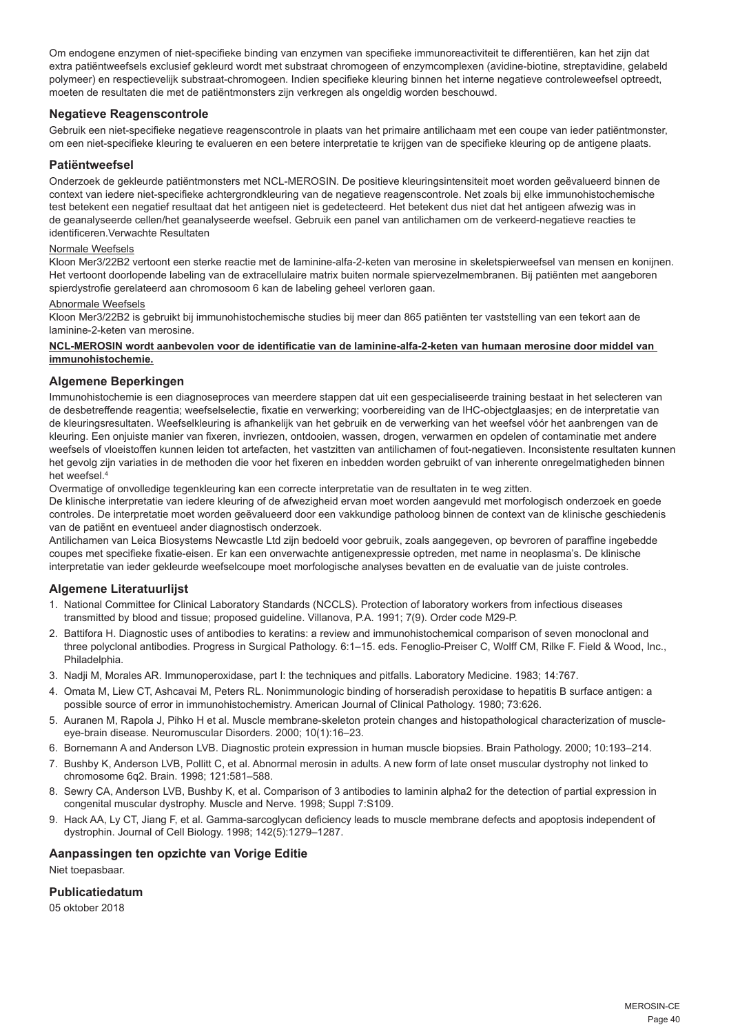Om endogene enzymen of niet-specifieke binding van enzymen van specifieke immunoreactiviteit te differentiëren, kan het zijn dat extra patiëntweefsels exclusief gekleurd wordt met substraat chromogeen of enzymcomplexen (avidine-biotine, streptavidine, gelabeld polymeer) en respectievelijk substraat-chromogeen. Indien specifieke kleuring binnen het interne negatieve controleweefsel optreedt, moeten de resultaten die met de patiëntmonsters zijn verkregen als ongeldig worden beschouwd.

# **Negatieve Reagenscontrole**

Gebruik een niet-specifieke negatieve reagenscontrole in plaats van het primaire antilichaam met een coupe van ieder patiëntmonster, om een niet-specifieke kleuring te evalueren en een betere interpretatie te krijgen van de specifieke kleuring op de antigene plaats.

## **Patiëntweefsel**

Onderzoek de gekleurde patiëntmonsters met NCL-MEROSIN. De positieve kleuringsintensiteit moet worden geëvalueerd binnen de context van iedere niet-specifieke achtergrondkleuring van de negatieve reagenscontrole. Net zoals bij elke immunohistochemische test betekent een negatief resultaat dat het antigeen niet is gedetecteerd. Het betekent dus niet dat het antigeen afwezig was in de geanalyseerde cellen/het geanalyseerde weefsel. Gebruik een panel van antilichamen om de verkeerd-negatieve reacties te identificeren.Verwachte Resultaten

## Normale Weefsels

Kloon Mer3/22B2 vertoont een sterke reactie met de laminine-alfa-2-keten van merosine in skeletspierweefsel van mensen en konijnen. Het vertoont doorlopende labeling van de extracellulaire matrix buiten normale spiervezelmembranen. Bij patiënten met aangeboren spierdystrofie gerelateerd aan chromosoom 6 kan de labeling geheel verloren gaan.

#### Abnormale Weefsels

Kloon Mer3/22B2 is gebruikt bij immunohistochemische studies bij meer dan 865 patiënten ter vaststelling van een tekort aan de laminine-2-keten van merosine.

## **NCL-MEROSIN wordt aanbevolen voor de identificatie van de laminine-alfa-2-keten van humaan merosine door middel van immunohistochemie.**

#### **Algemene Beperkingen**

Immunohistochemie is een diagnoseproces van meerdere stappen dat uit een gespecialiseerde training bestaat in het selecteren van de desbetreffende reagentia; weefselselectie, fixatie en verwerking; voorbereiding van de IHC-objectglaasjes; en de interpretatie van de kleuringsresultaten. Weefselkleuring is afhankelijk van het gebruik en de verwerking van het weefsel vóór het aanbrengen van de kleuring. Een onjuiste manier van fixeren, invriezen, ontdooien, wassen, drogen, verwarmen en opdelen of contaminatie met andere weefsels of vloeistoffen kunnen leiden tot artefacten, het vastzitten van antilichamen of fout-negatieven. Inconsistente resultaten kunnen het gevolg zijn variaties in de methoden die voor het fixeren en inbedden worden gebruikt of van inherente onregelmatigheden binnen het weefsel.4

Overmatige of onvolledige tegenkleuring kan een correcte interpretatie van de resultaten in te weg zitten.

De klinische interpretatie van iedere kleuring of de afwezigheid ervan moet worden aangevuld met morfologisch onderzoek en goede controles. De interpretatie moet worden geëvalueerd door een vakkundige patholoog binnen de context van de klinische geschiedenis van de patiënt en eventueel ander diagnostisch onderzoek.

Antilichamen van Leica Biosystems Newcastle Ltd zijn bedoeld voor gebruik, zoals aangegeven, op bevroren of paraffine ingebedde coupes met specifieke fixatie-eisen. Er kan een onverwachte antigenexpressie optreden, met name in neoplasma's. De klinische interpretatie van ieder gekleurde weefselcoupe moet morfologische analyses bevatten en de evaluatie van de juiste controles.

# **Algemene Literatuurlijst**

- 1. National Committee for Clinical Laboratory Standards (NCCLS). Protection of laboratory workers from infectious diseases transmitted by blood and tissue; proposed guideline. Villanova, P.A. 1991; 7(9). Order code M29-P.
- 2. Battifora H. Diagnostic uses of antibodies to keratins: a review and immunohistochemical comparison of seven monoclonal and three polyclonal antibodies. Progress in Surgical Pathology. 6:1–15. eds. Fenoglio-Preiser C, Wolff CM, Rilke F. Field & Wood, Inc., Philadelphia.
- 3. Nadji M, Morales AR. Immunoperoxidase, part I: the techniques and pitfalls. Laboratory Medicine. 1983; 14:767.
- 4. Omata M, Liew CT, Ashcavai M, Peters RL. Nonimmunologic binding of horseradish peroxidase to hepatitis B surface antigen: a possible source of error in immunohistochemistry. American Journal of Clinical Pathology. 1980; 73:626.
- 5. Auranen M, Rapola J, Pihko H et al. Muscle membrane-skeleton protein changes and histopathological characterization of muscleeye-brain disease. Neuromuscular Disorders. 2000; 10(1):16–23.
- 6. Bornemann A and Anderson LVB. Diagnostic protein expression in human muscle biopsies. Brain Pathology. 2000; 10:193–214.
- 7. Bushby K, Anderson LVB, Pollitt C, et al. Abnormal merosin in adults. A new form of late onset muscular dystrophy not linked to chromosome 6q2. Brain. 1998; 121:581–588.
- 8. Sewry CA, Anderson LVB, Bushby K, et al. Comparison of 3 antibodies to laminin alpha2 for the detection of partial expression in congenital muscular dystrophy. Muscle and Nerve. 1998; Suppl 7:S109.
- 9. Hack AA, Ly CT, Jiang F, et al. Gamma-sarcoglycan deficiency leads to muscle membrane defects and apoptosis independent of dystrophin. Journal of Cell Biology. 1998; 142(5):1279–1287.

# **Aanpassingen ten opzichte van Vorige Editie**

Niet toepasbaar.

## **Publicatiedatum**

05 oktober 2018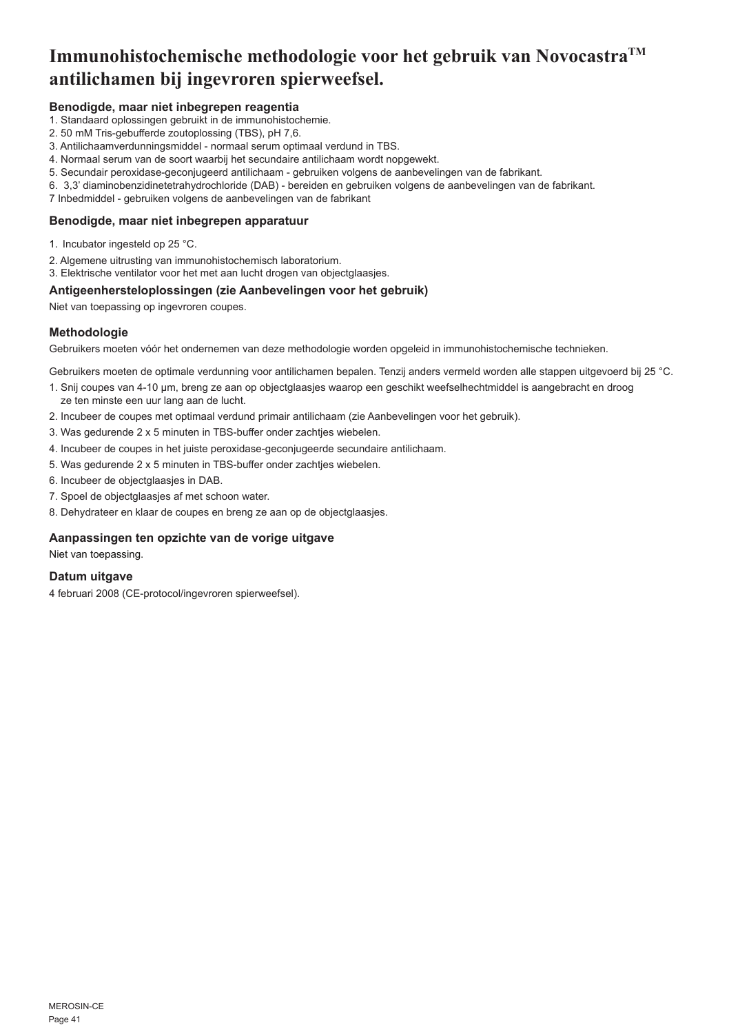# **Immunohistochemische methodologie voor het gebruik van NovocastraTM antilichamen bij ingevroren spierweefsel.**

# **Benodigde, maar niet inbegrepen reagentia**

- 1. Standaard oplossingen gebruikt in de immunohistochemie.
- 2. 50 mM Tris-gebufferde zoutoplossing (TBS), pH 7,6.
- 3. Antilichaamverdunningsmiddel normaal serum optimaal verdund in TBS.
- 4. Normaal serum van de soort waarbij het secundaire antilichaam wordt nopgewekt.
- 5. Secundair peroxidase-geconjugeerd antilichaam gebruiken volgens de aanbevelingen van de fabrikant.
- 6. 3,3' diaminobenzidinetetrahydrochloride (DAB) bereiden en gebruiken volgens de aanbevelingen van de fabrikant.
- 7 Inbedmiddel gebruiken volgens de aanbevelingen van de fabrikant

# **Benodigde, maar niet inbegrepen apparatuur**

- 1. Incubator ingesteld op 25 °C.
- 2. Algemene uitrusting van immunohistochemisch laboratorium.
- 3. Elektrische ventilator voor het met aan lucht drogen van objectglaasjes.

## **Antigeenhersteloplossingen (zie Aanbevelingen voor het gebruik)**

Niet van toepassing op ingevroren coupes.

# **Methodologie**

Gebruikers moeten vóór het ondernemen van deze methodologie worden opgeleid in immunohistochemische technieken.

Gebruikers moeten de optimale verdunning voor antilichamen bepalen. Tenzij anders vermeld worden alle stappen uitgevoerd bij 25 °C.

- 1. Snij coupes van 4-10 µm, breng ze aan op objectglaasjes waarop een geschikt weefselhechtmiddel is aangebracht en droog ze ten minste een uur lang aan de lucht.
- 2. Incubeer de coupes met optimaal verdund primair antilichaam (zie Aanbevelingen voor het gebruik).
- 3. Was gedurende 2 x 5 minuten in TBS-buffer onder zachtjes wiebelen.
- 4. Incubeer de coupes in het juiste peroxidase-geconjugeerde secundaire antilichaam.
- 5. Was gedurende 2 x 5 minuten in TBS-buffer onder zachtjes wiebelen.
- 6. Incubeer de objectglaasjes in DAB.
- 7. Spoel de objectglaasjes af met schoon water.
- 8. Dehydrateer en klaar de coupes en breng ze aan op de objectglaasjes.

# **Aanpassingen ten opzichte van de vorige uitgave**

Niet van toepassing.

# **Datum uitgave**

4 februari 2008 (CE-protocol/ingevroren spierweefsel).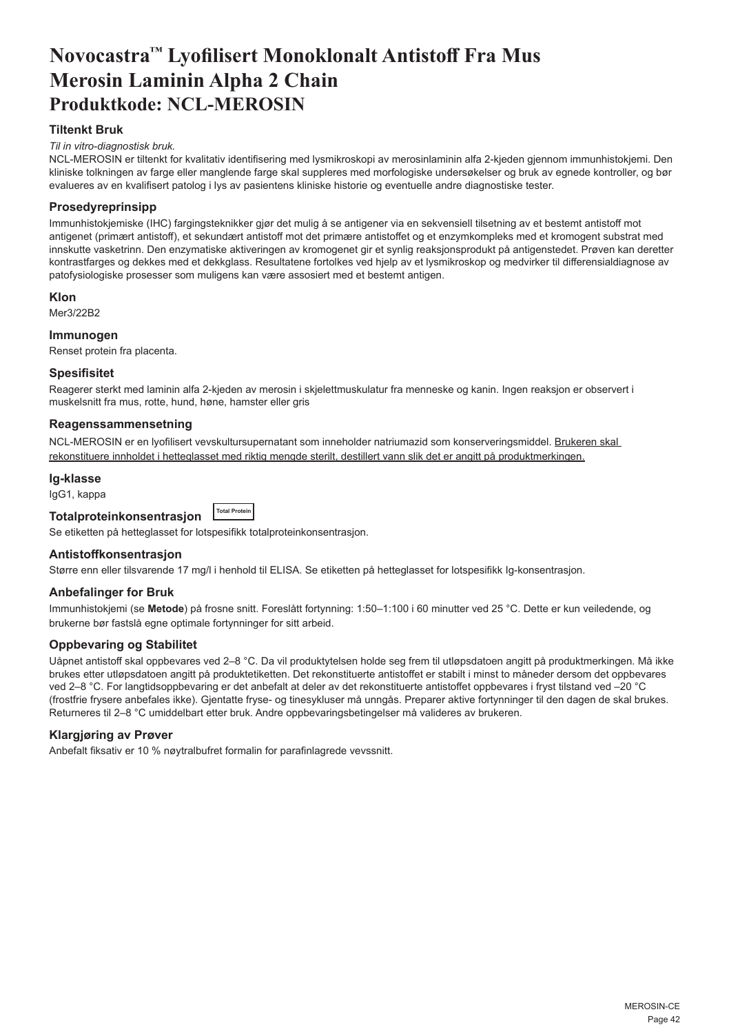# **Produktkode: NCL-MEROSIN Novocastra™ Lyofilisert Monoklonalt Antistoff Fra Mus Merosin Laminin Alpha 2 Chain**

# **Tiltenkt Bruk**

## *Til in vitro-diagnostisk bruk.*

NCL-MEROSIN er tiltenkt for kvalitativ identifisering med lysmikroskopi av merosinlaminin alfa 2-kjeden gjennom immunhistokjemi. Den kliniske tolkningen av farge eller manglende farge skal suppleres med morfologiske undersøkelser og bruk av egnede kontroller, og bør evalueres av en kvalifisert patolog i lys av pasientens kliniske historie og eventuelle andre diagnostiske tester.

# **Prosedyreprinsipp**

Immunhistokjemiske (IHC) fargingsteknikker gjør det mulig å se antigener via en sekvensiell tilsetning av et bestemt antistoff mot antigenet (primært antistoff), et sekundært antistoff mot det primære antistoffet og et enzymkompleks med et kromogent substrat med innskutte vasketrinn. Den enzymatiske aktiveringen av kromogenet gir et synlig reaksjonsprodukt på antigenstedet. Prøven kan deretter kontrastfarges og dekkes med et dekkglass. Resultatene fortolkes ved hjelp av et lysmikroskop og medvirker til differensialdiagnose av patofysiologiske prosesser som muligens kan være assosiert med et bestemt antigen.

# **Klon**

Mer3/22B2

# **Immunogen**

Renset protein fra placenta.

# **Spesifisitet**

Reagerer sterkt med laminin alfa 2-kjeden av merosin i skjelettmuskulatur fra menneske og kanin. Ingen reaksjon er observert i muskelsnitt fra mus, rotte, hund, høne, hamster eller gris

# **Reagenssammensetning**

NCL-MEROSIN er en lyofilisert vevskultursupernatant som inneholder natriumazid som konserveringsmiddel. Brukeren skal rekonstituere innholdet i hetteglasset med riktig mengde sterilt, destillert vann slik det er angitt på produktmerkingen.

## **Ig-klasse**

IgG1, kappa

**Totalproteinkonsentrasjon Total Protein**

Se etiketten på hetteglasset for lotspesifikk totalproteinkonsentrasjon.

# **Antistoffkonsentrasjon**

Større enn eller tilsvarende 17 mg/l i henhold til ELISA. Se etiketten på hetteglasset for lotspesifikk Ig-konsentrasjon.

# **Anbefalinger for Bruk**

Immunhistokjemi (se **Metode**) på frosne snitt. Foreslått fortynning: 1:50–1:100 i 60 minutter ved 25 °C. Dette er kun veiledende, og brukerne bør fastslå egne optimale fortynninger for sitt arbeid.

# **Oppbevaring og Stabilitet**

Uåpnet antistoff skal oppbevares ved 2–8 °C. Da vil produktytelsen holde seg frem til utløpsdatoen angitt på produktmerkingen. Må ikke brukes etter utløpsdatoen angitt på produktetiketten. Det rekonstituerte antistoffet er stabilt i minst to måneder dersom det oppbevares ved 2–8 °C. For langtidsoppbevaring er det anbefalt at deler av det rekonstituerte antistoffet oppbevares i fryst tilstand ved –20 °C (frostfrie frysere anbefales ikke). Gjentatte fryse- og tinesykluser må unngås. Preparer aktive fortynninger til den dagen de skal brukes. Returneres til 2–8 °C umiddelbart etter bruk. Andre oppbevaringsbetingelser må valideres av brukeren.

# **Klargjøring av Prøver**

Anbefalt fiksativ er 10 % nøytralbufret formalin for parafinlagrede vevssnitt.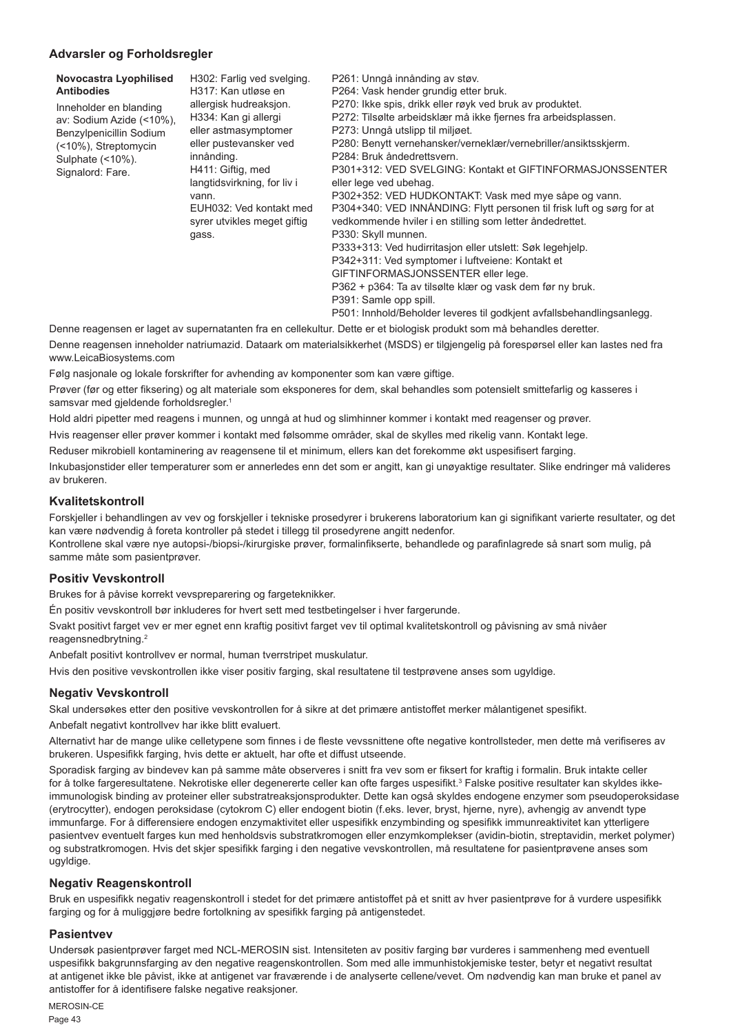# **Advarsler og Forholdsregler**

| Novocastra Lyophilised                                                                                                                        | H302: Farlig ved svelging.                                                                                                                                                                                                                     | P261: Unngå innånding av støv.                                                                                                                                                                                                                                                                                                                                                                                                                                                                                                                                                                                                                                                                                                                                                                                           |
|-----------------------------------------------------------------------------------------------------------------------------------------------|------------------------------------------------------------------------------------------------------------------------------------------------------------------------------------------------------------------------------------------------|--------------------------------------------------------------------------------------------------------------------------------------------------------------------------------------------------------------------------------------------------------------------------------------------------------------------------------------------------------------------------------------------------------------------------------------------------------------------------------------------------------------------------------------------------------------------------------------------------------------------------------------------------------------------------------------------------------------------------------------------------------------------------------------------------------------------------|
| <b>Antibodies</b>                                                                                                                             | H317: Kan utløse en                                                                                                                                                                                                                            | P264: Vask hender grundig etter bruk.                                                                                                                                                                                                                                                                                                                                                                                                                                                                                                                                                                                                                                                                                                                                                                                    |
| Inneholder en blanding<br>av: Sodium Azide (<10%),<br>Benzylpenicillin Sodium<br>(<10%), Streptomycin<br>Sulphate (<10%).<br>Signalord: Fare. | allergisk hudreaksjon.<br>H334: Kan gi allergi<br>eller astmasymptomer<br>eller pustevansker ved<br>innånding.<br>H411: Giftig, med<br>langtidsvirkning, for liv i<br>vann.<br>EUH032: Ved kontakt med<br>syrer utvikles meget giftig<br>gass. | P270: Ikke spis, drikk eller røyk ved bruk av produktet.<br>P272: Tilsølte arbeidsklær må ikke fjernes fra arbeidsplassen.<br>P273: Unngå utslipp til miljøet.<br>P280: Benytt vernehansker/verneklær/vernebriller/ansiktsskjerm.<br>P284: Bruk åndedrettsvern.<br>P301+312: VED SVELGING: Kontakt et GIFTINFORMASJONSSENTER<br>eller lege ved ubehag.<br>P302+352: VED HUDKONTAKT: Vask med mye såpe og vann.<br>P304+340: VED INNÅNDING: Flytt personen til frisk luft og sørg for at<br>vedkommende hviler i en stilling som letter åndedrettet.<br>P330: Skyll munnen.<br>P333+313: Ved hudirritasjon eller utslett: Søk legehjelp.<br>P342+311: Ved symptomer i luftveiene: Kontakt et<br>GIFTINFORMASJONSSENTER eller lege.<br>P362 + p364: Ta av tilsølte klær og vask dem før ny bruk.<br>P391: Samle opp spill. |
|                                                                                                                                               |                                                                                                                                                                                                                                                | P501: Innhold/Beholder leveres til godkjent avfallsbehandlingsanlegg.                                                                                                                                                                                                                                                                                                                                                                                                                                                                                                                                                                                                                                                                                                                                                    |

Denne reagensen er laget av supernatanten fra en cellekultur. Dette er et biologisk produkt som må behandles deretter.

Denne reagensen inneholder natriumazid. Dataark om materialsikkerhet (MSDS) er tilgjengelig på forespørsel eller kan lastes ned fra www.LeicaBiosystems.com

Følg nasjonale og lokale forskrifter for avhending av komponenter som kan være giftige.

Prøver (før og etter fiksering) og alt materiale som eksponeres for dem, skal behandles som potensielt smittefarlig og kasseres i samsvar med gjeldende forholdsregler.<sup>1</sup>

Hold aldri pipetter med reagens i munnen, og unngå at hud og slimhinner kommer i kontakt med reagenser og prøver.

Hvis reagenser eller prøver kommer i kontakt med følsomme områder, skal de skylles med rikelig vann. Kontakt lege.

Reduser mikrobiell kontaminering av reagensene til et minimum, ellers kan det forekomme økt uspesifisert farging.

Inkubasjonstider eller temperaturer som er annerledes enn det som er angitt, kan gi unøyaktige resultater. Slike endringer må valideres av brukeren.

#### **Kvalitetskontroll**

Forskjeller i behandlingen av vev og forskjeller i tekniske prosedyrer i brukerens laboratorium kan gi signifikant varierte resultater, og det kan være nødvendig å foreta kontroller på stedet i tillegg til prosedyrene angitt nedenfor.

Kontrollene skal være nye autopsi-/biopsi-/kirurgiske prøver, formalinfikserte, behandlede og parafinlagrede så snart som mulig, på samme måte som pasientprøver.

#### **Positiv Vevskontroll**

Brukes for å påvise korrekt vevspreparering og fargeteknikker.

Én positiv vevskontroll bør inkluderes for hvert sett med testbetingelser i hver fargerunde.

Svakt positivt farget vev er mer egnet enn kraftig positivt farget vev til optimal kvalitetskontroll og påvisning av små nivåer reagensnedbrytning.<sup>2</sup>

Anbefalt positivt kontrollvev er normal, human tverrstripet muskulatur.

Hvis den positive vevskontrollen ikke viser positiv farging, skal resultatene til testprøvene anses som ugyldige.

# **Negativ Vevskontroll**

Skal undersøkes etter den positive vevskontrollen for å sikre at det primære antistoffet merker målantigenet spesifikt.

Anbefalt negativt kontrollvev har ikke blitt evaluert.

Alternativt har de mange ulike celletypene som finnes i de fleste vevssnittene ofte negative kontrollsteder, men dette må verifiseres av brukeren. Uspesifikk farging, hvis dette er aktuelt, har ofte et diffust utseende.

Sporadisk farging av bindevev kan på samme måte observeres i snitt fra vev som er fiksert for kraftig i formalin. Bruk intakte celler for å tolke fargeresultatene. Nekrotiske eller degenererte celler kan ofte farges uspesifikt.<sup>3</sup> Falske positive resultater kan skyldes ikkeimmunologisk binding av proteiner eller substratreaksjonsprodukter. Dette kan også skyldes endogene enzymer som pseudoperoksidase (erytrocytter), endogen peroksidase (cytokrom C) eller endogent biotin (f.eks. lever, bryst, hjerne, nyre), avhengig av anvendt type immunfarge. For å differensiere endogen enzymaktivitet eller uspesifikk enzymbinding og spesifikk immunreaktivitet kan ytterligere pasientvev eventuelt farges kun med henholdsvis substratkromogen eller enzymkomplekser (avidin-biotin, streptavidin, merket polymer) og substratkromogen. Hvis det skjer spesifikk farging i den negative vevskontrollen, må resultatene for pasientprøvene anses som ugyldige.

#### **Negativ Reagenskontroll**

Bruk en uspesifikk negativ reagenskontroll i stedet for det primære antistoffet på et snitt av hver pasientprøve for å vurdere uspesifikk farging og for å muliggjøre bedre fortolkning av spesifikk farging på antigenstedet.

## **Pasientvev**

Undersøk pasientprøver farget med NCL-MEROSIN sist. Intensiteten av positiv farging bør vurderes i sammenheng med eventuell uspesifikk bakgrunnsfarging av den negative reagenskontrollen. Som med alle immunhistokjemiske tester, betyr et negativt resultat at antigenet ikke ble påvist, ikke at antigenet var fraværende i de analyserte cellene/vevet. Om nødvendig kan man bruke et panel av antistoffer for å identifisere falske negative reaksjoner.

MEROSIN-CE Page 43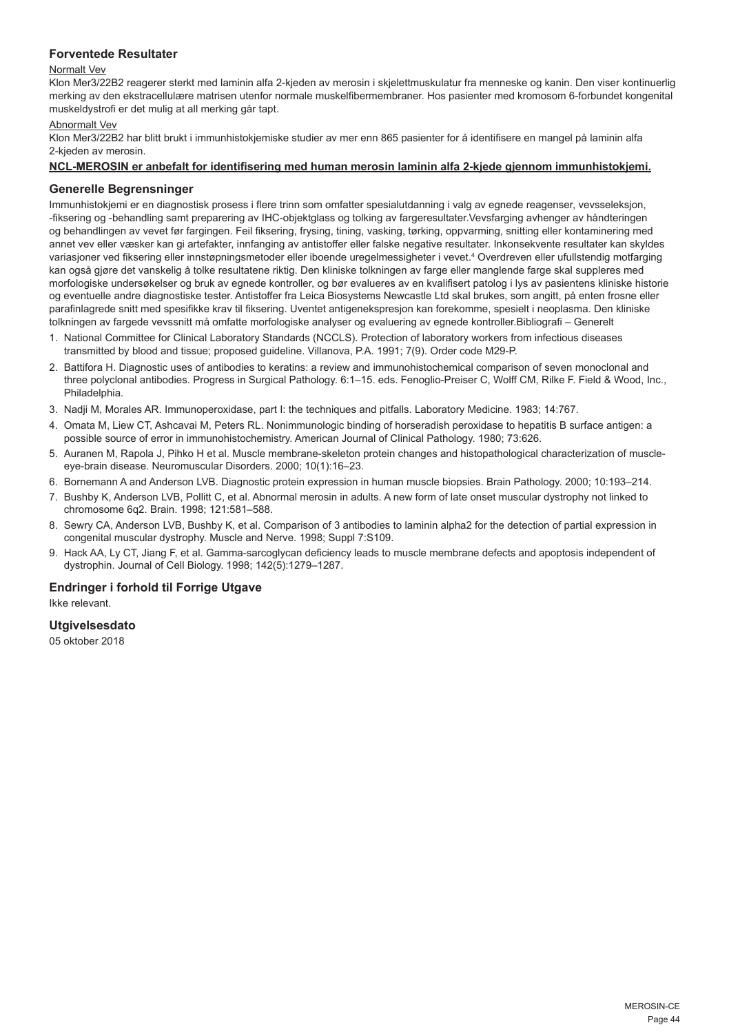# **Forventede Resultater**

# Normalt Vev

Klon Mer3/22B2 reagerer sterkt med laminin alfa 2-kjeden av merosin i skjelettmuskulatur fra menneske og kanin. Den viser kontinuerlig merking av den ekstracellulære matrisen utenfor normale muskelfibermembraner. Hos pasienter med kromosom 6-forbundet kongenital muskeldystrofi er det mulig at all merking går tapt.

# Abnormalt Vev

Klon Mer3/22B2 har blitt brukt i immunhistokjemiske studier av mer enn 865 pasienter for å identifisere en mangel på laminin alfa 2-kjeden av merosin.

# **NCL-MEROSIN er anbefalt for identifisering med human merosin laminin alfa 2-kjede gjennom immunhistokjemi.**

# **Generelle Begrensninger**

Immunhistokjemi er en diagnostisk prosess i flere trinn som omfatter spesialutdanning i valg av egnede reagenser, vevsseleksjon, -fiksering og -behandling samt preparering av IHC-objektglass og tolking av fargeresultater.Vevsfarging avhenger av håndteringen og behandlingen av vevet før fargingen. Feil fiksering, frysing, tining, vasking, tørking, oppvarming, snitting eller kontaminering med annet vev eller væsker kan gi artefakter, innfanging av antistoffer eller falske negative resultater. Inkonsekvente resultater kan skyldes variasjoner ved fiksering eller innstøpningsmetoder eller iboende uregelmessigheter i vevet.4 Overdreven eller ufullstendig motfarging kan også gjøre det vanskelig å tolke resultatene riktig. Den kliniske tolkningen av farge eller manglende farge skal suppleres med morfologiske undersøkelser og bruk av egnede kontroller, og bør evalueres av en kvalifisert patolog i lys av pasientens kliniske historie og eventuelle andre diagnostiske tester. Antistoffer fra Leica Biosystems Newcastle Ltd skal brukes, som angitt, på enten frosne eller parafinlagrede snitt med spesifikke krav til fiksering. Uventet antigenekspresjon kan forekomme, spesielt i neoplasma. Den kliniske tolkningen av fargede vevssnitt må omfatte morfologiske analyser og evaluering av egnede kontroller.Bibliografi – Generelt

- 1. National Committee for Clinical Laboratory Standards (NCCLS). Protection of laboratory workers from infectious diseases transmitted by blood and tissue; proposed guideline. Villanova, P.A. 1991; 7(9). Order code M29-P.
- 2. Battifora H. Diagnostic uses of antibodies to keratins: a review and immunohistochemical comparison of seven monoclonal and three polyclonal antibodies. Progress in Surgical Pathology. 6:1–15. eds. Fenoglio-Preiser C, Wolff CM, Rilke F. Field & Wood, Inc., Philadelphia.
- 3. Nadji M, Morales AR. Immunoperoxidase, part I: the techniques and pitfalls. Laboratory Medicine. 1983; 14:767.
- 4. Omata M, Liew CT, Ashcavai M, Peters RL. Nonimmunologic binding of horseradish peroxidase to hepatitis B surface antigen: a possible source of error in immunohistochemistry. American Journal of Clinical Pathology. 1980; 73:626.
- 5. Auranen M, Rapola J, Pihko H et al. Muscle membrane-skeleton protein changes and histopathological characterization of muscleeye-brain disease. Neuromuscular Disorders. 2000; 10(1):16–23.
- 6. Bornemann A and Anderson LVB. Diagnostic protein expression in human muscle biopsies. Brain Pathology. 2000; 10:193–214.
- 7. Bushby K, Anderson LVB, Pollitt C, et al. Abnormal merosin in adults. A new form of late onset muscular dystrophy not linked to chromosome 6q2. Brain. 1998; 121:581–588.
- 8. Sewry CA, Anderson LVB, Bushby K, et al. Comparison of 3 antibodies to laminin alpha2 for the detection of partial expression in congenital muscular dystrophy. Muscle and Nerve. 1998; Suppl 7:S109.
- 9. Hack AA, Ly CT, Jiang F, et al. Gamma-sarcoglycan deficiency leads to muscle membrane defects and apoptosis independent of dystrophin. Journal of Cell Biology. 1998; 142(5):1279–1287.

# **Endringer i forhold til Forrige Utgave**

Ikke relevant.

# **Utgivelsesdato**

05 oktober 2018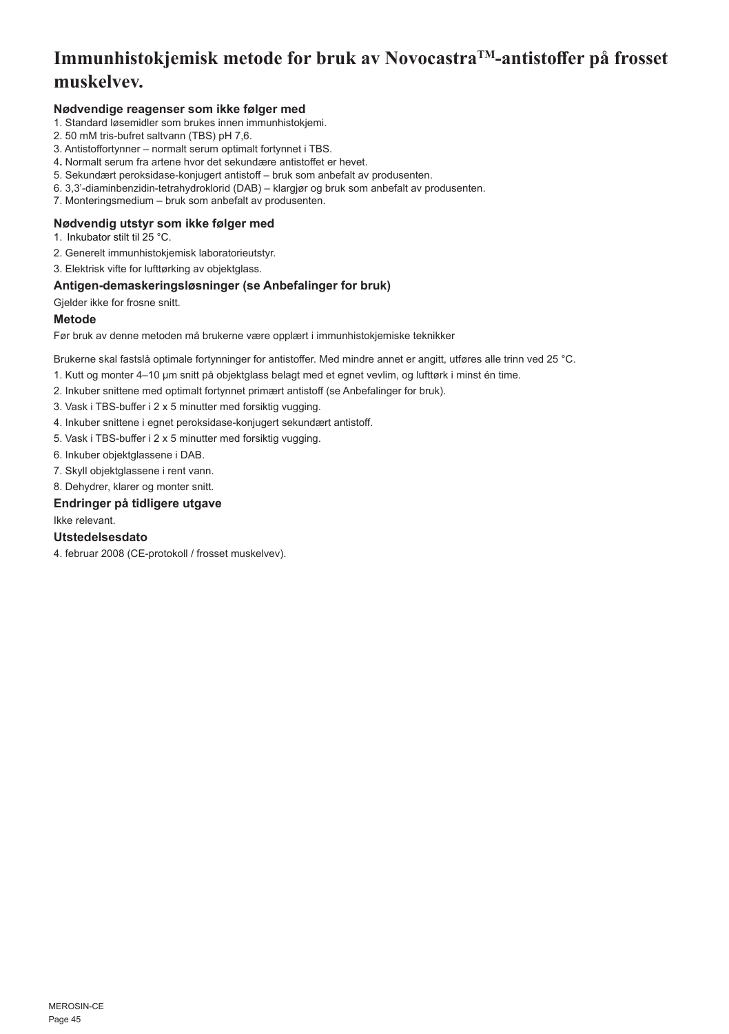# **Immunhistokjemisk metode for bruk av NovocastraTM-antistoffer på frosset muskelvev.**

# **Nødvendige reagenser som ikke følger med**

- 1. Standard løsemidler som brukes innen immunhistokjemi.
- 2. 50 mM tris-bufret saltvann (TBS) pH 7,6.
- 3. Antistoffortynner normalt serum optimalt fortynnet i TBS.
- 4**.** Normalt serum fra artene hvor det sekundære antistoffet er hevet.
- 5. Sekundært peroksidase-konjugert antistoff bruk som anbefalt av produsenten.
- 6. 3,3'-diaminbenzidin-tetrahydroklorid (DAB) klargjør og bruk som anbefalt av produsenten.
- 7. Monteringsmedium bruk som anbefalt av produsenten.

## **Nødvendig utstyr som ikke følger med**

- 1. Inkubator stilt til 25 °C.
- 2. Generelt immunhistokjemisk laboratorieutstyr.
- 3. Elektrisk vifte for lufttørking av objektglass.

# **Antigen-demaskeringsløsninger (se Anbefalinger for bruk)**

Gjelder ikke for frosne snitt.

## **Metode**

Før bruk av denne metoden må brukerne være opplært i immunhistokjemiske teknikker

Brukerne skal fastslå optimale fortynninger for antistoffer. Med mindre annet er angitt, utføres alle trinn ved 25 °C.

- 1. Kutt og monter 4–10 µm snitt på objektglass belagt med et egnet vevlim, og lufttørk i minst én time.
- 2. Inkuber snittene med optimalt fortynnet primært antistoff (se Anbefalinger for bruk).
- 3. Vask i TBS-buffer i 2 x 5 minutter med forsiktig vugging.
- 4. Inkuber snittene i egnet peroksidase-konjugert sekundært antistoff.
- 5. Vask i TBS-buffer i 2 x 5 minutter med forsiktig vugging.
- 6. Inkuber objektglassene i DAB.
- 7. Skyll objektglassene i rent vann.
- 8. Dehydrer, klarer og monter snitt.

# **Endringer på tidligere utgave**

Ikke relevant.

## **Utstedelsesdato**

4. februar 2008 (CE-protokoll / frosset muskelvev).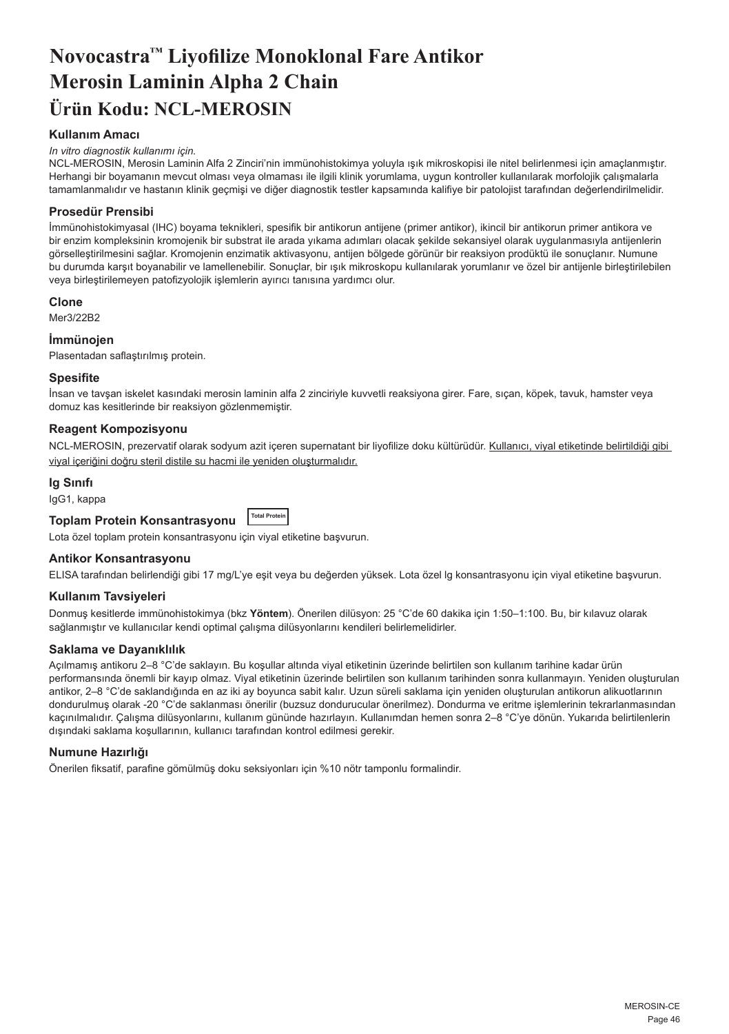# **Ürün Kodu: NCL-MEROSIN Novocastra™ Liyofilize Monoklonal Fare Antikor Merosin Laminin Alpha 2 Chain**

# **Kullanım Amacı**

## *In vitro diagnostik kullanımı için.*

NCL-MEROSIN, Merosin Laminin Alfa 2 Zinciri'nin immünohistokimya yoluyla ışık mikroskopisi ile nitel belirlenmesi için amaçlanmıştır. Herhangi bir boyamanın mevcut olması veya olmaması ile ilgili klinik yorumlama, uygun kontroller kullanılarak morfolojik çalışmalarla tamamlanmalıdır ve hastanın klinik geçmişi ve diğer diagnostik testler kapsamında kalifiye bir patolojist tarafından değerlendirilmelidir.

# **Prosedür Prensibi**

İmmünohistokimyasal (IHC) boyama teknikleri, spesifik bir antikorun antijene (primer antikor), ikincil bir antikorun primer antikora ve bir enzim kompleksinin kromojenik bir substrat ile arada yıkama adımları olacak şekilde sekansiyel olarak uygulanmasıyla antijenlerin görselleştirilmesini sağlar. Kromojenin enzimatik aktivasyonu, antijen bölgede görünür bir reaksiyon prodüktü ile sonuçlanır. Numune bu durumda karşıt boyanabilir ve lamellenebilir. Sonuçlar, bir ışık mikroskopu kullanılarak yorumlanır ve özel bir antijenle birleştirilebilen veya birleştirilemeyen patofizyolojik işlemlerin ayırıcı tanısına yardımcı olur.

#### **Clone**

Mer3/22B2

# **İmmünojen**

Plasentadan saflaştırılmış protein.

## **Spesifite**

İnsan ve tavşan iskelet kasındaki merosin laminin alfa 2 zinciriyle kuvvetli reaksiyona girer. Fare, sıçan, köpek, tavuk, hamster veya domuz kas kesitlerinde bir reaksiyon gözlenmemiştir.

# **Reagent Kompozisyonu**

NCL-MEROSIN, prezervatif olarak sodyum azit içeren supernatant bir liyofilize doku kültürüdür. Kullanıcı, viyal etiketinde belirtildiği gibi viyal içeriğini doğru steril distile su hacmi ile yeniden oluşturmalıdır.

## **Ig Sınıfı**

IgG1, kappa

# **Toplam Protein Konsantrasyonu Total Protein**

Lota özel toplam protein konsantrasyonu için viyal etiketine başvurun.

# **Antikor Konsantrasyonu**

ELISA tarafından belirlendiği gibi 17 mg/L'ye eşit veya bu değerden yüksek. Lota özel lg konsantrasyonu için viyal etiketine başvurun.

# **Kullanım Tavsiyeleri**

Donmuş kesitlerde immünohistokimya (bkz **Yöntem**). Önerilen dilüsyon: 25 °C'de 60 dakika için 1:50–1:100. Bu, bir kılavuz olarak sağlanmıştır ve kullanıcılar kendi optimal çalışma dilüsyonlarını kendileri belirlemelidirler.

# **Saklama ve Dayanıklılık**

Açılmamış antikoru 2–8 °C'de saklayın. Bu koşullar altında viyal etiketinin üzerinde belirtilen son kullanım tarihine kadar ürün performansında önemli bir kayıp olmaz. Viyal etiketinin üzerinde belirtilen son kullanım tarihinden sonra kullanmayın. Yeniden oluşturulan antikor, 2–8 °C'de saklandığında en az iki ay boyunca sabit kalır. Uzun süreli saklama için yeniden oluşturulan antikorun alikuotlarının dondurulmuş olarak -20 °C'de saklanması önerilir (buzsuz dondurucular önerilmez). Dondurma ve eritme işlemlerinin tekrarlanmasından kaçınılmalıdır. Çalışma dilüsyonlarını, kullanım gününde hazırlayın. Kullanımdan hemen sonra 2–8 °C'ye dönün. Yukarıda belirtilenlerin dışındaki saklama koşullarının, kullanıcı tarafından kontrol edilmesi gerekir.

# **Numune Hazırlığı**

Önerilen fiksatif, parafine gömülmüş doku seksiyonları için %10 nötr tamponlu formalindir.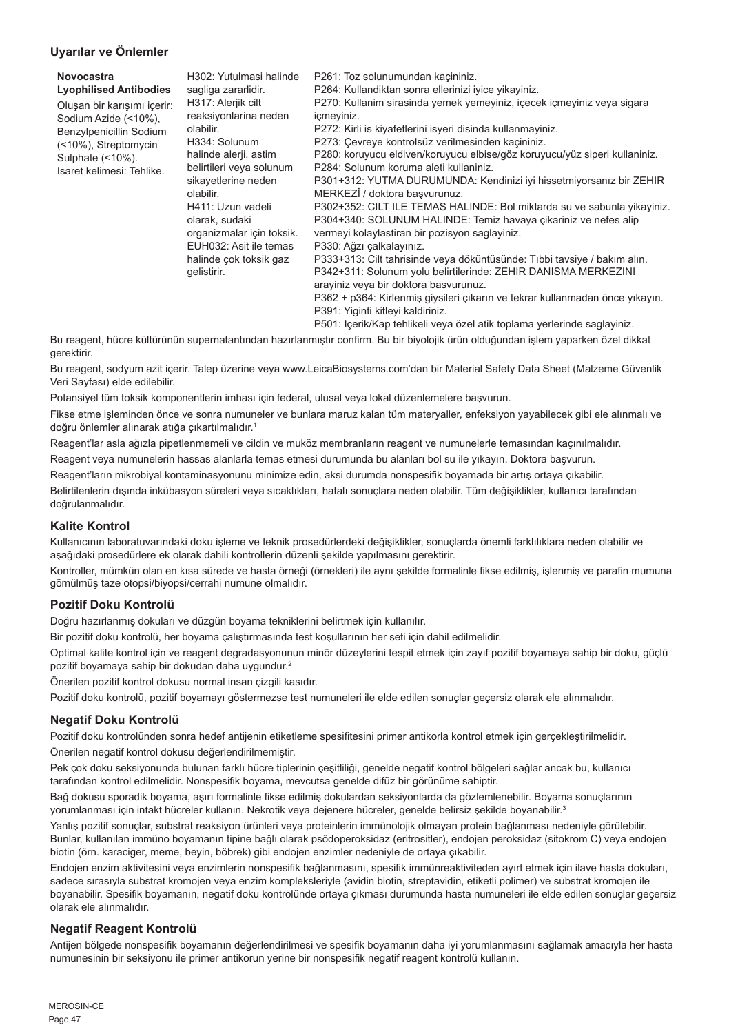# **Uyarılar ve Önlemler**

| Novocastra                                                                                                                                              | H302: Yutulmasi halinde                                                                                                                                                                                                                                                                                   | P261: Toz solunumundan kaçininiz.                                                                                                                                                                                                                                                                                                                                                                                                                                                                                                                                                                                                                                                                                                                                                                                                                                                                                                                                                                                                                           |
|---------------------------------------------------------------------------------------------------------------------------------------------------------|-----------------------------------------------------------------------------------------------------------------------------------------------------------------------------------------------------------------------------------------------------------------------------------------------------------|-------------------------------------------------------------------------------------------------------------------------------------------------------------------------------------------------------------------------------------------------------------------------------------------------------------------------------------------------------------------------------------------------------------------------------------------------------------------------------------------------------------------------------------------------------------------------------------------------------------------------------------------------------------------------------------------------------------------------------------------------------------------------------------------------------------------------------------------------------------------------------------------------------------------------------------------------------------------------------------------------------------------------------------------------------------|
| <b>Lyophilised Antibodies</b>                                                                                                                           | sagliga zararlidir.                                                                                                                                                                                                                                                                                       | P264: Kullandiktan sonra ellerinizi iyice yikayiniz.                                                                                                                                                                                                                                                                                                                                                                                                                                                                                                                                                                                                                                                                                                                                                                                                                                                                                                                                                                                                        |
| Oluşan bir karışımı içerir:<br>Sodium Azide (<10%),<br>Benzylpenicillin Sodium<br>(<10%), Streptomycin<br>Sulphate (<10%).<br>Isaret kelimesi: Tehlike. | H317: Alerjik cilt<br>reaksiyonlarina neden<br>olabilir.<br>H334: Solunum<br>halinde alerji, astim<br>belirtileri veya solunum<br>sikayetlerine neden<br>olabilir.<br>H411: Uzun vadeli<br>olarak, sudaki<br>organizmalar için toksik.<br>EUH032: Asit ile temas<br>halinde çok toksik gaz<br>gelistirir. | P270: Kullanim sirasinda yemek yemeyiniz, içecek içmeyiniz veya sigara<br>icmeyiniz.<br>P272: Kirli is kiyafetlerini isyeri disinda kullanmayiniz.<br>P273: Cevreye kontrolsüz verilmesinden kaçininiz.<br>P280: koruyucu eldiven/koruyucu elbise/göz koruyucu/yüz siperi kullaniniz.<br>P284: Solunum koruma aleti kullaniniz.<br>P301+312: YUTMA DURUMUNDA: Kendinizi iyi hissetmiyorsanız bir ZEHIR<br>MERKEZİ / doktora başvurunuz.<br>P302+352: CILT ILE TEMAS HALINDE: Bol miktarda su ve sabunla yikayiniz.<br>P304+340: SOLUNUM HALINDE: Temiz havaya çikariniz ve nefes alip<br>vermeyi kolaylastiran bir pozisyon saqlayiniz.<br>P330: Ağzı çalkalayınız.<br>P333+313: Cilt tahrisinde veya döküntüsünde: Tıbbi tavsiye / bakım alın.<br>P342+311: Solunum yolu belirtilerinde: ZEHIR DANISMA MERKEZINI<br>arayiniz veya bir doktora basvurunuz.<br>P362 + p364: Kirlenmiş giysileri çıkarın ve tekrar kullanmadan önce yıkayın.<br>P391: Yiginti kitleyi kaldiriniz.<br>P501: Içerik/Kap tehlikeli veya özel atik toplama yerlerinde saglayiniz. |

Bu reagent, hücre kültürünün supernatantından hazırlanmıştır confirm. Bu bir biyolojik ürün olduğundan işlem yaparken özel dikkat gerektirir.

Bu reagent, sodyum azit içerir. Talep üzerine veya www.LeicaBiosystems.com'dan bir Material Safety Data Sheet (Malzeme Güvenlik Veri Sayfası) elde edilebilir.

Potansiyel tüm toksik komponentlerin imhası için federal, ulusal veya lokal düzenlemelere başvurun.

Fikse etme işleminden önce ve sonra numuneler ve bunlara maruz kalan tüm materyaller, enfeksiyon yayabilecek gibi ele alınmalı ve doğru önlemler alınarak atığa çıkartılmalıdır.<sup>1</sup>

Reagent'lar asla ağızla pipetlenmemeli ve cildin ve muköz membranların reagent ve numunelerle temasından kaçınılmalıdır.

Reagent veya numunelerin hassas alanlarla temas etmesi durumunda bu alanları bol su ile yıkayın. Doktora başvurun.

Reagent'ların mikrobiyal kontaminasyonunu minimize edin, aksi durumda nonspesifik boyamada bir artış ortaya çıkabilir. Belirtilenlerin dışında inkübasyon süreleri veya sıcaklıkları, hatalı sonuçlara neden olabilir. Tüm değişiklikler, kullanıcı tarafından doğrulanmalıdır.

# **Kalite Kontrol**

Kullanıcının laboratuvarındaki doku işleme ve teknik prosedürlerdeki değişiklikler, sonuçlarda önemli farklılıklara neden olabilir ve aşağıdaki prosedürlere ek olarak dahili kontrollerin düzenli şekilde yapılmasını gerektirir.

Kontroller, mümkün olan en kısa sürede ve hasta örneği (örnekleri) ile aynı şekilde formalinle fikse edilmiş, işlenmiş ve parafin mumuna gömülmüş taze otopsi/biyopsi/cerrahi numune olmalıdır.

#### **Pozitif Doku Kontrolü**

Doğru hazırlanmış dokuları ve düzgün boyama tekniklerini belirtmek için kullanılır.

Bir pozitif doku kontrolü, her boyama çalıştırmasında test koşullarının her seti için dahil edilmelidir.

Optimal kalite kontrol için ve reagent degradasyonunun minör düzeylerini tespit etmek için zayıf pozitif boyamaya sahip bir doku, güçlü pozitif boyamaya sahip bir dokudan daha uygundur.<sup>2</sup>

Önerilen pozitif kontrol dokusu normal insan çizgili kasıdır.

Pozitif doku kontrolü, pozitif boyamayı göstermezse test numuneleri ile elde edilen sonuçlar geçersiz olarak ele alınmalıdır.

#### **Negatif Doku Kontrolü**

Pozitif doku kontrolünden sonra hedef antijenin etiketleme spesifitesini primer antikorla kontrol etmek için gerçekleştirilmelidir. Önerilen negatif kontrol dokusu değerlendirilmemiştir.

Pek çok doku seksiyonunda bulunan farklı hücre tiplerinin çeşitliliği, genelde negatif kontrol bölgeleri sağlar ancak bu, kullanıcı tarafından kontrol edilmelidir. Nonspesifik boyama, mevcutsa genelde difüz bir görünüme sahiptir.

Bağ dokusu sporadik boyama, aşırı formalinle fikse edilmiş dokulardan seksiyonlarda da gözlemlenebilir. Boyama sonuçlarının yorumlanması için intakt hücreler kullanın. Nekrotik veya dejenere hücreler, genelde belirsiz şekilde boyanabilir.<sup>3</sup>

Yanlış pozitif sonuçlar, substrat reaksiyon ürünleri veya proteinlerin immünolojik olmayan protein bağlanması nedeniyle görülebilir. Bunlar, kullanılan immüno boyamanın tipine bağlı olarak psödoperoksidaz (eritrositler), endojen peroksidaz (sitokrom C) veya endojen biotin (örn. karaciğer, meme, beyin, böbrek) gibi endojen enzimler nedeniyle de ortaya çıkabilir.

Endojen enzim aktivitesini veya enzimlerin nonspesifik bağlanmasını, spesifik immünreaktiviteden ayırt etmek için ilave hasta dokuları, sadece sırasıyla substrat kromojen veya enzim kompleksleriyle (avidin biotin, streptavidin, etiketli polimer) ve substrat kromojen ile boyanabilir. Spesifik boyamanın, negatif doku kontrolünde ortaya çıkması durumunda hasta numuneleri ile elde edilen sonuçlar geçersiz olarak ele alınmalıdır.

#### **Negatif Reagent Kontrolü**

Antijen bölgede nonspesifik boyamanın değerlendirilmesi ve spesifik boyamanın daha iyi yorumlanmasını sağlamak amacıyla her hasta numunesinin bir seksiyonu ile primer antikorun yerine bir nonspesifik negatif reagent kontrolü kullanın.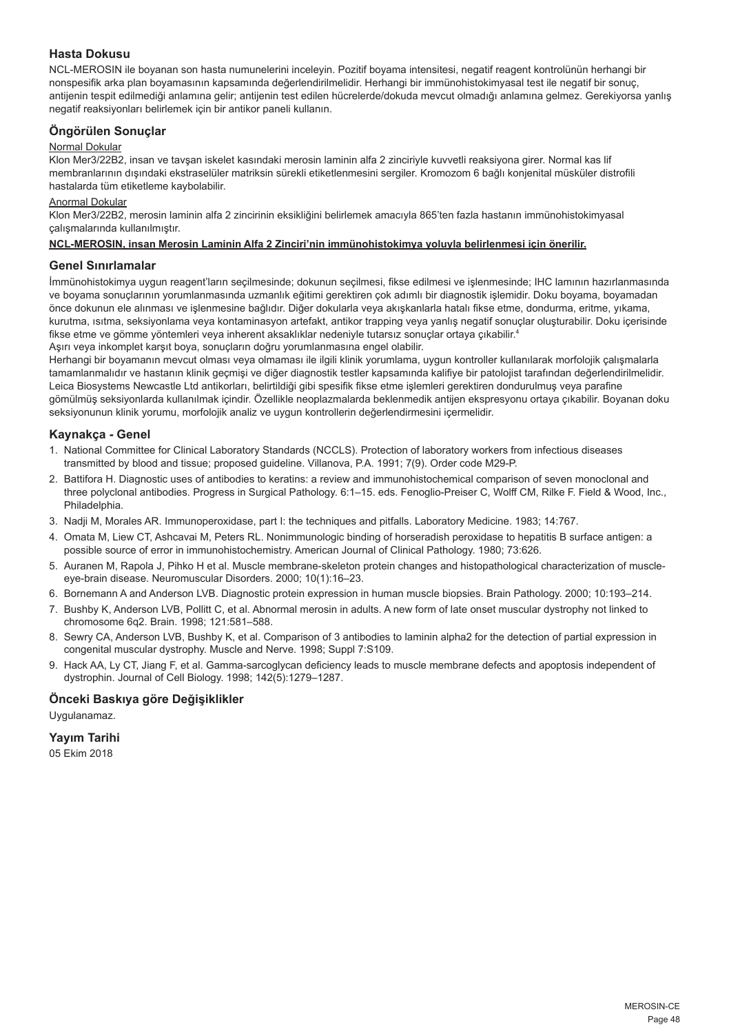# **Hasta Dokusu**

NCL-MEROSIN ile boyanan son hasta numunelerini inceleyin. Pozitif boyama intensitesi, negatif reagent kontrolünün herhangi bir nonspesifik arka plan boyamasının kapsamında değerlendirilmelidir. Herhangi bir immünohistokimyasal test ile negatif bir sonuç, antijenin tespit edilmediği anlamına gelir; antijenin test edilen hücrelerde/dokuda mevcut olmadığı anlamına gelmez. Gerekiyorsa yanlış negatif reaksiyonları belirlemek için bir antikor paneli kullanın.

# **Öngörülen Sonuçlar**

# Normal Dokular

Klon Mer3/22B2, insan ve tavşan iskelet kasındaki merosin laminin alfa 2 zinciriyle kuvvetli reaksiyona girer. Normal kas lif membranlarının dışındaki ekstraselüler matriksin sürekli etiketlenmesini sergiler. Kromozom 6 bağlı konjenital müsküler distrofili hastalarda tüm etiketleme kaybolabilir.

## Anormal Dokular

Klon Mer3/22B2, merosin laminin alfa 2 zincirinin eksikliğini belirlemek amacıyla 865'ten fazla hastanın immünohistokimyasal çalışmalarında kullanılmıştır.

## **NCL-MEROSIN, insan Merosin Laminin Alfa 2 Zinciri'nin immünohistokimya yoluyla belirlenmesi için önerilir.**

# **Genel Sınırlamalar**

İmmünohistokimya uygun reagent'ların seçilmesinde; dokunun seçilmesi, fikse edilmesi ve işlenmesinde; IHC lamının hazırlanmasında ve boyama sonuçlarının yorumlanmasında uzmanlık eğitimi gerektiren çok adımlı bir diagnostik işlemidir. Doku boyama, boyamadan önce dokunun ele alınması ve işlenmesine bağlıdır. Diğer dokularla veya akışkanlarla hatalı fikse etme, dondurma, eritme, yıkama, kurutma, ısıtma, seksiyonlama veya kontaminasyon artefakt, antikor trapping veya yanlış negatif sonuçlar oluşturabilir. Doku içerisinde fikse etme ve gömme yöntemleri veya inherent aksaklıklar nedeniyle tutarsız sonuçlar ortaya çıkabilir. 4

Aşırı veya inkomplet karşıt boya, sonuçların doğru yorumlanmasına engel olabilir.

Herhangi bir boyamanın mevcut olması veya olmaması ile ilgili klinik yorumlama, uygun kontroller kullanılarak morfolojik çalışmalarla tamamlanmalıdır ve hastanın klinik geçmişi ve diğer diagnostik testler kapsamında kalifiye bir patolojist tarafından değerlendirilmelidir. Leica Biosystems Newcastle Ltd antikorları, belirtildiği gibi spesifik fikse etme işlemleri gerektiren dondurulmuş veya parafine gömülmüş seksiyonlarda kullanılmak içindir. Özellikle neoplazmalarda beklenmedik antijen ekspresyonu ortaya çıkabilir. Boyanan doku seksiyonunun klinik yorumu, morfolojik analiz ve uygun kontrollerin değerlendirmesini içermelidir.

# **Kaynakça - Genel**

- 1. National Committee for Clinical Laboratory Standards (NCCLS). Protection of laboratory workers from infectious diseases transmitted by blood and tissue; proposed guideline. Villanova, P.A. 1991; 7(9). Order code M29-P.
- 2. Battifora H. Diagnostic uses of antibodies to keratins: a review and immunohistochemical comparison of seven monoclonal and three polyclonal antibodies. Progress in Surgical Pathology. 6:1–15. eds. Fenoglio-Preiser C, Wolff CM, Rilke F. Field & Wood, Inc., Philadelphia.
- 3. Nadji M, Morales AR. Immunoperoxidase, part I: the techniques and pitfalls. Laboratory Medicine. 1983; 14:767.
- 4. Omata M, Liew CT, Ashcavai M, Peters RL. Nonimmunologic binding of horseradish peroxidase to hepatitis B surface antigen: a possible source of error in immunohistochemistry. American Journal of Clinical Pathology. 1980; 73:626.
- 5. Auranen M, Rapola J, Pihko H et al. Muscle membrane-skeleton protein changes and histopathological characterization of muscleeye-brain disease. Neuromuscular Disorders. 2000; 10(1):16–23.
- 6. Bornemann A and Anderson LVB. Diagnostic protein expression in human muscle biopsies. Brain Pathology. 2000; 10:193–214.
- 7. Bushby K, Anderson LVB, Pollitt C, et al. Abnormal merosin in adults. A new form of late onset muscular dystrophy not linked to chromosome 6q2. Brain. 1998; 121:581–588.
- 8. Sewry CA, Anderson LVB, Bushby K, et al. Comparison of 3 antibodies to laminin alpha2 for the detection of partial expression in congenital muscular dystrophy. Muscle and Nerve. 1998; Suppl 7:S109.
- 9. Hack AA, Ly CT, Jiang F, et al. Gamma-sarcoglycan deficiency leads to muscle membrane defects and apoptosis independent of dystrophin. Journal of Cell Biology. 1998; 142(5):1279–1287.

# **Önceki Baskıya göre Değişiklikler**

Uygulanamaz.

**Yayım Tarihi**

05 Ekim 2018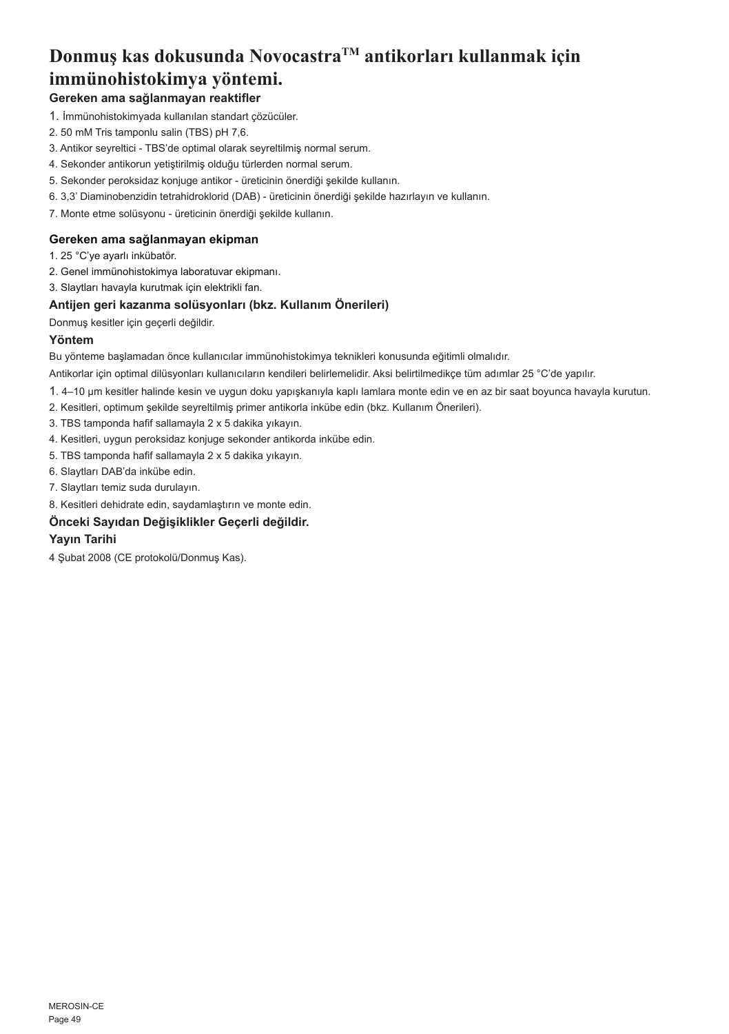# **Donmuş kas dokusunda NovocastraTM antikorları kullanmak için immünohistokimya yöntemi.**

# **Gereken ama sağlanmayan reaktifler**

- 1. İmmünohistokimyada kullanılan standart çözücüler.
- 2. 50 mM Tris tamponlu salin (TBS) pH 7,6.
- 3. Antikor seyreltici TBS'de optimal olarak seyreltilmiş normal serum.
- 4. Sekonder antikorun yetiştirilmiş olduğu türlerden normal serum.
- 5. Sekonder peroksidaz konjuge antikor üreticinin önerdiği şekilde kullanın.
- 6. 3,3' Diaminobenzidin tetrahidroklorid (DAB) üreticinin önerdiği şekilde hazırlayın ve kullanın.
- 7. Monte etme solüsyonu üreticinin önerdiği şekilde kullanın.

# **Gereken ama sağlanmayan ekipman**

- 1. 25 °C'ye ayarlı inkübatör.
- 2. Genel immünohistokimya laboratuvar ekipmanı.
- 3. Slaytları havayla kurutmak için elektrikli fan.

# **Antijen geri kazanma solüsyonları (bkz. Kullanım Önerileri)**

Donmuş kesitler için geçerli değildir.

# **Yöntem**

Bu yönteme başlamadan önce kullanıcılar immünohistokimya teknikleri konusunda eğitimli olmalıdır.

Antikorlar için optimal dilüsyonları kullanıcıların kendileri belirlemelidir. Aksi belirtilmedikçe tüm adımlar 25 °C'de yapılır.

- 1. 4–10 µm kesitler halinde kesin ve uygun doku yapışkanıyla kaplı lamlara monte edin ve en az bir saat boyunca havayla kurutun.
- 2. Kesitleri, optimum şekilde seyreltilmiş primer antikorla inkübe edin (bkz. Kullanım Önerileri).
- 3. TBS tamponda hafif sallamayla 2 x 5 dakika yıkayın.
- 4. Kesitleri, uygun peroksidaz konjuge sekonder antikorda inkübe edin.
- 5. TBS tamponda hafif sallamayla 2 x 5 dakika yıkayın.
- 6. Slaytları DAB'da inkübe edin.
- 7. Slaytları temiz suda durulayın.
- 8. Kesitleri dehidrate edin, saydamlaştırın ve monte edin.

# **Önceki Sayıdan Değişiklikler Geçerli değildir.**

# **Yayın Tarihi**

4 Şubat 2008 (CE protokolü/Donmuş Kas).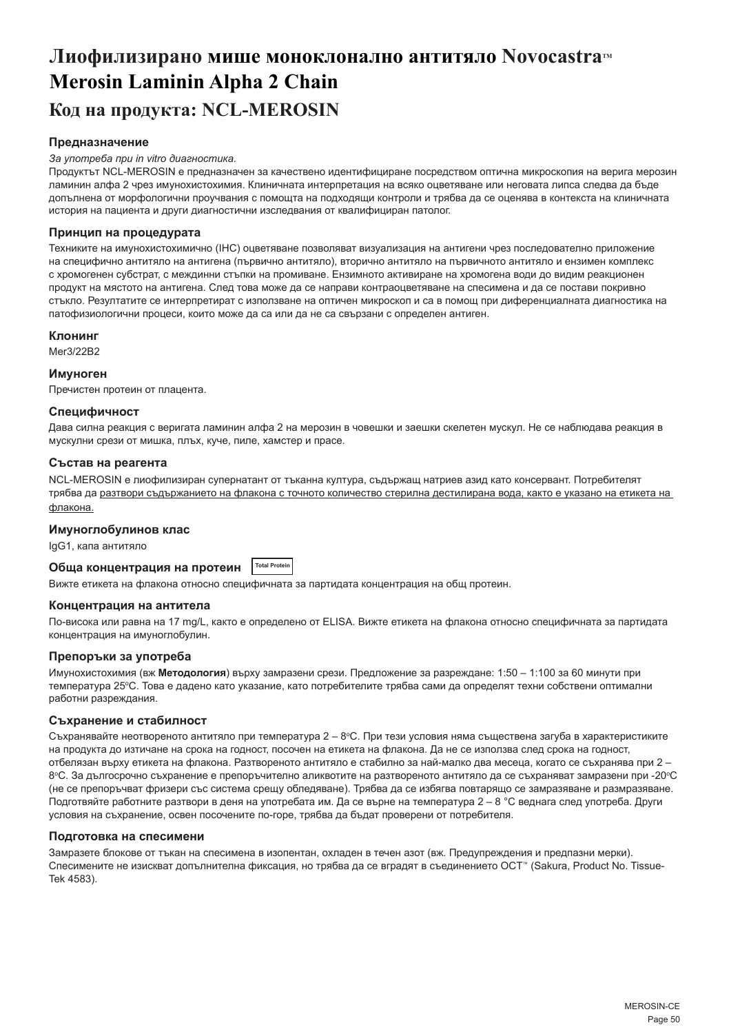# Лиофилизирано мише моноклонално антитяло Novocastra™ **Merosin Laminin Alpha 2 Chain Код на продукта: NCL-MEROSIN**

# **Предназначение**

#### *За употреба при in vitro диагностика.*

Продуктът NCL-MEROSIN е предназначен за качествено идентифициране посредством оптична микроскопия на верига мерозин ламинин алфа 2 чрез имунохистохимия. Клиничната интерпретация на всяко оцветяване или неговата липса следва да бъде допълнена от морфологични проучвания с помощта на подходящи контроли и трябва да се оценява в контекста на клиничната история на пациента и други диагностични изследвания от квалифициран патолог.

## **Принцип на процедурата**

Техниките на имунохистохимично (IHC) оцветяване позволяват визуализация на антигени чрез последователно приложение на специфично антитяло на антигена (първично антитяло), вторично антитяло на първичното антитяло и ензимен комплекс с хромогенен субстрат, с междинни стъпки на промиване. Ензимното активиране на хромогена води до видим реакционен продукт на мястото на антигена. След това може да се направи контраоцветяване на спесимена и да се постави покривно стъкло. Резултатите се интерпретират с използване на оптичен микроскоп и са в помощ при диференциалната диагностика на патофизиологични процеси, които може да са или да не са свързани с определен антиген.

## **Клонинг**

Mer3/22B2

## **Имуноген**

Пречистен протеин от плацента.

## **Специфичност**

Дава силна реакция с веригата ламинин алфа 2 на мерозин в човешки и заешки скелетен мускул. Не се наблюдава реакция в мускулни срези от мишка, плъх, куче, пиле, хамстер и прасе.

## **Състав на реагента**

NCL-MEROSIN е лиофилизиран супернатант от тъканна култура, съдържащ натриев азид като консервант. Потребителят трябва да разтвори съдържанието на флакона с точното количество стерилна дестилирана вода, както е указано на етикета на флакона.

# **Имуноглобулинов клас**

IgG1, капа антитяло

#### **Обща концентрация на протеин Total Protein**

Вижте етикета на флакона относно специфичната за партидата концентрация на общ протеин.

### **Концентрация на антитела**

По-висока или равна на 17 mg/L, както е определено от ELISA. Вижте етикета на флакона относно специфичната за партидата концентрация на имуноглобулин.

# **Препоръки за употреба**

Имунохистохимия (вж **Методология**) върху замразени срези. Предложение за разреждане: 1:50 – 1:100 за 60 минути при температура 25°С. Това е дадено като указание, като потребителите трябва сами да определят техни собствени оптимални работни разреждания.

#### **Съхранение и стабилност**

Съхранявайте неотвореното антитяло при температура 2 – 8ºС. При тези условия няма съществена загуба в характеристиките на продукта до изтичане на срока на годност, посочен на етикета на флакона. Да не се използва след срока на годност, отбелязан върху етикета на флакона. Разтвореното антитяло е стабилно за най-малко два месеца, когато се съхранява при 2 – 8℃. За дългосрочно съхранение е препоръчително аликвотите на разтвореното антитяло да се съхраняват замразени при -20℃ (не се препоръчват фризери със система срещу обледяване). Трябва да се избягва повтарящо се замразяване и размразяване. Подготвяйте работните разтвори в деня на употребата им. Да се върне на температура 2 – 8 °C веднага след употреба. Други условия на съхранение, освен посочените по-горе, трябва да бъдат проверени от потребителя.

#### **Подготовка на спесимени**

Замразете блокове от тъкан на спесимена в изопентан, охладен в течен азот (вж. Предупреждения и предпазни мерки). Спесимените не изискват допълнителна фиксация, но трябва да се вградят в съединението OCT™ (Sakura, Product No. Tissue-Tek 4583).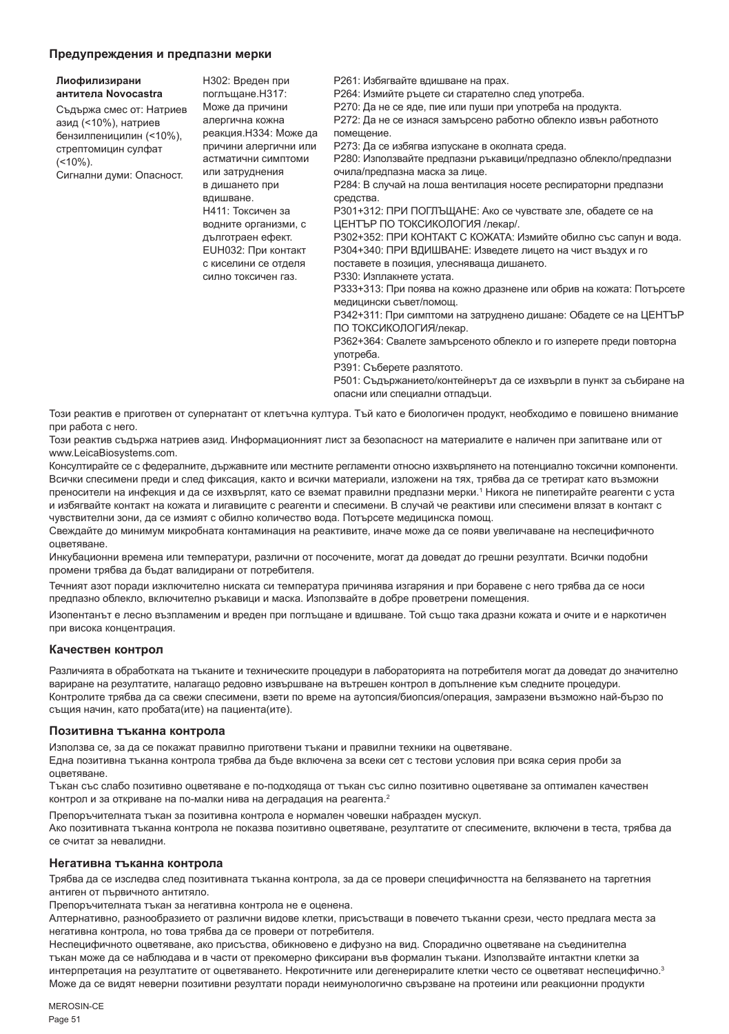#### **Предупреждения и предпазни мерки**

#### **Лиофилизирани антитела Novocastra**

Съдържа смес от: Натриев азид (<10%), натриев бензилпеницилин (<10%), стрептомицин сулфат  $($ <10%). Сигнални думи: Опасност.

H302: Вреден при поглъщане.H317: Може да причини алергична кожна реакция.H334: Може да причини алергични или астматични симптоми или затруднения в дишането при вдишване. H411: Токсичен за водните организми, с дълготраен ефект. EUH032: При контакт с киселини се отделя силно токсичен газ.

P261: Избягвайте вдишване на прах. P264: Измийте ръцете си старателно след употреба. P270: Да не се яде, пие или пуши при употреба на продукта. P272: Да не се изнася замърсено работно облекло извън работното помещение. P273: Да се избягва изпускане в околната среда. P280: Използвайте предпазни ръкавици/предпазно облекло/предпазни очила/предпазна маска за лице. P284: В случай на лоша вентилация носете респираторни предпазни средства. P301+312: ПРИ ПОГЛЪЩАНЕ: Ако се чувствате зле, обадете се на ЦЕНТЪР ПО ТОКСИКОЛОГИЯ /лекар/. P302+352: ПРИ КОНТАКТ С КОЖАТА: Измийте обилно със сапун и вода. P304+340: ПРИ ВДИШВАНЕ: Изведете лицето на чист въздух и го поставете в позиция, улесняваща дишането. P330: Изплакнете устата. P333+313: При поява на кожно дразнене или обрив на кожата: Потърсете медицински съвет/помощ. P342+311: При симптоми на затруднено дишане: Обадете се на ЦЕНТЪР ПО ТОКСИКОЛОГИЯ/лекар. P362+364: Свалете замърсеното облекло и го изперете преди повторна употреба. P391: Съберете разлятото. P501: Съдържанието/контейнерът да се изхвърли в пункт за събиране на опасни или специални отпадъци.

Този реактив е приготвен от супернатант от клетъчна култура. Тъй като е биологичен продукт, необходимо е повишено внимание при работа с него.

Този реактив съдържа натриев азид. Информационният лист за безопасност на материалите е наличен при запитване или от www.LeicaBiosystems.com.

Консултирайте се с федералните, държавните или местните регламенти относно изхвърлянето на потенциално токсични компоненти. Всички спесимени преди и след фиксация, както и всички материали, изложени на тях, трябва да се третират като възможни преносители на инфекция и да се изхвърлят, като се вземат правилни предпазни мерки.1 Никога не пипетирайте реагенти с уста и избягвайте контакт на кожата и лигавиците с реагенти и спесимени. В случай че реактиви или спесимени влязат в контакт с чувствителни зони, да се измият с обилно количество вода. Потърсете медицинска помощ.

Свеждайте до минимум микробната контаминация на реактивите, иначе може да се появи увеличаване на неспецифичното оцветяване.

Инкубационни времена или температури, различни от посочените, могат да доведат до грешни резултати. Всички подобни промени трябва да бъдат валидирани от потребителя.

Течният азот поради изключително ниската си температура причинява изгаряния и при боравене с него трябва да се носи предпазно облекло, включително ръкавици и маска. Използвайте в добре проветрени помещения.

Изопентанът е лесно възпламеним и вреден при поглъщане и вдишване. Той също така дразни кожата и очите и е наркотичен при висока концентрация.

#### **Качествен контрол**

Различията в обработката на тъканите и техническите процедури в лабораторията на потребителя могат да доведат до значително вариране на резултатите, налагащо редовно извършване на вътрешен контрол в допълнение към следните процедури. Контролите трябва да са свежи спесимени, взети по време на аутопсия/биопсия/операция, замразени възможно най-бързо по същия начин, като пробата(ите) на пациента(ите).

#### **Позитивна тъканна контрола**

Използва се, за да се покажат правилно приготвени тъкани и правилни техники на оцветяване.

Една позитивна тъканна контрола трябва да бъде включена за всеки сет с тестови условия при всяка серия проби за оцветяване.

Тъкан със слабо позитивно оцветяване е по-подходяща от тъкан със силно позитивно оцветяване за оптимален качествен контрол и за откриване на по-малки нива на деградация на реагента.<sup>2</sup>

Препоръчителната тъкан за позитивна контрола е нормален човешки набразден мускул.

Ако позитивната тъканна контрола не показва позитивно оцветяване, резултатите от спесимените, включени в теста, трябва да се считат за невалидни.

#### **Негативна тъканна контрола**

Трябва да се изследва след позитивната тъканна контрола, за да се провери специфичността на белязването на таргетния антиген от първичното антитяло.

Препоръчителната тъкан за негативна контрола не е оценена.

Алтернативно, разнообразието от различни видове клетки, присъстващи в повечето тъканни срези, често предлага места за негативна контрола, но това трябва да се провери от потребителя.

Неспецифичното оцветяване, ако присъства, обикновено е дифузно на вид. Спорадично оцветяване на съединителна тъкан може да се наблюдава и в части от прекомерно фиксирани във формалин тъкани. Използвайте интактни клетки за интерпретация на резултатите от оцветяването. Некротичните или дегенериралите клетки често се оцветяват неспецифично.<sup>3</sup> Може да се видят неверни позитивни резултати поради неимунологично свързване на протеини или реакционни продукти

MEROSIN-CE Page 51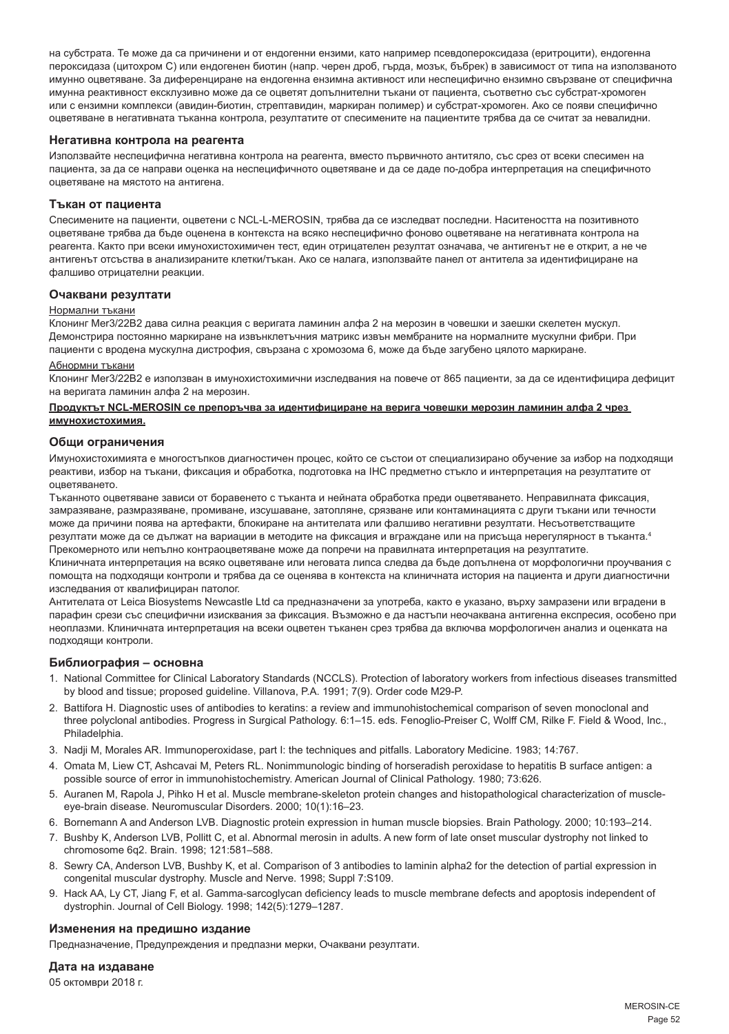на субстрата. Те може да са причинени и от ендогенни ензими, като например псевдопероксидаза (еритроцити), ендогенна пероксидаза (цитохром C) или ендогенен биотин (напр. черен дроб, гърда, мозък, бъбрек) в зависимост от типа на използваното имунно оцветяване. За диференциране на ендогенна ензимна активност или неспецифично ензимно свързване от специфична имунна реактивност ексклузивно може да се оцветят допълнителни тъкани от пациента, съответно със субстрат-хромоген или с ензимни комплекси (авидин-биотин, стрептавидин, маркиран полимер) и субстрат-хромоген. Ако се появи специфично оцветяване в негативната тъканна контрола, резултатите от спесимените на пациентите трябва да се считат за невалидни.

#### **Негативна контрола на реагента**

Използвайте неспецифична негативна контрола на реагента, вместо първичното антитяло, със срез от всеки спесимен на пациента, за да се направи оценка на неспецифичното оцветяване и да се даде по-добра интерпретация на специфичното оцветяване на мястото на антигена.

#### **Тъкан от пациента**

Спесимените на пациенти, оцветени с NCL-L-MEROSIN, трябва да се изследват последни. Наситеността на позитивното оцветяване трябва да бъде оценена в контекста на всяко неспецифично фоново оцветяване на негативната контрола на реагента. Както при всеки имунохистохимичен тест, един отрицателен резултат означава, че антигенът не е открит, а не че антигенът отсъства в анализираните клетки/тъкан. Ако се налага, използвайте панел от антитела за идентифициране на фалшиво отрицателни реакции.

# **Очаквани резултати**

#### Нормални тъкани

Клонинг Mer3/22B2 дава силна реакция с веригата ламинин алфа 2 на мерозин в човешки и заешки скелетен мускул. Демонстрира постоянно маркиране на извънклетъчния матрикс извън мембраните на нормалните мускулни фибри. При пациенти с вродена мускулна дистрофия, свързана с хромозома 6, може да бъде загубено цялото маркиране.

#### Абнормни тъкани

Клонинг Mer3/22B2 е използван в имунохистохимични изследвания на повече от 865 пациенти, за да се идентифицира дефицит на веригата ламинин алфа 2 на мерозин.

#### **Продуктът NCL-MEROSIN се препоръчва за идентифициране на верига човешки мерозин ламинин алфа 2 чрез имунохистохимия.**

#### **Общи ограничения**

Имунохистохимията е многостъпков диагностичен процес, който се състои от специализирано обучение за избор на подходящи реактиви, избор на тъкани, фиксация и обработка, подготовка на IHC предметно стъкло и интерпретация на резултатите от оцветяването.

Тъканното оцветяване зависи от боравенето с тъканта и нейната обработка преди оцветяването. Неправилната фиксация, замразяване, размразяване, промиване, изсушаване, затопляне, срязване или контаминацията с други тъкани или течности може да причини поява на артефакти, блокиране на антителата или фалшиво негативни резултати. Несъответстващите резултати може да се дължат на вариации в методите на фиксация и вграждане или на присъща нерегулярност в тъканта.<sup>4</sup> Прекомерното или непълно контраоцветяване може да попречи на правилната интерпретация на резултатите.

Клиничната интерпретация на всяко оцветяване или неговата липса следва да бъде допълнена от морфологични проучвания с помощта на подходящи контроли и трябва да се оценява в контекста на клиничната история на пациента и други диагностични изследвания от квалифициран патолог.

Антителата от Leica Biosystems Newcastle Ltd са предназначени за употреба, както е указано, върху замразени или вградени в парафин срези със специфични изисквания за фиксация. Възможно е да настъпи неочаквана антигенна експресия, особено при неоплазми. Клиничната интерпретация на всеки оцветен тъканен срез трябва да включва морфологичен анализ и оценката на подходящи контроли.

#### **Библиография – основна**

- 1. National Committee for Clinical Laboratory Standards (NCCLS). Protection of laboratory workers from infectious diseases transmitted by blood and tissue; proposed guideline. Villanova, P.A. 1991; 7(9). Order code M29-P.
- 2. Battifora H. Diagnostic uses of antibodies to keratins: a review and immunohistochemical comparison of seven monoclonal and three polyclonal antibodies. Progress in Surgical Pathology. 6:1–15. eds. Fenoglio-Preiser C, Wolff CM, Rilke F. Field & Wood, Inc., Philadelphia.
- 3. Nadji M, Morales AR. Immunoperoxidase, part I: the techniques and pitfalls. Laboratory Medicine. 1983; 14:767.
- 4. Omata M, Liew CT, Ashcavai M, Peters RL. Nonimmunologic binding of horseradish peroxidase to hepatitis B surface antigen: a possible source of error in immunohistochemistry. American Journal of Clinical Pathology. 1980; 73:626.
- 5. Auranen M, Rapola J, Pihko H et al. Muscle membrane-skeleton protein changes and histopathological characterization of muscleeye-brain disease. Neuromuscular Disorders. 2000; 10(1):16–23.
- 6. Bornemann A and Anderson LVB. Diagnostic protein expression in human muscle biopsies. Brain Pathology. 2000; 10:193–214.
- 7. Bushby K, Anderson LVB, Pollitt C, et al. Abnormal merosin in adults. A new form of late onset muscular dystrophy not linked to chromosome 6q2. Brain. 1998; 121:581–588.
- 8. Sewry CA, Anderson LVB, Bushby K, et al. Comparison of 3 antibodies to laminin alpha2 for the detection of partial expression in congenital muscular dystrophy. Muscle and Nerve. 1998; Suppl 7:S109.
- 9. Hack AA, Ly CT, Jiang F, et al. Gamma-sarcoglycan deficiency leads to muscle membrane defects and apoptosis independent of dystrophin. Journal of Cell Biology. 1998; 142(5):1279–1287.

## **Изменения на предишно издание**

Предназначение, Предупреждения и предпазни мерки, Очаквани резултати.

#### **Дата на издаване**

05 октомври 2018 г.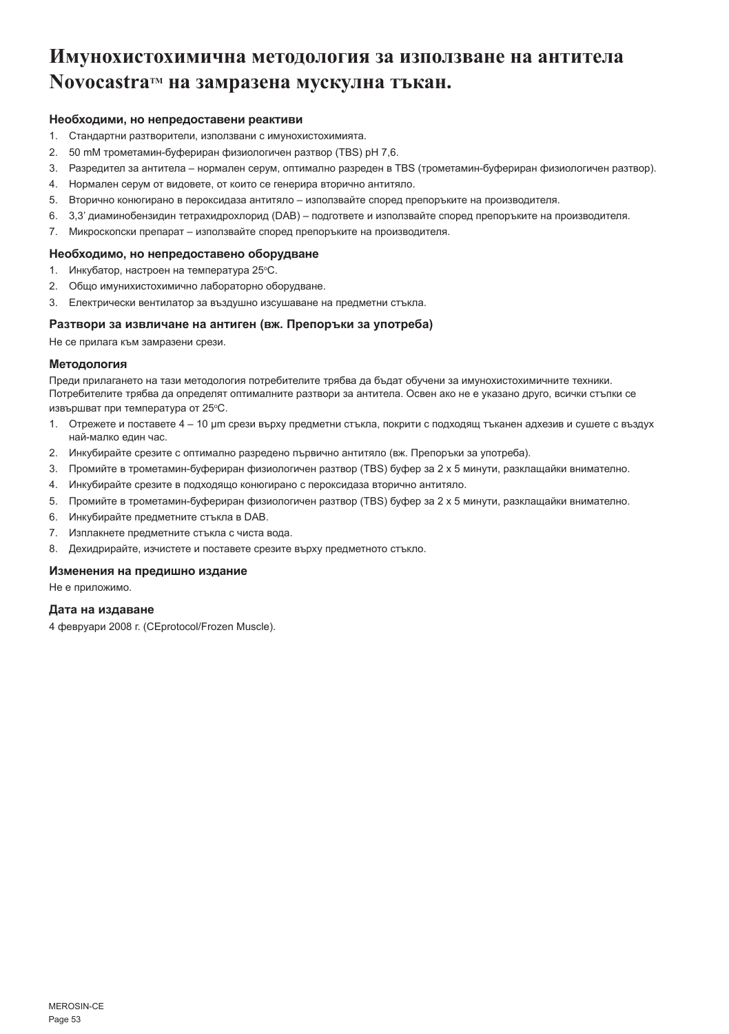# **Имунохистохимична методология за използване на антитела NovocastraTM на замразена мускулна тъкан.**

# **Необходими, но непредоставени реактиви**

- 1. Стандартни разтворители, използвани с имунохистохимията.
- 2. 50 mM трометамин-буфериран физиологичен разтвор (TBS) pH 7,6.
- 3. Разредител за антитела нормален серум, оптимално разреден в TBS (трометамин-буфериран физиологичен разтвор).
- 4. Нормален серум от видовете, от които се генерира вторично антитяло.
- 5. Вторично конюгирано в пероксидаза антитяло използвайте според препоръките на производителя.
- 6. 3,3' диаминобензидин тетрахидрохлорид (DAB) подгответе и използвайте според препоръките на производителя.
- 7. Микроскопски препарат използвайте според препоръките на производителя.

## **Необходимо, но непредоставено оборудване**

- 1. Инкубатор, настроен на температура 25°C.
- 2. Общо имунихистохимично лабораторно оборудване.
- 3. Електрически вентилатор за въздушно изсушаване на предметни стъкла.

# **Разтвори за извличане на антиген (вж. Препоръки за употреба)**

Не се прилага към замразени срези.

## **Методология**

Преди прилагането на тази методология потребителите трябва да бъдат обучени за имунохистохимичните техники. Потребителите трябва да определят оптималните разтвори за антитела. Освен ако не е указано друго, всички стъпки се извършват при температура от 25ºC.

- 1. Отрежете и поставете 4 10 µm срези върху предметни стъкла, покрити с подходящ тъканен адхезив и сушете с въздух най-малко един час.
- 2. Инкубирайте срезите с оптимално разредено първично антитяло (вж. Препоръки за употреба).
- 3. Промийте в трометамин-буфериран физиологичен разтвор (TBS) буфер за 2 x 5 минути, разклащайки внимателно.
- 4. Инкубирайте срезите в подходящо конюгирано с пероксидаза вторично антитяло.
- 5. Промийте в трометамин-буфериран физиологичен разтвор (TBS) буфер за 2 x 5 минути, разклащайки внимателно.
- 6. Инкубирайте предметните стъкла в DAB.
- 7. Изплакнете предметните стъкла с чиста вода.
- 8. Дехидрирайте, изчистете и поставете срезите върху предметното стъкло.

#### **Изменения на предишно издание**

Не е приложимо.

# **Дата на издаване**

4 февруари 2008 г. (CEprotocol/Frozen Muscle).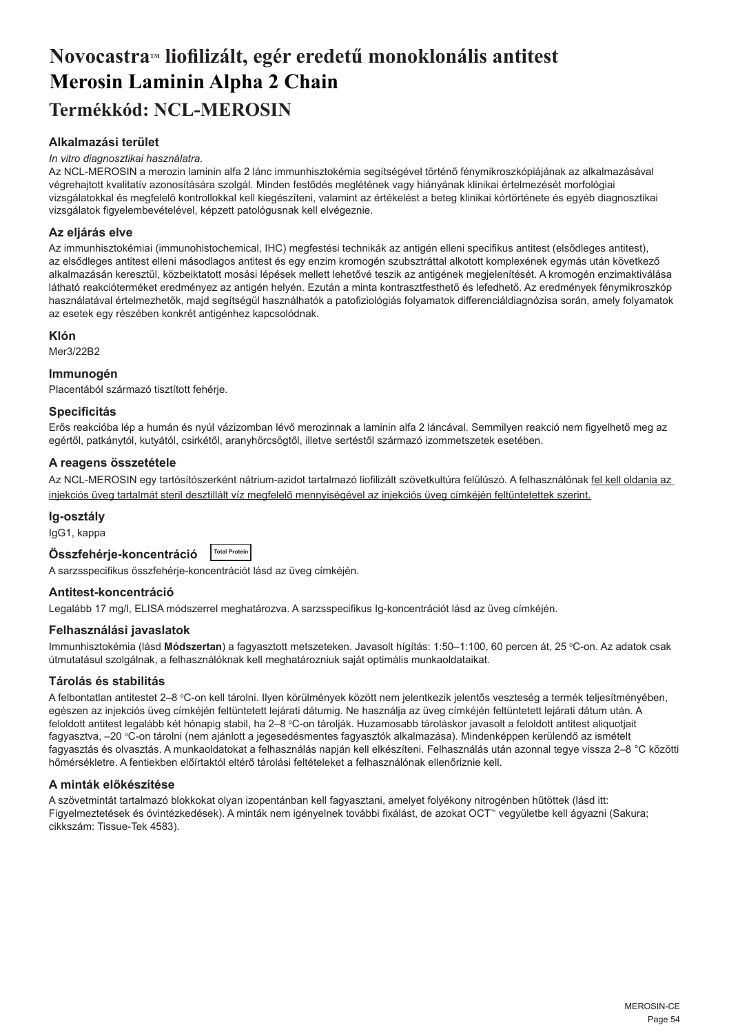# Novocastra™ liofilizált, egér eredetű monoklonális antitest **Merosin Laminin Alpha 2 Chain Termékkód: NCL-MEROSIN**

# **Alkalmazási terület**

#### *In vitro diagnosztikai használatra.*

Az NCL-MEROSIN a merozin laminin alfa 2 lánc immunhisztokémia segítségével történő fénymikroszkópiájának az alkalmazásával végrehajtott kvalitatív azonosítására szolgál. Minden festődés meglétének vagy hiányának klinikai értelmezését morfológiai vizsgálatokkal és megfelelő kontrollokkal kell kiegészíteni, valamint az értékelést a beteg klinikai kórtörténete és egyéb diagnosztikai vizsgálatok figyelembevételével, képzett patológusnak kell elvégeznie.

# **Az eljárás elve**

Az immunhisztokémiai (immunohistochemical, IHC) megfestési technikák az antigén elleni specifikus antitest (elsődleges antitest), az elsődleges antitest elleni másodlagos antitest és egy enzim kromogén szubsztráttal alkotott komplexének egymás után következő alkalmazásán keresztül, közbeiktatott mosási lépések mellett lehetővé teszik az antigének megjelenítését. A kromogén enzimaktiválása látható reakcióterméket eredményez az antigén helyén. Ezután a minta kontrasztfesthető és lefedhető. Az eredmények fénymikroszkóp használatával értelmezhetők, majd segítségül használhatók a patofiziológiás folyamatok differenciáldiagnózisa során, amely folyamatok az esetek egy részében konkrét antigénhez kapcsolódnak.

# **Klón**

Mer3/22B2

# **Immunogén**

Placentából származó tisztított fehérje.

# **Specificitás**

Erős reakcióba lép a humán és nyúl vázizomban lévő merozinnak a laminin alfa 2 láncával. Semmilyen reakció nem figyelhető meg az egértől, patkánytól, kutyától, csirkétől, aranyhörcsögtől, illetve sertéstől származó izommetszetek esetében.

# **A reagens összetétele**

Az NCL-MEROSIN egy tartósítószerként nátrium-azidot tartalmazó liofilizált szövetkultúra felülúszó. A felhasználónak fel kell oldania az injekciós üveg tartalmát steril desztillált víz megfelelő mennyiségével az injekciós üveg címkéjén feltüntetettek szerint.

### **Ig-osztály**

IgG1, kappa

# **Összfehérje-koncentráció Total Protein**

A sarzsspecifikus összfehérje-koncentrációt lásd az üveg címkéjén.

# **Antitest-koncentráció**

Legalább 17 mg/l, ELISA módszerrel meghatározva. A sarzsspecifikus Ig-koncentrációt lásd az üveg címkéjén.

# **Felhasználási javaslatok**

lmmunhisztokémia (lásd **Módszertan**) a fagyasztott metszeteken. Javasolt hígítás: 1:50–1:100, 60 percen át, 25 °C-on. Az adatok csak útmutatásul szolgálnak, a felhasználóknak kell meghatározniuk saját optimális munkaoldataikat.

# **Tárolás és stabilitás**

A felbontatlan antitestet 2–8 °C-on kell tárolni. Ilyen körülmények között nem jelentkezik jelentős veszteség a termék teljesítményében, egészen az injekciós üveg címkéjén feltüntetett lejárati dátumig. Ne használja az üveg címkéjén feltüntetett lejárati dátum után. A feloldott antitest legalább két hónapig stabil, ha 2–8 °C-on tárolják. Huzamosabb tároláskor javasolt a feloldott antitest aliquotjait fagyasztva, –20 °C-on tárolni (nem ajánlott a jegesedésmentes fagyasztók alkalmazása). Mindenképpen kerülendő az ismételt fagyasztás és olvasztás. A munkaoldatokat a felhasználás napján kell elkészíteni. Felhasználás után azonnal tegye vissza 2–8 °C közötti hőmérsékletre. A fentiekben előírtaktól eltérő tárolási feltételeket a felhasználónak ellenőriznie kell.

# **A minták előkészítése**

A szövetmintát tartalmazó blokkokat olyan izopentánban kell fagyasztani, amelyet folyékony nitrogénben hűtöttek (lásd itt: Figyelmeztetések és óvintézkedések). A minták nem igényelnek további fixálást, de azokat OCT™ vegyületbe kell ágyazni (Sakura; cikkszám: Tissue-Tek 4583).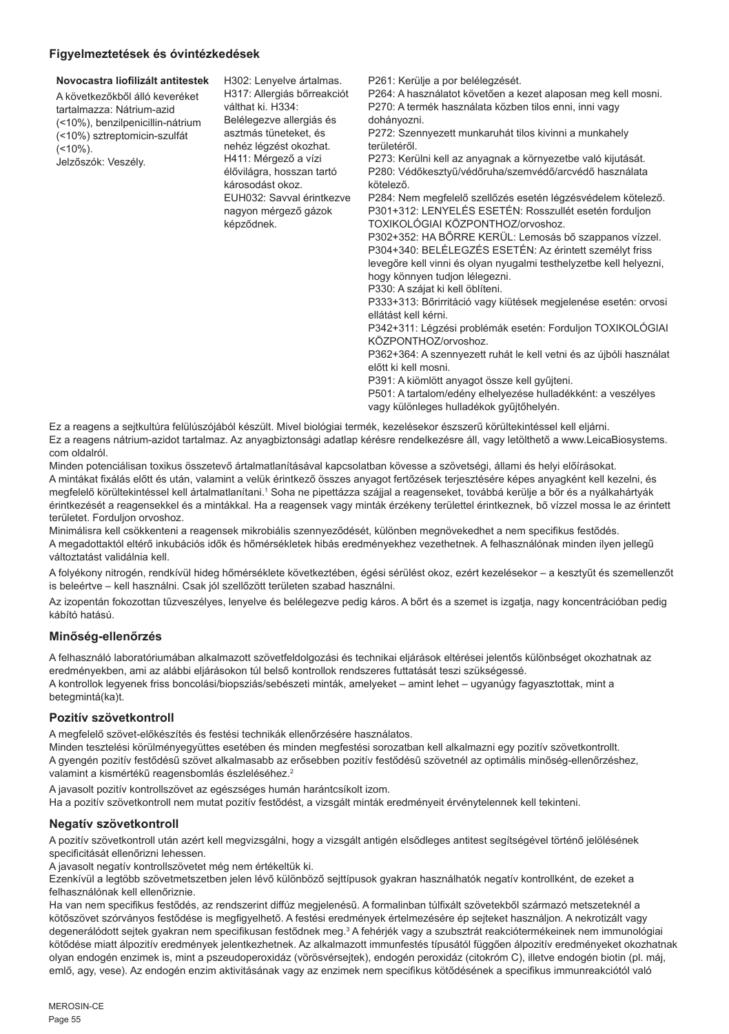# **Figyelmeztetések és óvintézkedések**

## **Novocastra liofilizált antitestek** H302: Lenyelve ártalmas.

A következőkből álló keveréket tartalmazza: Nátrium-azid (<10%), benzilpenicillin-nátrium (<10%) sztreptomicin-szulfát  $( < 10\%)$ . Jelzőszók: Veszély.

H317: Allergiás bőrreakciót válthat ki. H334: Belélegezve allergiás és asztmás tüneteket, és nehéz légzést okozhat. H411: Mérgező a vízi élővilágra, hosszan tartó károsodást okoz. EUH032: Savval érintkezve nagyon mérgező gázok képződnek.

P261: Kerülje a por belélegzését.

P264: A használatot követően a kezet alaposan meg kell mosni. P270: A termék használata közben tilos enni, inni vagy dohányozni.

P272: Szennyezett munkaruhát tilos kivinni a munkahely területéről.

P273: Kerülni kell az anyagnak a környezetbe való kijutását. P280: Védőkesztyű/védőruha/szemvédő/arcvédő használata kötelező.

P284: Nem megfelelő szellőzés esetén légzésvédelem kötelező. P301+312: LENYELÉS ESETÉN: Rosszullét esetén forduljon TOXIKOLÓGIAI KÖZPONTHOZ/orvoshoz.

P302+352: HA BŐRRE KERÜL: Lemosás bő szappanos vízzel. P304+340: BELÉLEGZÉS ESETÉN: Az érintett személyt friss levegőre kell vinni és olyan nyugalmi testhelyzetbe kell helyezni, hogy könnyen tudjon lélegezni.

P330: A szájat ki kell öblíteni.

P333+313: Bőrirritáció vagy kiütések megjelenése esetén: orvosi ellátást kell kérni.

P342+311: Légzési problémák esetén: Forduljon TOXIKOLÓGIAI KÖZPONTHOZ/orvoshoz.

P362+364: A szennyezett ruhát le kell vetni és az újbóli használat előtt ki kell mosni.

P391: A kiömlött anyagot össze kell gyűjteni.

P501: A tartalom/edény elhelyezése hulladékként: a veszélyes vagy különleges hulladékok gyűjtőhelyén.

Ez a reagens a sejtkultúra felülúszójából készült. Mivel biológiai termék, kezelésekor észszerű körültekintéssel kell eljárni. Ez a reagens nátrium-azidot tartalmaz. Az anyagbiztonsági adatlap kérésre rendelkezésre áll, vagy letölthető a www.LeicaBiosystems. com oldalról.

Minden potenciálisan toxikus összetevő ártalmatlanításával kapcsolatban kövesse a szövetségi, állami és helyi előírásokat. A mintákat fixálás előtt és után, valamint a velük érintkező összes anyagot fertőzések terjesztésére képes anyagként kell kezelni, és megfelelő körültekintéssel kell ártalmatlanítani.1 Soha ne pipettázza szájjal a reagenseket, továbbá kerülje a bőr és a nyálkahártyák érintkezését a reagensekkel és a mintákkal. Ha a reagensek vagy minták érzékeny területtel érintkeznek, bő vízzel mossa le az érintett területet. Forduljon orvoshoz.

Minimálisra kell csökkenteni a reagensek mikrobiális szennyeződését, különben megnövekedhet a nem specifikus festődés. A megadottaktól eltérő inkubációs idők és hőmérsékletek hibás eredményekhez vezethetnek. A felhasználónak minden ilyen jellegű változtatást validálnia kell.

A folyékony nitrogén, rendkívül hideg hőmérséklete következtében, égési sérülést okoz, ezért kezelésekor – a kesztyűt és szemellenzőt is beleértve – kell használni. Csak jól szellőzött területen szabad használni.

Az izopentán fokozottan tűzveszélyes, lenyelve és belélegezve pedig káros. A bőrt és a szemet is izgatja, nagy koncentrációban pedig kábító hatású.

# **Minőség-ellenőrzés**

A felhasználó laboratóriumában alkalmazott szövetfeldolgozási és technikai eljárások eltérései jelentős különbséget okozhatnak az eredményekben, ami az alábbi eljárásokon túl belső kontrollok rendszeres futtatását teszi szükségessé. A kontrollok legyenek friss boncolási/biopsziás/sebészeti minták, amelyeket – amint lehet – ugyanúgy fagyasztottak, mint a betegmintá(ka)t.

# **Pozitív szövetkontroll**

A megfelelő szövet-előkészítés és festési technikák ellenőrzésére használatos.

Minden tesztelési körülményegyüttes esetében és minden megfestési sorozatban kell alkalmazni egy pozitív szövetkontrollt. A gyengén pozitív festődésű szövet alkalmasabb az erősebben pozitív festődésű szövetnél az optimális minőség-ellenőrzéshez, valamint a kismértékű reagensbomlás észleléséhez.<sup>2</sup>

A javasolt pozitív kontrollszövet az egészséges humán harántcsíkolt izom.

Ha a pozitív szövetkontroll nem mutat pozitív festődést, a vizsgált minták eredményeit érvénytelennek kell tekinteni.

#### **Negatív szövetkontroll**

A pozitív szövetkontroll után azért kell megvizsgálni, hogy a vizsgált antigén elsődleges antitest segítségével történő jelölésének specificitását ellenőrizni lehessen.

A javasolt negatív kontrollszövetet még nem értékeltük ki.

Ezenkívül a legtöbb szövetmetszetben jelen lévő különböző sejttípusok gyakran használhatók negatív kontrollként, de ezeket a felhasználónak kell ellenőriznie.

Ha van nem specifikus festődés, az rendszerint diffúz megjelenésű. A formalinban túlfixált szövetekből származó metszeteknél a kötőszövet szórványos festődése is megfigyelhető. A festési eredmények értelmezésére ép sejteket használjon. A nekrotizált vagy degenerálódott sejtek gyakran nem specifikusan festődnek meg.<sup>3</sup> A fehérjék vagy a szubsztrát reakciótermékeinek nem immunológiai kötődése miatt álpozitív eredmények jelentkezhetnek. Az alkalmazott immunfestés típusától függően álpozitív eredményeket okozhatnak olyan endogén enzimek is, mint a pszeudoperoxidáz (vörösvérsejtek), endogén peroxidáz (citokróm C), illetve endogén biotin (pl. máj, emlő, agy, vese). Az endogén enzim aktivitásának vagy az enzimek nem specifikus kötődésének a specifikus immunreakciótól való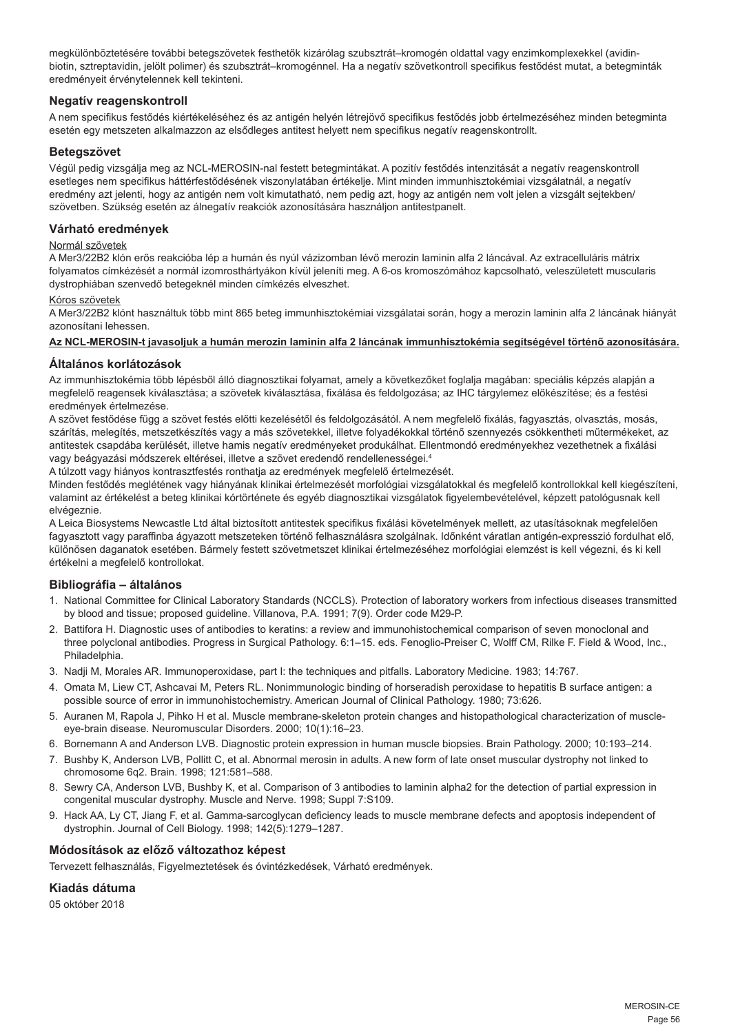megkülönböztetésére további betegszövetek festhetők kizárólag szubsztrát–kromogén oldattal vagy enzimkomplexekkel (avidinbiotin, sztreptavidin, jelölt polimer) és szubsztrát–kromogénnel. Ha a negatív szövetkontroll specifikus festődést mutat, a betegminták eredményeit érvénytelennek kell tekinteni.

# **Negatív reagenskontroll**

A nem specifikus festődés kiértékeléséhez és az antigén helyén létrejövő specifikus festődés jobb értelmezéséhez minden betegminta esetén egy metszeten alkalmazzon az elsődleges antitest helyett nem specifikus negatív reagenskontrollt.

### **Betegszövet**

Végül pedig vizsgálja meg az NCL-MEROSIN-nal festett betegmintákat. A pozitív festődés intenzitását a negatív reagenskontroll esetleges nem specifikus háttérfestődésének viszonylatában értékelje. Mint minden immunhisztokémiai vizsgálatnál, a negatív eredmény azt jelenti, hogy az antigén nem volt kimutatható, nem pedig azt, hogy az antigén nem volt jelen a vizsgált sejtekben/ szövetben. Szükség esetén az álnegatív reakciók azonosítására használjon antitestpanelt.

## **Várható eredmények**

# Normál szövetek

A Mer3/22B2 klón erős reakcióba lép a humán és nyúl vázizomban lévő merozin laminin alfa 2 láncával. Az extracelluláris mátrix folyamatos címkézését a normál izomrosthártyákon kívül jeleníti meg. A 6-os kromoszómához kapcsolható, veleszületett muscularis dystrophiában szenvedő betegeknél minden címkézés elveszhet.

#### Kóros szövetek

A Mer3/22B2 klónt használtuk több mint 865 beteg immunhisztokémiai vizsgálatai során, hogy a merozin laminin alfa 2 láncának hiányát azonosítani lehessen.

#### **Az NCL-MEROSIN-t javasoljuk a humán merozin laminin alfa 2 láncának immunhisztokémia segítségével történő azonosítására.**

#### **Általános korlátozások**

Az immunhisztokémia több lépésből álló diagnosztikai folyamat, amely a következőket foglalja magában: speciális képzés alapján a megfelelő reagensek kiválasztása; a szövetek kiválasztása, fixálása és feldolgozása; az IHC tárgylemez előkészítése; és a festési eredmények értelmezése.

A szövet festődése függ a szövet festés előtti kezelésétől és feldolgozásától. A nem megfelelő fixálás, fagyasztás, olvasztás, mosás, szárítás, melegítés, metszetkészítés vagy a más szövetekkel, illetve folyadékokkal történő szennyezés csökkentheti műtermékeket, az antitestek csapdába kerülését, illetve hamis negatív eredményeket produkálhat. Ellentmondó eredményekhez vezethetnek a fixálási vagy beágyazási módszerek eltérései, illetve a szövet eredendő rendellenességei.4

A túlzott vagy hiányos kontrasztfestés ronthatja az eredmények megfelelő értelmezését.

Minden festődés meglétének vagy hiányának klinikai értelmezését morfológiai vizsgálatokkal és megfelelő kontrollokkal kell kiegészíteni, valamint az értékelést a beteg klinikai kórtörténete és egyéb diagnosztikai vizsgálatok figyelembevételével, képzett patológusnak kell elvégeznie.

A Leica Biosystems Newcastle Ltd által biztosított antitestek specifikus fixálási követelmények mellett, az utasításoknak megfelelően fagyasztott vagy paraffinba ágyazott metszeteken történő felhasználásra szolgálnak. Időnként váratlan antigén-expresszió fordulhat elő, különösen daganatok esetében. Bármely festett szövetmetszet klinikai értelmezéséhez morfológiai elemzést is kell végezni, és ki kell értékelni a megfelelő kontrollokat.

#### **Bibliográfia – általános**

- 1. National Committee for Clinical Laboratory Standards (NCCLS). Protection of laboratory workers from infectious diseases transmitted by blood and tissue; proposed guideline. Villanova, P.A. 1991; 7(9). Order code M29-P.
- 2. Battifora H. Diagnostic uses of antibodies to keratins: a review and immunohistochemical comparison of seven monoclonal and three polyclonal antibodies. Progress in Surgical Pathology. 6:1–15. eds. Fenoglio-Preiser C, Wolff CM, Rilke F. Field & Wood, Inc., Philadelphia.
- 3. Nadji M, Morales AR. Immunoperoxidase, part I: the techniques and pitfalls. Laboratory Medicine. 1983; 14:767.
- 4. Omata M, Liew CT, Ashcavai M, Peters RL. Nonimmunologic binding of horseradish peroxidase to hepatitis B surface antigen: a possible source of error in immunohistochemistry. American Journal of Clinical Pathology. 1980; 73:626.
- 5. Auranen M, Rapola J, Pihko H et al. Muscle membrane-skeleton protein changes and histopathological characterization of muscleeye-brain disease. Neuromuscular Disorders. 2000; 10(1):16–23.
- 6. Bornemann A and Anderson LVB. Diagnostic protein expression in human muscle biopsies. Brain Pathology. 2000; 10:193–214.
- 7. Bushby K, Anderson LVB, Pollitt C, et al. Abnormal merosin in adults. A new form of late onset muscular dystrophy not linked to chromosome 6q2. Brain. 1998; 121:581–588.
- 8. Sewry CA, Anderson LVB, Bushby K, et al. Comparison of 3 antibodies to laminin alpha2 for the detection of partial expression in congenital muscular dystrophy. Muscle and Nerve. 1998; Suppl 7:S109.
- 9. Hack AA, Ly CT, Jiang F, et al. Gamma-sarcoglycan deficiency leads to muscle membrane defects and apoptosis independent of dystrophin. Journal of Cell Biology. 1998; 142(5):1279–1287.

#### **Módosítások az előző változathoz képest**

Tervezett felhasználás, Figyelmeztetések és óvintézkedések, Várható eredmények.

# **Kiadás dátuma**

05 október 2018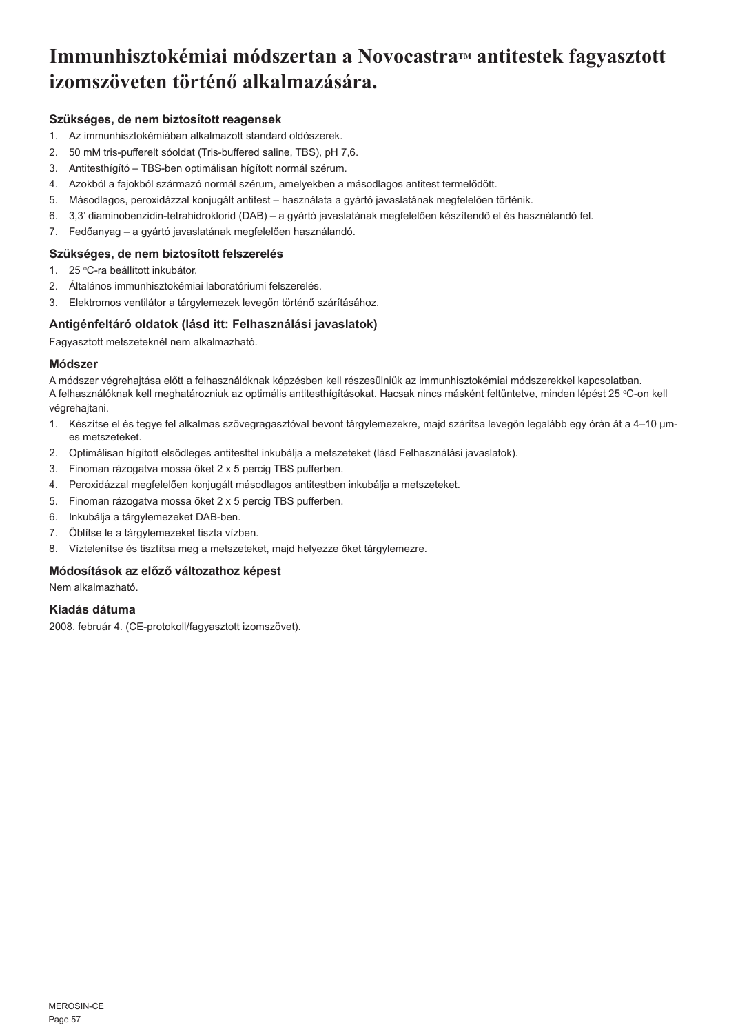# **Immunhisztokémiai módszertan a Novocastra™ antitestek fagyasztott izomszöveten történő alkalmazására.**

# **Szükséges, de nem biztosított reagensek**

- 1. Az immunhisztokémiában alkalmazott standard oldószerek.
- 2. 50 mM tris-pufferelt sóoldat (Tris-buffered saline, TBS), pH 7,6.
- 3. Antitesthígító TBS-ben optimálisan hígított normál szérum.
- 4. Azokból a fajokból származó normál szérum, amelyekben a másodlagos antitest termelődött.
- 5. Másodlagos, peroxidázzal konjugált antitest használata a gyártó javaslatának megfelelően történik.
- 6. 3,3' diaminobenzidin-tetrahidroklorid (DAB) a gyártó javaslatának megfelelően készítendő el és használandó fel.
- 7. Fedőanyag a gyártó javaslatának megfelelően használandó.

# **Szükséges, de nem biztosított felszerelés**

- 1. 25 °C-ra beállított inkubátor.
- 2. Általános immunhisztokémiai laboratóriumi felszerelés.
- 3. Elektromos ventilátor a tárgylemezek levegőn történő szárításához.

# **Antigénfeltáró oldatok (lásd itt: Felhasználási javaslatok)**

Fagyasztott metszeteknél nem alkalmazható.

# **Módszer**

A módszer végrehajtása előtt a felhasználóknak képzésben kell részesülniük az immunhisztokémiai módszerekkel kapcsolatban. A felhasználóknak kell meghatározniuk az optimális antitesthígításokat. Hacsak nincs másként feltüntetve, minden lépést 25 °C-on kell végrehajtani.

- 1. Készítse el és tegye fel alkalmas szövegragasztóval bevont tárgylemezekre, majd szárítsa levegőn legalább egy órán át a 4–10 µmes metszeteket.
- 2. Optimálisan hígított elsődleges antitesttel inkubálja a metszeteket (lásd Felhasználási javaslatok).
- 3. Finoman rázogatva mossa őket 2 x 5 percig TBS pufferben.
- 4. Peroxidázzal megfelelően konjugált másodlagos antitestben inkubálja a metszeteket.
- 5. Finoman rázogatva mossa őket 2 x 5 percig TBS pufferben.
- 6. Inkubálja a tárgylemezeket DAB-ben.
- 7. Öblítse le a tárgylemezeket tiszta vízben.
- 8. Víztelenítse és tisztítsa meg a metszeteket, majd helyezze őket tárgylemezre.

# **Módosítások az előző változathoz képest**

Nem alkalmazható.

# **Kiadás dátuma**

2008. február 4. (CE-protokoll/fagyasztott izomszövet).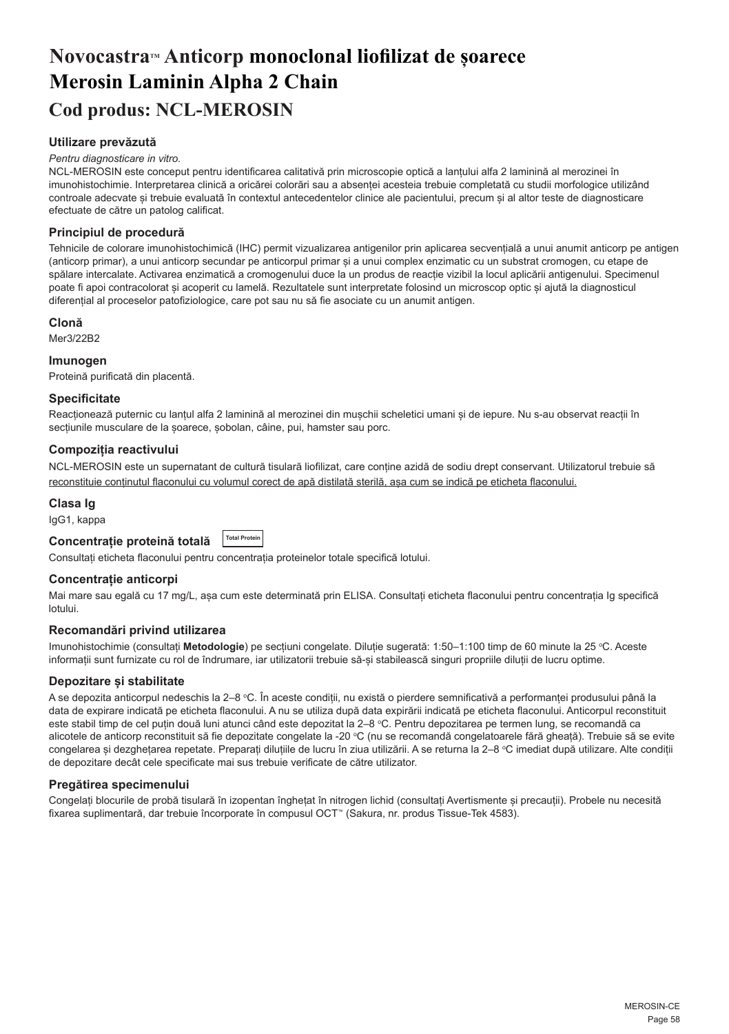# **NovocastraTM Anticorp monoclonal liofilizat de șoarece Merosin Laminin Alpha 2 Chain Cod produs: NCL-MEROSIN**

# **Utilizare prevăzută**

#### *Pentru diagnosticare in vitro.*

NCL-MEROSIN este conceput pentru identificarea calitativă prin microscopie optică a lanțului alfa 2 laminină al merozinei în imunohistochimie. Interpretarea clinică a oricărei colorări sau a absenței acesteia trebuie completată cu studii morfologice utilizând controale adecvate și trebuie evaluată în contextul antecedentelor clinice ale pacientului, precum și al altor teste de diagnosticare efectuate de către un patolog calificat.

## **Principiul de procedură**

Tehnicile de colorare imunohistochimică (IHC) permit vizualizarea antigenilor prin aplicarea secvențială a unui anumit anticorp pe antigen (anticorp primar), a unui anticorp secundar pe anticorpul primar și a unui complex enzimatic cu un substrat cromogen, cu etape de spălare intercalate. Activarea enzimatică a cromogenului duce la un produs de reacție vizibil la locul aplicării antigenului. Specimenul poate fi apoi contracolorat și acoperit cu lamelă. Rezultatele sunt interpretate folosind un microscop optic și ajută la diagnosticul diferențial al proceselor patofiziologice, care pot sau nu să fie asociate cu un anumit antigen.

## **Clonă**

Mer3/22B2

#### **Imunogen**

Proteină purificată din placentă.

## **Specificitate**

Reactionează puternic cu lantul alfa 2 laminină al merozinei din muschii scheletici umani si de iepure. Nu s-au observat reactii în sectiunile musculare de la soarece, sobolan, câine, pui, hamster sau porc.

# **Compoziția reactivului**

NCL-MEROSIN este un supernatant de cultură tisulară liofilizat, care conține azidă de sodiu drept conservant. Utilizatorul trebuie să reconstituie conținutul flaconului cu volumul corect de apă distilată sterilă, așa cum se indică pe eticheta flaconului.

## **Clasa Ig**

IgG1, kappa

**Concentrație proteină totală Total Protein**

Consultați eticheta flaconului pentru concentrația proteinelor totale specifică lotului.

## **Concentrație anticorpi**

Mai mare sau egală cu 17 mg/L, asa cum este determinată prin ELISA. Consultati eticheta flaconului pentru concentratia Ig specifică lotului.

# **Recomandări privind utilizarea**

Imunohistochimie (consultați **Metodologie**) pe secțiuni congelate. Diluție sugerată: 1:50–1:100 timp de 60 minute la 25 °C. Aceste informații sunt furnizate cu rol de îndrumare, iar utilizatorii trebuie să-și stabilească singuri propriile diluții de lucru optime.

# **Depozitare și stabilitate**

A se depozita anticorpul nedeschis la 2–8 °C. In aceste condiții, nu există o pierdere semnificativă a performanței produsului până la data de expirare indicată pe eticheta flaconului. A nu se utiliza după data expirării indicată pe eticheta flaconului. Anticorpul reconstituit este stabil timp de cel puțin două luni atunci când este depozitat la 2–8 °C. Pentru depozitarea pe termen lung, se recomandă ca alicotele de anticorp reconstituit să fie depozitate congelate la -20 °C (nu se recomandă congelatoarele fără gheață). Trebuie să se evite congelarea și dezghețarea repetate. Preparați diluțiile de lucru în ziua utilizării. A se returna la 2–8 °C imediat după utilizare. Alte condiții de depozitare decât cele specificate mai sus trebuie verificate de către utilizator.

#### **Pregătirea specimenului**

Congelați blocurile de probă tisulară în izopentan înghețat în nitrogen lichid (consultați Avertismente și precauții). Probele nu necesită fixarea suplimentară, dar trebuie încorporate în compusul OCT™ (Sakura, nr. produs Tissue-Tek 4583).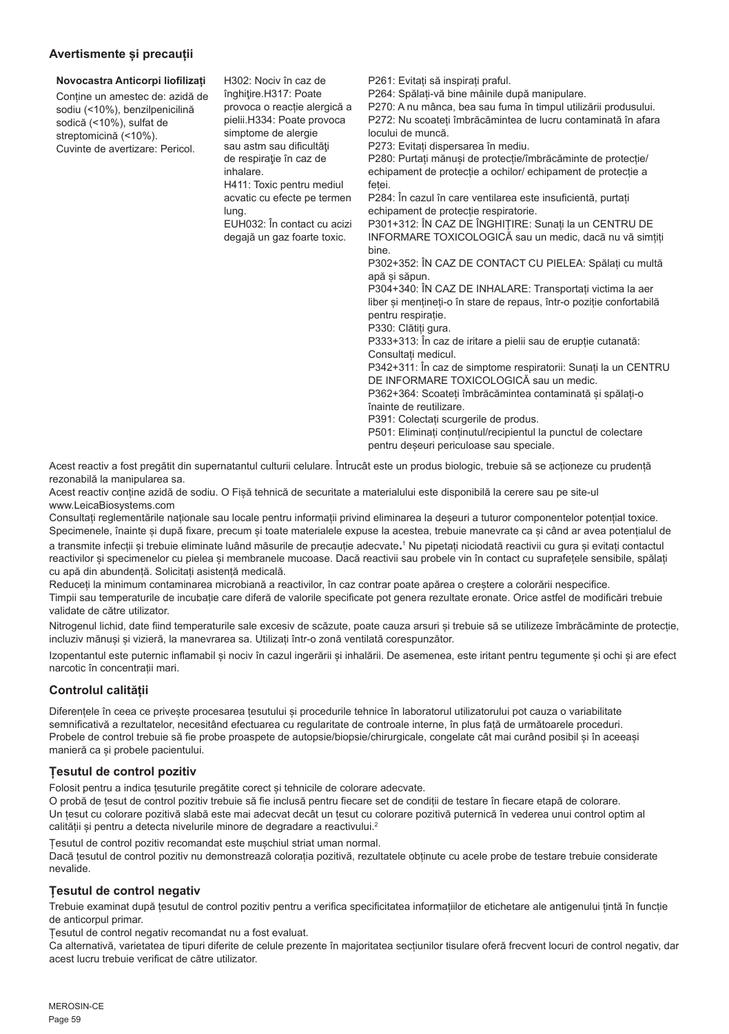# **Avertismente și precauții**

#### **Novocastra Anticorpi liofilizați**

Conține un amestec de: azidă de sodiu (<10%), benzilpenicilină sodică (<10%), sulfat de streptomicină (<10%). Cuvinte de avertizare: Pericol.

H302: Nociv în caz de înghitire.H317: Poate provoca o reacție alergică a pielii.H334: Poate provoca simptome de alergie sau astm sau dificultăți de respirație în caz de inhalare. H411: Toxic pentru mediul acvatic cu efecte pe termen

lung. EUH032: În contact cu acizi degajă un gaz foarte toxic.

P261: Evitați să inspirați praful.

P264: Spălați-vă bine mâinile după manipulare.

P270: A nu mânca, bea sau fuma în timpul utilizării produsului. P272: Nu scoateți îmbrăcămintea de lucru contaminată în afara locului de muncă.

P273: Evitați dispersarea în mediu.

P280: Purtați mănuși de protecție/îmbrăcăminte de protecție/ echipament de protecție a ochilor/ echipament de protecție a feței.

P284: În cazul în care ventilarea este insuficientă, purtați echipament de protecție respiratorie.

P301+312: ÎN CAZ DE ÎNGHIȚIRE: Sunați la un CENTRU DE INFORMARE TOXICOLOGICĂ sau un medic, dacă nu vă simțiți bine.

P302+352: ÎN CAZ DE CONTACT CU PIELEA: Spălați cu multă apă și săpun.

P304+340: ÎN CAZ DE INHALARE: Transportați victima la aer liber și mentineti-o în stare de repaus, într-o poziție confortabilă pentru respirație.

P330: Clătiți gura.

P333+313: În caz de iritare a pielii sau de erupție cutanată: Consultați medicul.

P342+311: În caz de simptome respiratorii: Sunați la un CENTRU DE INFORMARE TOXICOLOGICĂ sau un medic.

P362+364: Scoateți îmbrăcămintea contaminată și spălați-o înainte de reutilizare.

P391: Colectați scurgerile de produs.

P501: Eliminați conținutul/recipientul la punctul de colectare pentru deșeuri periculoase sau speciale.

Acest reactiv a fost pregătit din supernatantul culturii celulare. Întrucât este un produs biologic, trebuie să se acționeze cu prudență rezonabilă la manipularea sa.

Acest reactiv conține azidă de sodiu. O Fișă tehnică de securitate a materialului este disponibilă la cerere sau pe site-ul www.LeicaBiosystems.com

Consultați reglementările naționale sau locale pentru informații privind eliminarea la deșeuri a tuturor componentelor potențial toxice. Specimenele, înainte și după fixare, precum și toate materialele expuse la acestea, trebuie manevrate ca și când ar avea potențialul de a transmite infecții și trebuie eliminate luând măsurile de precauție adecvate**.**' Nu pipetați niciodată reactivii cu gura și evitați contactul reactivilor și specimenelor cu pielea și membranele mucoase. Dacă reactivii sau probele vin în contact cu suprafețele sensibile, spălați cu apă din abundență. Solicitați asistență medicală.

Reduceți la minimum contaminarea microbiană a reactivilor, în caz contrar poate apărea o creștere a colorării nespecifice. Timpii sau temperaturile de incubație care diferă de valorile specificate pot genera rezultate eronate. Orice astfel de modificări trebuie validate de către utilizator.

Nitrogenul lichid, date fiind temperaturile sale excesiv de scăzute, poate cauza arsuri și trebuie să se utilizeze îmbrăcăminte de protecție, incluziv mănuși și vizieră, la manevrarea sa. Utilizați într-o zonă ventilată corespunzător.

Izopentantul este puternic inflamabil și nociv în cazul ingerării și inhalării. De asemenea, este iritant pentru tegumente și ochi și are efect narcotic în concentrații mari.

# **Controlul calității**

Diferentele în ceea ce priveste procesarea tesutului și procedurile tehnice în laboratorul utilizatorului pot cauza o variabilitate semnificativă a rezultatelor, necesitând efectuarea cu regularitate de controale interne, în plus față de următoarele proceduri. Probele de control trebuie să fie probe proaspete de autopsie/biopsie/chirurgicale, congelate cât mai curând posibil și în aceeași manieră ca și probele pacientului.

# **Țesutul de control pozitiv**

Folosit pentru a indica țesuturile pregătite corect și tehnicile de colorare adecvate.

O probă de țesut de control pozitiv trebuie să fie inclusă pentru fiecare set de condiții de testare în fiecare etapă de colorare. Un țesut cu colorare pozitivă slabă este mai adecvat decât un țesut cu colorare pozitivă puternică în vederea unui control optim al calității și pentru a detecta nivelurile minore de degradare a reactivului.<sup>2</sup>

Țesutul de control pozitiv recomandat este mușchiul striat uman normal. Dacă țesutul de control pozitiv nu demonstrează colorația pozitivă, rezultatele obținute cu acele probe de testare trebuie considerate nevalide.

# **Țesutul de control negativ**

Trebuie examinat după țesutul de control pozitiv pentru a verifica specificitatea informațiilor de etichetare ale antigenului țintă în funcție de anticorpul primar.

Țesutul de control negativ recomandat nu a fost evaluat.

Ca alternativă, varietatea de tipuri diferite de celule prezente în majoritatea secțiunilor tisulare oferă frecvent locuri de control negativ, dar acest lucru trebuie verificat de către utilizator.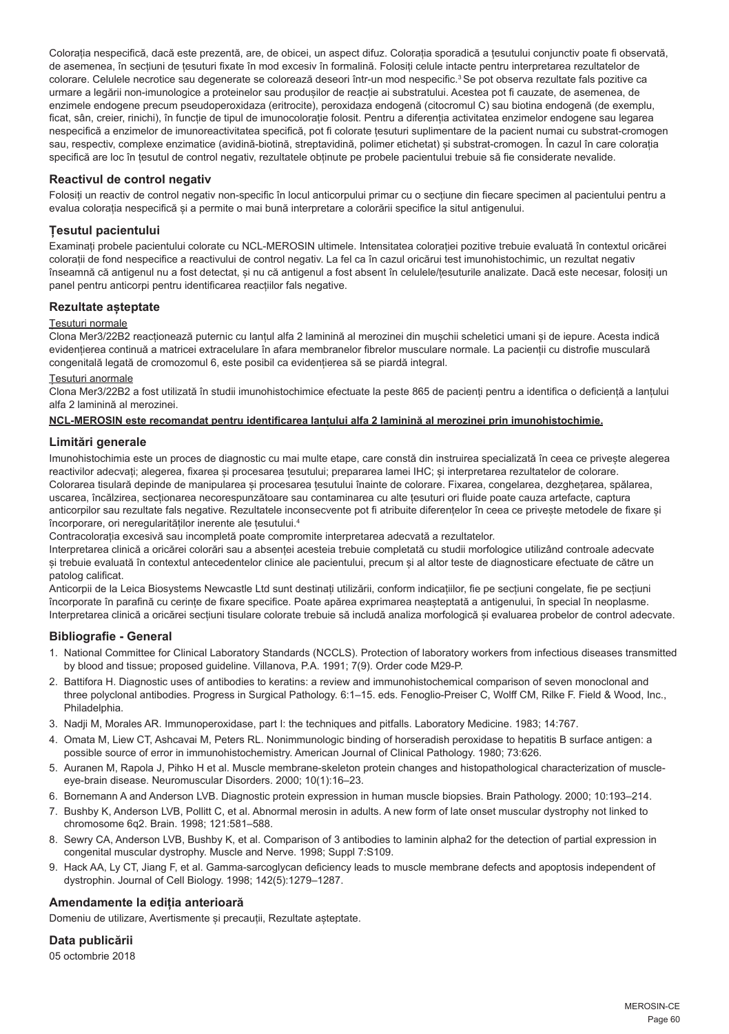Colorația nespecifică, dacă este prezentă, are, de obicei, un aspect difuz. Colorația sporadică a țesutului conjunctiv poate fi observată, de asemenea, în secțiuni de țesuturi fixate în mod excesiv în formalină. Folosiți celule intacte pentru interpretarea rezultatelor de colorare. Celulele necrotice sau degenerate se colorează deseori într-un mod nespecific.<sup>3</sup> Se pot observa rezultate fals pozitive ca urmare a legării non-imunologice a proteinelor sau produșilor de reacție ai substratului. Acestea pot fi cauzate, de asemenea, de enzimele endogene precum pseudoperoxidaza (eritrocite), peroxidaza endogenă (citocromul C) sau biotina endogenă (de exemplu, ficat, sân, creier, rinichi), în funcție de tipul de imunocolorație folosit. Pentru a diferenția activitatea enzimelor endogene sau legarea nespecifică a enzimelor de imunoreactivitatea specifică, pot fi colorate țesuturi suplimentare de la pacient numai cu substrat-cromogen sau, respectiv, complexe enzimatice (avidină-biotină, streptavidină, polimer etichetat) și substrat-cromogen. În cazul în care colorația specifică are loc în țesutul de control negativ, rezultatele obținute pe probele pacientului trebuie să fie considerate nevalide.

# **Reactivul de control negativ**

Folosiți un reactiv de control negativ non-specific în locul anticorpului primar cu o secțiune din fiecare specimen al pacientului pentru a evalua colorația nespecifică și a permite o mai bună interpretare a colorării specifice la situl antigenului.

# **Țesutul pacientului**

Examinați probele pacientului colorate cu NCL-MEROSIN ultimele. Intensitatea colorației pozitive trebuie evaluată în contextul oricărei colorații de fond nespecifice a reactivului de control negativ. La fel ca în cazul oricărui test imunohistochimic, un rezultat negativ înseamnă că antigenul nu a fost detectat, și nu că antigenul a fost absent în celulele/țesuturile analizate. Dacă este necesar, folosiți un panel pentru anticorpi pentru identificarea reacțiilor fals negative.

## **Rezultate așteptate**

#### Țesuturi normale

Clona Mer3/22B2 reacționează puternic cu lanțul alfa 2 laminină al merozinei din mușchii scheletici umani și de iepure. Acesta indică evidențierea continuă a matricei extracelulare în afara membranelor fibrelor musculare normale. La pacienții cu distrofie musculară congenitală legată de cromozomul 6, este posibil ca evidențierea să se piardă integral.

#### Țesuturi anormale

Clona Mer3/22B2 a fost utilizată în studii imunohistochimice efectuate la peste 865 de pacienți pentru a identifica o deficiență a lanțului alfa 2 laminină al merozinei.

#### **NCL-MEROSIN este recomandat pentru identificarea lanțului alfa 2 laminină al merozinei prin imunohistochimie.**

# **Limitări generale**

Imunohistochimia este un proces de diagnostic cu mai multe etape, care constă din instruirea specializată în ceea ce privește alegerea reactivilor adecvati; alegerea, fixarea și procesarea tesutului; prepararea lamei IHC; și interpretarea rezultatelor de colorare. Colorarea tisulară depinde de manipularea și procesarea tesutului înainte de colorare. Fixarea, congelarea, dezghetarea, spălarea, uscarea, încălzirea, secționarea necorespunzătoare sau contaminarea cu alte țesuturi ori fluide poate cauza artefacte, captura anticorpilor sau rezultate fals negative. Rezultatele inconsecvente pot fi atribuite diferențelor în ceea ce privește metodele de fixare și încorporare, ori neregularităților inerente ale tesutului.<sup>4</sup>

Contracolorația excesivă sau incompletă poate compromite interpretarea adecvată a rezultatelor.

Interpretarea clinică a oricărei colorări sau a absenței acesteia trebuie completată cu studii morfologice utilizând controale adecvate și trebuie evaluată în contextul antecedentelor clinice ale pacientului, precum și al altor teste de diagnosticare efectuate de către un patolog calificat.

Anticorpii de la Leica Biosystems Newcastle Ltd sunt destinați utilizării, conform indicațiilor, fie pe secțiuni congelate, fie pe secțiuni încorporate în parafină cu cerințe de fixare specifice. Poate apărea exprimarea neașteptată a antigenului, în special în neoplasme. Interpretarea clinică a oricărei secțiuni tisulare colorate trebuie să includă analiza morfologică și evaluarea probelor de control adecvate.

# **Bibliografie - General**

- 1. National Committee for Clinical Laboratory Standards (NCCLS). Protection of laboratory workers from infectious diseases transmitted by blood and tissue; proposed guideline. Villanova, P.A. 1991; 7(9). Order code M29-P.
- 2. Battifora H. Diagnostic uses of antibodies to keratins: a review and immunohistochemical comparison of seven monoclonal and three polyclonal antibodies. Progress in Surgical Pathology. 6:1–15. eds. Fenoglio-Preiser C, Wolff CM, Rilke F. Field & Wood, Inc., Philadelphia.
- 3. Nadji M, Morales AR. Immunoperoxidase, part I: the techniques and pitfalls. Laboratory Medicine. 1983; 14:767.
- 4. Omata M, Liew CT, Ashcavai M, Peters RL. Nonimmunologic binding of horseradish peroxidase to hepatitis B surface antigen: a possible source of error in immunohistochemistry. American Journal of Clinical Pathology. 1980; 73:626.
- 5. Auranen M, Rapola J, Pihko H et al. Muscle membrane-skeleton protein changes and histopathological characterization of muscleeye-brain disease. Neuromuscular Disorders. 2000; 10(1):16–23.
- 6. Bornemann A and Anderson LVB. Diagnostic protein expression in human muscle biopsies. Brain Pathology. 2000; 10:193–214.
- 7. Bushby K, Anderson LVB, Pollitt C, et al. Abnormal merosin in adults. A new form of late onset muscular dystrophy not linked to chromosome 6q2. Brain. 1998; 121:581–588.
- 8. Sewry CA, Anderson LVB, Bushby K, et al. Comparison of 3 antibodies to laminin alpha2 for the detection of partial expression in congenital muscular dystrophy. Muscle and Nerve. 1998; Suppl 7:S109.
- 9. Hack AA, Ly CT, Jiang F, et al. Gamma-sarcoglycan deficiency leads to muscle membrane defects and apoptosis independent of dystrophin. Journal of Cell Biology. 1998; 142(5):1279–1287.

# **Amendamente la ediția anterioară**

Domeniu de utilizare, Avertismente și precauții, Rezultate așteptate.

# **Data publicării**

05 octombrie 2018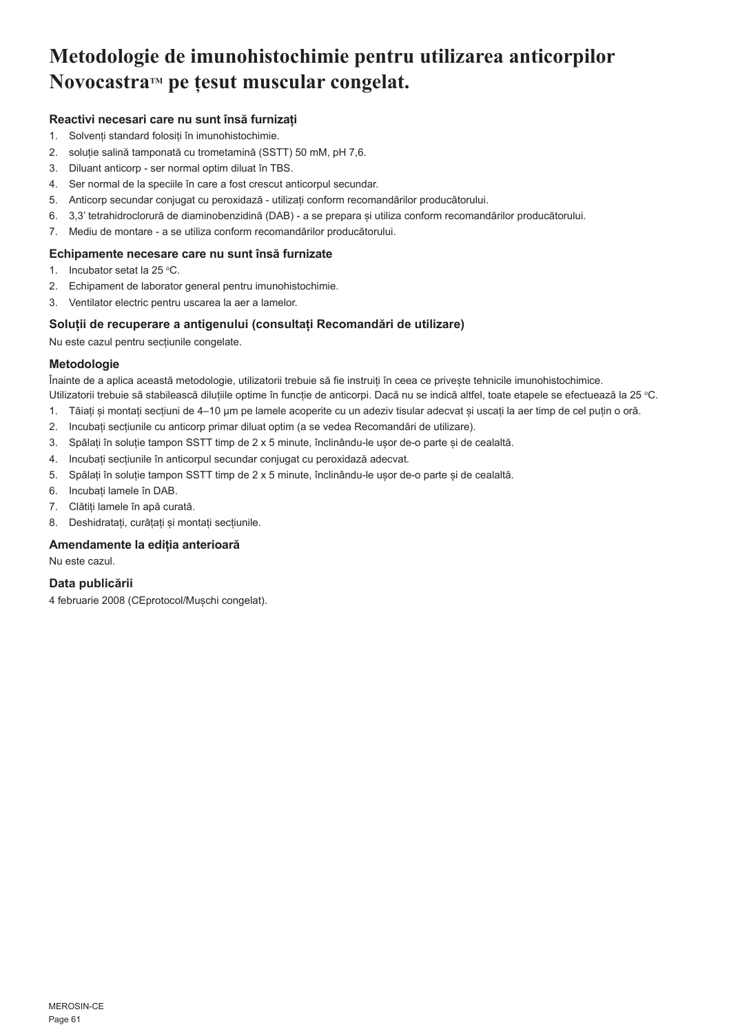# **Metodologie de imunohistochimie pentru utilizarea anticorpilor**  Novocastra™ pe țesut muscular congelat.

# **Reactivi necesari care nu sunt însă furnizați**

- 1. Solvenți standard folosiți în imunohistochimie.
- 2. soluție salină tamponată cu trometamină (SSTT) 50 mM, pH 7,6.
- 3. Diluant anticorp ser normal optim diluat în TBS.
- 4. Ser normal de la speciile în care a fost crescut anticorpul secundar.
- 5. Anticorp secundar conjugat cu peroxidază utilizați conform recomandărilor producătorului.
- 6. 3,3' tetrahidroclorură de diaminobenzidină (DAB) a se prepara și utiliza conform recomandărilor producătorului.
- 7. Mediu de montare a se utiliza conform recomandărilor producătorului.

# **Echipamente necesare care nu sunt însă furnizate**

- 1. Incubator setat la 25 °C.
- 2. Echipament de laborator general pentru imunohistochimie.
- 3. Ventilator electric pentru uscarea la aer a lamelor.

# **Soluții de recuperare a antigenului (consultați Recomandări de utilizare)**

Nu este cazul pentru secțiunile congelate.

# **Metodologie**

Înainte de a aplica această metodologie, utilizatorii trebuie să fie instruiti în ceea ce priveste tehnicile imunohistochimice.

Utilizatorii trebuie să stabilească diluțiile optime în funcție de anticorpi. Dacă nu se indică altfel, toate etapele se efectuează la 25 °C.

- 1. Tăiați și montați secțiuni de 4–10 µm pe lamele acoperite cu un adeziv tisular adecvat și uscați la aer timp de cel puțin o oră.
- 2. Incubați secțiunile cu anticorp primar diluat optim (a se vedea Recomandări de utilizare).
- 3. Spălați în soluție tampon SSTT timp de 2 x 5 minute, înclinându-le usor de-o parte și de cealaltă.
- 4. Incubați secțiunile în anticorpul secundar conjugat cu peroxidază adecvat.
- 5. Spălați în soluție tampon SSTT timp de 2 x 5 minute, înclinându-le ușor de-o parte și de cealaltă.
- 6. Incubați lamele în DAB.
- 7. Clătiți lamele în apă curată.
- 8. Deshidratați, curătați și montați secțiunile.

# **Amendamente la ediția anterioară**

Nu este cazul.

# **Data publicării**

4 februarie 2008 (CEprotocol/Mușchi congelat).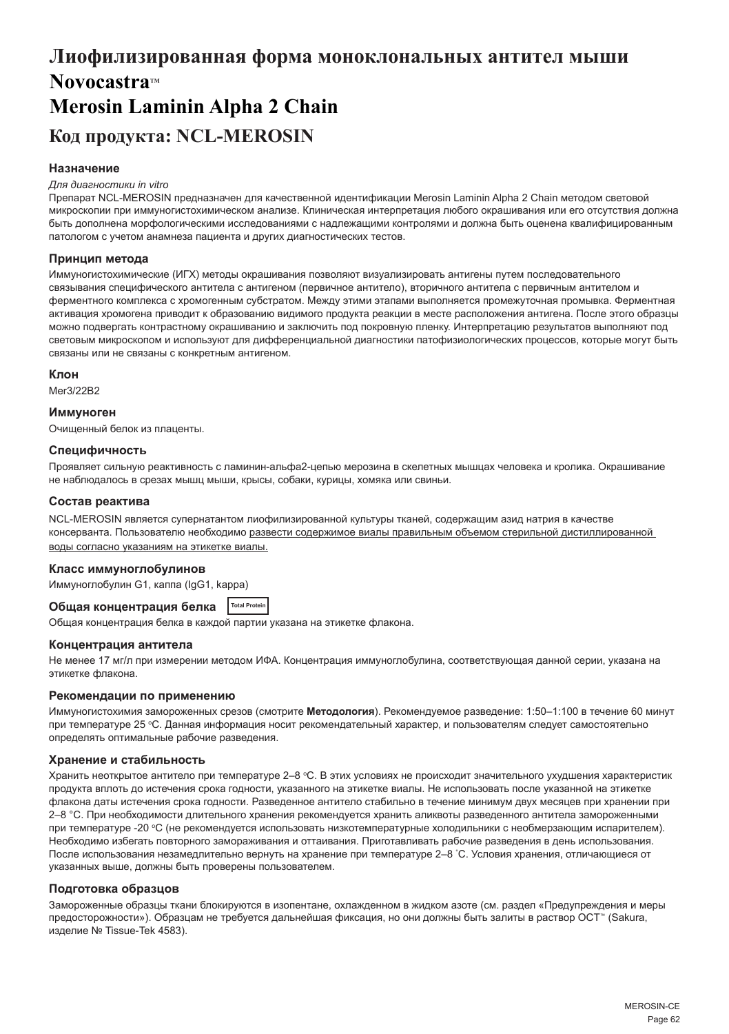# **Лиофилизированная форма моноклональных антител мыши Novocastra™ Merosin Laminin Alpha 2 Chain Код продукта: NCL-MEROSIN**

# **Назначение**

#### *Для диагностики in vitro*

Препарат NCL-MEROSIN предназначен для качественной идентификации Merosin Laminin Alpha 2 Chain методом световой микроскопии при иммуногистохимическом анализе. Клиническая интерпретация любого окрашивания или его отсутствия должна быть дополнена морфологическими исследованиями с надлежащими контролями и должна быть оценена квалифицированным патологом с учетом анамнеза пациента и других диагностических тестов.

#### **Принцип метода**

Иммуногистохимические (ИГХ) методы окрашивания позволяют визуализировать антигены путем последовательного связывания специфического антитела с антигеном (первичное антитело), вторичного антитела с первичным антителом и ферментного комплекса с хромогенным субстратом. Между этими этапами выполняется промежуточная промывка. Ферментная активация хромогена приводит к образованию видимого продукта реакции в месте расположения антигена. После этого образцы можно подвергать контрастному окрашиванию и заключить под покровную пленку. Интерпретацию результатов выполняют под световым микроскопом и используют для дифференциальной диагностики патофизиологических процессов, которые могут быть связаны или не связаны с конкретным антигеном.

#### **Клон**

Mer3/22B2

#### **Иммуноген**

Очищенный белок из плаценты.

#### **Специфичность**

Проявляет сильную реактивность с ламинин-альфа2-цепью мерозина в скелетных мышцах человека и кролика. Окрашивание не наблюдалось в срезах мышц мыши, крысы, собаки, курицы, хомяка или свиньи.

#### **Состав реактива**

NCL-MEROSIN является супернатантом лиофилизированной культуры тканей, содержащим азид натрия в качестве консерванта. Пользователю необходимо развести содержимое виалы правильным объемом стерильной дистиллированной воды согласно указаниям на этикетке виалы.

## **Класс иммуноглобулинов**

Иммуноглобулин G1, каппа (IgG1, kappa)

# **Общая концентрация белка Total Protein**

Общая концентрация белка в каждой партии указана на этикетке флакона.

#### **Концентрация антитела**

Не менее 17 мг/л при измерении методом ИФА. Концентрация иммуноглобулина, соответствующая данной серии, указана на этикетке флакона.

#### **Рекомендации по применению**

Иммуногистохимия замороженных срезов (смотрите **Методология**). Рекомендуемое разведение: 1:50–1:100 в течение 60 минут при температуре 25 °C. Данная информация носит рекомендательный характер, и пользователям следует самостоятельно определять оптимальные рабочие разведения.

#### **Хранение и стабильность**

Хранить неоткрытое антитело при температуре 2–8 °C. В этих условиях не происходит значительного ухудшения характеристик продукта вплоть до истечения срока годности, указанного на этикетке виалы. Не использовать после указанной на этикетке флакона даты истечения срока годности. Разведенное антитело стабильно в течение минимум двух месяцев при хранении при 2–8 °C. При необходимости длительного хранения рекомендуется хранить аликвоты разведенного антитела замороженными при температуре -20 °C (не рекомендуется использовать низкотемпературные холодильники с необмерзающим испарителем). Необходимо избегать повторного замораживания и оттаивания. Приготавливать рабочие разведения в день использования. После использования незамедлительно вернуть на хранение при температуре 2–8 ° C. Условия хранения, отличающиеся от указанных выше, должны быть проверены пользователем.

# **Подготовка образцов**

Замороженные образцы ткани блокируются в изопентане, охлажденном в жидком азоте (см. раздел «Предупреждения и меры предосторожности»). Образцам не требуется дальнейшая фиксация, но они должны быть залиты в раствор OCT™ (Sakura, изделие № Tissue-Tek 4583).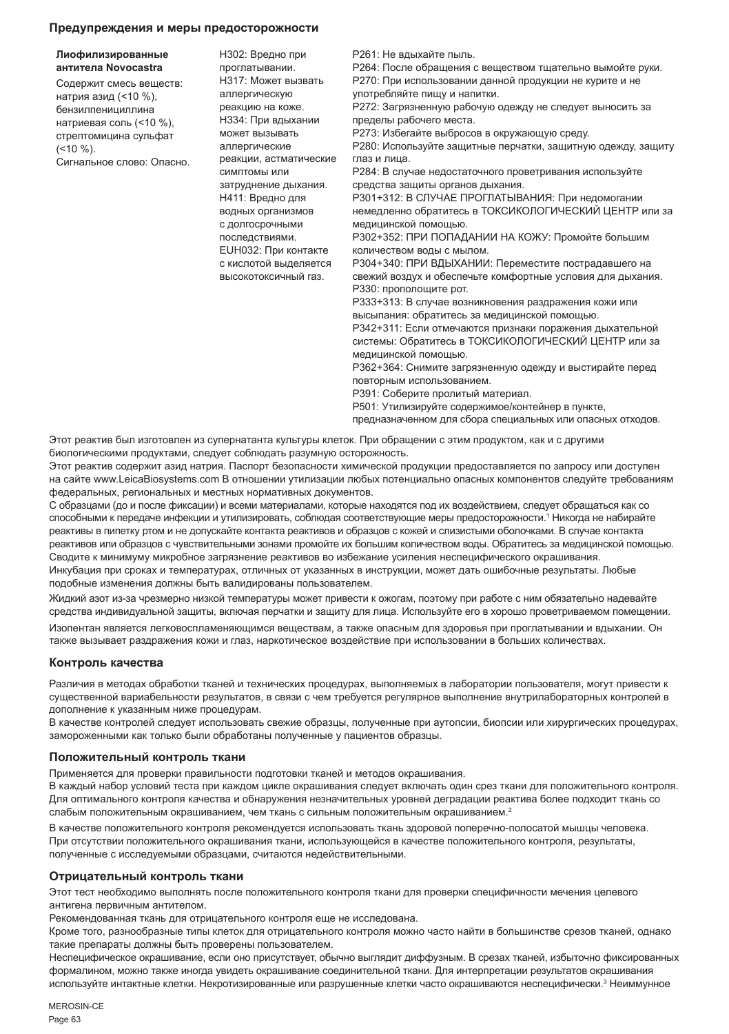#### **Предупреждения и меры предосторожности**

#### **Лиофилизированные антитела Novocastra**

Содержит смесь веществ: натрия азид (<10 %), бензилпенициллина натриевая соль (<10 %), стрептомицина сульфат  $($  < 10 %). Сигнальное слово: Опасно. H302: Вредно при проглатывании. H317: Может вызвать аллергическую реакцию на коже. H334: При вдыхании может вызывать аллергические реакции, астматические симптомы или затруднение дыхания. H411: Вредно для водных организмов с долгосрочными последствиями. EUH032: При контакте с кислотой выделяется

высокотоксичный газ.

P261: Не вдыхайте пыль.

P264: После обращения с веществом тщательно вымойте руки.

P270: При использовании данной продукции не курите и не

употребляйте пищу и напитки.

P272: Загрязненную рабочую одежду не следует выносить за пределы рабочего места.

P273: Избегайте выбросов в окружающую среду.

P280: Используйте защитные перчатки, защитную одежду, защиту глаз и лица.

P284: В случае недостаточного проветривания используйте средства защиты органов дыхания.

P301+312: В СЛУЧАЕ ПРОГЛАТЫВАНИЯ: При недомогании немедленно обратитесь в ТОКСИКОЛОГИЧЕСКИЙ ЦЕНТР или за медицинской помощью.

P302+352: ПРИ ПОПАДАНИИ НА КОЖУ: Промойте большим количеством воды с мылом.

P304+340: ПРИ ВДЫХАНИИ: Переместите пострадавшего на свежий воздух и обеспечьте комфортные условия для дыхания. P330: прополощите рот.

P333+313: В случае возникновения раздражения кожи или высыпания: обратитесь за медицинской помощью.

P342+311: Если отмечаются признаки поражения дыхательной системы: Обратитесь в ТОКСИКОЛОГИЧЕСКИЙ ЦЕНТР или за медицинской помощью.

P362+364: Снимите загрязненную одежду и выстирайте перед повторным использованием.

P391: Соберите пролитый материал.

P501: Утилизируйте содержимое/контейнер в пункте,

предназначенном для сбора специальных или опасных отходов.

Этот реактив был изготовлен из супернатанта культуры клеток. При обращении с этим продуктом, как и с другими биологическими продуктами, следует соблюдать разумную осторожность.

Этот реактив содержит азид натрия. Паспорт безопасности химической продукции предоставляется по запросу или доступен на сайте www.LeicaBiosystems.com В отношении утилизации любых потенциально опасных компонентов следуйте требованиям федеральных, региональных и местных нормативных документов.

С образцами (до и после фиксации) и всеми материалами, которые находятся под их воздействием, следует обращаться как со способными к передаче инфекции и утилизировать, соблюдая соответствующие меры предосторожности.<sup>1</sup> Никогда не набирайте реактивы в пипетку ртом и не допускайте контакта реактивов и образцов с кожей и слизистыми оболочками. В случае контакта реактивов или образцов с чувствительными зонами промойте их большим количеством воды. Обратитесь за медицинской помощью. Сводите к минимуму микробное загрязнение реактивов во избежание усиления неспецифического окрашивания. Инкубация при сроках и температурах, отличных от указанных в инструкции, может дать ошибочные результаты. Любые подобные изменения должны быть валидированы пользователем.

Жидкий азот из-за чрезмерно низкой температуры может привести к ожогам, поэтому при работе с ним обязательно надевайте средства индивидуальной защиты, включая перчатки и защиту для лица. Используйте его в хорошо проветриваемом помещении. Изопентан является легковоспламеняющимся веществам, а также опасным для здоровья при проглатывании и вдыхании. Он также вызывает раздражения кожи и глаз, наркотическое воздействие при использовании в больших количествах.

#### **Контроль качества**

Различия в методах обработки тканей и технических процедурах, выполняемых в лаборатории пользователя, могут привести к существенной вариабельности результатов, в связи с чем требуется регулярное выполнение внутрилабораторных контролей в дополнение к указанным ниже процедурам.

В качестве контролей следует использовать свежие образцы, полученные при аутопсии, биопсии или хирургических процедурах, замороженными как только были обработаны полученные у пациентов образцы.

#### **Положительный контроль ткани**

Применяется для проверки правильности подготовки тканей и методов окрашивания.

В каждый набор условий теста при каждом цикле окрашивания следует включать один срез ткани для положительного контроля. Для оптимального контроля качества и обнаружения незначительных уровней деградации реактива более подходит ткань со слабым положительным окрашиванием, чем ткань с сильным положительным окрашиванием.<sup>2</sup>

В качестве положительного контроля рекомендуется использовать ткань здоровой поперечно-полосатой мышцы человека. При отсутствии положительного окрашивания ткани, использующейся в качестве положительного контроля, результаты, полученные с исследуемыми образцами, считаются недействительными.

# **Отрицательный контроль ткани**

Этот тест необходимо выполнять после положительного контроля ткани для проверки специфичности мечения целевого антигена первичным антителом.

Рекомендованная ткань для отрицательного контроля еще не исследована.

Кроме того, разнообразные типы клеток для отрицательного контроля можно часто найти в большинстве срезов тканей, однако такие препараты должны быть проверены пользователем.

Неспецифическое окрашивание, если оно присутствует, обычно выглядит диффузным. В срезах тканей, избыточно фиксированных формалином, можно также иногда увидеть окрашивание соединительной ткани. Для интерпретации результатов окрашивания используйте интактные клетки. Некротизированные или разрушенные клетки часто окрашиваются неспецифически.<sup>3</sup> Неиммунное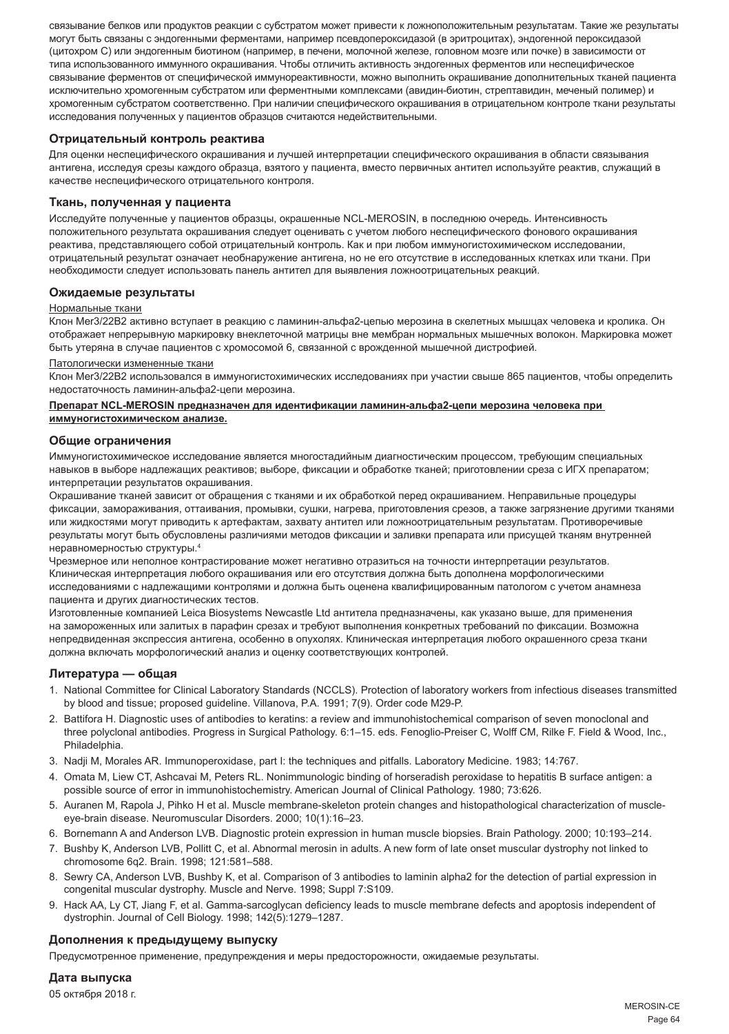связывание белков или продуктов реакции с субстратом может привести к ложноположительным результатам. Такие же результаты могут быть связаны с эндогенными ферментами, например псевдопероксидазой (в эритроцитах), эндогенной пероксидазой (цитохром C) или эндогенным биотином (например, в печени, молочной железе, головном мозге или почке) в зависимости от типа использованного иммунного окрашивания. Чтобы отличить активность эндогенных ферментов или неспецифическое связывание ферментов от специфической иммунореактивности, можно выполнить окрашивание дополнительных тканей пациента исключительно хромогенным субстратом или ферментными комплексами (авидин-биотин, стрептавидин, меченый полимер) и хромогенным субстратом соответственно. При наличии специфического окрашивания в отрицательном контроле ткани результаты исследования полученных у пациентов образцов считаются недействительными.

#### **Отрицательный контроль реактива**

Для оценки неспецифического окрашивания и лучшей интерпретации специфического окрашивания в области связывания антигена, исследуя срезы каждого образца, взятого у пациента, вместо первичных антител используйте реактив, служащий в качестве неспецифического отрицательного контроля.

#### **Ткань, полученная у пациента**

Исследуйте полученные у пациентов образцы, окрашенные NCL-MEROSIN, в последнюю очередь. Интенсивность положительного результата окрашивания следует оценивать с учетом любого неспецифического фонового окрашивания реактива, представляющего собой отрицательный контроль. Как и при любом иммуногистохимическом исследовании, отрицательный результат означает необнаружение антигена, но не его отсутствие в исследованных клетках или ткани. При необходимости следует использовать панель антител для выявления ложноотрицательных реакций.

#### **Ожидаемые результаты**

#### Нормальные ткани

Клон Mer3/22B2 активно вступает в реакцию с ламинин-альфа2-цепью мерозина в скелетных мышцах человека и кролика. Он отображает непрерывную маркировку внеклеточной матрицы вне мембран нормальных мышечных волокон. Маркировка может быть утеряна в случае пациентов с хромосомой 6, связанной с врожденной мышечной дистрофией.

#### Патологически измененные ткани

Клон Mer3/22B2 использовался в иммуногистохимических исследованиях при участии свыше 865 пациентов, чтобы определить недостаточность ламинин-альфа2-цепи мерозина.

#### **Препарат NCL-MEROSIN предназначен для идентификации ламинин-альфа2-цепи мерозина человека при иммуногистохимическом анализе.**

#### **Общие ограничения**

Иммуногистохимическое исследование является многостадийным диагностическим процессом, требующим специальных навыков в выборе надлежащих реактивов; выборе, фиксации и обработке тканей; приготовлении среза с ИГХ препаратом; интерпретации результатов окрашивания.

Окрашивание тканей зависит от обращения с тканями и их обработкой перед окрашиванием. Неправильные процедуры фиксации, замораживания, оттаивания, промывки, сушки, нагрева, приготовления срезов, а также загрязнение другими тканями или жидкостями могут приводить к артефактам, захвату антител или ложноотрицательным результатам. Противоречивые результаты могут быть обусловлены различиями методов фиксации и заливки препарата или присущей тканям внутренней неравномерностью структуры.4

Чрезмерное или неполное контрастирование может негативно отразиться на точности интерпретации результатов. Клиническая интерпретация любого окрашивания или его отсутствия должна быть дополнена морфологическими исследованиями с надлежащими контролями и должна быть оценена квалифицированным патологом с учетом анамнеза пациента и других диагностических тестов.

Изготовленные компанией Leica Biosystems Newcastle Ltd антитела предназначены, как указано выше, для применения на замороженных или залитых в парафин срезах и требуют выполнения конкретных требований по фиксации. Возможна непредвиденная экспрессия антигена, особенно в опухолях. Клиническая интерпретация любого окрашенного среза ткани должна включать морфологический анализ и оценку соответствующих контролей.

#### **Литература — общая**

- 1. National Committee for Clinical Laboratory Standards (NCCLS). Protection of laboratory workers from infectious diseases transmitted by blood and tissue; proposed guideline. Villanova, P.A. 1991; 7(9). Order code M29-P.
- 2. Battifora H. Diagnostic uses of antibodies to keratins: a review and immunohistochemical comparison of seven monoclonal and three polyclonal antibodies. Progress in Surgical Pathology. 6:1–15. eds. Fenoglio-Preiser C, Wolff CM, Rilke F. Field & Wood, Inc., Philadelphia.
- 3. Nadji M, Morales AR. Immunoperoxidase, part I: the techniques and pitfalls. Laboratory Medicine. 1983; 14:767.
- 4. Omata M, Liew CT, Ashcavai M, Peters RL. Nonimmunologic binding of horseradish peroxidase to hepatitis B surface antigen: a possible source of error in immunohistochemistry. American Journal of Clinical Pathology. 1980; 73:626.
- 5. Auranen M, Rapola J, Pihko H et al. Muscle membrane-skeleton protein changes and histopathological characterization of muscleeye-brain disease. Neuromuscular Disorders. 2000; 10(1):16–23.
- 6. Bornemann A and Anderson LVB. Diagnostic protein expression in human muscle biopsies. Brain Pathology. 2000; 10:193–214.
- 7. Bushby K, Anderson LVB, Pollitt C, et al. Abnormal merosin in adults. A new form of late onset muscular dystrophy not linked to chromosome 6q2. Brain. 1998; 121:581–588.
- 8. Sewry CA, Anderson LVB, Bushby K, et al. Comparison of 3 antibodies to laminin alpha2 for the detection of partial expression in congenital muscular dystrophy. Muscle and Nerve. 1998; Suppl 7:S109.
- 9. Hack AA, Ly CT, Jiang F, et al. Gamma-sarcoglycan deficiency leads to muscle membrane defects and apoptosis independent of dystrophin. Journal of Cell Biology. 1998; 142(5):1279–1287.

#### **Дополнения к предыдущему выпуску**

Предусмотренное применение, предупреждения и меры предосторожности, ожидаемые результаты.

## **Дата выпуска**

05 октября 2018 г.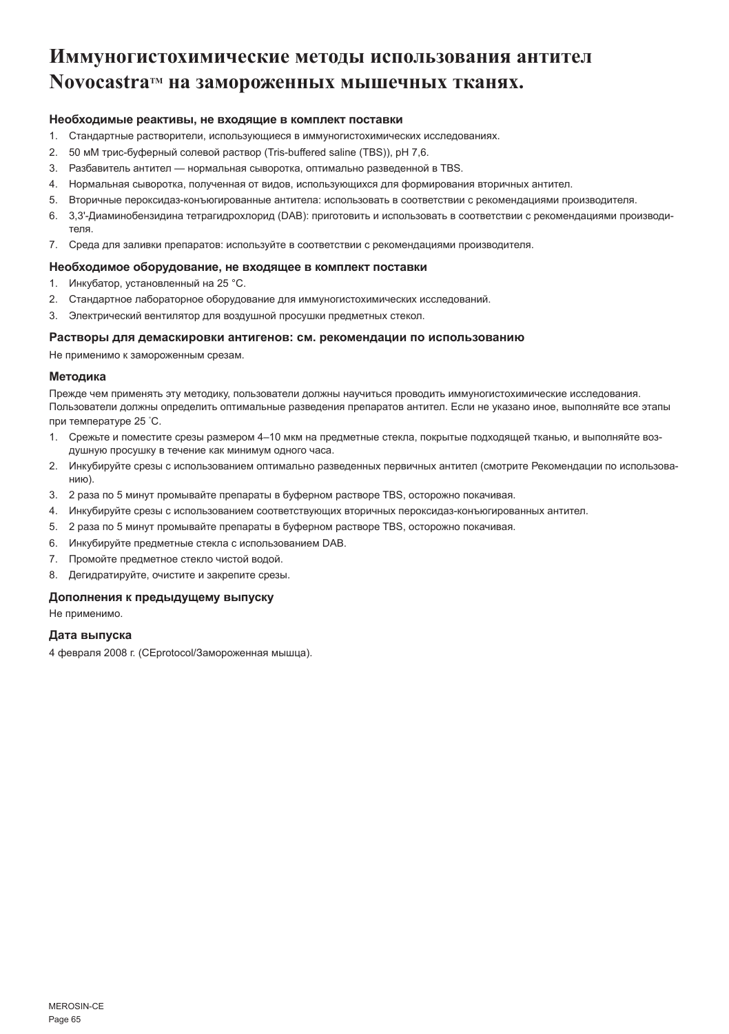# **Иммуногистохимические методы использования антител NovocastraTM на замороженных мышечных тканях.**

# **Необходимые реактивы, не входящие в комплект поставки**

- 1. Стандартные растворители, использующиеся в иммуногистохимических исследованиях.
- 2. 50 мМ трис-буферный солевой раствор (Tris-buffered saline (TBS)), pH 7,6.
- 3. Разбавитель антител нормальная сыворотка, оптимально разведенной в TBS.
- 4. Нормальная сыворотка, полученная от видов, использующихся для формирования вторичных антител.
- 5. Вторичные пероксидаз-конъюгированные антитела: использовать в соответствии с рекомендациями производителя.
- 6. 3,3'-Диаминобензидина тетрагидрохлорид (DAB): приготовить и использовать в соответствии с рекомендациями производителя.
- 7. Среда для заливки препаратов: используйте в соответствии с рекомендациями производителя.

## **Необходимое оборудование, не входящее в комплект поставки**

- 1. Инкубатор, установленный на 25 °C.
- 2. Стандартное лабораторное оборудование для иммуногистохимических исследований.
- 3. Электрический вентилятор для воздушной просушки предметных стекол.

#### **Растворы для демаскировки антигенов: см. рекомендации по использованию**

Не применимо к замороженным срезам.

## **Методика**

Прежде чем применять эту методику, пользователи должны научиться проводить иммуногистохимические исследования. Пользователи должны определить оптимальные разведения препаратов антител. Если не указано иное, выполняйте все этапы при температуре 25 ° C.

- 1. Срежьте и поместите срезы размером 4–10 мкм на предметные стекла, покрытые подходящей тканью, и выполняйте воздушную просушку в течение как минимум одного часа.
- 2. Инкубируйте срезы с использованием оптимально разведенных первичных антител (смотрите Рекомендации по использованию).
- 3. 2 раза по 5 минут промывайте препараты в буферном растворе TBS, осторожно покачивая.
- 4. Инкубируйте срезы с использованием соответствующих вторичных пероксидаз-конъюгированных антител.
- 5. 2 раза по 5 минут промывайте препараты в буферном растворе TBS, осторожно покачивая.
- 6. Инкубируйте предметные стекла с использованием DAB.
- 7. Промойте предметное стекло чистой водой.
- 8. Дегидратируйте, очистите и закрепите срезы.

## **Дополнения к предыдущему выпуску**

Не применимо.

# **Дата выпуска**

4 февраля 2008 г. (CEprotocol/Замороженная мышца).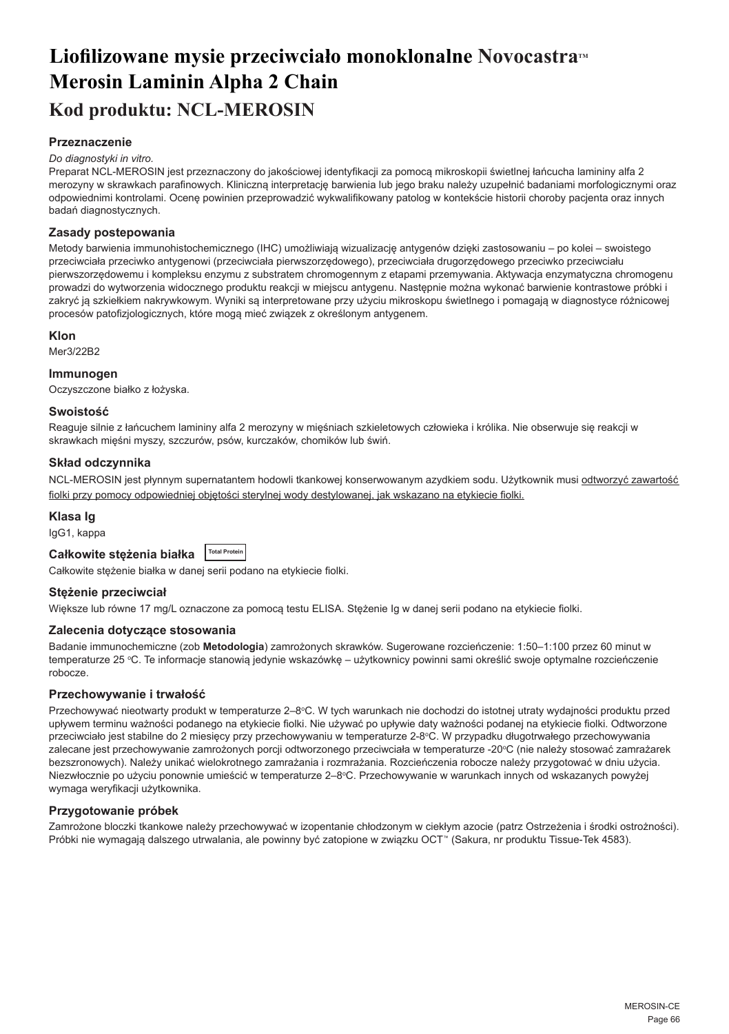# **Liofilizowane mysie przeciwciało monoklonalne Novocastram Merosin Laminin Alpha 2 Chain Kod produktu: NCL-MEROSIN**

# **Przeznaczenie**

#### *Do diagnostyki in vitro.*

Preparat NCL-MEROSIN jest przeznaczony do jakościowej identyfikacji za pomocą mikroskopii świetlnej łańcucha lamininy alfa 2 merozyny w skrawkach parafinowych. Kliniczną interpretację barwienia lub jego braku należy uzupełnić badaniami morfologicznymi oraz odpowiednimi kontrolami. Ocenę powinien przeprowadzić wykwalifikowany patolog w kontekście historii choroby pacjenta oraz innych badań diagnostycznych.

# **Zasady postepowania**

Metody barwienia immunohistochemicznego (IHC) umożliwiają wizualizację antygenów dzięki zastosowaniu – po kolei – swoistego przeciwciała przeciwko antygenowi (przeciwciała pierwszorzędowego), przeciwciała drugorzędowego przeciwko przeciwciału pierwszorzędowemu i kompleksu enzymu z substratem chromogennym z etapami przemywania. Aktywacja enzymatyczna chromogenu prowadzi do wytworzenia widocznego produktu reakcji w miejscu antygenu. Następnie można wykonać barwienie kontrastowe próbki i zakryć ją szkiełkiem nakrywkowym. Wyniki są interpretowane przy użyciu mikroskopu świetlnego i pomagają w diagnostyce różnicowej procesów patofizjologicznych, które mogą mieć związek z określonym antygenem.

# **Klon**

Mer3/22B2

# **Immunogen**

Oczyszczone białko z łożyska.

# **Swoistość**

Reaguje silnie z łańcuchem lamininy alfa 2 merozyny w mięśniach szkieletowych człowieka i królika. Nie obserwuje się reakcji w skrawkach mięśni myszy, szczurów, psów, kurczaków, chomików lub świń.

# **Skład odczynnika**

NCL-MEROSIN jest płynnym supernatantem hodowli tkankowej konserwowanym azydkiem sodu. Użytkownik musi odtworzyć zawartość fiolki przy pomocy odpowiedniej objętości sterylnej wody destylowanej, jak wskazano na etykiecie fiolki.

### **Klasa Ig**

IgG1, kappa

**Całkowite stężenia białka Total Protein**

Całkowite stężenie białka w danej serii podano na etykiecie fiolki.

# **Stężenie przeciwciał**

Większe lub równe 17 mg/L oznaczone za pomocą testu ELISA. Stężenie Ig w danej serii podano na etykiecie fiolki.

# **Zalecenia dotyczące stosowania**

Badanie immunochemiczne (zob **Metodologia**) zamrożonych skrawków. Sugerowane rozcieńczenie: 1:50–1:100 przez 60 minut w temperaturze 25 °C. Te informacje stanowią jedynie wskazówkę – użytkownicy powinni sami określić swoje optymalne rozcieńczenie robocze.

# **Przechowywanie i trwałość**

Przechowywać nieotwarty produkt w temperaturze 2–8ºC. W tych warunkach nie dochodzi do istotnej utraty wydajności produktu przed upływem terminu ważności podanego na etykiecie fiolki. Nie używać po upływie daty ważności podanej na etykiecie fiolki. Odtworzone przeciwciało jest stabilne do 2 miesięcy przy przechowywaniu w temperaturze 2-8°C. W przypadku długotrwałego przechowywania zalecane jest przechowywanie zamrożonych porcji odtworzonego przeciwciała w temperaturze -20°C (nie należy stosować zamrażarek bezszronowych). Należy unikać wielokrotnego zamrażania i rozmrażania. Rozcieńczenia robocze należy przygotować w dniu użycia. Niezwłocznie po użyciu ponownie umieścić w temperaturze 2–8°C. Przechowywanie w warunkach innych od wskazanych powyżej wymaga weryfikacji użytkownika.

# **Przygotowanie próbek**

Zamrożone bloczki tkankowe należy przechowywać w izopentanie chłodzonym w ciekłym azocie (patrz Ostrzeżenia i środki ostrożności). Próbki nie wymagają dalszego utrwalania, ale powinny być zatopione w związku OCT™ (Sakura, nr produktu Tissue-Tek 4583).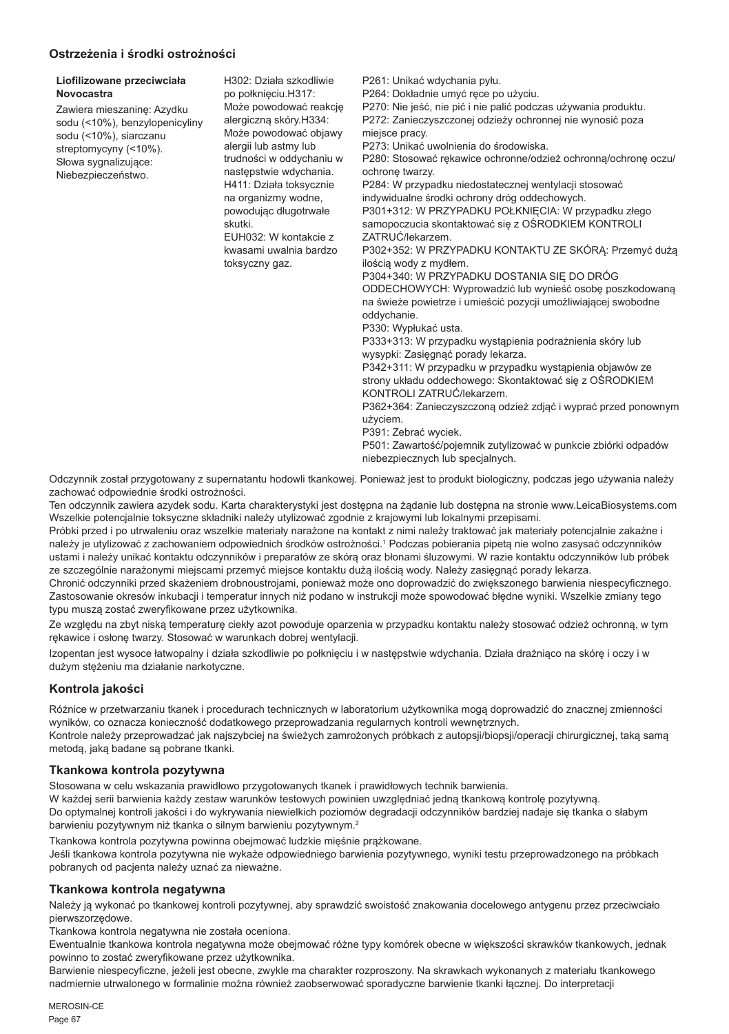# **Ostrzeżenia i środki ostrożności**

## **Liofilizowane przeciwciała Novocastra**

Zawiera mieszaninę: Azydku sodu (<10%), benzylopenicyliny sodu (<10%), siarczanu streptomycyny (<10%). Słowa sygnalizujące: Niebezpieczeństwo.

H302: Działa szkodliwie po połknięciu.H317: Może powodować reakcję alergiczną skóry.H334: Może powodować objawy alergii lub astmy lub trudności w oddychaniu w następstwie wdychania. H411: Działa toksycznie na organizmy wodne, powodując długotrwałe skutki. EUH032: W kontakcie z kwasami uwalnia bardzo toksyczny gaz.

P261: Unikać wdychania pyłu.

P264: Dokładnie umyć ręce po użyciu.

P270: Nie jeść, nie pić i nie palić podczas używania produktu. P272: Zanieczyszczonej odzieży ochronnej nie wynosić poza miejsce pracy.

P273: Unikać uwolnienia do środowiska.

P280: Stosować rękawice ochronne/odzież ochronną/ochronę oczu/ ochronę twarzy.

P284: W przypadku niedostatecznej wentylacji stosować indywidualne środki ochrony dróg oddechowych.

P301+312: W PRZYPADKU POŁKNIĘCIA: W przypadku złego samopoczucia skontaktować się z OŚRODKIEM KONTROLI ZATRUĆ/lekarzem.

P302+352: W PRZYPADKU KONTAKTU ZE SKÓRĄ: Przemyć dużą ilością wody z mydłem.

P304+340: W PRZYPADKU DOSTANIA SIĘ DO DRÓG

ODDECHOWYCH: Wyprowadzić lub wynieść osobę poszkodowaną na świeże powietrze i umieścić pozycji umożliwiającej swobodne oddychanie.

P330: Wypłukać usta.

P333+313: W przypadku wystąpienia podrażnienia skóry lub wysypki: Zasięgnąć porady lekarza.

P342+311: W przypadku w przypadku wystąpienia objawów ze strony układu oddechowego: Skontaktować się z OŚRODKIEM KONTROLI ZATRUĆ/lekarzem.

P362+364: Zanieczyszczoną odzież zdjąć i wyprać przed ponownym użyciem.

P391: Zebrać wyciek.

P501: Zawartość/pojemnik zutylizować w punkcie zbiórki odpadów niebezpiecznych lub specjalnych.

Odczynnik został przygotowany z supernatantu hodowli tkankowej. Ponieważ jest to produkt biologiczny, podczas jego używania należy zachować odpowiednie środki ostrożności.

Ten odczynnik zawiera azydek sodu. Karta charakterystyki jest dostępna na żądanie lub dostępna na stronie www.LeicaBiosystems.com Wszelkie potencjalnie toksyczne składniki należy utylizować zgodnie z krajowymi lub lokalnymi przepisami.

Próbki przed i po utrwaleniu oraz wszelkie materiały narażone na kontakt z nimi należy traktować jak materiały potencjalnie zakaźne i należy je utylizować z zachowaniem odpowiednich środków ostrożności.1 Podczas pobierania pipetą nie wolno zasysać odczynników ustami i należy unikać kontaktu odczynników i preparatów ze skórą oraz błonami śluzowymi. W razie kontaktu odczynników lub próbek ze szczególnie narażonymi miejscami przemyć miejsce kontaktu dużą ilością wody. Należy zasięgnąć porady lekarza.

Chronić odczynniki przed skażeniem drobnoustrojami, ponieważ może ono doprowadzić do zwiększonego barwienia niespecyficznego. Zastosowanie okresów inkubacji i temperatur innych niż podano w instrukcji może spowodować błędne wyniki. Wszelkie zmiany tego typu muszą zostać zweryfikowane przez użytkownika.

Ze względu na zbyt niską temperaturę ciekły azot powoduje oparzenia w przypadku kontaktu należy stosować odzież ochronną, w tym rękawice i osłonę twarzy. Stosować w warunkach dobrej wentylacji.

Izopentan jest wysoce łatwopalny i działa szkodliwie po połknięciu i w następstwie wdychania. Działa drażniąco na skórę i oczy i w dużym stężeniu ma działanie narkotyczne.

# **Kontrola jakości**

Różnice w przetwarzaniu tkanek i procedurach technicznych w laboratorium użytkownika mogą doprowadzić do znacznej zmienności wyników, co oznacza konieczność dodatkowego przeprowadzania regularnych kontroli wewnętrznych.

Kontrole należy przeprowadzać jak najszybciej na świeżych zamrożonych próbkach z autopsji/biopsji/operacji chirurgicznej, taką samą metodą, jaką badane są pobrane tkanki.

# **Tkankowa kontrola pozytywna**

Stosowana w celu wskazania prawidłowo przygotowanych tkanek i prawidłowych technik barwienia.

W każdej serii barwienia każdy zestaw warunków testowych powinien uwzględniać jedną tkankową kontrolę pozytywną.

Do optymalnej kontroli jakości i do wykrywania niewielkich poziomów degradacji odczynników bardziej nadaje się tkanka o słabym barwieniu pozytywnym niż tkanka o silnym barwieniu pozytywnym.<sup>2</sup>

Tkankowa kontrola pozytywna powinna obejmować ludzkie mięśnie prążkowane.

Jeśli tkankowa kontrola pozytywna nie wykaże odpowiedniego barwienia pozytywnego, wyniki testu przeprowadzonego na próbkach pobranych od pacjenta należy uznać za nieważne.

# **Tkankowa kontrola negatywna**

Należy ją wykonać po tkankowej kontroli pozytywnej, aby sprawdzić swoistość znakowania docelowego antygenu przez przeciwciało pierwszorzędowe.

Tkankowa kontrola negatywna nie została oceniona.

Ewentualnie tkankowa kontrola negatywna może obejmować różne typy komórek obecne w większości skrawków tkankowych, jednak powinno to zostać zweryfikowane przez użytkownika.

Barwienie niespecyficzne, jeżeli jest obecne, zwykle ma charakter rozproszony. Na skrawkach wykonanych z materiału tkankowego nadmiernie utrwalonego w formalinie można również zaobserwować sporadyczne barwienie tkanki łącznej. Do interpretacji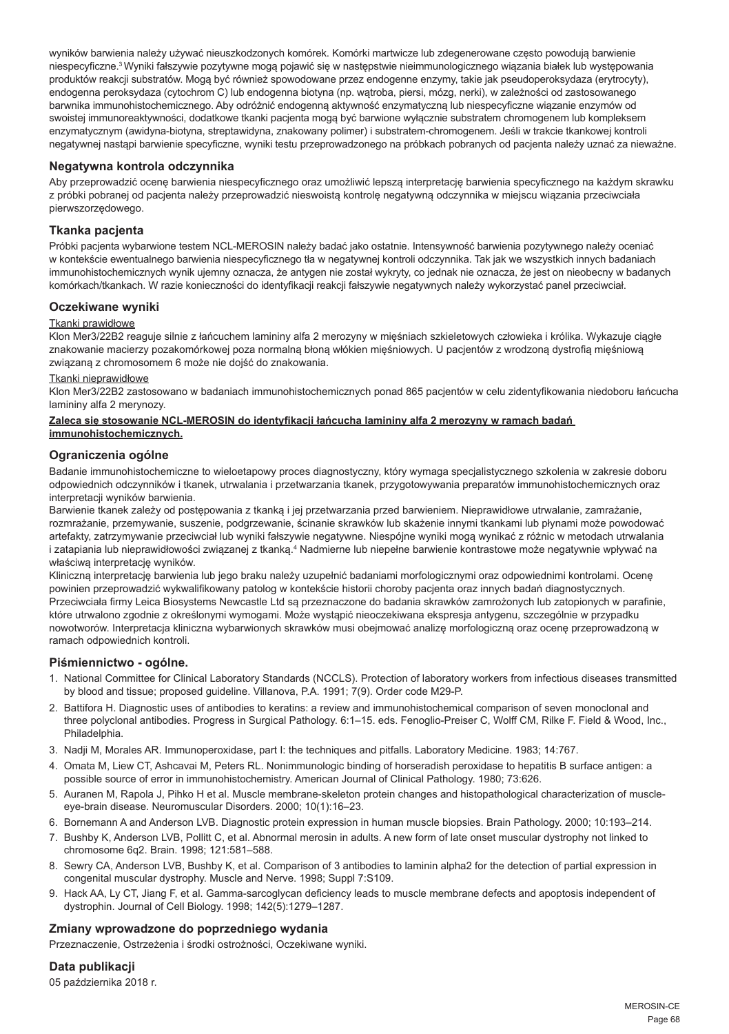wyników barwienia należy używać nieuszkodzonych komórek. Komórki martwicze lub zdegenerowane często powodują barwienie niespecyficzne.<sup>3</sup>Wyniki fałszywie pozytywne mogą pojawić się w następstwie nieimmunologicznego wiązania białek lub występowania produktów reakcji substratów. Mogą być również spowodowane przez endogenne enzymy, takie jak pseudoperoksydaza (erytrocyty), endogenna peroksydaza (cytochrom C) lub endogenna biotyna (np. wątroba, piersi, mózg, nerki), w zależności od zastosowanego barwnika immunohistochemicznego. Aby odróżnić endogenną aktywność enzymatyczną lub niespecyficzne wiązanie enzymów od swoistej immunoreaktywności, dodatkowe tkanki pacjenta mogą być barwione wyłącznie substratem chromogenem lub kompleksem enzymatycznym (awidyna-biotyna, streptawidyna, znakowany polimer) i substratem-chromogenem. Jeśli w trakcie tkankowej kontroli negatywnej nastąpi barwienie specyficzne, wyniki testu przeprowadzonego na próbkach pobranych od pacjenta należy uznać za nieważne.

# **Negatywna kontrola odczynnika**

Aby przeprowadzić ocenę barwienia niespecyficznego oraz umożliwić lepszą interpretację barwienia specyficznego na każdym skrawku z próbki pobranej od pacjenta należy przeprowadzić nieswoistą kontrolę negatywną odczynnika w miejscu wiązania przeciwciała pierwszorzędowego.

### **Tkanka pacjenta**

Próbki pacjenta wybarwione testem NCL-MEROSIN należy badać jako ostatnie. Intensywność barwienia pozytywnego należy oceniać w kontekście ewentualnego barwienia niespecyficznego tła w negatywnej kontroli odczynnika. Tak jak we wszystkich innych badaniach immunohistochemicznych wynik ujemny oznacza, że antygen nie został wykryty, co jednak nie oznacza, że jest on nieobecny w badanych komórkach/tkankach. W razie konieczności do identyfikacji reakcji fałszywie negatywnych należy wykorzystać panel przeciwciał.

#### **Oczekiwane wyniki**

#### Tkanki prawidłowe

Klon Mer3/22B2 reaguje silnie z łańcuchem lamininy alfa 2 merozyny w mięśniach szkieletowych człowieka i królika. Wykazuje ciągłe znakowanie macierzy pozakomórkowej poza normalną błoną włókien mięśniowych. U pacjentów z wrodzoną dystrofią mięśniową związaną z chromosomem 6 może nie dojść do znakowania.

#### Tkanki nieprawidłowe

Klon Mer3/22B2 zastosowano w badaniach immunohistochemicznych ponad 865 pacjentów w celu zidentyfikowania niedoboru łańcucha lamininy alfa 2 merynozy.

## **Zaleca się stosowanie NCL-MEROSIN do identyfikacji łańcucha lamininy alfa 2 merozyny w ramach badań immunohistochemicznych.**

#### **Ograniczenia ogólne**

Badanie immunohistochemiczne to wieloetapowy proces diagnostyczny, który wymaga specjalistycznego szkolenia w zakresie doboru odpowiednich odczynników i tkanek, utrwalania i przetwarzania tkanek, przygotowywania preparatów immunohistochemicznych oraz interpretacji wyników barwienia.

Barwienie tkanek zależy od postępowania z tkanką i jej przetwarzania przed barwieniem. Nieprawidłowe utrwalanie, zamrażanie, rozmrażanie, przemywanie, suszenie, podgrzewanie, ścinanie skrawków lub skażenie innymi tkankami lub płynami może powodować artefakty, zatrzymywanie przeciwciał lub wyniki fałszywie negatywne. Niespójne wyniki mogą wynikać z różnic w metodach utrwalania i zatapiania lub nieprawidłowości związanej z tkanką.<sup>4</sup> Nadmierne lub niepełne barwienie kontrastowe może negatywnie wpływać na właściwą interpretację wyników.

Kliniczną interpretację barwienia lub jego braku należy uzupełnić badaniami morfologicznymi oraz odpowiednimi kontrolami. Ocenę powinien przeprowadzić wykwalifikowany patolog w kontekście historii choroby pacjenta oraz innych badań diagnostycznych. Przeciwciała firmy Leica Biosystems Newcastle Ltd są przeznaczone do badania skrawków zamrożonych lub zatopionych w parafinie, które utrwalono zgodnie z określonymi wymogami. Może wystąpić nieoczekiwana ekspresja antygenu, szczególnie w przypadku nowotworów. Interpretacja kliniczna wybarwionych skrawków musi obejmować analizę morfologiczną oraz ocenę przeprowadzoną w ramach odpowiednich kontroli.

## **Piśmiennictwo - ogólne.**

- 1. National Committee for Clinical Laboratory Standards (NCCLS). Protection of laboratory workers from infectious diseases transmitted by blood and tissue; proposed guideline. Villanova, P.A. 1991; 7(9). Order code M29-P.
- 2. Battifora H. Diagnostic uses of antibodies to keratins: a review and immunohistochemical comparison of seven monoclonal and three polyclonal antibodies. Progress in Surgical Pathology. 6:1–15. eds. Fenoglio-Preiser C, Wolff CM, Rilke F. Field & Wood, Inc., Philadelphia.
- 3. Nadji M, Morales AR. Immunoperoxidase, part I: the techniques and pitfalls. Laboratory Medicine. 1983; 14:767.
- 4. Omata M, Liew CT, Ashcavai M, Peters RL. Nonimmunologic binding of horseradish peroxidase to hepatitis B surface antigen: a possible source of error in immunohistochemistry. American Journal of Clinical Pathology. 1980; 73:626.
- 5. Auranen M, Rapola J, Pihko H et al. Muscle membrane-skeleton protein changes and histopathological characterization of muscleeye-brain disease. Neuromuscular Disorders. 2000; 10(1):16–23.
- 6. Bornemann A and Anderson LVB. Diagnostic protein expression in human muscle biopsies. Brain Pathology. 2000; 10:193–214.
- 7. Bushby K, Anderson LVB, Pollitt C, et al. Abnormal merosin in adults. A new form of late onset muscular dystrophy not linked to chromosome 6q2. Brain. 1998; 121:581–588.
- 8. Sewry CA, Anderson LVB, Bushby K, et al. Comparison of 3 antibodies to laminin alpha2 for the detection of partial expression in congenital muscular dystrophy. Muscle and Nerve. 1998; Suppl 7:S109.
- 9. Hack AA, Ly CT, Jiang F, et al. Gamma-sarcoglycan deficiency leads to muscle membrane defects and apoptosis independent of dystrophin. Journal of Cell Biology. 1998; 142(5):1279–1287.

#### **Zmiany wprowadzone do poprzedniego wydania**

Przeznaczenie, Ostrzeżenia i środki ostrożności, Oczekiwane wyniki.

# **Data publikacji**

05 października 2018 r.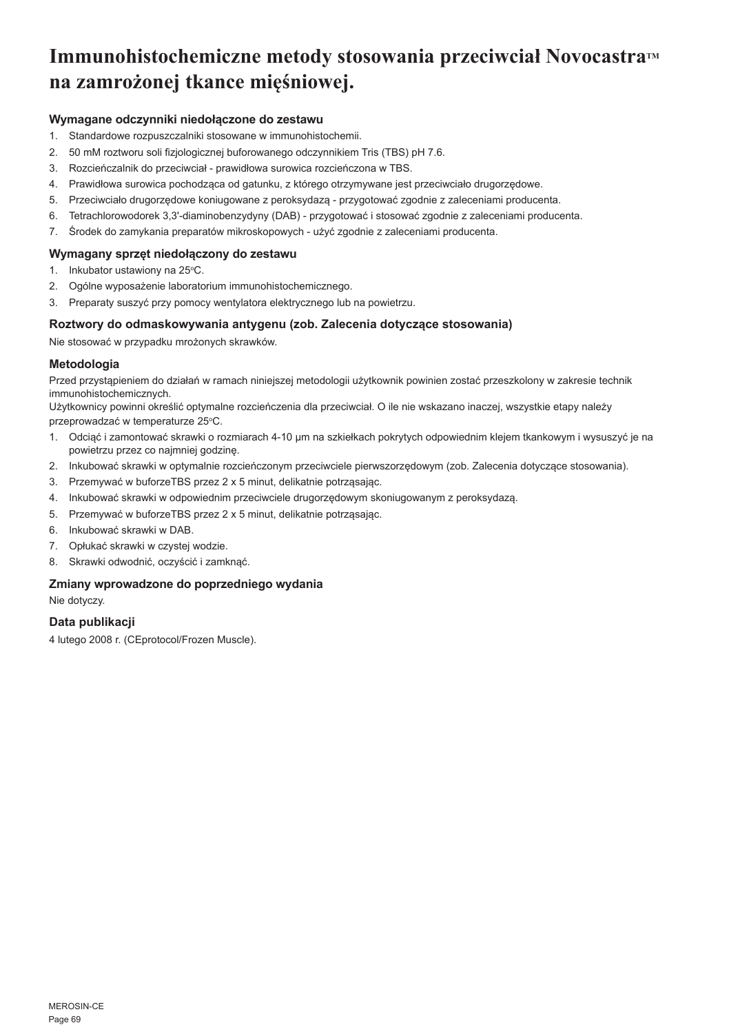# **Immunohistochemiczne metody stosowania przeciwciał Novocastra™ na zamrożonej tkance mięśniowej.**

# **Wymagane odczynniki niedołączone do zestawu**

- 1. Standardowe rozpuszczalniki stosowane w immunohistochemii.
- 2. 50 mM roztworu soli fizjologicznej buforowanego odczynnikiem Tris (TBS) pH 7.6.
- 3. Rozcieńczalnik do przeciwciał prawidłowa surowica rozcieńczona w TBS.
- 4. Prawidłowa surowica pochodząca od gatunku, z którego otrzymywane jest przeciwciało drugorzędowe.
- 5. Przeciwciało drugorzędowe koniugowane z peroksydazą przygotować zgodnie z zaleceniami producenta.
- 6. Tetrachlorowodorek 3,3'-diaminobenzydyny (DAB) przygotować i stosować zgodnie z zaleceniami producenta.
- 7. Środek do zamykania preparatów mikroskopowych użyć zgodnie z zaleceniami producenta.

## **Wymagany sprzęt niedołączony do zestawu**

- 1. Inkubator ustawiony na 25 $\degree$ C.
- 2. Ogólne wyposażenie laboratorium immunohistochemicznego.
- 3. Preparaty suszyć przy pomocy wentylatora elektrycznego lub na powietrzu.

# **Roztwory do odmaskowywania antygenu (zob. Zalecenia dotyczące stosowania)**

Nie stosować w przypadku mrożonych skrawków.

# **Metodologia**

Przed przystąpieniem do działań w ramach niniejszej metodologii użytkownik powinien zostać przeszkolony w zakresie technik immunohistochemicznych.

Użytkownicy powinni określić optymalne rozcieńczenia dla przeciwciał. O ile nie wskazano inaczej, wszystkie etapy należy przeprowadzać w temperaturze 25ºC.

- 1. Odciąć i zamontować skrawki o rozmiarach 4-10 μm na szkiełkach pokrytych odpowiednim klejem tkankowym i wysuszyć je na powietrzu przez co najmniej godzinę.
- 2. Inkubować skrawki w optymalnie rozcieńczonym przeciwciele pierwszorzędowym (zob. Zalecenia dotyczące stosowania).
- 3. Przemywać w buforzeTBS przez 2 x 5 minut, delikatnie potrząsając.
- 4. Inkubować skrawki w odpowiednim przeciwciele drugorzędowym skoniugowanym z peroksydazą.
- 5. Przemywać w buforzeTBS przez 2 x 5 minut, delikatnie potrząsając.
- 6. Inkubować skrawki w DAB.
- 7. Opłukać skrawki w czystej wodzie.
- 8. Skrawki odwodnić, oczyścić i zamknąć.

# **Zmiany wprowadzone do poprzedniego wydania** Nie dotyczy.

# **Data publikacji**

4 lutego 2008 r. (CEprotocol/Frozen Muscle).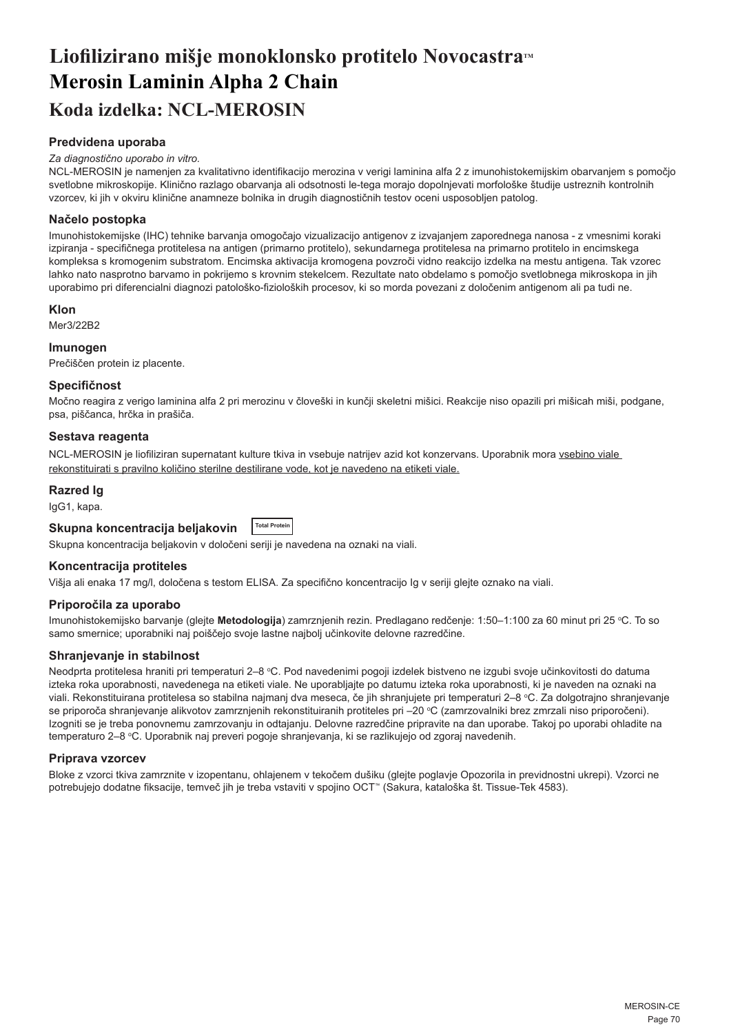# Liofilizirano mišje monoklonsko protitelo Novocastra<sup>m</sup> **Merosin Laminin Alpha 2 Chain Koda izdelka: NCL-MEROSIN**

# **Predvidena uporaba**

#### *Za diagnostično uporabo in vitro.*

NCL-MEROSIN je namenjen za kvalitativno identifikacijo merozina v verigi laminina alfa 2 z imunohistokemijskim obarvanjem s pomočjo svetlobne mikroskopije. Klinično razlago obarvanja ali odsotnosti le-tega morajo dopolnjevati morfološke študije ustreznih kontrolnih vzorcev, ki jih v okviru klinične anamneze bolnika in drugih diagnostičnih testov oceni usposobljen patolog.

## **Načelo postopka**

Imunohistokemijske (IHC) tehnike barvanja omogočajo vizualizacijo antigenov z izvajanjem zaporednega nanosa - z vmesnimi koraki izpiranja - specifičnega protitelesa na antigen (primarno protitelo), sekundarnega protitelesa na primarno protitelo in encimskega kompleksa s kromogenim substratom. Encimska aktivacija kromogena povzroči vidno reakcijo izdelka na mestu antigena. Tak vzorec lahko nato nasprotno barvamo in pokrijemo s krovnim stekelcem. Rezultate nato obdelamo s pomočjo svetlobnega mikroskopa in jih uporabimo pri diferencialni diagnozi patološko-fizioloških procesov, ki so morda povezani z določenim antigenom ali pa tudi ne.

#### **Klon**

Mer3/22B2

# **Imunogen**

Prečiščen protein iz placente.

#### **Specifičnost**

Močno reagira z verigo laminina alfa 2 pri merozinu v človeški in kunčji skeletni mišici. Reakcije niso opazili pri mišicah miši, podgane, psa, piščanca, hrčka in prašiča.

## **Sestava reagenta**

NCL-MEROSIN je liofiliziran supernatant kulture tkiva in vsebuje natrijev azid kot konzervans. Uporabnik mora vsebino viale rekonstituirati s pravilno količino sterilne destilirane vode, kot je navedeno na etiketi viale.

## **Razred Ig**

IgG1, kapa.

#### **Skupna koncentracija beljakovin Total Protein**

Skupna koncentracija beljakovin v določeni seriji je navedena na oznaki na viali.

## **Koncentracija protiteles**

Višja ali enaka 17 mg/l, določena s testom ELISA. Za specifično koncentracijo Ig v seriji glejte oznako na viali.

# **Priporočila za uporabo**

lmunohistokemijsko barvanje (glejte **Metodologija**) zamrznjenih rezin. Predlagano redčenje: 1:50–1:100 za 60 minut pri 25 °C. To so samo smernice; uporabniki naj poiščejo svoje lastne najbolj učinkovite delovne razredčine.

# **Shranjevanje in stabilnost**

Neodprta protitelesa hraniti pri temperaturi 2–8 °C. Pod navedenimi pogoji izdelek bistveno ne izgubi svoje učinkovitosti do datuma izteka roka uporabnosti, navedenega na etiketi viale. Ne uporabljajte po datumu izteka roka uporabnosti, ki je naveden na oznaki na viali. Rekonstituirana protitelesa so stabilna najmanj dva meseca, če jih shranjujete pri temperaturi 2–8 °C. Za dolgotrajno shranjevanje se priporoča shranjevanje alikvotov zamrznjenih rekonstituiranih protiteles pri –20 °C (zamrzovalniki brez zmrzali niso priporočeni). Izogniti se je treba ponovnemu zamrzovanju in odtajanju. Delovne razredčine pripravite na dan uporabe. Takoj po uporabi ohladite na temperaturo 2–8 °C. Uporabnik naj preveri pogoje shranjevanja, ki se razlikujejo od zgoraj navedenih.

## **Priprava vzorcev**

Bloke z vzorci tkiva zamrznite v izopentanu, ohlajenem v tekočem dušiku (glejte poglavje Opozorila in previdnostni ukrepi). Vzorci ne potrebujejo dodatne fiksacije, temveč jih je treba vstaviti v spojino OCT™ (Sakura, kataloška št. Tissue-Tek 4583).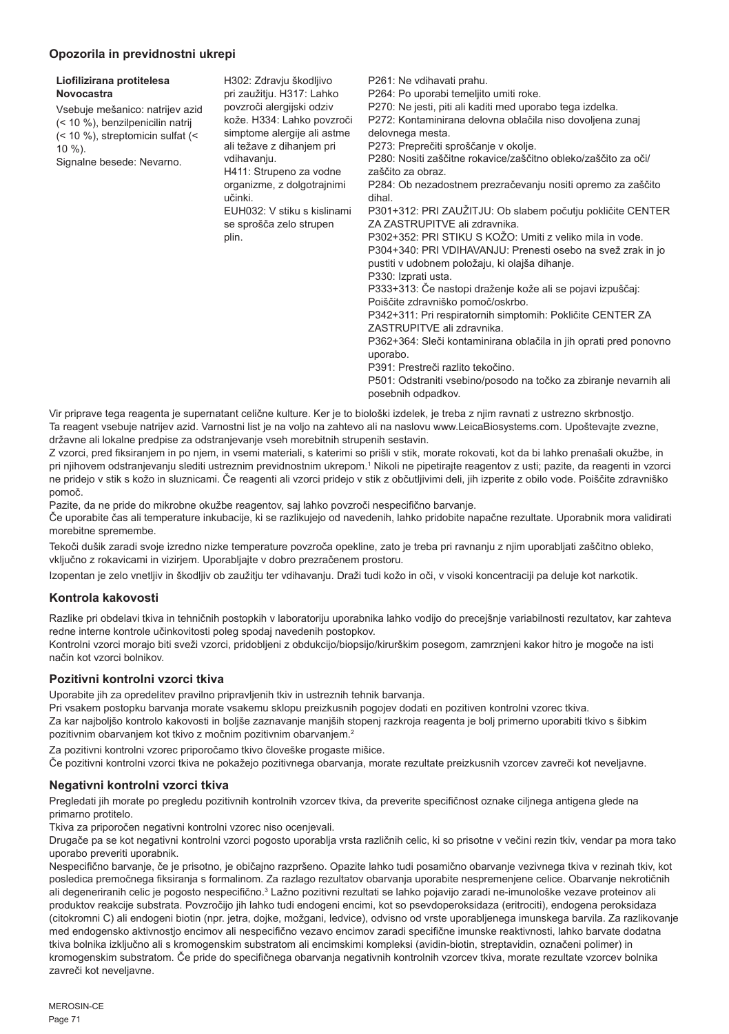# **Opozorila in previdnostni ukrepi**

| Liofilizirana protitelesa<br>Novocastra<br>Vsebuje mešanico: natrijev azid<br>(< 10 %), benzilpenicilin natrij<br>(< 10 %), streptomicin sulfat (<<br>$10\%$ ).<br>Signalne besede: Nevarno. | H302: Zdravju škodljivo<br>pri zaužitju. H317: Lahko<br>povzroči alergijski odziv<br>kože. H334: Lahko povzroči<br>simptome alergije ali astme<br>ali težave z dihanjem pri<br>vdihavanju.<br>H411: Strupeno za vodne<br>organizme, z dolgotrajnimi<br>učinki.<br>EUH032: V stiku s kislinami<br>se sprošča zelo strupen<br>plin. | P261: Ne vdihavati prahu.<br>P264: Po uporabi temeljito umiti roke.<br>P270: Ne jesti, piti ali kaditi med uporabo tega izdelka.<br>P272: Kontaminirana delovna oblačila niso dovoljena zunaj<br>delovnega mesta.<br>P273: Preprečiti sproščanje v okolje.<br>P280: Nositi zaščitne rokavice/zaščitno obleko/zaščito za oči/<br>zaščito za obraz.<br>P284: Ob nezadostnem prezračevanju nositi opremo za zaščito<br>dihal.<br>P301+312: PRI ZAUŽITJU: Ob slabem počutju pokličite CENTER<br>ZA ZASTRUPITVE ali zdravnika.<br>P302+352: PRI STIKU S KOŽO: Umiti z veliko mila in vode.<br>P304+340: PRI VDIHAVANJU: Prenesti osebo na svež zrak in jo<br>pustiti v udobnem položaju, ki olajša dihanje.<br>P330: Izprati usta.<br>P333+313: Če nastopi draženje kože ali se pojavi izpuščaj:<br>Poiščite zdravniško pomoč/oskrbo.<br>P342+311: Pri respiratornih simptomih: Pokličite CENTER ZA<br>ZASTRUPITVE ali zdravnika.<br>P362+364: Sleči kontaminirana oblačila in jih oprati pred ponovno<br>uporabo.<br>P391: Prestreči razlito tekočino.<br>P501: Odstraniti vsebino/posodo na točko za zbiranje nevarnih ali<br>posebnih odpadkov. |
|----------------------------------------------------------------------------------------------------------------------------------------------------------------------------------------------|-----------------------------------------------------------------------------------------------------------------------------------------------------------------------------------------------------------------------------------------------------------------------------------------------------------------------------------|-----------------------------------------------------------------------------------------------------------------------------------------------------------------------------------------------------------------------------------------------------------------------------------------------------------------------------------------------------------------------------------------------------------------------------------------------------------------------------------------------------------------------------------------------------------------------------------------------------------------------------------------------------------------------------------------------------------------------------------------------------------------------------------------------------------------------------------------------------------------------------------------------------------------------------------------------------------------------------------------------------------------------------------------------------------------------------------------------------------------------------------------------|
|----------------------------------------------------------------------------------------------------------------------------------------------------------------------------------------------|-----------------------------------------------------------------------------------------------------------------------------------------------------------------------------------------------------------------------------------------------------------------------------------------------------------------------------------|-----------------------------------------------------------------------------------------------------------------------------------------------------------------------------------------------------------------------------------------------------------------------------------------------------------------------------------------------------------------------------------------------------------------------------------------------------------------------------------------------------------------------------------------------------------------------------------------------------------------------------------------------------------------------------------------------------------------------------------------------------------------------------------------------------------------------------------------------------------------------------------------------------------------------------------------------------------------------------------------------------------------------------------------------------------------------------------------------------------------------------------------------|

Vir priprave tega reagenta je supernatant celične kulture. Ker je to biološki izdelek, je treba z njim ravnati z ustrezno skrbnostjo. Ta reagent vsebuje natrijev azid. Varnostni list je na voljo na zahtevo ali na naslovu www.LeicaBiosystems.com. Upoštevajte zvezne, državne ali lokalne predpise za odstranjevanje vseh morebitnih strupenih sestavin.

Z vzorci, pred fiksiranjem in po njem, in vsemi materiali, s katerimi so prišli v stik, morate rokovati, kot da bi lahko prenašali okužbe, in pri njihovem odstranjevanju slediti ustreznim previdnostnim ukrepom.1 Nikoli ne pipetirajte reagentov z usti; pazite, da reagenti in vzorci ne pridejo v stik s kožo in sluznicami. Če reagenti ali vzorci pridejo v stik z občutljivimi deli, jih izperite z obilo vode. Poiščite zdravniško pomoč.

Pazite, da ne pride do mikrobne okužbe reagentov, saj lahko povzroči nespecifično barvanje.

Če uporabite čas ali temperature inkubacije, ki se razlikujejo od navedenih, lahko pridobite napačne rezultate. Uporabnik mora validirati morebitne spremembe.

Tekoči dušik zaradi svoje izredno nizke temperature povzroča opekline, zato je treba pri ravnanju z njim uporabljati zaščitno obleko, vključno z rokavicami in vizirjem. Uporabljajte v dobro prezračenem prostoru.

Izopentan je zelo vnetljiv in škodljiv ob zaužitju ter vdihavanju. Draži tudi kožo in oči, v visoki koncentraciji pa deluje kot narkotik.

# **Kontrola kakovosti**

Razlike pri obdelavi tkiva in tehničnih postopkih v laboratoriju uporabnika lahko vodijo do precejšnje variabilnosti rezultatov, kar zahteva redne interne kontrole učinkovitosti poleg spodaj navedenih postopkov.

Kontrolni vzorci morajo biti sveži vzorci, pridobljeni z obdukcijo/biopsijo/kirurškim posegom, zamrznjeni kakor hitro je mogoče na isti način kot vzorci bolnikov.

# **Pozitivni kontrolni vzorci tkiva**

Uporabite jih za opredelitev pravilno pripravljenih tkiv in ustreznih tehnik barvanja.

Pri vsakem postopku barvanja morate vsakemu sklopu preizkusnih pogojev dodati en pozitiven kontrolni vzorec tkiva.

Za kar najboljšo kontrolo kakovosti in boljše zaznavanje manjših stopenj razkroja reagenta je bolj primerno uporabiti tkivo s šibkim pozitivnim obarvanjem kot tkivo z močnim pozitivnim obarvanjem.<sup>2</sup>

Za pozitivni kontrolni vzorec priporočamo tkivo človeške progaste mišice.

Če pozitivni kontrolni vzorci tkiva ne pokažejo pozitivnega obarvanja, morate rezultate preizkusnih vzorcev zavreči kot neveljavne.

# **Negativni kontrolni vzorci tkiva**

Pregledati jih morate po pregledu pozitivnih kontrolnih vzorcev tkiva, da preverite specifičnost oznake ciljnega antigena glede na primarno protitelo.

Tkiva za priporočen negativni kontrolni vzorec niso ocenjevali.

Drugače pa se kot negativni kontrolni vzorci pogosto uporablja vrsta različnih celic, ki so prisotne v večini rezin tkiv, vendar pa mora tako uporabo preveriti uporabnik.

Nespecifično barvanje, če je prisotno, je običajno razpršeno. Opazite lahko tudi posamično obarvanje vezivnega tkiva v rezinah tkiv, kot posledica premočnega fiksiranja s formalinom. Za razlago rezultatov obarvanja uporabite nespremenjene celice. Obarvanje nekrotičnih ali degeneriranih celic je pogosto nespecifično.<sup>3</sup> Lažno pozitivni rezultati se lahko pojavijo zaradi ne-imunološke vezave proteinov ali produktov reakcije substrata. Povzročijo jih lahko tudi endogeni encimi, kot so psevdoperoksidaza (eritrociti), endogena peroksidaza (citokromni C) ali endogeni biotin (npr. jetra, dojke, možgani, ledvice), odvisno od vrste uporabljenega imunskega barvila. Za razlikovanje med endogensko aktivnostjo encimov ali nespecifično vezavo encimov zaradi specifične imunske reaktivnosti, lahko barvate dodatna tkiva bolnika izključno ali s kromogenskim substratom ali encimskimi kompleksi (avidin-biotin, streptavidin, označeni polimer) in kromogenskim substratom. Če pride do specifičnega obarvanja negativnih kontrolnih vzorcev tkiva, morate rezultate vzorcev bolnika zavreči kot neveljavne.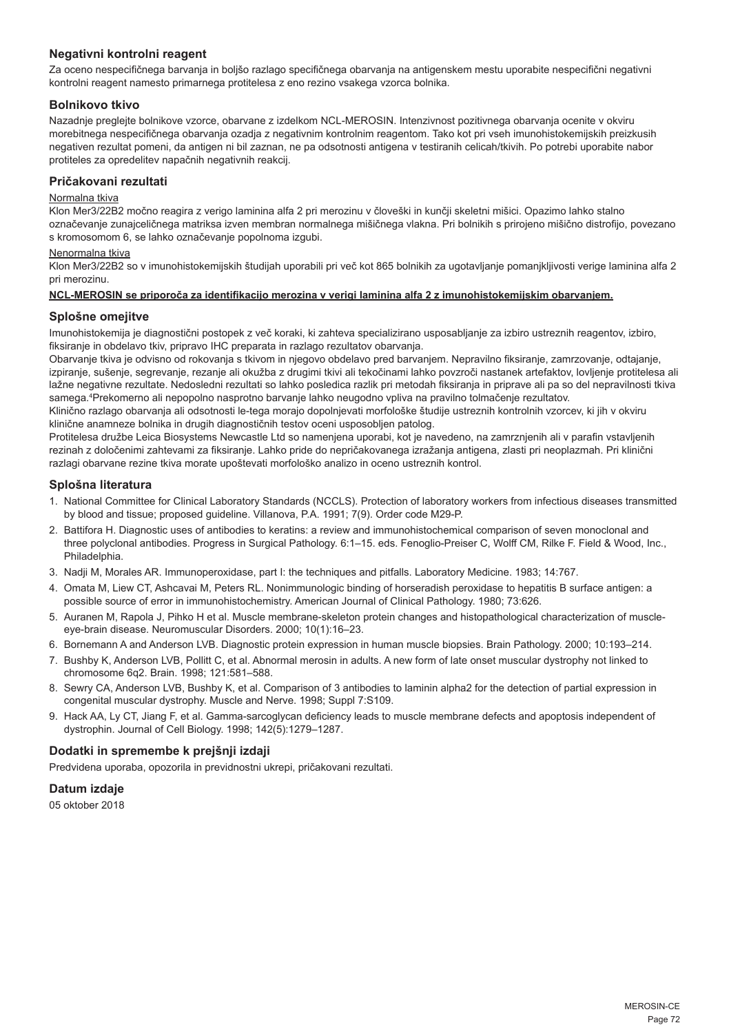## **Negativni kontrolni reagent**

Za oceno nespecifičnega barvanja in boljšo razlago specifičnega obarvanja na antigenskem mestu uporabite nespecifični negativni kontrolni reagent namesto primarnega protitelesa z eno rezino vsakega vzorca bolnika.

#### **Bolnikovo tkivo**

Nazadnje preglejte bolnikove vzorce, obarvane z izdelkom NCL-MEROSIN. Intenzivnost pozitivnega obarvanja ocenite v okviru morebitnega nespecifičnega obarvanja ozadja z negativnim kontrolnim reagentom. Tako kot pri vseh imunohistokemijskih preizkusih negativen rezultat pomeni, da antigen ni bil zaznan, ne pa odsotnosti antigena v testiranih celicah/tkivih. Po potrebi uporabite nabor protiteles za opredelitev napačnih negativnih reakcij.

#### **Pričakovani rezultati**

#### Normalna tkiva

Klon Mer3/22B2 močno reagira z verigo laminina alfa 2 pri merozinu v človeški in kunčji skeletni mišici. Opazimo lahko stalno označevanje zunajceličnega matriksa izven membran normalnega mišičnega vlakna. Pri bolnikih s prirojeno mišično distrofijo, povezano s kromosomom 6, se lahko označevanje popolnoma izgubi.

#### Nenormalna tkiva

Klon Mer3/22B2 so v imunohistokemijskih študijah uporabili pri več kot 865 bolnikih za ugotavljanje pomanjkljivosti verige laminina alfa 2 pri merozinu.

#### **NCL-MEROSIN se priporoča za identifikacijo merozina v verigi laminina alfa 2 z imunohistokemijskim obarvanjem.**

#### **Splošne omejitve**

Imunohistokemija je diagnostični postopek z več koraki, ki zahteva specializirano usposabljanje za izbiro ustreznih reagentov, izbiro, fiksiranje in obdelavo tkiv, pripravo IHC preparata in razlago rezultatov obarvanja.

Obarvanje tkiva je odvisno od rokovanja s tkivom in njegovo obdelavo pred barvanjem. Nepravilno fiksiranje, zamrzovanje, odtajanje, izpiranje, sušenje, segrevanje, rezanje ali okužba z drugimi tkivi ali tekočinami lahko povzroči nastanek artefaktov, lovljenje protitelesa ali lažne negativne rezultate. Nedosledni rezultati so lahko posledica razlik pri metodah fiksiranja in priprave ali pa so del nepravilnosti tkiva samega.4 Prekomerno ali nepopolno nasprotno barvanje lahko neugodno vpliva na pravilno tolmačenje rezultatov.

Klinično razlago obarvanja ali odsotnosti le-tega morajo dopolnjevati morfološke študije ustreznih kontrolnih vzorcev, ki jih v okviru klinične anamneze bolnika in drugih diagnostičnih testov oceni usposobljen patolog.

Protitelesa družbe Leica Biosystems Newcastle Ltd so namenjena uporabi, kot je navedeno, na zamrznjenih ali v parafin vstavljenih rezinah z določenimi zahtevami za fiksiranje. Lahko pride do nepričakovanega izražanja antigena, zlasti pri neoplazmah. Pri klinični razlagi obarvane rezine tkiva morate upoštevati morfološko analizo in oceno ustreznih kontrol.

## **Splošna literatura**

- 1. National Committee for Clinical Laboratory Standards (NCCLS). Protection of laboratory workers from infectious diseases transmitted by blood and tissue; proposed guideline. Villanova, P.A. 1991; 7(9). Order code M29-P.
- 2. Battifora H. Diagnostic uses of antibodies to keratins: a review and immunohistochemical comparison of seven monoclonal and three polyclonal antibodies. Progress in Surgical Pathology. 6:1–15. eds. Fenoglio-Preiser C, Wolff CM, Rilke F. Field & Wood, Inc., Philadelphia.
- 3. Nadji M, Morales AR. Immunoperoxidase, part I: the techniques and pitfalls. Laboratory Medicine. 1983; 14:767.
- 4. Omata M, Liew CT, Ashcavai M, Peters RL. Nonimmunologic binding of horseradish peroxidase to hepatitis B surface antigen: a possible source of error in immunohistochemistry. American Journal of Clinical Pathology. 1980; 73:626.
- 5. Auranen M, Rapola J, Pihko H et al. Muscle membrane-skeleton protein changes and histopathological characterization of muscleeye-brain disease. Neuromuscular Disorders. 2000; 10(1):16–23.
- 6. Bornemann A and Anderson LVB. Diagnostic protein expression in human muscle biopsies. Brain Pathology. 2000; 10:193–214.
- 7. Bushby K, Anderson LVB, Pollitt C, et al. Abnormal merosin in adults. A new form of late onset muscular dystrophy not linked to chromosome 6q2. Brain. 1998; 121:581–588.
- 8. Sewry CA, Anderson LVB, Bushby K, et al. Comparison of 3 antibodies to laminin alpha2 for the detection of partial expression in congenital muscular dystrophy. Muscle and Nerve. 1998; Suppl 7:S109.
- 9. Hack AA, Ly CT, Jiang F, et al. Gamma-sarcoglycan deficiency leads to muscle membrane defects and apoptosis independent of dystrophin. Journal of Cell Biology. 1998; 142(5):1279–1287.

#### **Dodatki in spremembe k prejšnji izdaji**

Predvidena uporaba, opozorila in previdnostni ukrepi, pričakovani rezultati.

**Datum izdaje**

05 oktober 2018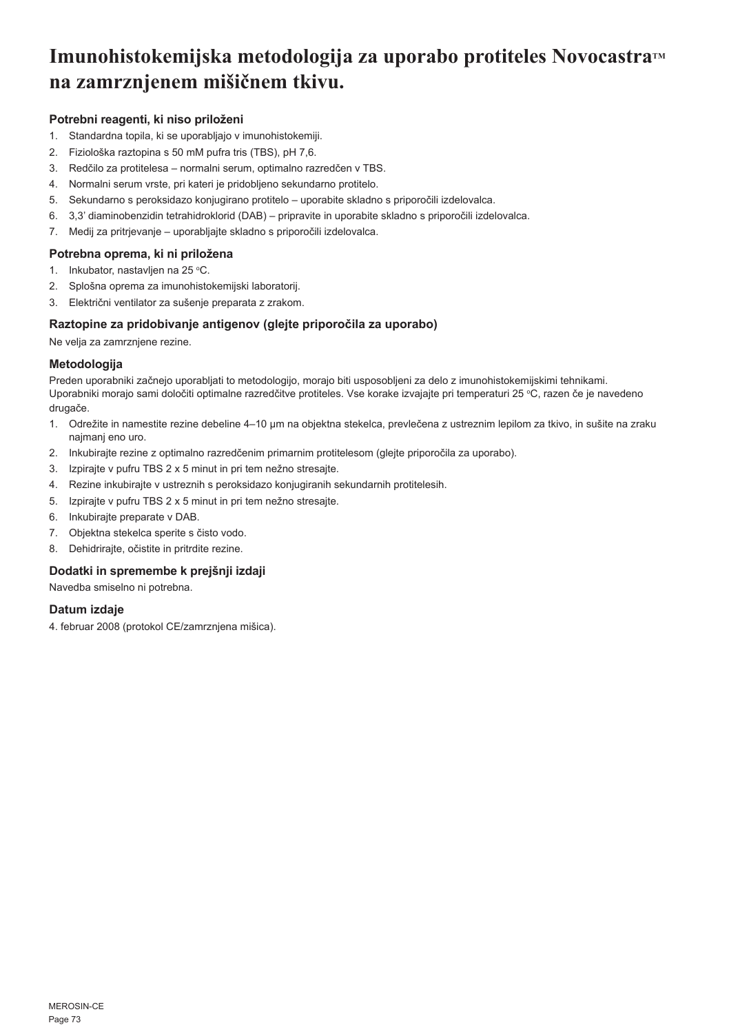# **Imunohistokemijska metodologija za uporabo protiteles NovocastraTM na zamrznjenem mišičnem tkivu.**

## **Potrebni reagenti, ki niso priloženi**

- 1. Standardna topila, ki se uporabljajo v imunohistokemiji.
- 2. Fiziološka raztopina s 50 mM pufra tris (TBS), pH 7,6.
- 3. Redčilo za protitelesa normalni serum, optimalno razredčen v TBS.
- 4. Normalni serum vrste, pri kateri je pridobljeno sekundarno protitelo.
- 5. Sekundarno s peroksidazo konjugirano protitelo uporabite skladno s priporočili izdelovalca.
- 6. 3,3' diaminobenzidin tetrahidroklorid (DAB) pripravite in uporabite skladno s priporočili izdelovalca.
- 7. Medij za pritrjevanje uporabljajte skladno s priporočili izdelovalca.

## **Potrebna oprema, ki ni priložena**

- 1. Inkubator, nastavljen na 25 °C.
- 2. Splošna oprema za imunohistokemijski laboratorij.
- 3. Električni ventilator za sušenje preparata z zrakom.

## **Raztopine za pridobivanje antigenov (glejte priporočila za uporabo)**

Ne velja za zamrznjene rezine.

## **Metodologija**

Preden uporabniki začnejo uporabljati to metodologijo, morajo biti usposobljeni za delo z imunohistokemijskimi tehnikami. Uporabniki morajo sami določiti optimalne razredčitve protiteles. Vse korake izvajajte pri temperaturi 25 °C, razen če je navedeno drugače.

- 1. Odrežite in namestite rezine debeline 4–10 µm na objektna stekelca, prevlečena z ustreznim lepilom za tkivo, in sušite na zraku najmanj eno uro.
- 2. Inkubirajte rezine z optimalno razredčenim primarnim protitelesom (glejte priporočila za uporabo).
- 3. Izpirajte v pufru TBS 2 x 5 minut in pri tem nežno stresajte.
- 4. Rezine inkubirajte v ustreznih s peroksidazo konjugiranih sekundarnih protitelesih.
- 5. Izpirajte v pufru TBS 2 x 5 minut in pri tem nežno stresajte.
- 6. Inkubirajte preparate v DAB.
- 7. Objektna stekelca sperite s čisto vodo.
- 8. Dehidrirajte, očistite in pritrdite rezine.

## **Dodatki in spremembe k prejšnji izdaji**

Navedba smiselno ni potrebna.

## **Datum izdaje**

4. februar 2008 (protokol CE/zamrznjena mišica).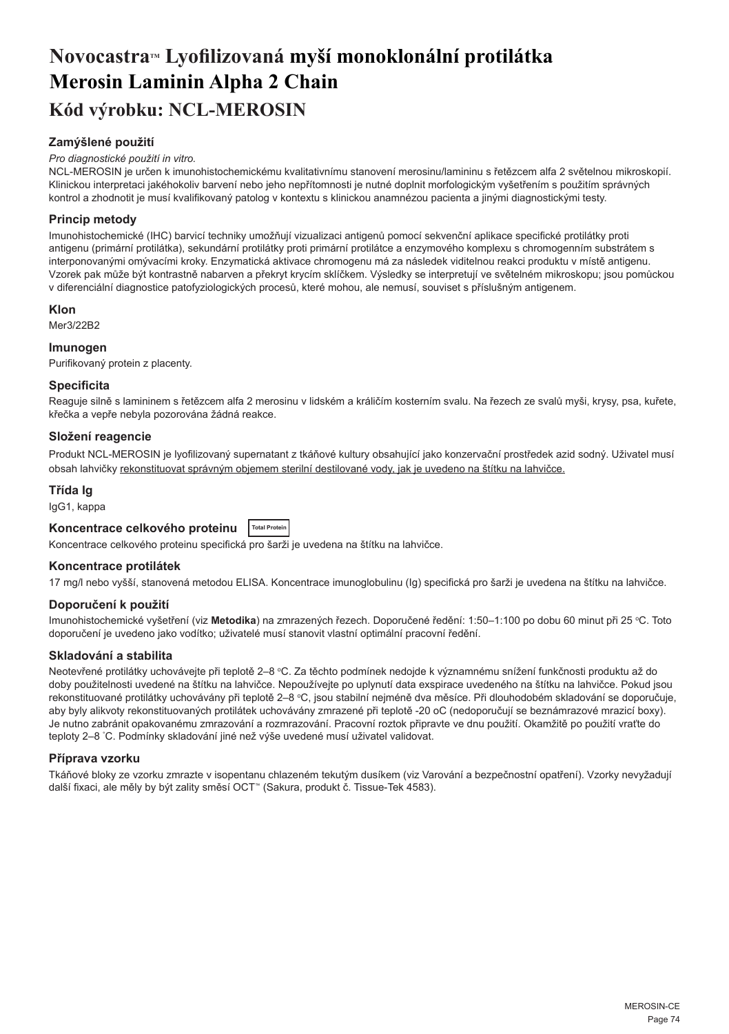# **NovocastraTM Lyofilizovaná myší monoklonální protilátka Merosin Laminin Alpha 2 Chain Kód výrobku: NCL-MEROSIN**

## **Zamýšlené použití**

#### *Pro diagnostické použití in vitro.*

NCL-MEROSIN je určen k imunohistochemickému kvalitativnímu stanovení merosinu/lamininu s řetězcem alfa 2 světelnou mikroskopií. Klinickou interpretaci jakéhokoliv barvení nebo jeho nepřítomnosti je nutné doplnit morfologickým vyšetřením s použitím správných kontrol a zhodnotit je musí kvalifikovaný patolog v kontextu s klinickou anamnézou pacienta a jinými diagnostickými testy.

## **Princip metody**

Imunohistochemické (IHC) barvicí techniky umožňují vizualizaci antigenů pomocí sekvenční aplikace specifické protilátky proti antigenu (primární protilátka), sekundární protilátky proti primární protilátce a enzymového komplexu s chromogenním substrátem s interponovanými omývacími kroky. Enzymatická aktivace chromogenu má za následek viditelnou reakci produktu v místě antigenu. Vzorek pak může být kontrastně nabarven a překryt krycím sklíčkem. Výsledky se interpretují ve světelném mikroskopu; jsou pomůckou v diferenciální diagnostice patofyziologických procesů, které mohou, ale nemusí, souviset s příslušným antigenem.

## **Klon**

Mer3/22B2

## **Imunogen**

Purifikovaný protein z placenty.

## **Specificita**

Reaguje silně s lamininem s řetězcem alfa 2 merosinu v lidském a králičím kosterním svalu. Na řezech ze svalů myši, krysy, psa, kuřete, křečka a vepře nebyla pozorována žádná reakce.

## **Složení reagencie**

Produkt NCL-MEROSIN je lyofilizovaný supernatant z tkáňové kultury obsahující jako konzervační prostředek azid sodný. Uživatel musí obsah lahvičky rekonstituovat správným objemem sterilní destilované vody, jak je uvedeno na štítku na lahvičce.

## **Třída Ig**

IgG1, kappa

## **Koncentrace celkového proteinu Total Protein**

Koncentrace celkového proteinu specifická pro šarži je uvedena na štítku na lahvičce.

## **Koncentrace protilátek**

17 mg/l nebo vyšší, stanovená metodou ELISA. Koncentrace imunoglobulinu (Ig) specifická pro šarži je uvedena na štítku na lahvičce.

## **Doporučení k použití**

lmunohistochemické vyšetření (viz **Metodika**) na zmrazených řezech. Doporučené ředění: 1:50–1:100 po dobu 60 minut při 25 °C. Toto doporučení je uvedeno jako vodítko; uživatelé musí stanovit vlastní optimální pracovní ředění.

## **Skladování a stabilita**

Neotevřené protilátky uchovávejte při teplotě 2–8 °C. Za těchto podmínek nedojde k významnému snížení funkčnosti produktu až do doby použitelnosti uvedené na štítku na lahvičce. Nepoužívejte po uplynutí data exspirace uvedeného na štítku na lahvičce. Pokud jsou rekonstituované protilátky uchovávány při teplotě 2–8 ℃, jsou stabilní nejméně dva měsíce. Při dlouhodobém skladování se doporučuje, aby byly alikvoty rekonstituovaných protilátek uchovávány zmrazené při teplotě -20 oC (nedoporučují se beznámrazové mrazicí boxy). Je nutno zabránit opakovanému zmrazování a rozmrazování. Pracovní roztok připravte ve dnu použití. Okamžitě po použití vraťte do teploty 2–8 ° C. Podmínky skladování jiné než výše uvedené musí uživatel validovat.

## **Příprava vzorku**

Tkáňové bloky ze vzorku zmrazte v isopentanu chlazeném tekutým dusíkem (viz Varování a bezpečnostní opatření). Vzorky nevyžadují další fixaci, ale měly by být zality směsí OCT™ (Sakura, produkt č. Tissue-Tek 4583).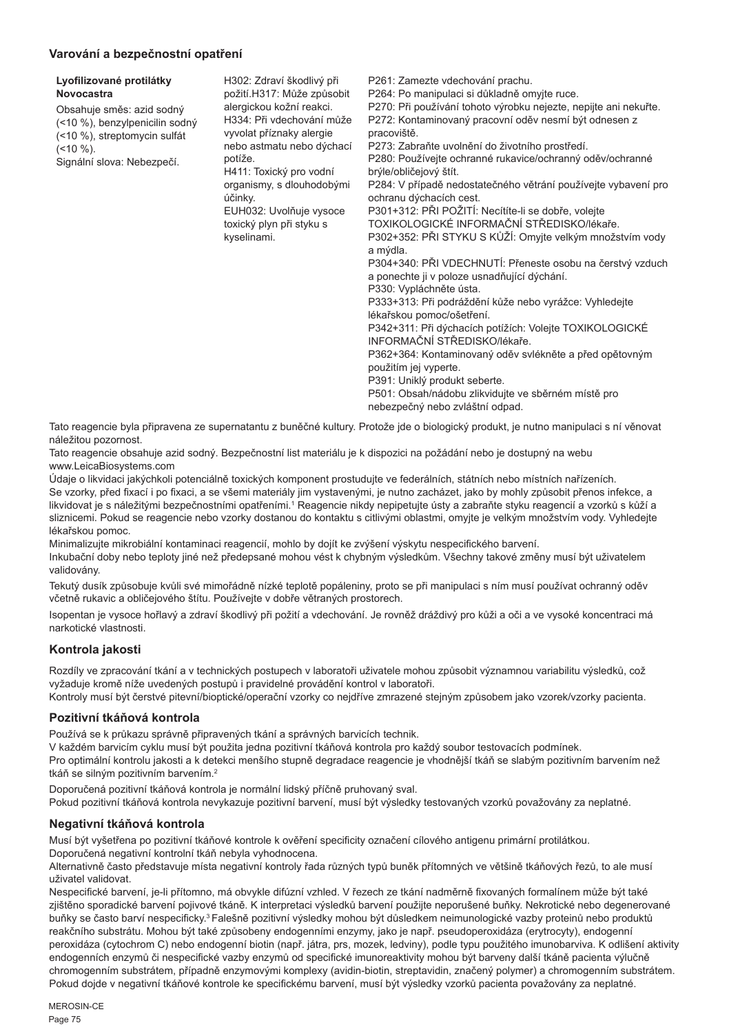## **Varování a bezpečnostní opatření**

| Lyofilizované protilátky<br><b>Novocastra</b>               | H <sub>30</sub><br>poži<br>aler<br>H <sub>33</sub> |
|-------------------------------------------------------------|----------------------------------------------------|
| Obsahuje směs: azid sodný<br>(<10 %), benzylpenicilin sodný |                                                    |

(<10 %), benzylpenicilin sodný (<10 %), streptomycin sulfát  $($  < 10 %). Signální slova: Nebezpečí.

2: Zdraví škodlivý při požití.H317: Může způsobit gickou kožní reakci. 4: Při vdechování může vyvolat příznaky alergie nebo astmatu nebo dýchací potíže. H411: Toxický pro vodní organismy, s dlouhodobými účinky. EUH032: Uvolňuje vysoce toxický plyn při styku s kyselinami.

P261: Zamezte vdechování prachu. P264: Po manipulaci si důkladně omyjte ruce. P270: Při používání tohoto výrobku nejezte, nepijte ani nekuřte. P272: Kontaminovaný pracovní oděv nesmí být odnesen z pracoviště. P273: Zabraňte uvolnění do životního prostředí. P280: Používejte ochranné rukavice/ochranný oděv/ochranné brýle/obličejový štít. P284: V případě nedostatečného větrání používejte vybavení pro ochranu dýchacích cest. P301+312: PŘI POŽITÍ: Necítíte-li se dobře, volejte TOXIKOLOGICKÉ INFORMAČNÍ STŘEDISKO/lékaře. P302+352: PŘI STYKU S KŮŽÍ: Omyjte velkým množstvím vody a mýdla. P304+340: PŘI VDECHNUTÍ: Přeneste osobu na čerstvý vzduch a ponechte ji v poloze usnadňující dýchání. P330: Vypláchněte ústa. P333+313: Při podráždění kůže nebo vyrážce: Vyhledejte lékařskou pomoc/ošetření. P342+311: Při dýchacích potížích: Volejte TOXIKOLOGICKÉ INFORMAČNÍ STŘEDISKO/lékaře. P362+364: Kontaminovaný oděv svlékněte a před opětovným použitím jej vyperte. P391: Uniklý produkt seberte. P501: Obsah/nádobu zlikvidujte ve sběrném místě pro nebezpečný nebo zvláštní odpad.

Tato reagencie byla připravena ze supernatantu z buněčné kultury. Protože jde o biologický produkt, je nutno manipulaci s ní věnovat náležitou pozornost.

Tato reagencie obsahuje azid sodný. Bezpečnostní list materiálu je k dispozici na požádání nebo je dostupný na webu www.LeicaBiosystems.com

Údaje o likvidaci jakýchkoli potenciálně toxických komponent prostudujte ve federálních, státních nebo místních nařízeních.

Se vzorky, před fixací i po fixaci, a se všemi materiály jim vystavenými, je nutno zacházet, jako by mohly způsobit přenos infekce, a likvidovat je s náležitými bezpečnostními opatřeními.1 Reagencie nikdy nepipetujte ústy a zabraňte styku reagencií a vzorků s kůží a sliznicemi. Pokud se reagencie nebo vzorky dostanou do kontaktu s citlivými oblastmi, omyjte je velkým množstvím vody. Vyhledejte lékařskou pomoc.

Minimalizujte mikrobiální kontaminaci reagencií, mohlo by dojít ke zvýšení výskytu nespecifického barvení.

Inkubační doby nebo teploty jiné než předepsané mohou vést k chybným výsledkům. Všechny takové změny musí být uživatelem validovány.

Tekutý dusík způsobuje kvůli své mimořádně nízké teplotě popáleniny, proto se při manipulaci s ním musí používat ochranný oděv včetně rukavic a obličejového štítu. Používejte v dobře větraných prostorech.

Isopentan je vysoce hořlavý a zdraví škodlivý při požití a vdechování. Je rovněž dráždivý pro kůži a oči a ve vysoké koncentraci má narkotické vlastnosti.

## **Kontrola jakosti**

Rozdíly ve zpracování tkání a v technických postupech v laboratoři uživatele mohou způsobit významnou variabilitu výsledků, což vyžaduje kromě níže uvedených postupů i pravidelné provádění kontrol v laboratoři.

Kontroly musí být čerstvé pitevní/bioptické/operační vzorky co nejdříve zmrazené stejným způsobem jako vzorek/vzorky pacienta.

#### **Pozitivní tkáňová kontrola**

Používá se k průkazu správně připravených tkání a správných barvicích technik.

V každém barvicím cyklu musí být použita jedna pozitivní tkáňová kontrola pro každý soubor testovacích podmínek.

Pro optimální kontrolu jakosti a k detekci menšího stupně degradace reagencie je vhodnější tkáň se slabým pozitivním barvením než tkáň se silným pozitivním barvením.<sup>2</sup>

Doporučená pozitivní tkáňová kontrola je normální lidský příčně pruhovaný sval.

Pokud pozitivní tkáňová kontrola nevykazuje pozitivní barvení, musí být výsledky testovaných vzorků považovány za neplatné.

## **Negativní tkáňová kontrola**

Musí být vyšetřena po pozitivní tkáňové kontrole k ověření specificity označení cílového antigenu primární protilátkou.

Doporučená negativní kontrolní tkáň nebyla vyhodnocena.

Alternativně často představuje místa negativní kontroly řada různých typů buněk přítomných ve většině tkáňových řezů, to ale musí uživatel validovat.

Nespecifické barvení, je-li přítomno, má obvykle difúzní vzhled. V řezech ze tkání nadměrně fixovaných formalínem může být také zjištěno sporadické barvení pojivové tkáně. K interpretaci výsledků barvení použijte neporušené buňky. Nekrotické nebo degenerované buňky se často barví nespecificky.<sup>3</sup>Falešně pozitivní výsledky mohou být důsledkem neimunologické vazby proteinů nebo produktů reakčního substrátu. Mohou být také způsobeny endogenními enzymy, jako je např. pseudoperoxidáza (erytrocyty), endogenní peroxidáza (cytochrom C) nebo endogenní biotin (např. játra, prs, mozek, ledviny), podle typu použitého imunobarviva. K odlišení aktivity endogenních enzymů či nespecifické vazby enzymů od specifické imunoreaktivity mohou být barveny další tkáně pacienta výlučně chromogenním substrátem, případně enzymovými komplexy (avidin-biotin, streptavidin, značený polymer) a chromogenním substrátem. Pokud dojde v negativní tkáňové kontrole ke specifickému barvení, musí být výsledky vzorků pacienta považovány za neplatné.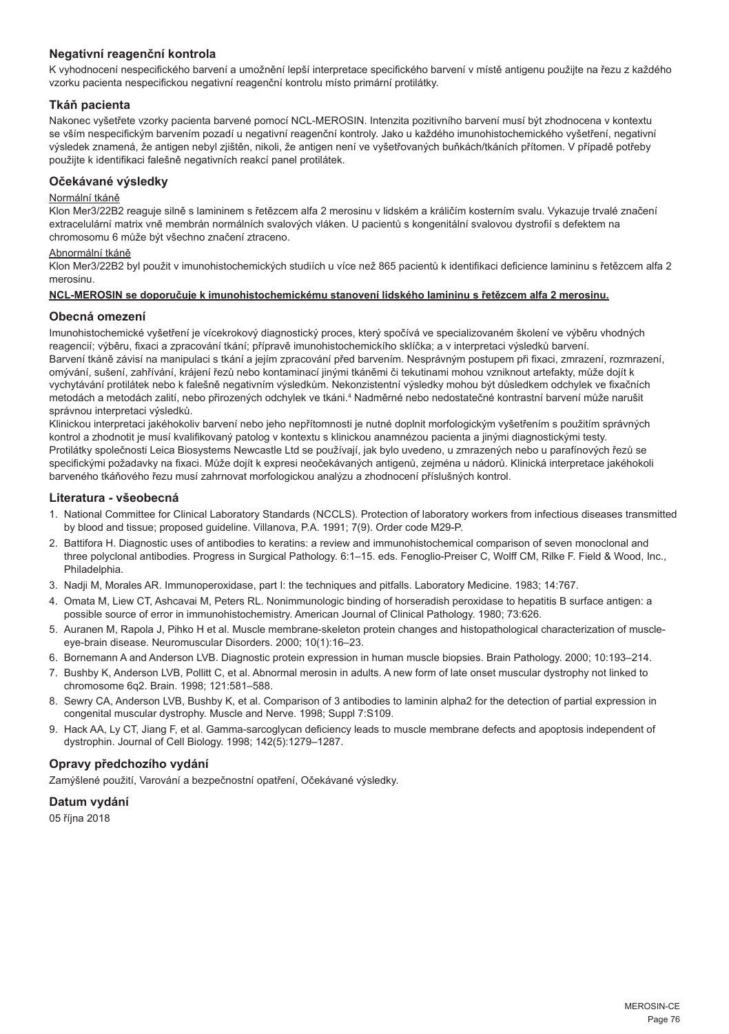## **Negativní reagenční kontrola**

K vyhodnocení nespecifického barvení a umožnění lepší interpretace specifického barvení v místě antigenu použijte na řezu z každého vzorku pacienta nespecifickou negativní reagenční kontrolu místo primární protilátky.

## **Tkáň pacienta**

Nakonec vyšetřete vzorky pacienta barvené pomocí NCL-MEROSIN. Intenzita pozitivního barvení musí být zhodnocena v kontextu se vším nespecifickým barvením pozadí u negativní reagenční kontroly. Jako u každého imunohistochemického vyšetření, negativní výsledek znamená, že antigen nebyl zjištěn, nikoli, že antigen není ve vyšetřovaných buňkách/tkáních přítomen. V případě potřeby použijte k identifikaci falešně negativních reakcí panel protilátek.

## **Očekávané výsledky**

#### Normální tkáně

Klon Mer3/22B2 reaguje silně s lamininem s řetězcem alfa 2 merosinu v lidském a králičím kosterním svalu. Vykazuje trvalé značení extracelulární matrix vně membrán normálních svalových vláken. U pacientů s kongenitální svalovou dystrofií s defektem na chromosomu 6 může být všechno značení ztraceno.

#### Abnormální tkáně

Klon Mer3/22B2 byl použit v imunohistochemických studiích u více než 865 pacientů k identifikaci deficience lamininu s řetězcem alfa 2 merosinu.

#### **NCL-MEROSIN se doporučuje k imunohistochemickému stanovení lidského lamininu s řetězcem alfa 2 merosinu.**

#### **Obecná omezení**

Imunohistochemické vyšetření je vícekrokový diagnostický proces, který spočívá ve specializovaném školení ve výběru vhodných reagencií; výběru, fixaci a zpracování tkání; přípravě imunohistochemickího sklíčka; a v interpretaci výsledků barvení. Barvení tkáně závisí na manipulaci s tkání a jejím zpracování před barvením. Nesprávným postupem při fixaci, zmrazení, rozmrazení, omývání, sušení, zahřívání, krájení řezů nebo kontaminací jinými tkáněmi či tekutinami mohou vzniknout artefakty, může dojít k vychytávání protilátek nebo k falešně negativním výsledkům. Nekonzistentní výsledky mohou být důsledkem odchylek ve fixačních metodách a metodách zalití, nebo přirozených odchylek ve tkáni.<sup>4</sup> Nadměrné nebo nedostatečné kontrastní barvení může narušit správnou interpretaci výsledků.

Klinickou interpretaci jakéhokoliv barvení nebo jeho nepřítomnosti je nutné doplnit morfologickým vyšetřením s použitím správných kontrol a zhodnotit je musí kvalifikovaný patolog v kontextu s klinickou anamnézou pacienta a jinými diagnostickými testy. Protilátky společnosti Leica Biosystems Newcastle Ltd se používají, jak bylo uvedeno, u zmrazených nebo u parafínových řezů se specifickými požadavky na fixaci. Může dojít k expresi neočekávaných antigenů, zejména u nádorů. Klinická interpretace jakéhokoli barveného tkáňového řezu musí zahrnovat morfologickou analýzu a zhodnocení příslušných kontrol.

#### **Literatura - všeobecná**

- 1. National Committee for Clinical Laboratory Standards (NCCLS). Protection of laboratory workers from infectious diseases transmitted by blood and tissue; proposed guideline. Villanova, P.A. 1991; 7(9). Order code M29-P.
- 2. Battifora H. Diagnostic uses of antibodies to keratins: a review and immunohistochemical comparison of seven monoclonal and three polyclonal antibodies. Progress in Surgical Pathology. 6:1–15. eds. Fenoglio-Preiser C, Wolff CM, Rilke F. Field & Wood, Inc., Philadelphia.
- 3. Nadji M, Morales AR. Immunoperoxidase, part I: the techniques and pitfalls. Laboratory Medicine. 1983; 14:767.
- 4. Omata M, Liew CT, Ashcavai M, Peters RL. Nonimmunologic binding of horseradish peroxidase to hepatitis B surface antigen: a possible source of error in immunohistochemistry. American Journal of Clinical Pathology. 1980; 73:626.
- 5. Auranen M, Rapola J, Pihko H et al. Muscle membrane-skeleton protein changes and histopathological characterization of muscleeye-brain disease. Neuromuscular Disorders. 2000; 10(1):16–23.
- 6. Bornemann A and Anderson LVB. Diagnostic protein expression in human muscle biopsies. Brain Pathology. 2000; 10:193–214.
- 7. Bushby K, Anderson LVB, Pollitt C, et al. Abnormal merosin in adults. A new form of late onset muscular dystrophy not linked to chromosome 6q2. Brain. 1998; 121:581–588.
- 8. Sewry CA, Anderson LVB, Bushby K, et al. Comparison of 3 antibodies to laminin alpha2 for the detection of partial expression in congenital muscular dystrophy. Muscle and Nerve. 1998; Suppl 7:S109.
- 9. Hack AA, Ly CT, Jiang F, et al. Gamma-sarcoglycan deficiency leads to muscle membrane defects and apoptosis independent of dystrophin. Journal of Cell Biology. 1998; 142(5):1279–1287.

## **Opravy předchozího vydání**

Zamýšlené použití, Varování a bezpečnostní opatření, Očekávané výsledky.

## **Datum vydání**

05 října 2018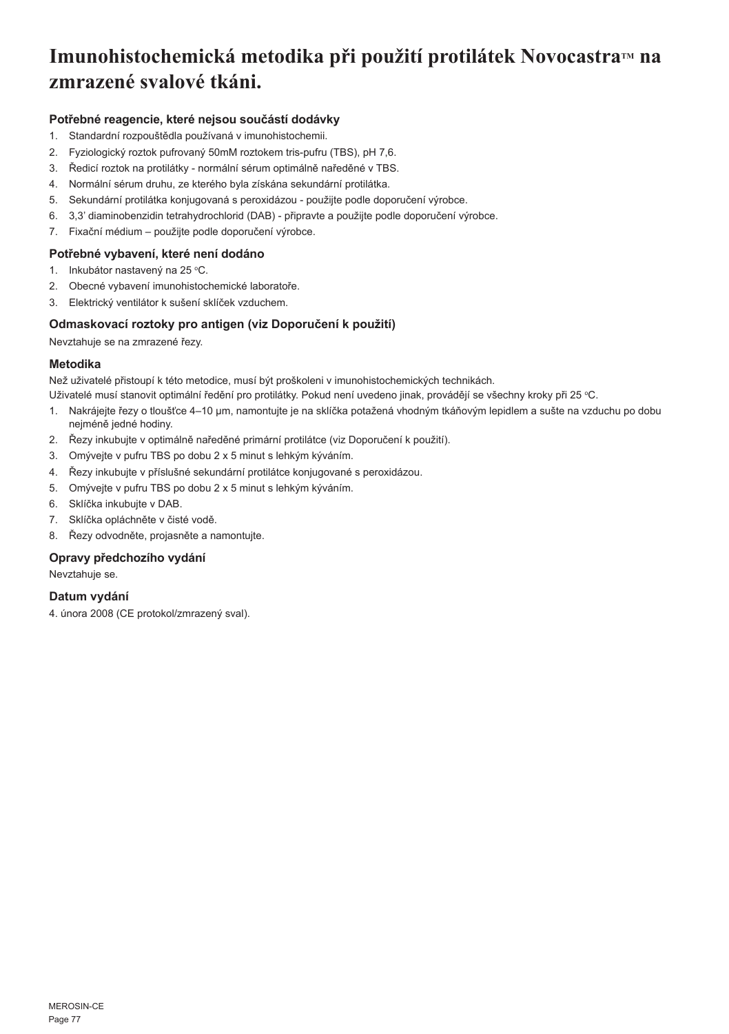# **Imunohistochemická metodika při použití protilátek Novocastra™ na zmrazené svalové tkáni.**

## **Potřebné reagencie, které nejsou součástí dodávky**

- 1. Standardní rozpouštědla používaná v imunohistochemii.
- 2. Fyziologický roztok pufrovaný 50mM roztokem tris-pufru (TBS), pH 7,6.
- 3. Ředicí roztok na protilátky normální sérum optimálně naředěné v TBS.
- 4. Normální sérum druhu, ze kterého byla získána sekundární protilátka.
- 5. Sekundární protilátka konjugovaná s peroxidázou použijte podle doporučení výrobce.
- 6. 3,3' diaminobenzidin tetrahydrochlorid (DAB) připravte a použijte podle doporučení výrobce.
- 7. Fixační médium použijte podle doporučení výrobce.

## **Potřebné vybavení, které není dodáno**

- 1. Inkubátor nastavený na 25 °C.
- 2. Obecné vybavení imunohistochemické laboratoře.
- 3. Elektrický ventilátor k sušení sklíček vzduchem.

## **Odmaskovací roztoky pro antigen (viz Doporučení k použití)**

Nevztahuje se na zmrazené řezy.

## **Metodika**

Než uživatelé přistoupí k této metodice, musí být proškoleni v imunohistochemických technikách.

Uživatelé musí stanovit optimální ředění pro protilátky. Pokud není uvedeno jinak, provádějí se všechny kroky při 25 °C.

- 1. Nakrájejte řezy o tloušťce 4–10 µm, namontujte je na sklíčka potažená vhodným tkáňovým lepidlem a sušte na vzduchu po dobu nejméně jedné hodiny.
- 2. Řezy inkubujte v optimálně naředěné primární protilátce (viz Doporučení k použití).
- 3. Omývejte v pufru TBS po dobu 2 x 5 minut s lehkým kýváním.
- 4. Řezy inkubujte v příslušné sekundární protilátce konjugované s peroxidázou.
- 5. Omývejte v pufru TBS po dobu 2 x 5 minut s lehkým kýváním.
- 6. Sklíčka inkubujte v DAB.
- 7. Sklíčka opláchněte v čisté vodě.
- 8. Řezy odvodněte, projasněte a namontujte.

## **Opravy předchozího vydání**

Nevztahuje se.

## **Datum vydání**

4. února 2008 (CE protokol/zmrazený sval).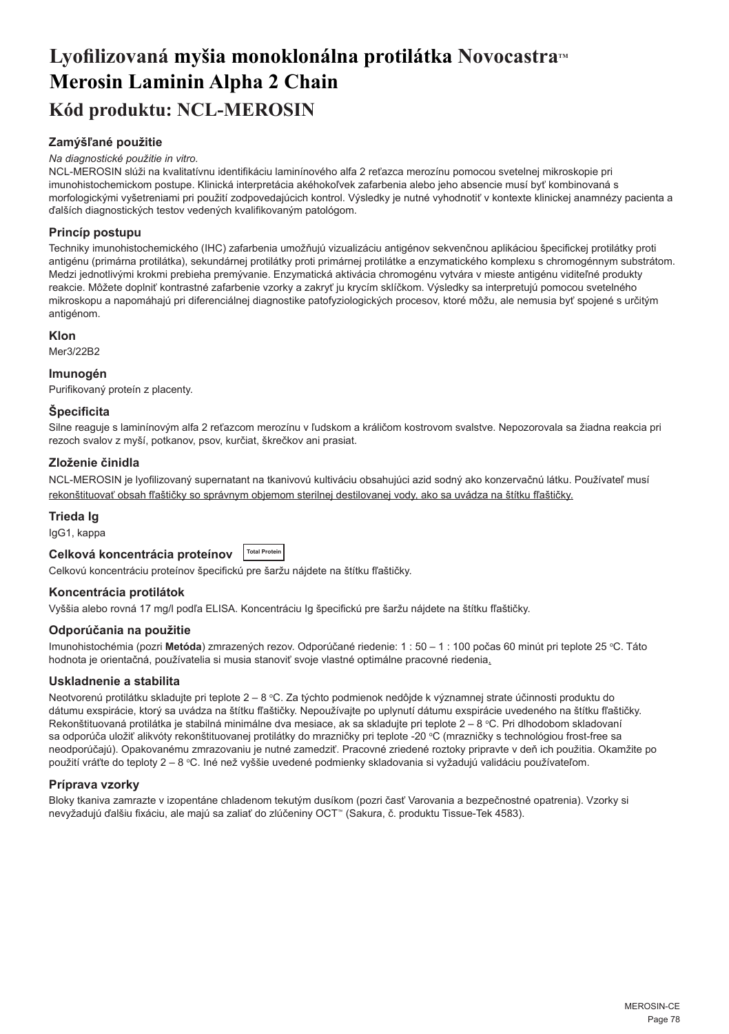# Lyofilizovaná myšia monoklonálna protilátka Novocastra<sup>-1</sup> **Merosin Laminin Alpha 2 Chain Kód produktu: NCL-MEROSIN**

## **Zamýšľané použitie**

#### *Na diagnostické použitie in vitro.*

NCL-MEROSIN slúži na kvalitatívnu identifikáciu laminínového alfa 2 reťazca merozínu pomocou svetelnej mikroskopie pri imunohistochemickom postupe. Klinická interpretácia akéhokoľvek zafarbenia alebo jeho absencie musí byť kombinovaná s morfologickými vyšetreniami pri použití zodpovedajúcich kontrol. Výsledky je nutné vyhodnotiť v kontexte klinickej anamnézy pacienta a ďalších diagnostických testov vedených kvalifikovaným patológom.

## **Princíp postupu**

Techniky imunohistochemického (IHC) zafarbenia umožňujú vizualizáciu antigénov sekvenčnou aplikáciou špecifickej protilátky proti antigénu (primárna protilátka), sekundárnej protilátky proti primárnej protilátke a enzymatického komplexu s chromogénnym substrátom. Medzi jednotlivými krokmi prebieha premývanie. Enzymatická aktivácia chromogénu vytvára v mieste antigénu viditeľné produkty reakcie. Môžete doplniť kontrastné zafarbenie vzorky a zakryť ju krycím sklíčkom. Výsledky sa interpretujú pomocou svetelného mikroskopu a napomáhajú pri diferenciálnej diagnostike patofyziologických procesov, ktoré môžu, ale nemusia byť spojené s určitým antigénom.

## **Klon**

Mer3/22B2

## **Imunogén**

Purifikovaný proteín z placenty.

## **Špecificita**

Silne reaguje s laminínovým alfa 2 reťazcom merozínu v ľudskom a králičom kostrovom svalstve. Nepozorovala sa žiadna reakcia pri rezoch svalov z myší, potkanov, psov, kurčiat, škrečkov ani prasiat.

## **Zloženie činidla**

NCL-MEROSIN je lyofilizovaný supernatant na tkanivovú kultiváciu obsahujúci azid sodný ako konzervačnú látku. Používateľ musí rekonštituovať obsah fľaštičky so správnym objemom sterilnej destilovanej vody, ako sa uvádza na štítku fľaštičky.

#### **Trieda Ig**

IgG1, kappa

## **Celková koncentrácia proteínov Total Protein**

Celkovú koncentráciu proteínov špecifickú pre šaržu nájdete na štítku fľaštičky.

## **Koncentrácia protilátok**

Vyššia alebo rovná 17 mg/l podľa ELISA. Koncentráciu Ig špecifickú pre šaržu nájdete na štítku fľaštičky.

## **Odporúčania na použitie**

lmunohistochémia (pozri **Metóda**) zmrazených rezov. Odporúčané riedenie: 1 : 50 – 1 : 100 počas 60 minút pri teplote 25 °C. Táto hodnota je orientačná, používatelia si musia stanoviť svoje vlastné optimálne pracovné riedenia.

## **Uskladnenie a stabilita**

Neotvorenú protilátku skladujte pri teplote 2 – 8 °C. Za týchto podmienok nedôjde k významnej strate účinnosti produktu do dátumu exspirácie, ktorý sa uvádza na štítku fľaštičky. Nepoužívajte po uplynutí dátumu exspirácie uvedeného na štítku fľaštičky. Rekonštituovaná protilátka je stabilná minimálne dva mesiace, ak sa skladujte pri teplote 2 – 8 °C. Pri dlhodobom skladovaní sa odporúča uložiť alikvóty rekonštituovanej protilátky do mrazničky pri teplote -20 °C (mrazničky s technológiou frost-free sa neodporúčajú). Opakovanému zmrazovaniu je nutné zamedziť. Pracovné zriedené roztoky pripravte v deň ich použitia. Okamžite po použití vráťte do teploty 2 – 8 °C. Iné než vyššie uvedené podmienky skladovania si vyžadujú validáciu používateľom.

## **Príprava vzorky**

Bloky tkaniva zamrazte v izopentáne chladenom tekutým dusíkom (pozri časť Varovania a bezpečnostné opatrenia). Vzorky si nevyžadujú ďalšiu fixáciu, ale majú sa zaliať do zlúčeniny OCT™ (Sakura, č. produktu Tissue-Tek 4583).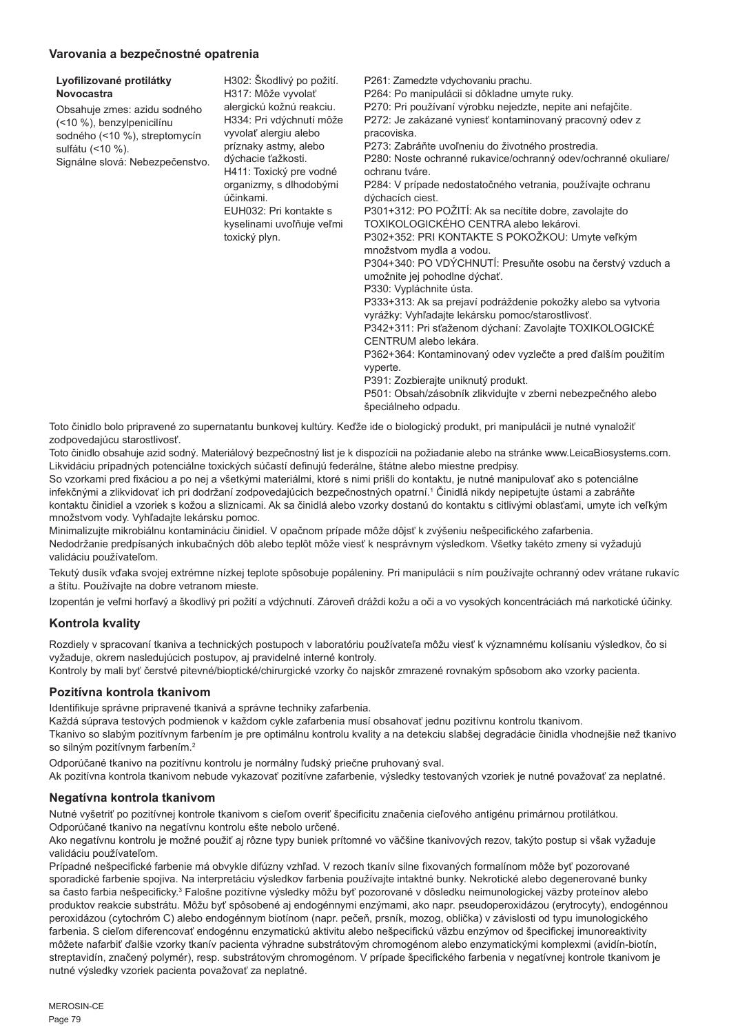## **Varovania a bezpečnostné opatrenia**

| Lyofilizované protilátky<br>Novocastra |
|----------------------------------------|
| Obsahuje zmes: azidu sodného           |

(<10 %), benzylpenicilínu sodného (<10 %), streptomycín sulfátu (<10 %). Signálne slová: Nebezpečenstvo.

H302: Škodlivý po požití. H317: Môže vyvolať alergickú kožnú reakciu. H334: Pri vdýchnutí môže vyvolať alergiu alebo príznaky astmy, alebo dýchacie ťažkosti. H411: Toxický pre vodné organizmy, s dlhodobými účinkami. EUH032: Pri kontakte s kyselinami uvoľňuje veľmi toxický plyn.

P261: Zamedzte vdychovaniu prachu. P264: Po manipulácii si dôkladne umyte ruky. P270: Pri používaní výrobku nejedzte, nepite ani nefajčite. P272: Je zakázané vyniesť kontaminovaný pracovný odev z pracoviska. P273: Zabráňte uvoľneniu do životného prostredia. P280: Noste ochranné rukavice/ochranný odev/ochranné okuliare/ ochranu tváre. P284: V prípade nedostatočného vetrania, používajte ochranu dýchacích ciest. P301+312: PO POŽITÍ: Ak sa necítite dobre, zavolajte do TOXIKOLOGICKÉHO CENTRA alebo lekárovi. P302+352: PRI KONTAKTE S POKOŽKOU: Umyte veľkým množstvom mydla a vodou. P304+340: PO VDÝCHNUTÍ: Presuňte osobu na čerstvý vzduch a umožnite jej pohodlne dýchať. P330: Vypláchnite ústa. P333+313: Ak sa prejaví podráždenie pokožky alebo sa vytvoria vyrážky: Vyhľadajte lekársku pomoc/starostlivosť. P342+311: Pri sťaženom dýchaní: Zavolajte TOXIKOLOGICKÉ CENTRUM alebo lekára. P362+364: Kontaminovaný odev vyzlečte a pred ďalším použitím vyperte.

P391: Zozbierajte uniknutý produkt.

P501: Obsah/zásobník zlikvidujte v zberni nebezpečného alebo špeciálneho odpadu.

Toto činidlo bolo pripravené zo supernatantu bunkovej kultúry. Keďže ide o biologický produkt, pri manipulácii je nutné vynaložiť zodpovedajúcu starostlivosť.

Toto činidlo obsahuje azid sodný. Materiálový bezpečnostný list je k dispozícii na požiadanie alebo na stránke www.LeicaBiosystems.com. Likvidáciu prípadných potenciálne toxických súčastí definujú federálne, štátne alebo miestne predpisy.

So vzorkami pred fixáciou a po nej a všetkými materiálmi, ktoré s nimi prišli do kontaktu, je nutné manipulovať ako s potenciálne infekčnými a zlikvidovať ich pri dodržaní zodpovedajúcich bezpečnostných opatrní.<sup>1</sup> Činidlá nikdy nepipetujte ústami a zabráňte kontaktu činidiel a vzoriek s kožou a sliznicami. Ak sa činidlá alebo vzorky dostanú do kontaktu s citlivými oblasťami, umyte ich veľkým množstvom vody. Vyhľadajte lekársku pomoc.

Minimalizujte mikrobiálnu kontamináciu činidiel. V opačnom prípade môže dôjsť k zvýšeniu nešpecifického zafarbenia. Nedodržanie predpísaných inkubačných dôb alebo teplôt môže viesť k nesprávnym výsledkom. Všetky takéto zmeny si vyžadujú validáciu používateľom.

Tekutý dusík vďaka svojej extrémne nízkej teplote spôsobuje popáleniny. Pri manipulácii s ním používajte ochranný odev vrátane rukavíc a štítu. Používajte na dobre vetranom mieste.

Izopentán je veľmi horľavý a škodlivý pri požití a vdýchnutí. Zároveň dráždi kožu a oči a vo vysokých koncentráciách má narkotické účinky.

## **Kontrola kvality**

Rozdiely v spracovaní tkaniva a technických postupoch v laboratóriu používateľa môžu viesť k významnému kolísaniu výsledkov, čo si vyžaduje, okrem nasledujúcich postupov, aj pravidelné interné kontroly.

Kontroly by mali byť čerstvé pitevné/bioptické/chirurgické vzorky čo najskôr zmrazené rovnakým spôsobom ako vzorky pacienta.

#### **Pozitívna kontrola tkanivom**

Identifikuje správne pripravené tkanivá a správne techniky zafarbenia.

Každá súprava testových podmienok v každom cykle zafarbenia musí obsahovať jednu pozitívnu kontrolu tkanivom.

Tkanivo so slabým pozitívnym farbením je pre optimálnu kontrolu kvality a na detekciu slabšej degradácie činidla vhodnejšie než tkanivo so silným pozitívnym farbením.<sup>2</sup>

Odporúčané tkanivo na pozitívnu kontrolu je normálny ľudský priečne pruhovaný sval. Ak pozitívna kontrola tkanivom nebude vykazovať pozitívne zafarbenie, výsledky testovaných vzoriek je nutné považovať za neplatné.

## **Negatívna kontrola tkanivom**

Nutné vyšetriť po pozitívnej kontrole tkanivom s cieľom overiť špecificitu značenia cieľového antigénu primárnou protilátkou. Odporúčané tkanivo na negatívnu kontrolu ešte nebolo určené.

Ako negatívnu kontrolu je možné použiť aj rôzne typy buniek prítomné vo väčšine tkanivových rezov, takýto postup si však vyžaduje validáciu používateľom.

Prípadné nešpecifické farbenie má obvykle difúzny vzhľad. V rezoch tkanív silne fixovaných formalínom môže byť pozorované sporadické farbenie spojiva. Na interpretáciu výsledkov farbenia používajte intaktné bunky. Nekrotické alebo degenerované bunky sa často farbia nešpecificky.<sup>3</sup> Falošne pozitívne výsledky môžu byť pozorované v dôsledku neimunologickej väzby proteínov alebo produktov reakcie substrátu. Môžu byť spôsobené aj endogénnymi enzýmami, ako napr. pseudoperoxidázou (erytrocyty), endogénnou peroxidázou (cytochróm C) alebo endogénnym biotínom (napr. pečeň, prsník, mozog, oblička) v závislosti od typu imunologického farbenia. S cieľom diferencovať endogénnu enzymatickú aktivitu alebo nešpecifickú väzbu enzýmov od špecifickej imunoreaktivity môžete nafarbiť ďalšie vzorky tkanív pacienta výhradne substrátovým chromogénom alebo enzymatickými komplexmi (avidín-biotín, streptavidín, značený polymér), resp. substrátovým chromogénom. V prípade špecifického farbenia v negatívnej kontrole tkanivom je nutné výsledky vzoriek pacienta považovať za neplatné.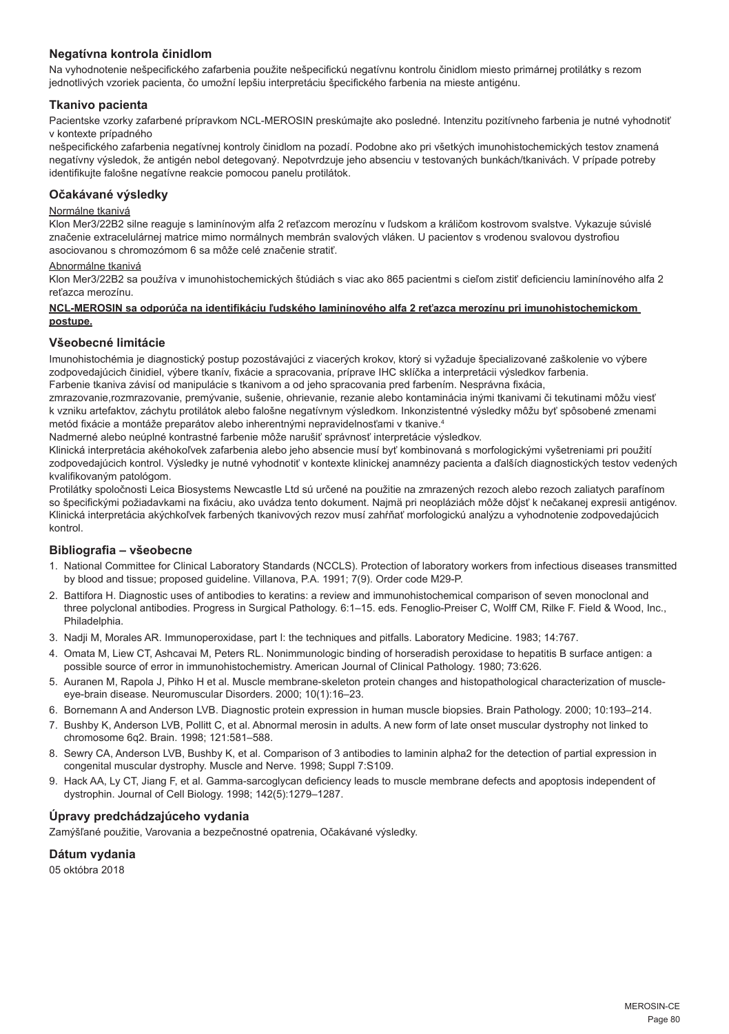## **Negatívna kontrola činidlom**

Na vyhodnotenie nešpecifického zafarbenia použite nešpecifickú negatívnu kontrolu činidlom miesto primárnej protilátky s rezom jednotlivých vzoriek pacienta, čo umožní lepšiu interpretáciu špecifického farbenia na mieste antigénu.

#### **Tkanivo pacienta**

Pacientske vzorky zafarbené prípravkom NCL-MEROSIN preskúmajte ako posledné. Intenzitu pozitívneho farbenia je nutné vyhodnotiť v kontexte prípadného

nešpecifického zafarbenia negatívnej kontroly činidlom na pozadí. Podobne ako pri všetkých imunohistochemických testov znamená negatívny výsledok, že antigén nebol detegovaný. Nepotvrdzuje jeho absenciu v testovaných bunkách/tkanivách. V prípade potreby identifikujte falošne negatívne reakcie pomocou panelu protilátok.

## **Očakávané výsledky**

## Normálne tkanivá

Klon Mer3/22B2 silne reaguje s laminínovým alfa 2 reťazcom merozínu v ľudskom a králičom kostrovom svalstve. Vykazuje súvislé značenie extracelulárnej matrice mimo normálnych membrán svalových vláken. U pacientov s vrodenou svalovou dystrofiou asociovanou s chromozómom 6 sa môže celé značenie stratiť.

#### Abnormálne tkanivá

Klon Mer3/22B2 sa používa v imunohistochemických štúdiách s viac ako 865 pacientmi s cieľom zistiť deficienciu laminínového alfa 2 reťazca merozínu.

#### **NCL-MEROSIN sa odporúča na identifikáciu ľudského laminínového alfa 2 reťazca merozínu pri imunohistochemickom postupe.**

#### **Všeobecné limitácie**

Imunohistochémia je diagnostický postup pozostávajúci z viacerých krokov, ktorý si vyžaduje špecializované zaškolenie vo výbere zodpovedajúcich činidiel, výbere tkanív, fixácie a spracovania, príprave IHC sklíčka a interpretácii výsledkov farbenia. Farbenie tkaniva závisí od manipulácie s tkanivom a od jeho spracovania pred farbením. Nesprávna fixácia,

zmrazovanie,rozmrazovanie, premývanie, sušenie, ohrievanie, rezanie alebo kontaminácia inými tkanivami či tekutinami môžu viesť k vzniku artefaktov, záchytu protilátok alebo falošne negatívnym výsledkom. Inkonzistentné výsledky môžu byť spôsobené zmenami metód fixácie a montáže preparátov alebo inherentnými nepravidelnosťami v tkanive.4

Nadmerné alebo neúplné kontrastné farbenie môže narušiť správnosť interpretácie výsledkov.

Klinická interpretácia akéhokoľvek zafarbenia alebo jeho absencie musí byť kombinovaná s morfologickými vyšetreniami pri použití zodpovedajúcich kontrol. Výsledky je nutné vyhodnotiť v kontexte klinickej anamnézy pacienta a ďalších diagnostických testov vedených kvalifikovaným patológom.

Protilátky spoločnosti Leica Biosystems Newcastle Ltd sú určené na použitie na zmrazených rezoch alebo rezoch zaliatych parafínom so špecifickými požiadavkami na fixáciu, ako uvádza tento dokument. Najmä pri neopláziách môže dôjsť k nečakanej expresii antigénov. Klinická interpretácia akýchkoľvek farbených tkanivových rezov musí zahŕňať morfologickú analýzu a vyhodnotenie zodpovedajúcich kontrol.

## **Bibliografia – všeobecne**

- 1. National Committee for Clinical Laboratory Standards (NCCLS). Protection of laboratory workers from infectious diseases transmitted by blood and tissue; proposed guideline. Villanova, P.A. 1991; 7(9). Order code M29-P.
- 2. Battifora H. Diagnostic uses of antibodies to keratins: a review and immunohistochemical comparison of seven monoclonal and three polyclonal antibodies. Progress in Surgical Pathology. 6:1–15. eds. Fenoglio-Preiser C, Wolff CM, Rilke F. Field & Wood, Inc., Philadelphia.
- 3. Nadji M, Morales AR. Immunoperoxidase, part I: the techniques and pitfalls. Laboratory Medicine. 1983; 14:767.
- 4. Omata M, Liew CT, Ashcavai M, Peters RL. Nonimmunologic binding of horseradish peroxidase to hepatitis B surface antigen: a possible source of error in immunohistochemistry. American Journal of Clinical Pathology. 1980; 73:626.
- 5. Auranen M, Rapola J, Pihko H et al. Muscle membrane-skeleton protein changes and histopathological characterization of muscleeye-brain disease. Neuromuscular Disorders. 2000; 10(1):16–23.
- 6. Bornemann A and Anderson LVB. Diagnostic protein expression in human muscle biopsies. Brain Pathology. 2000; 10:193–214.
- 7. Bushby K, Anderson LVB, Pollitt C, et al. Abnormal merosin in adults. A new form of late onset muscular dystrophy not linked to chromosome 6q2. Brain. 1998; 121:581–588.
- 8. Sewry CA, Anderson LVB, Bushby K, et al. Comparison of 3 antibodies to laminin alpha2 for the detection of partial expression in congenital muscular dystrophy. Muscle and Nerve. 1998; Suppl 7:S109.
- 9. Hack AA, Ly CT, Jiang F, et al. Gamma-sarcoglycan deficiency leads to muscle membrane defects and apoptosis independent of dystrophin. Journal of Cell Biology. 1998; 142(5):1279–1287.

#### **Úpravy predchádzajúceho vydania**

Zamýšľané použitie, Varovania a bezpečnostné opatrenia, Očakávané výsledky.

## **Dátum vydania**

05 októbra 2018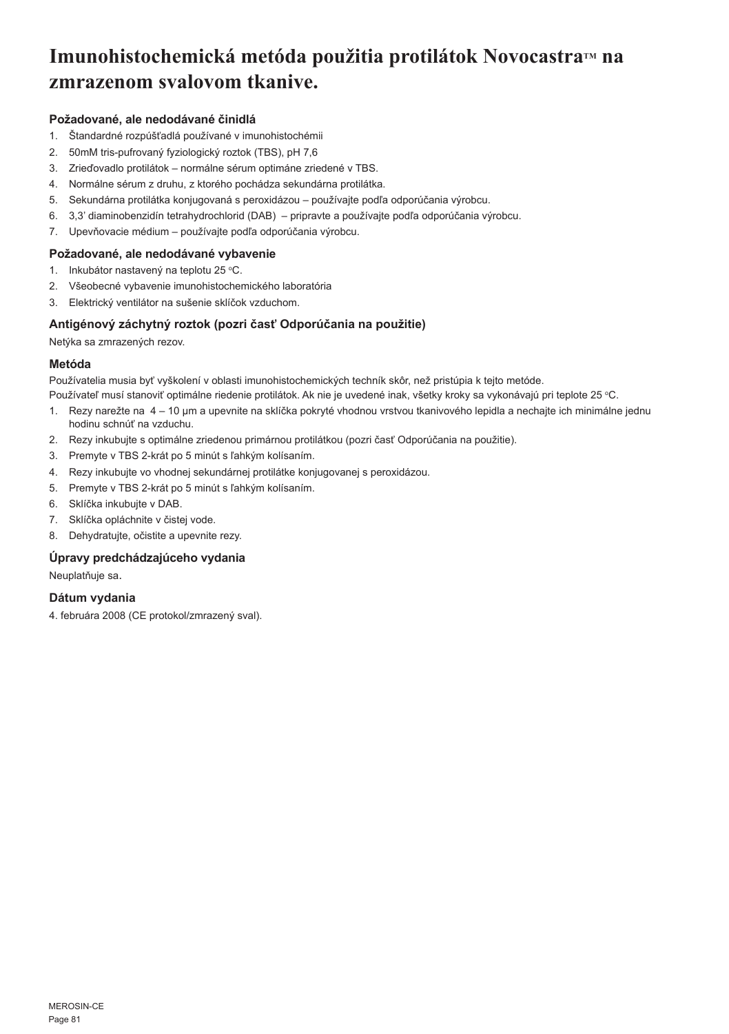# **Imunohistochemická metóda použitia protilátok Novocastra™ na zmrazenom svalovom tkanive.**

## **Požadované, ale nedodávané činidlá**

- 1. Štandardné rozpúšťadlá používané v imunohistochémii
- 2. 50mM tris-pufrovaný fyziologický roztok (TBS), pH 7,6
- 3. Zrieďovadlo protilátok normálne sérum optimáne zriedené v TBS.
- 4. Normálne sérum z druhu, z ktorého pochádza sekundárna protilátka.
- 5. Sekundárna protilátka konjugovaná s peroxidázou používajte podľa odporúčania výrobcu.
- 6. 3,3' diaminobenzidín tetrahydrochlorid (DAB) pripravte a používajte podľa odporúčania výrobcu.
- 7. Upevňovacie médium používajte podľa odporúčania výrobcu.

## **Požadované, ale nedodávané vybavenie**

- 1. Inkubátor nastavený na teplotu 25 °C.
- 2. Všeobecné vybavenie imunohistochemického laboratória
- 3. Elektrický ventilátor na sušenie sklíčok vzduchom.

## **Antigénový záchytný roztok (pozri časť Odporúčania na použitie)**

Netýka sa zmrazených rezov.

## **Metóda**

Používatelia musia byť vyškolení v oblasti imunohistochemických techník skôr, než pristúpia k tejto metóde.

Používateľ musí stanoviť optimálne riedenie protilátok. Ak nie je uvedené inak, všetky kroky sa vykonávajú pri teplote 25 °C.

- 1. Rezy narežte na 4 10 µm a upevnite na sklíčka pokryté vhodnou vrstvou tkanivového lepidla a nechajte ich minimálne jednu hodinu schnúť na vzduchu.
- 2. Rezy inkubujte s optimálne zriedenou primárnou protilátkou (pozri časť Odporúčania na použitie).
- 3. Premyte v TBS 2-krát po 5 minút s ľahkým kolísaním.
- 4. Rezy inkubujte vo vhodnej sekundárnej protilátke konjugovanej s peroxidázou.
- 5. Premyte v TBS 2-krát po 5 minút s ľahkým kolísaním.
- 6. Sklíčka inkubujte v DAB.
- 7. Sklíčka opláchnite v čistej vode.
- 8. Dehydratujte, očistite a upevnite rezy.

## **Úpravy predchádzajúceho vydania**

Neuplatňuje sa.

## **Dátum vydania**

4. februára 2008 (CE protokol/zmrazený sval).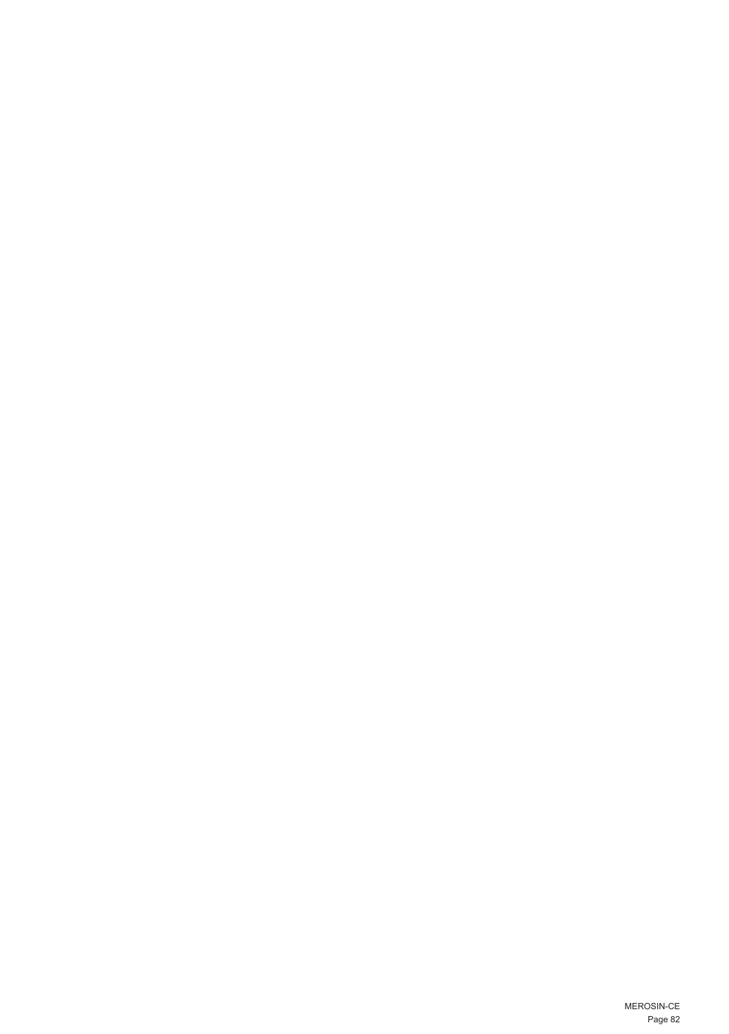MEROSIN-CE Page 82